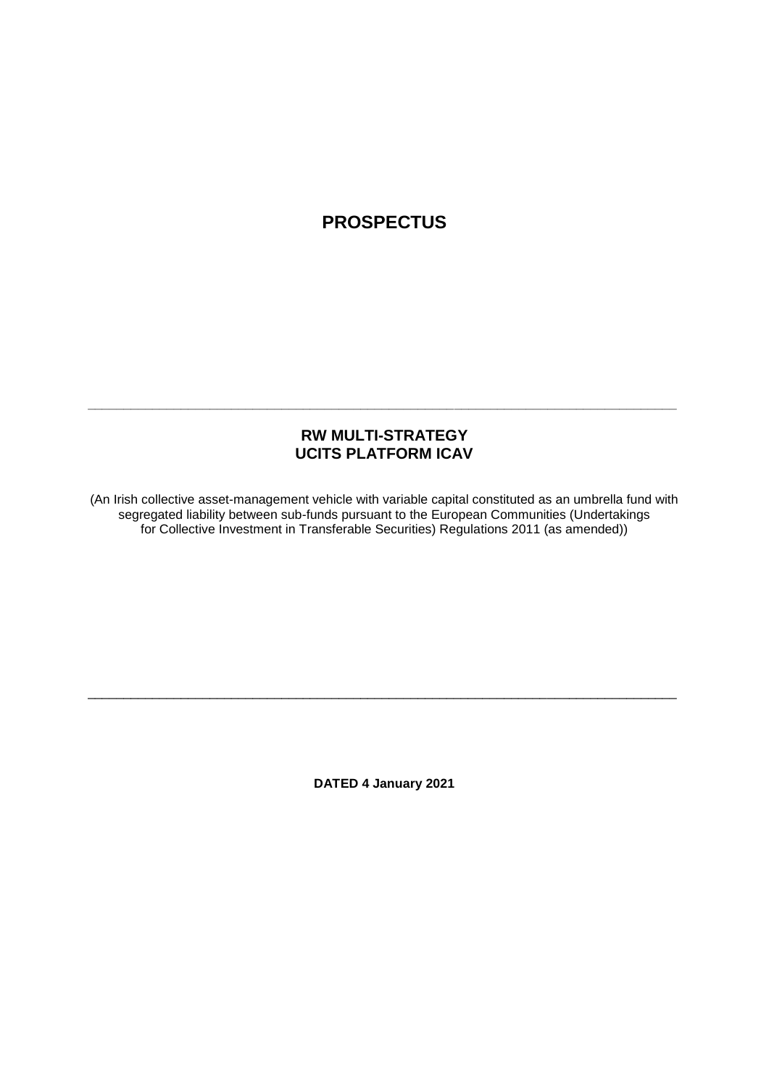# **PROSPECTUS**

# **RW MULTI-STRATEGY UCITS PLATFORM ICAV**

**\_\_\_\_\_\_\_\_\_\_\_\_\_\_\_\_\_\_\_\_\_\_\_\_\_\_\_\_\_\_\_\_\_\_\_\_\_\_\_\_\_\_\_\_\_\_\_\_\_\_\_\_\_\_\_\_\_\_\_\_\_\_\_\_\_\_\_\_\_\_\_\_\_\_\_\_\_\_\_\_\_\_**

(An Irish collective asset-management vehicle with variable capital constituted as an umbrella fund with segregated liability between sub-funds pursuant to the European Communities (Undertakings for Collective Investment in Transferable Securities) Regulations 2011 (as amended))

**DATED 4 January 2021**

\_\_\_\_\_\_\_\_\_\_\_\_\_\_\_\_\_\_\_\_\_\_\_\_\_\_\_\_\_\_\_\_\_\_\_\_\_\_\_\_\_\_\_\_\_\_\_\_\_\_\_\_\_\_\_\_\_\_\_\_\_\_\_\_\_\_\_\_\_\_\_\_\_\_\_\_\_\_\_\_\_\_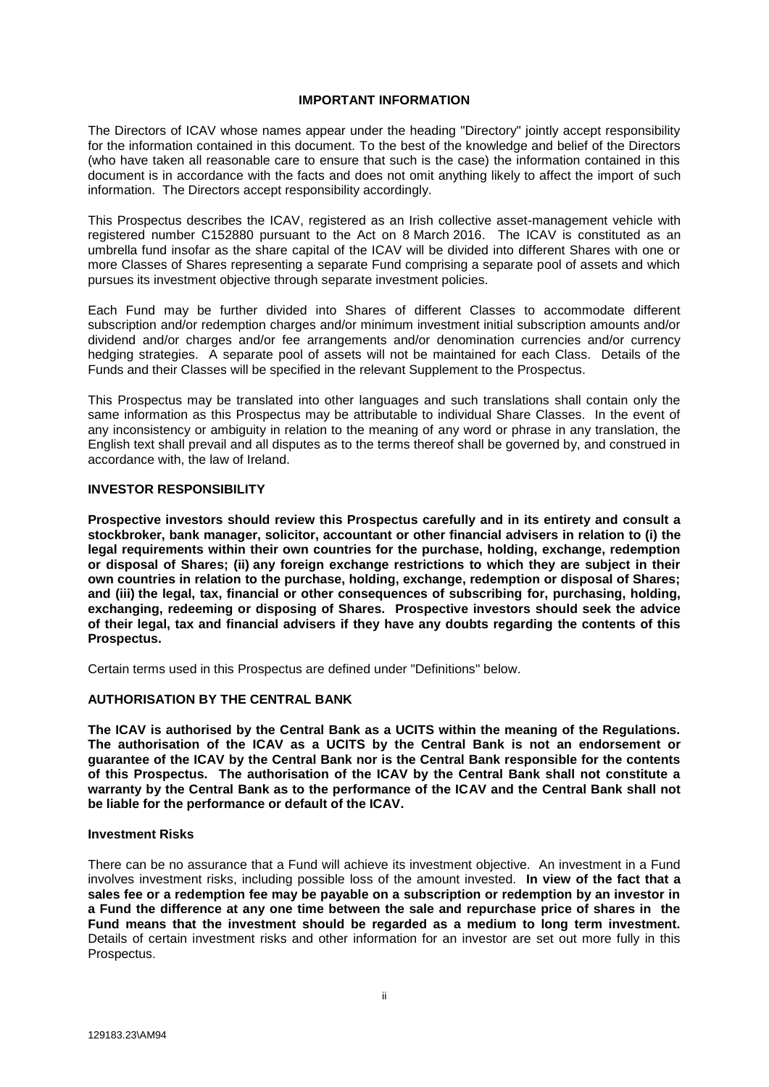#### **IMPORTANT INFORMATION**

<span id="page-1-0"></span>The Directors of ICAV whose names appear under the heading "Directory" jointly accept responsibility for the information contained in this document. To the best of the knowledge and belief of the Directors (who have taken all reasonable care to ensure that such is the case) the information contained in this document is in accordance with the facts and does not omit anything likely to affect the import of such information. The Directors accept responsibility accordingly.

This Prospectus describes the ICAV, registered as an Irish collective asset-management vehicle with registered number C152880 pursuant to the Act on 8 March 2016. The ICAV is constituted as an umbrella fund insofar as the share capital of the ICAV will be divided into different Shares with one or more Classes of Shares representing a separate Fund comprising a separate pool of assets and which pursues its investment objective through separate investment policies.

Each Fund may be further divided into Shares of different Classes to accommodate different subscription and/or redemption charges and/or minimum investment initial subscription amounts and/or dividend and/or charges and/or fee arrangements and/or denomination currencies and/or currency hedging strategies. A separate pool of assets will not be maintained for each Class. Details of the Funds and their Classes will be specified in the relevant Supplement to the Prospectus.

This Prospectus may be translated into other languages and such translations shall contain only the same information as this Prospectus may be attributable to individual Share Classes. In the event of any inconsistency or ambiguity in relation to the meaning of any word or phrase in any translation, the English text shall prevail and all disputes as to the terms thereof shall be governed by, and construed in accordance with, the law of Ireland.

#### **INVESTOR RESPONSIBILITY**

**Prospective investors should review this Prospectus carefully and in its entirety and consult a stockbroker, bank manager, solicitor, accountant or other financial advisers in relation to (i) the legal requirements within their own countries for the purchase, holding, exchange, redemption or disposal of Shares; (ii) any foreign exchange restrictions to which they are subject in their own countries in relation to the purchase, holding, exchange, redemption or disposal of Shares; and (iii) the legal, tax, financial or other consequences of subscribing for, purchasing, holding, exchanging, redeeming or disposing of Shares. Prospective investors should seek the advice of their legal, tax and financial advisers if they have any doubts regarding the contents of this Prospectus.**

Certain terms used in this Prospectus are defined under "Definitions" below.

#### **AUTHORISATION BY THE CENTRAL BANK**

**The ICAV is authorised by the Central Bank as a UCITS within the meaning of the Regulations. The authorisation of the ICAV as a UCITS by the Central Bank is not an endorsement or guarantee of the ICAV by the Central Bank nor is the Central Bank responsible for the contents of this Prospectus. The authorisation of the ICAV by the Central Bank shall not constitute a warranty by the Central Bank as to the performance of the ICAV and the Central Bank shall not be liable for the performance or default of the ICAV.**

#### **Investment Risks**

There can be no assurance that a Fund will achieve its investment objective. An investment in a Fund involves investment risks, including possible loss of the amount invested. **In view of the fact that a sales fee or a redemption fee may be payable on a subscription or redemption by an investor in a Fund the difference at any one time between the sale and repurchase price of shares in the Fund means that the investment should be regarded as a medium to long term investment.** Details of certain investment risks and other information for an investor are set out more fully in this Prospectus.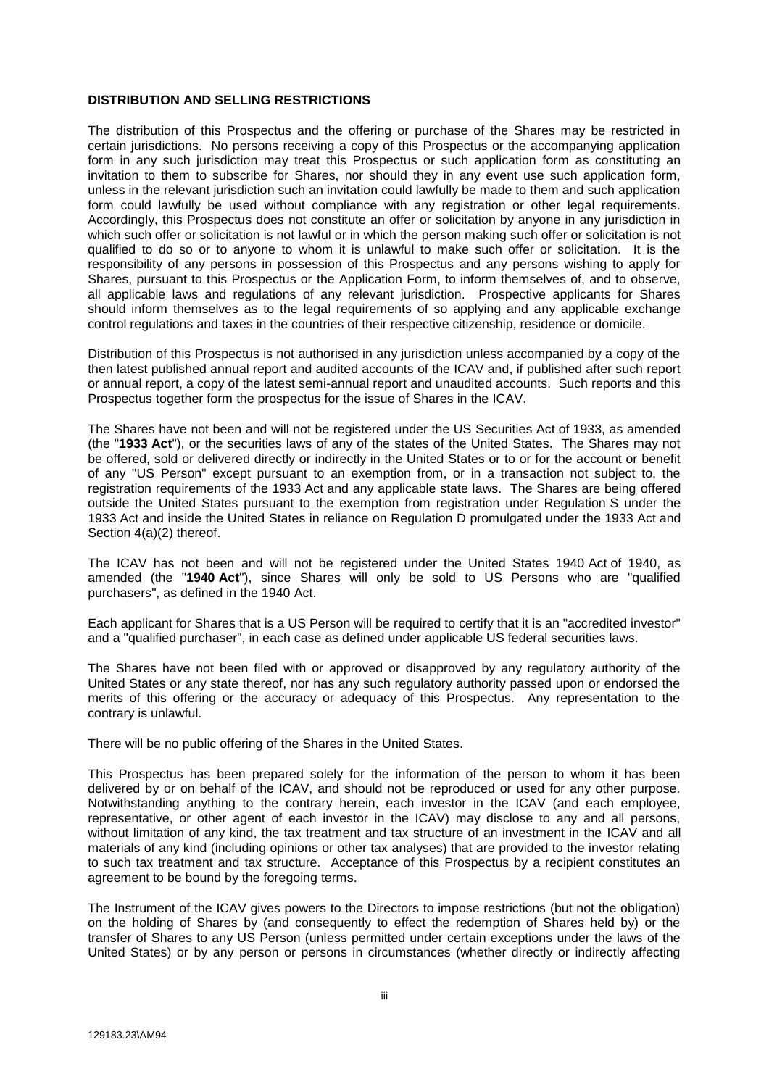#### **DISTRIBUTION AND SELLING RESTRICTIONS**

The distribution of this Prospectus and the offering or purchase of the Shares may be restricted in certain jurisdictions. No persons receiving a copy of this Prospectus or the accompanying application form in any such jurisdiction may treat this Prospectus or such application form as constituting an invitation to them to subscribe for Shares, nor should they in any event use such application form, unless in the relevant jurisdiction such an invitation could lawfully be made to them and such application form could lawfully be used without compliance with any registration or other legal requirements. Accordingly, this Prospectus does not constitute an offer or solicitation by anyone in any jurisdiction in which such offer or solicitation is not lawful or in which the person making such offer or solicitation is not qualified to do so or to anyone to whom it is unlawful to make such offer or solicitation. It is the responsibility of any persons in possession of this Prospectus and any persons wishing to apply for Shares, pursuant to this Prospectus or the Application Form, to inform themselves of, and to observe, all applicable laws and regulations of any relevant jurisdiction. Prospective applicants for Shares should inform themselves as to the legal requirements of so applying and any applicable exchange control regulations and taxes in the countries of their respective citizenship, residence or domicile.

Distribution of this Prospectus is not authorised in any jurisdiction unless accompanied by a copy of the then latest published annual report and audited accounts of the ICAV and, if published after such report or annual report, a copy of the latest semi-annual report and unaudited accounts. Such reports and this Prospectus together form the prospectus for the issue of Shares in the ICAV.

The Shares have not been and will not be registered under the US Securities Act of 1933, as amended (the "**1933 Act**"), or the securities laws of any of the states of the United States. The Shares may not be offered, sold or delivered directly or indirectly in the United States or to or for the account or benefit of any "US Person" except pursuant to an exemption from, or in a transaction not subject to, the registration requirements of the 1933 Act and any applicable state laws. The Shares are being offered outside the United States pursuant to the exemption from registration under Regulation S under the 1933 Act and inside the United States in reliance on Regulation D promulgated under the 1933 Act and Section 4(a)(2) thereof.

The ICAV has not been and will not be registered under the United States 1940 Act of 1940, as amended (the "**1940 Act**"), since Shares will only be sold to US Persons who are "qualified purchasers", as defined in the 1940 Act.

Each applicant for Shares that is a US Person will be required to certify that it is an "accredited investor" and a "qualified purchaser", in each case as defined under applicable US federal securities laws.

The Shares have not been filed with or approved or disapproved by any regulatory authority of the United States or any state thereof, nor has any such regulatory authority passed upon or endorsed the merits of this offering or the accuracy or adequacy of this Prospectus. Any representation to the contrary is unlawful.

There will be no public offering of the Shares in the United States.

This Prospectus has been prepared solely for the information of the person to whom it has been delivered by or on behalf of the ICAV, and should not be reproduced or used for any other purpose. Notwithstanding anything to the contrary herein, each investor in the ICAV (and each employee, representative, or other agent of each investor in the ICAV) may disclose to any and all persons, without limitation of any kind, the tax treatment and tax structure of an investment in the ICAV and all materials of any kind (including opinions or other tax analyses) that are provided to the investor relating to such tax treatment and tax structure. Acceptance of this Prospectus by a recipient constitutes an agreement to be bound by the foregoing terms.

The Instrument of the ICAV gives powers to the Directors to impose restrictions (but not the obligation) on the holding of Shares by (and consequently to effect the redemption of Shares held by) or the transfer of Shares to any US Person (unless permitted under certain exceptions under the laws of the United States) or by any person or persons in circumstances (whether directly or indirectly affecting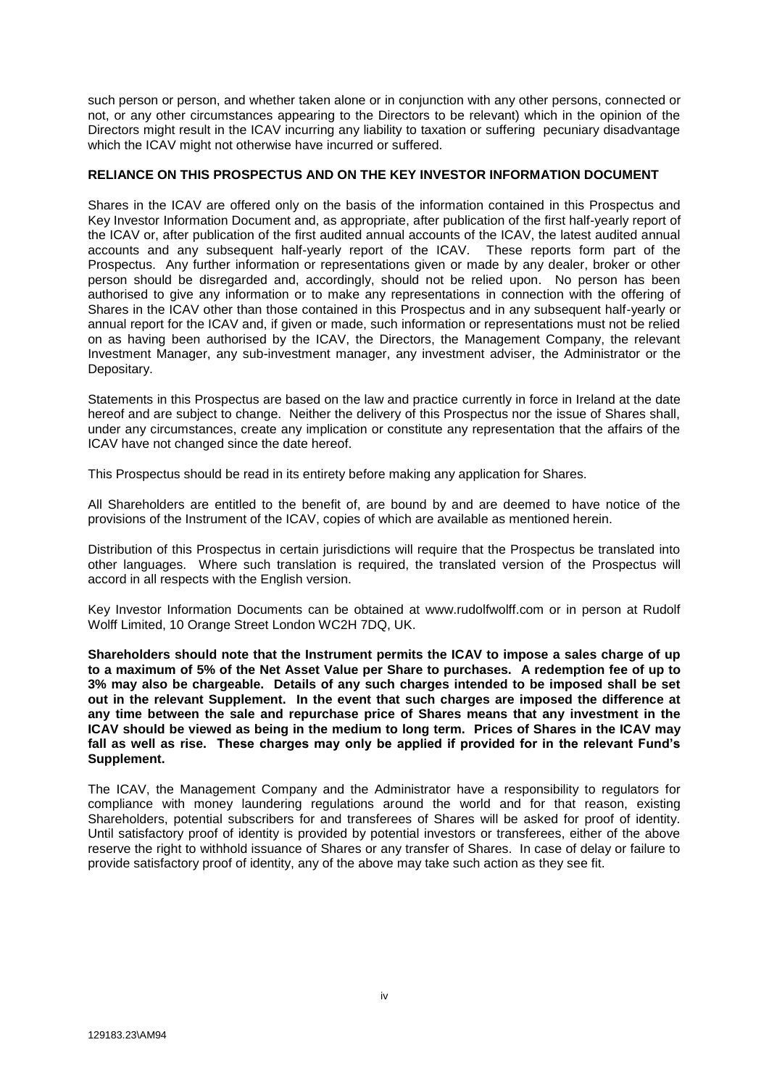such person or person, and whether taken alone or in conjunction with any other persons, connected or not, or any other circumstances appearing to the Directors to be relevant) which in the opinion of the Directors might result in the ICAV incurring any liability to taxation or suffering pecuniary disadvantage which the ICAV might not otherwise have incurred or suffered.

### **RELIANCE ON THIS PROSPECTUS AND ON THE KEY INVESTOR INFORMATION DOCUMENT**

Shares in the ICAV are offered only on the basis of the information contained in this Prospectus and Key Investor Information Document and, as appropriate, after publication of the first half-yearly report of the ICAV or, after publication of the first audited annual accounts of the ICAV, the latest audited annual accounts and any subsequent half-yearly report of the ICAV. These reports form part of the Prospectus. Any further information or representations given or made by any dealer, broker or other person should be disregarded and, accordingly, should not be relied upon. No person has been authorised to give any information or to make any representations in connection with the offering of Shares in the ICAV other than those contained in this Prospectus and in any subsequent half-yearly or annual report for the ICAV and, if given or made, such information or representations must not be relied on as having been authorised by the ICAV, the Directors, the Management Company, the relevant Investment Manager, any sub-investment manager, any investment adviser, the Administrator or the Depositary.

Statements in this Prospectus are based on the law and practice currently in force in Ireland at the date hereof and are subject to change. Neither the delivery of this Prospectus nor the issue of Shares shall, under any circumstances, create any implication or constitute any representation that the affairs of the ICAV have not changed since the date hereof.

This Prospectus should be read in its entirety before making any application for Shares.

All Shareholders are entitled to the benefit of, are bound by and are deemed to have notice of the provisions of the Instrument of the ICAV, copies of which are available as mentioned herein.

Distribution of this Prospectus in certain jurisdictions will require that the Prospectus be translated into other languages. Where such translation is required, the translated version of the Prospectus will accord in all respects with the English version.

Key Investor Information Documents can be obtained at www.rudolfwolff.com or in person at Rudolf Wolff Limited, 10 Orange Street London WC2H 7DQ, UK.

**Shareholders should note that the Instrument permits the ICAV to impose a sales charge of up to a maximum of 5% of the Net Asset Value per Share to purchases. A redemption fee of up to 3% may also be chargeable. Details of any such charges intended to be imposed shall be set out in the relevant Supplement. In the event that such charges are imposed the difference at any time between the sale and repurchase price of Shares means that any investment in the ICAV should be viewed as being in the medium to long term. Prices of Shares in the ICAV may fall as well as rise. These charges may only be applied if provided for in the relevant Fund's Supplement.**

The ICAV, the Management Company and the Administrator have a responsibility to regulators for compliance with money laundering regulations around the world and for that reason, existing Shareholders, potential subscribers for and transferees of Shares will be asked for proof of identity. Until satisfactory proof of identity is provided by potential investors or transferees, either of the above reserve the right to withhold issuance of Shares or any transfer of Shares. In case of delay or failure to provide satisfactory proof of identity, any of the above may take such action as they see fit.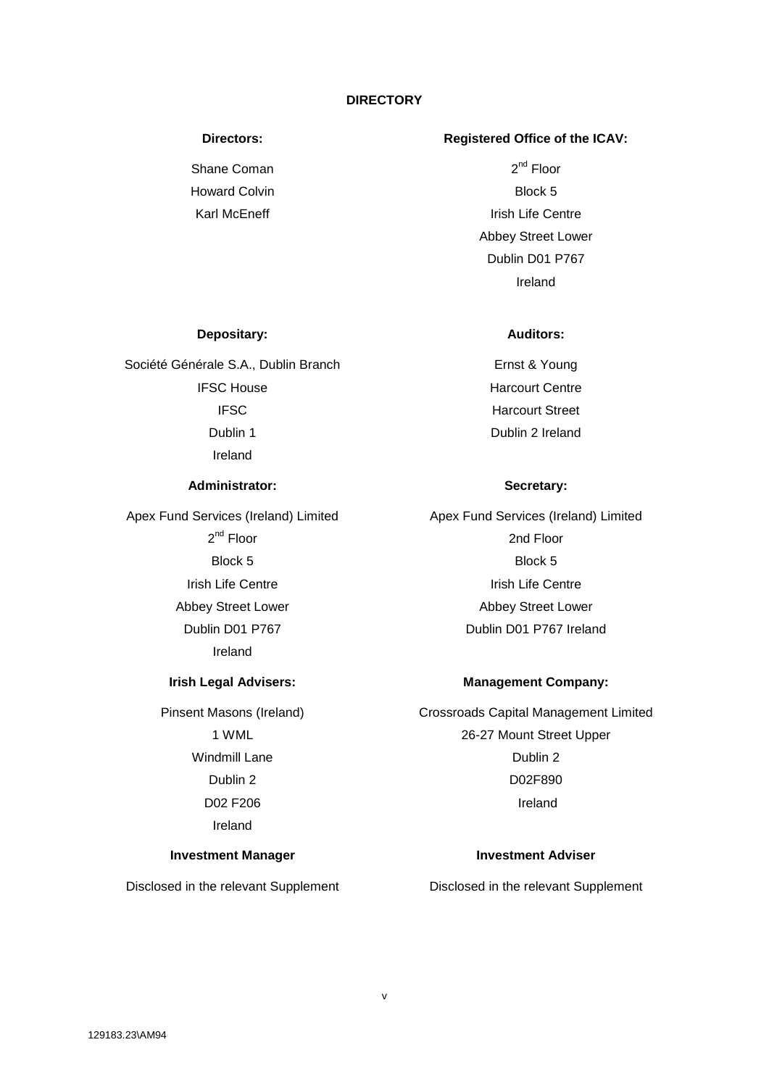### **DIRECTORY**

Shane Coman Howard Colvin Karl McEneff

### <span id="page-4-0"></span>**Directors: Registered Office of the ICAV:**

2<sup>nd</sup> Floor Block 5 Irish Life Centre Abbey Street Lower Dublin D01 P767 Ireland

## **Depositary: Auditors:**

Société Générale S.A., Dublin Branch IFSC House IFSC Dublin 1 Ireland

#### **Administrator: Secretary:**

Apex Fund Services (Ireland) Limited 2<sup>nd</sup> Floor Block 5 Irish Life Centre Abbey Street Lower Dublin D01 P767 Ireland

Pinsent Masons (Ireland) 1 WML Windmill Lane Dublin 2 D02 F206 Ireland

#### **Investment Manager Investment Adviser**

Ernst & Young Harcourt Centre Harcourt Street Dublin 2 Ireland

Apex Fund Services (Ireland) Limited 2nd Floor Block 5 Irish Life Centre Abbey Street Lower Dublin D01 P767 Ireland

#### **Irish Legal Advisers: Management Company:**

Crossroads Capital Management Limited 26-27 Mount Street Upper Dublin 2 D02F890 Ireland

Disclosed in the relevant Supplement Disclosed in the relevant Supplement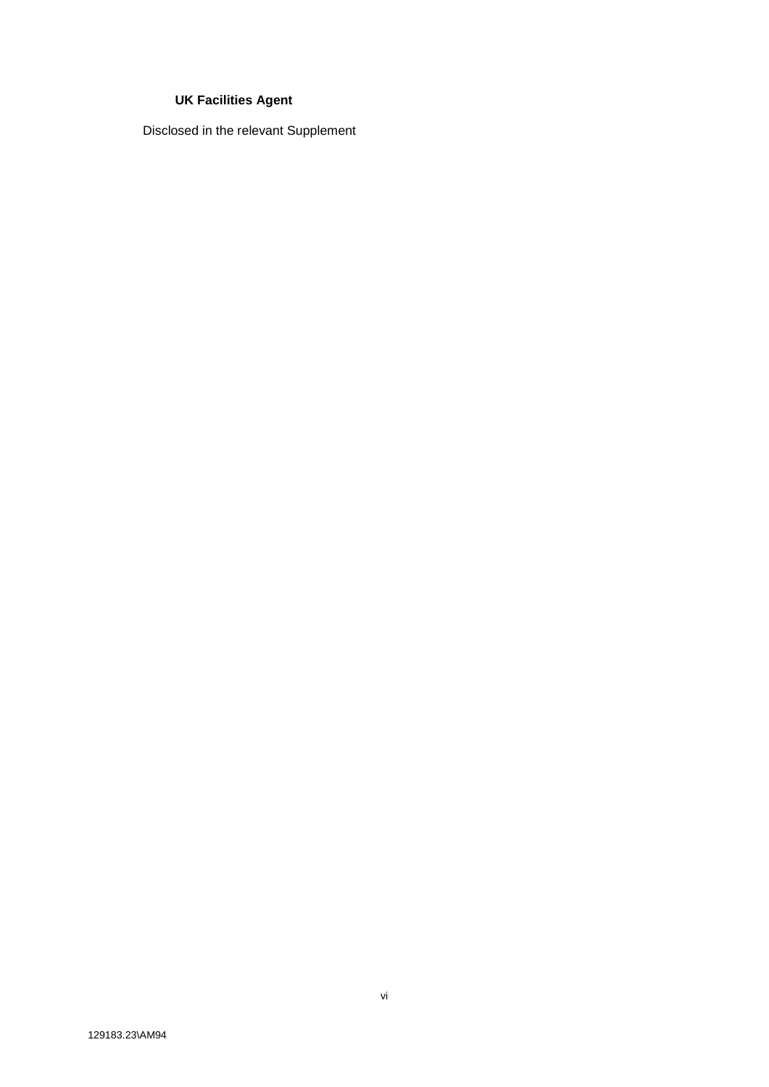# **UK Facilities Agent**

Disclosed in the relevant Supplement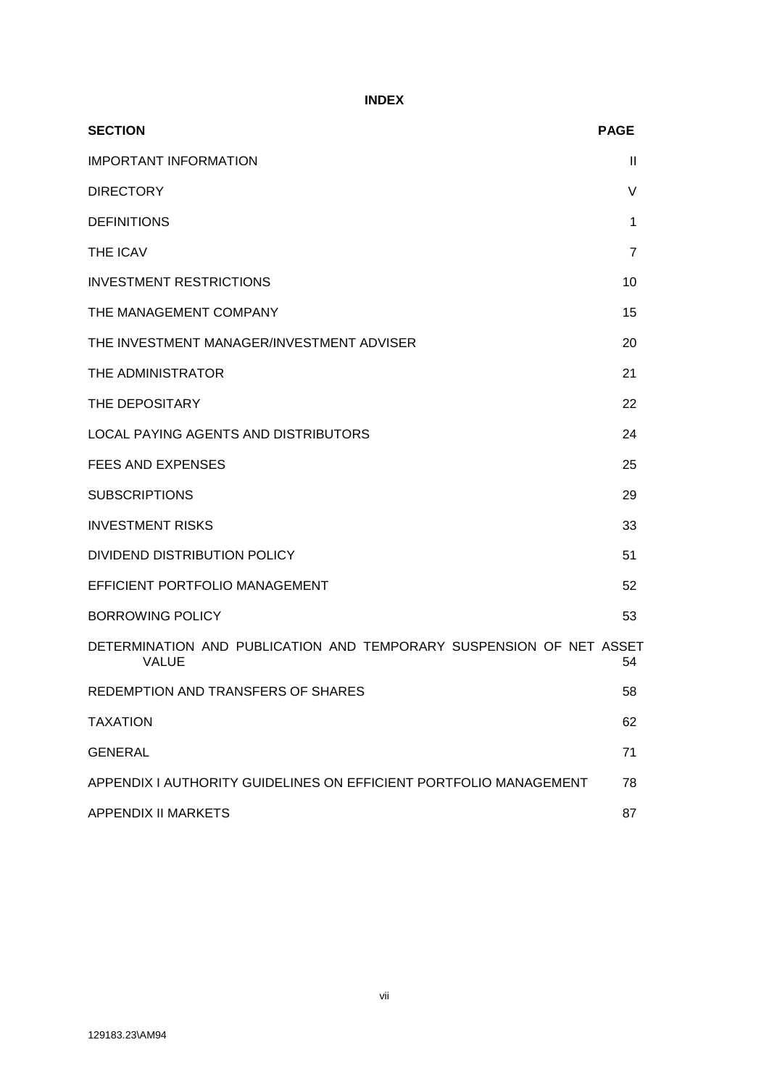**INDEX**

| <b>SECTION</b>                                                               | <b>PAGE</b>  |
|------------------------------------------------------------------------------|--------------|
| <b>IMPORTANT INFORMATION</b>                                                 | $\mathbf{I}$ |
| <b>DIRECTORY</b>                                                             | V            |
| <b>DEFINITIONS</b>                                                           | 1            |
| <b>THE ICAV</b>                                                              | 7            |
| <b>INVESTMENT RESTRICTIONS</b>                                               | 10           |
| THE MANAGEMENT COMPANY                                                       | 15           |
| THE INVESTMENT MANAGER/INVESTMENT ADVISER                                    | 20           |
| THE ADMINISTRATOR                                                            | 21           |
| THE DEPOSITARY                                                               | 22           |
| LOCAL PAYING AGENTS AND DISTRIBUTORS                                         | 24           |
| FEES AND EXPENSES                                                            | 25           |
| <b>SUBSCRIPTIONS</b>                                                         | 29           |
| <b>INVESTMENT RISKS</b>                                                      | 33           |
| DIVIDEND DISTRIBUTION POLICY                                                 | 51           |
| EFFICIENT PORTFOLIO MANAGEMENT                                               | 52           |
| <b>BORROWING POLICY</b>                                                      | 53           |
| DETERMINATION AND PUBLICATION AND TEMPORARY SUSPENSION OF NET ASSET<br>VALUE | 54           |
| REDEMPTION AND TRANSFERS OF SHARES                                           | 58           |
| <b>TAXATION</b>                                                              | 62           |
| <b>GENERAL</b>                                                               | 71           |
| APPENDIX I AUTHORITY GUIDELINES ON EFFICIENT PORTFOLIO MANAGEMENT            | 78           |
| <b>APPENDIX II MARKETS</b>                                                   | 87           |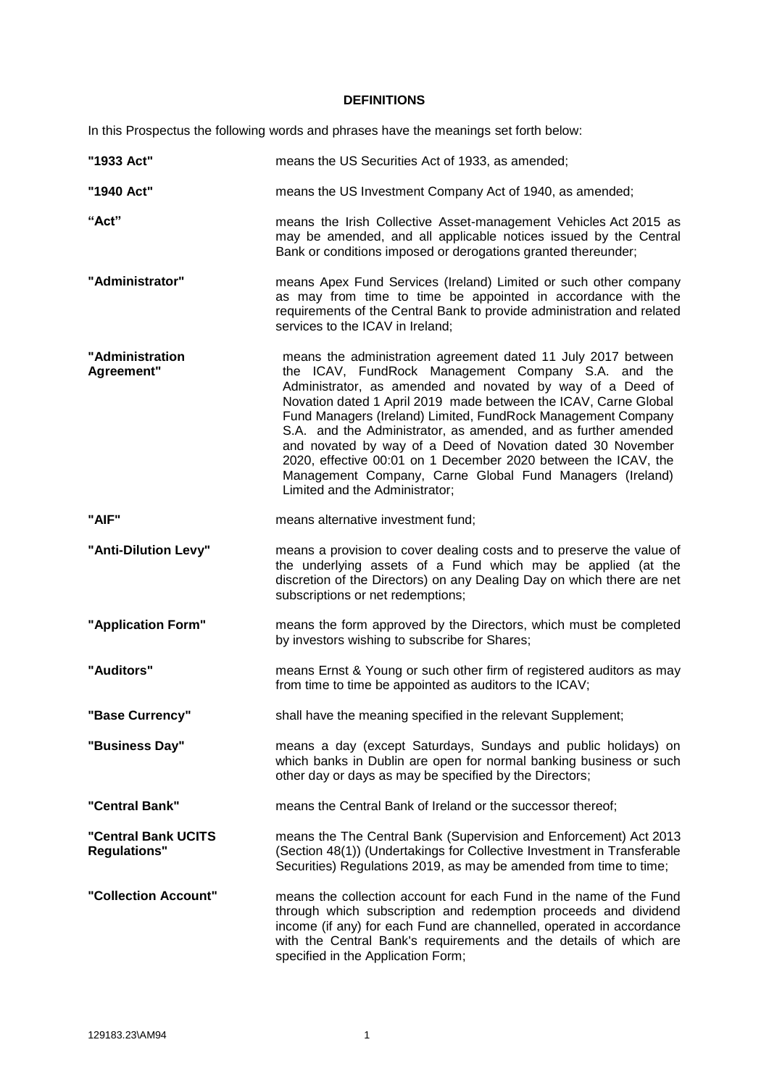#### **DEFINITIONS**

<span id="page-7-0"></span>In this Prospectus the following words and phrases have the meanings set forth below:

| "1933 Act"                                 | means the US Securities Act of 1933, as amended;                                                                                                                                                                                                                                                                                                                                                                                                                                                                                                                                                                    |
|--------------------------------------------|---------------------------------------------------------------------------------------------------------------------------------------------------------------------------------------------------------------------------------------------------------------------------------------------------------------------------------------------------------------------------------------------------------------------------------------------------------------------------------------------------------------------------------------------------------------------------------------------------------------------|
| "1940 Act"                                 | means the US Investment Company Act of 1940, as amended;                                                                                                                                                                                                                                                                                                                                                                                                                                                                                                                                                            |
| "Act"                                      | means the Irish Collective Asset-management Vehicles Act 2015 as<br>may be amended, and all applicable notices issued by the Central<br>Bank or conditions imposed or derogations granted thereunder;                                                                                                                                                                                                                                                                                                                                                                                                               |
| "Administrator"                            | means Apex Fund Services (Ireland) Limited or such other company<br>as may from time to time be appointed in accordance with the<br>requirements of the Central Bank to provide administration and related<br>services to the ICAV in Ireland;                                                                                                                                                                                                                                                                                                                                                                      |
| "Administration<br>Agreement"              | means the administration agreement dated 11 July 2017 between<br>the ICAV, FundRock Management Company S.A. and the<br>Administrator, as amended and novated by way of a Deed of<br>Novation dated 1 April 2019 made between the ICAV, Carne Global<br>Fund Managers (Ireland) Limited, FundRock Management Company<br>S.A. and the Administrator, as amended, and as further amended<br>and novated by way of a Deed of Novation dated 30 November<br>2020, effective 00:01 on 1 December 2020 between the ICAV, the<br>Management Company, Carne Global Fund Managers (Ireland)<br>Limited and the Administrator; |
| "AIF"                                      | means alternative investment fund;                                                                                                                                                                                                                                                                                                                                                                                                                                                                                                                                                                                  |
| "Anti-Dilution Levy"                       | means a provision to cover dealing costs and to preserve the value of<br>the underlying assets of a Fund which may be applied (at the<br>discretion of the Directors) on any Dealing Day on which there are net<br>subscriptions or net redemptions;                                                                                                                                                                                                                                                                                                                                                                |
| "Application Form"                         | means the form approved by the Directors, which must be completed<br>by investors wishing to subscribe for Shares;                                                                                                                                                                                                                                                                                                                                                                                                                                                                                                  |
| "Auditors"                                 | means Ernst & Young or such other firm of registered auditors as may<br>from time to time be appointed as auditors to the ICAV;                                                                                                                                                                                                                                                                                                                                                                                                                                                                                     |
| "Base Currency"                            | shall have the meaning specified in the relevant Supplement;                                                                                                                                                                                                                                                                                                                                                                                                                                                                                                                                                        |
| "Business Day"                             | means a day (except Saturdays, Sundays and public holidays) on<br>which banks in Dublin are open for normal banking business or such<br>other day or days as may be specified by the Directors;                                                                                                                                                                                                                                                                                                                                                                                                                     |
| "Central Bank"                             | means the Central Bank of Ireland or the successor thereof;                                                                                                                                                                                                                                                                                                                                                                                                                                                                                                                                                         |
| "Central Bank UCITS<br><b>Regulations"</b> | means the The Central Bank (Supervision and Enforcement) Act 2013<br>(Section 48(1)) (Undertakings for Collective Investment in Transferable<br>Securities) Regulations 2019, as may be amended from time to time;                                                                                                                                                                                                                                                                                                                                                                                                  |
| "Collection Account"                       | means the collection account for each Fund in the name of the Fund<br>through which subscription and redemption proceeds and dividend<br>income (if any) for each Fund are channelled, operated in accordance<br>with the Central Bank's requirements and the details of which are<br>specified in the Application Form;                                                                                                                                                                                                                                                                                            |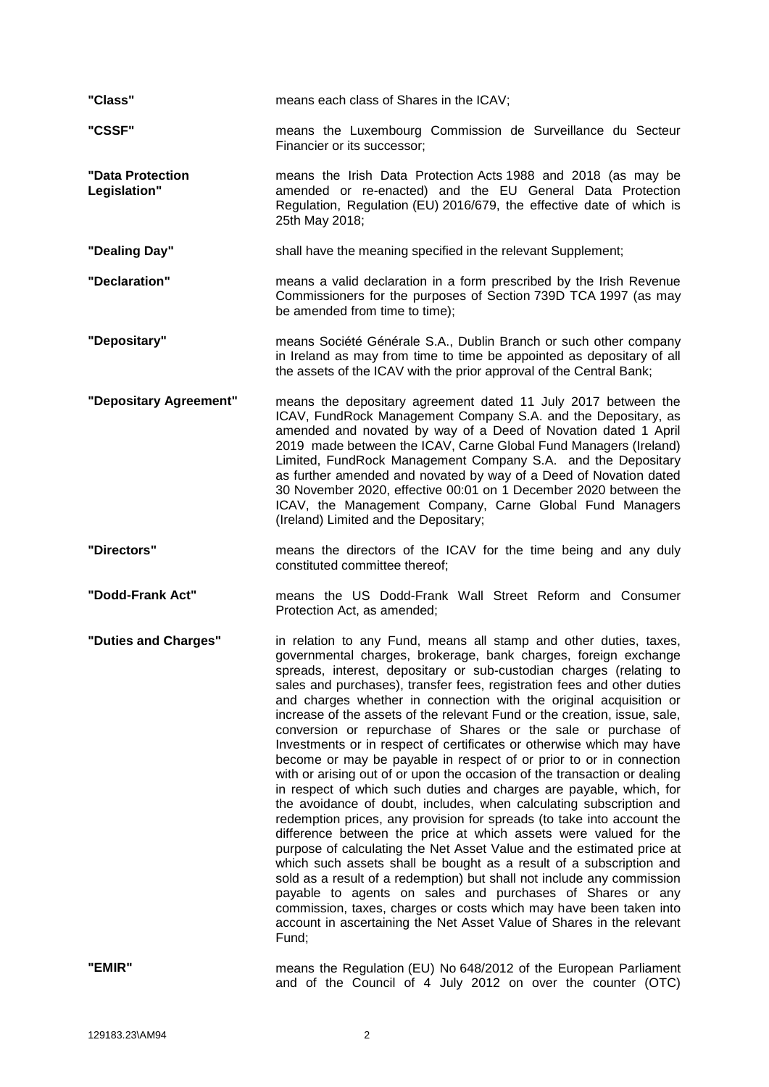| "Class"                          | means each class of Shares in the ICAV;                                                                                                                                                                                                                                                                                                                                                                                                                                                                                                                                                                                                                                                                                                                                                                                                                                                                                                                                                                                                                                                                                                                                                                                                                                                                                                                                                                                                                                            |
|----------------------------------|------------------------------------------------------------------------------------------------------------------------------------------------------------------------------------------------------------------------------------------------------------------------------------------------------------------------------------------------------------------------------------------------------------------------------------------------------------------------------------------------------------------------------------------------------------------------------------------------------------------------------------------------------------------------------------------------------------------------------------------------------------------------------------------------------------------------------------------------------------------------------------------------------------------------------------------------------------------------------------------------------------------------------------------------------------------------------------------------------------------------------------------------------------------------------------------------------------------------------------------------------------------------------------------------------------------------------------------------------------------------------------------------------------------------------------------------------------------------------------|
| "CSSF"                           | means the Luxembourg Commission de Surveillance du Secteur<br>Financier or its successor;                                                                                                                                                                                                                                                                                                                                                                                                                                                                                                                                                                                                                                                                                                                                                                                                                                                                                                                                                                                                                                                                                                                                                                                                                                                                                                                                                                                          |
| "Data Protection<br>Legislation" | means the Irish Data Protection Acts 1988 and 2018 (as may be<br>amended or re-enacted) and the EU General Data Protection<br>Regulation, Regulation (EU) 2016/679, the effective date of which is<br>25th May 2018;                                                                                                                                                                                                                                                                                                                                                                                                                                                                                                                                                                                                                                                                                                                                                                                                                                                                                                                                                                                                                                                                                                                                                                                                                                                               |
| "Dealing Day"                    | shall have the meaning specified in the relevant Supplement;                                                                                                                                                                                                                                                                                                                                                                                                                                                                                                                                                                                                                                                                                                                                                                                                                                                                                                                                                                                                                                                                                                                                                                                                                                                                                                                                                                                                                       |
| "Declaration"                    | means a valid declaration in a form prescribed by the Irish Revenue<br>Commissioners for the purposes of Section 739D TCA 1997 (as may<br>be amended from time to time);                                                                                                                                                                                                                                                                                                                                                                                                                                                                                                                                                                                                                                                                                                                                                                                                                                                                                                                                                                                                                                                                                                                                                                                                                                                                                                           |
| "Depositary"                     | means Société Générale S.A., Dublin Branch or such other company<br>in Ireland as may from time to time be appointed as depositary of all<br>the assets of the ICAV with the prior approval of the Central Bank;                                                                                                                                                                                                                                                                                                                                                                                                                                                                                                                                                                                                                                                                                                                                                                                                                                                                                                                                                                                                                                                                                                                                                                                                                                                                   |
| "Depositary Agreement"           | means the depositary agreement dated 11 July 2017 between the<br>ICAV, FundRock Management Company S.A. and the Depositary, as<br>amended and novated by way of a Deed of Novation dated 1 April<br>2019 made between the ICAV, Carne Global Fund Managers (Ireland)<br>Limited, FundRock Management Company S.A. and the Depositary<br>as further amended and novated by way of a Deed of Novation dated<br>30 November 2020, effective 00:01 on 1 December 2020 between the<br>ICAV, the Management Company, Carne Global Fund Managers<br>(Ireland) Limited and the Depositary;                                                                                                                                                                                                                                                                                                                                                                                                                                                                                                                                                                                                                                                                                                                                                                                                                                                                                                 |
| "Directors"                      | means the directors of the ICAV for the time being and any duly<br>constituted committee thereof;                                                                                                                                                                                                                                                                                                                                                                                                                                                                                                                                                                                                                                                                                                                                                                                                                                                                                                                                                                                                                                                                                                                                                                                                                                                                                                                                                                                  |
|                                  |                                                                                                                                                                                                                                                                                                                                                                                                                                                                                                                                                                                                                                                                                                                                                                                                                                                                                                                                                                                                                                                                                                                                                                                                                                                                                                                                                                                                                                                                                    |
| "Dodd-Frank Act"                 | means the US Dodd-Frank Wall Street Reform and Consumer<br>Protection Act, as amended;                                                                                                                                                                                                                                                                                                                                                                                                                                                                                                                                                                                                                                                                                                                                                                                                                                                                                                                                                                                                                                                                                                                                                                                                                                                                                                                                                                                             |
| "Duties and Charges"             | in relation to any Fund, means all stamp and other duties, taxes,<br>governmental charges, brokerage, bank charges, foreign exchange<br>spreads, interest, depositary or sub-custodian charges (relating to<br>sales and purchases), transfer fees, registration fees and other duties<br>and charges whether in connection with the original acquisition or<br>increase of the assets of the relevant Fund or the creation, issue, sale,<br>conversion or repurchase of Shares or the sale or purchase of<br>Investments or in respect of certificates or otherwise which may have<br>become or may be payable in respect of or prior to or in connection<br>with or arising out of or upon the occasion of the transaction or dealing<br>in respect of which such duties and charges are payable, which, for<br>the avoidance of doubt, includes, when calculating subscription and<br>redemption prices, any provision for spreads (to take into account the<br>difference between the price at which assets were valued for the<br>purpose of calculating the Net Asset Value and the estimated price at<br>which such assets shall be bought as a result of a subscription and<br>sold as a result of a redemption) but shall not include any commission<br>payable to agents on sales and purchases of Shares or any<br>commission, taxes, charges or costs which may have been taken into<br>account in ascertaining the Net Asset Value of Shares in the relevant<br>Fund; |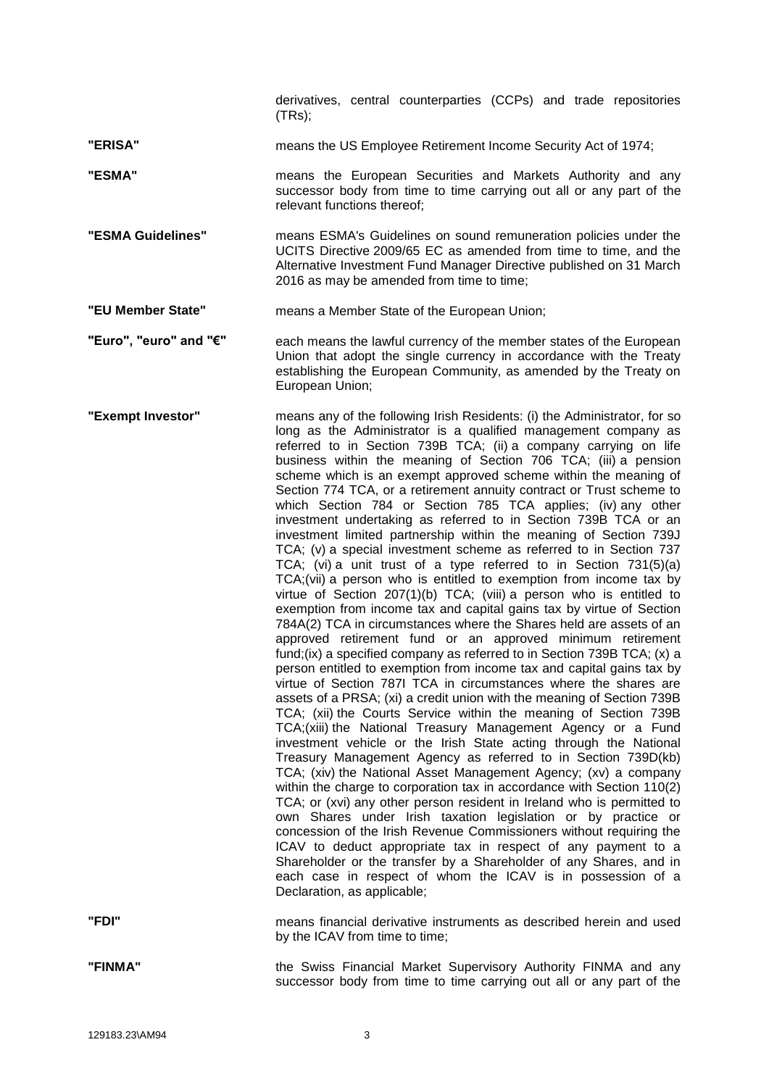derivatives, central counterparties (CCPs) and trade repositories (TRs);

**"ERISA"** means the US Employee Retirement Income Security Act of 1974;

**"ESMA"** means the European Securities and Markets Authority and any successor body from time to time carrying out all or any part of the relevant functions thereof;

**"ESMA Guidelines"** means ESMA's Guidelines on sound remuneration policies under the UCITS Directive 2009/65 EC as amended from time to time, and the Alternative Investment Fund Manager Directive published on 31 March 2016 as may be amended from time to time;

**"EU Member State"** means a Member State of the European Union;

**"Euro", "euro" and "€"** each means the lawful currency of the member states of the European Union that adopt the single currency in accordance with the Treaty establishing the European Community, as amended by the Treaty on European Union;

**"Exempt Investor"** means any of the following Irish Residents: (i) the Administrator, for so long as the Administrator is a qualified management company as referred to in Section 739B TCA; (ii) a company carrying on life business within the meaning of Section 706 TCA; (iii) a pension scheme which is an exempt approved scheme within the meaning of Section 774 TCA, or a retirement annuity contract or Trust scheme to which Section 784 or Section 785 TCA applies; (iv) any other investment undertaking as referred to in Section 739B TCA or an investment limited partnership within the meaning of Section 739J TCA; (v) a special investment scheme as referred to in Section 737 TCA; (vi) a unit trust of a type referred to in Section 731(5)(a) TCA;(vii) a person who is entitled to exemption from income tax by virtue of Section 207(1)(b) TCA; (viii) a person who is entitled to exemption from income tax and capital gains tax by virtue of Section 784A(2) TCA in circumstances where the Shares held are assets of an approved retirement fund or an approved minimum retirement fund;(ix) a specified company as referred to in Section 739B TCA; (x) a person entitled to exemption from income tax and capital gains tax by virtue of Section 787I TCA in circumstances where the shares are assets of a PRSA; (xi) a credit union with the meaning of Section 739B TCA; (xii) the Courts Service within the meaning of Section 739B TCA;(xiii) the National Treasury Management Agency or a Fund investment vehicle or the Irish State acting through the National Treasury Management Agency as referred to in Section 739D(kb) TCA; (xiv) the National Asset Management Agency; (xv) a company within the charge to corporation tax in accordance with Section 110(2) TCA; or (xvi) any other person resident in Ireland who is permitted to own Shares under Irish taxation legislation or by practice or concession of the Irish Revenue Commissioners without requiring the ICAV to deduct appropriate tax in respect of any payment to a Shareholder or the transfer by a Shareholder of any Shares, and in each case in respect of whom the ICAV is in possession of a Declaration, as applicable;

**"FDI"** means financial derivative instruments as described herein and used

**"FINMA"** the Swiss Financial Market Supervisory Authority FINMA and any successor body from time to time carrying out all or any part of the

by the ICAV from time to time;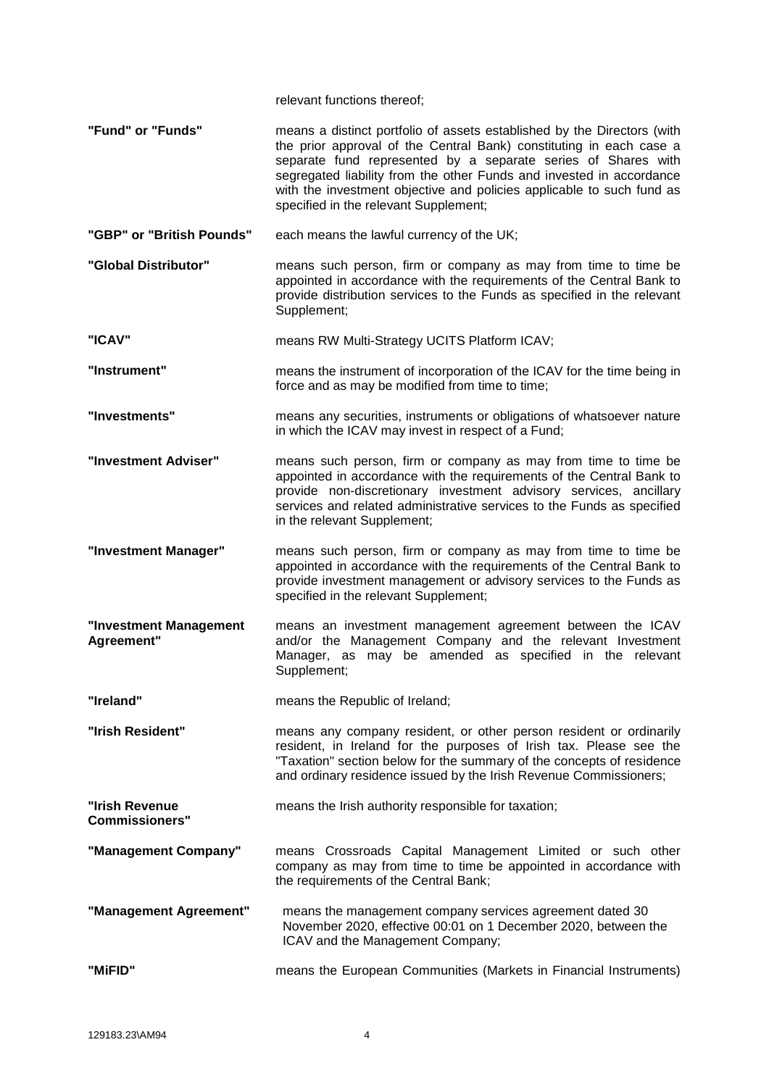relevant functions thereof;

- **"Fund" or "Funds"** means a distinct portfolio of assets established by the Directors (with the prior approval of the Central Bank) constituting in each case a separate fund represented by a separate series of Shares with segregated liability from the other Funds and invested in accordance with the investment objective and policies applicable to such fund as specified in the relevant Supplement;
- **"GBP" or "British Pounds"** each means the lawful currency of the UK;
- **"Global Distributor"** means such person, firm or company as may from time to time be appointed in accordance with the requirements of the Central Bank to provide distribution services to the Funds as specified in the relevant Supplement;

**"ICAV"** means RW Multi-Strategy UCITS Platform ICAV;

- **"Instrument"** means the instrument of incorporation of the ICAV for the time being in force and as may be modified from time to time;
- **"Investments"** means any securities, instruments or obligations of whatsoever nature in which the ICAV may invest in respect of a Fund;
- **"Investment Adviser"** means such person, firm or company as may from time to time be appointed in accordance with the requirements of the Central Bank to provide non-discretionary investment advisory services, ancillary services and related administrative services to the Funds as specified in the relevant Supplement;
- **"Investment Manager"** means such person, firm or company as may from time to time be appointed in accordance with the requirements of the Central Bank to provide investment management or advisory services to the Funds as specified in the relevant Supplement;
- **"Investment Management Agreement"** means an investment management agreement between the ICAV and/or the Management Company and the relevant Investment Manager, as may be amended as specified in the relevant Supplement;
- **"Ireland"** means the Republic of Ireland;
- **"Irish Resident"** means any company resident, or other person resident or ordinarily resident, in Ireland for the purposes of Irish tax. Please see the "Taxation" section below for the summary of the concepts of residence and ordinary residence issued by the Irish Revenue Commissioners;

**"Irish Revenue**  means the Irish authority responsible for taxation;

- **Commissioners" "Management Company"** means Crossroads Capital Management Limited or such other company as may from time to time be appointed in accordance with the requirements of the Central Bank;
- **"Management Agreement"** means the management company services agreement dated 30 November 2020, effective 00:01 on 1 December 2020, between the ICAV and the Management Company;
- **"MiFID"** means the European Communities (Markets in Financial Instruments)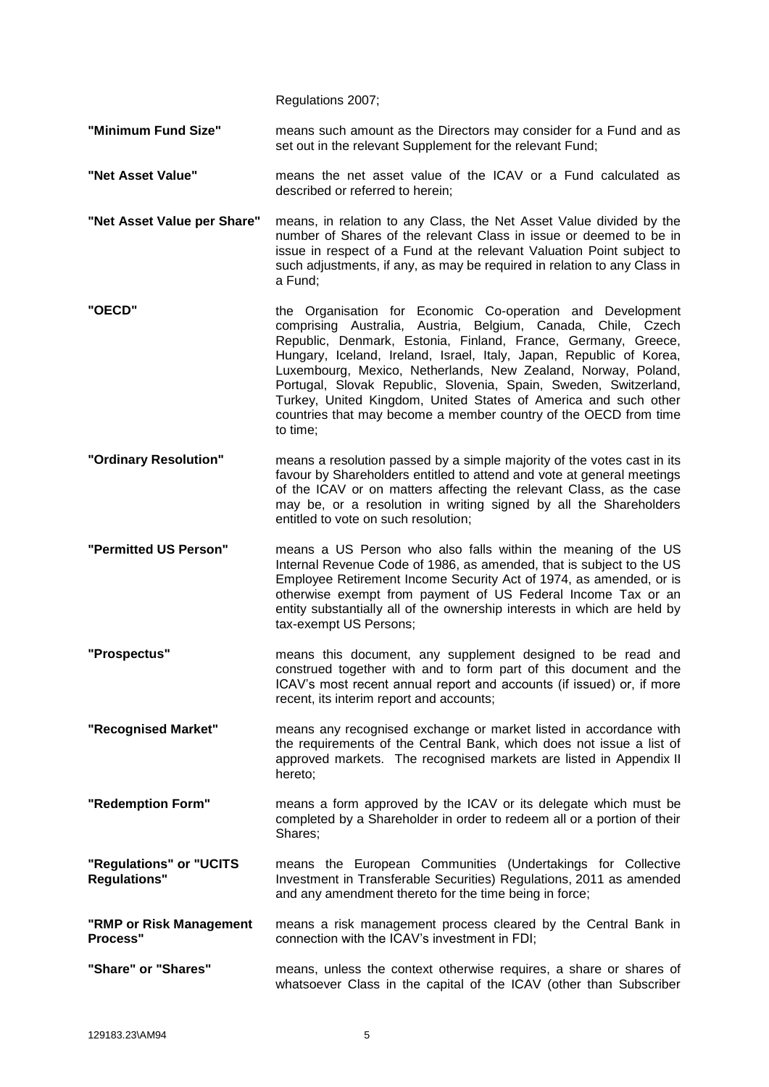Regulations 2007;

**"Minimum Fund Size"** means such amount as the Directors may consider for a Fund and as set out in the relevant Supplement for the relevant Fund;

- **"Net Asset Value"** means the net asset value of the ICAV or a Fund calculated as described or referred to herein;
- **"Net Asset Value per Share"** means, in relation to any Class, the Net Asset Value divided by the number of Shares of the relevant Class in issue or deemed to be in issue in respect of a Fund at the relevant Valuation Point subject to such adjustments, if any, as may be required in relation to any Class in a Fund;
- **"OECD"** the Organisation for Economic Co-operation and Development comprising Australia, Austria, Belgium, Canada, Chile, Czech Republic, Denmark, Estonia, Finland, France, Germany, Greece, Hungary, Iceland, Ireland, Israel, Italy, Japan, Republic of Korea, Luxembourg, Mexico, Netherlands, New Zealand, Norway, Poland, Portugal, Slovak Republic, Slovenia, Spain, Sweden, Switzerland, Turkey, United Kingdom, United States of America and such other countries that may become a member country of the OECD from time to time;
- **"Ordinary Resolution"** means a resolution passed by a simple majority of the votes cast in its favour by Shareholders entitled to attend and vote at general meetings of the ICAV or on matters affecting the relevant Class, as the case may be, or a resolution in writing signed by all the Shareholders entitled to vote on such resolution;
- **"Permitted US Person"** means a US Person who also falls within the meaning of the US Internal Revenue Code of 1986, as amended, that is subject to the US Employee Retirement Income Security Act of 1974, as amended, or is otherwise exempt from payment of US Federal Income Tax or an entity substantially all of the ownership interests in which are held by tax-exempt US Persons;
- **"Prospectus"** means this document, any supplement designed to be read and construed together with and to form part of this document and the ICAV's most recent annual report and accounts (if issued) or, if more recent, its interim report and accounts;
- **"Recognised Market"** means any recognised exchange or market listed in accordance with the requirements of the Central Bank, which does not issue a list of approved markets. The recognised markets are listed in Appendix II hereto;
- **"Redemption Form"** means a form approved by the ICAV or its delegate which must be completed by a Shareholder in order to redeem all or a portion of their Shares;
- **"Regulations" or "UCITS Regulations"** means the European Communities (Undertakings for Collective Investment in Transferable Securities) Regulations, 2011 as amended and any amendment thereto for the time being in force;
- **"RMP or Risk Management Process"** means a risk management process cleared by the Central Bank in connection with the ICAV's investment in FDI;
- **"Share" or "Shares"** means, unless the context otherwise requires, a share or shares of whatsoever Class in the capital of the ICAV (other than Subscriber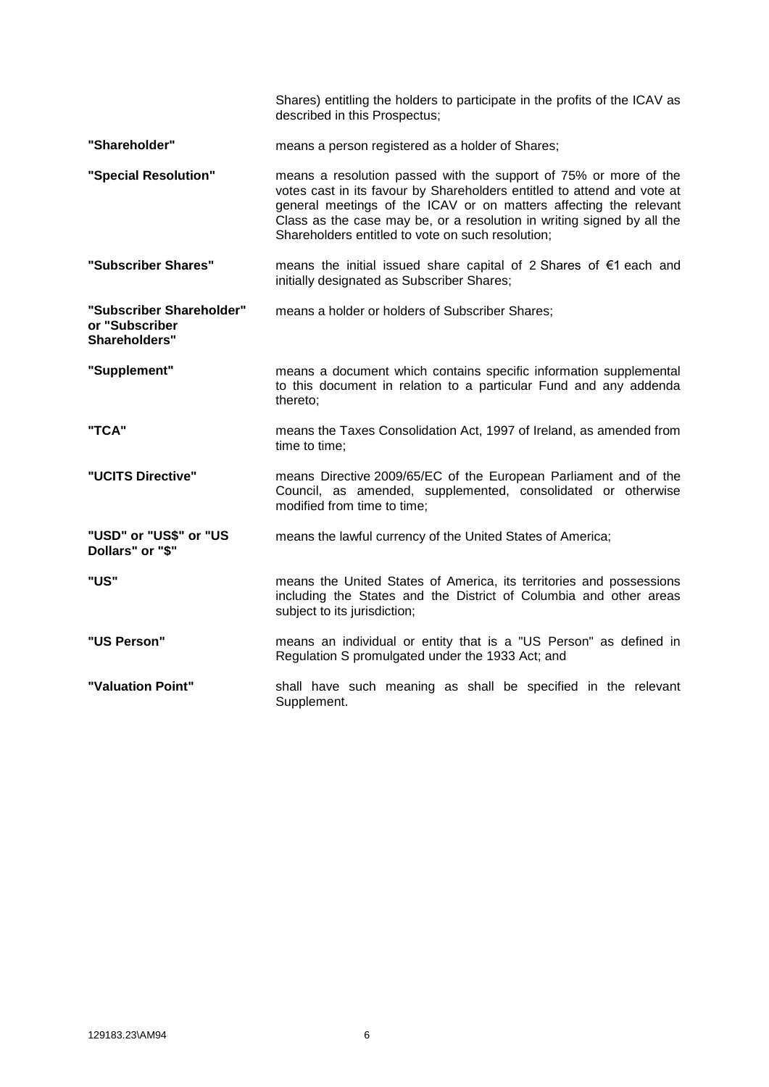|                                                             | Shares) entitling the holders to participate in the profits of the ICAV as<br>described in this Prospectus;                                                                                                                                                                                                                                     |
|-------------------------------------------------------------|-------------------------------------------------------------------------------------------------------------------------------------------------------------------------------------------------------------------------------------------------------------------------------------------------------------------------------------------------|
| "Shareholder"                                               | means a person registered as a holder of Shares;                                                                                                                                                                                                                                                                                                |
| "Special Resolution"                                        | means a resolution passed with the support of 75% or more of the<br>votes cast in its favour by Shareholders entitled to attend and vote at<br>general meetings of the ICAV or on matters affecting the relevant<br>Class as the case may be, or a resolution in writing signed by all the<br>Shareholders entitled to vote on such resolution; |
| "Subscriber Shares"                                         | means the initial issued share capital of 2 Shares of $\epsilon$ 1 each and<br>initially designated as Subscriber Shares;                                                                                                                                                                                                                       |
| "Subscriber Shareholder"<br>or "Subscriber<br>Shareholders" | means a holder or holders of Subscriber Shares;                                                                                                                                                                                                                                                                                                 |
| "Supplement"                                                | means a document which contains specific information supplemental<br>to this document in relation to a particular Fund and any addenda<br>thereto;                                                                                                                                                                                              |
| "TCA"                                                       | means the Taxes Consolidation Act, 1997 of Ireland, as amended from<br>time to time;                                                                                                                                                                                                                                                            |
| "UCITS Directive"                                           | means Directive 2009/65/EC of the European Parliament and of the<br>Council, as amended, supplemented, consolidated or otherwise<br>modified from time to time;                                                                                                                                                                                 |
| "USD" or "US\$" or "US<br>Dollars" or "\$"                  | means the lawful currency of the United States of America;                                                                                                                                                                                                                                                                                      |
| "US"                                                        | means the United States of America, its territories and possessions<br>including the States and the District of Columbia and other areas<br>subject to its jurisdiction;                                                                                                                                                                        |
| "US Person"                                                 | means an individual or entity that is a "US Person" as defined in<br>Regulation S promulgated under the 1933 Act; and                                                                                                                                                                                                                           |
| "Valuation Point"                                           | shall have such meaning as shall be specified in the relevant<br>Supplement.                                                                                                                                                                                                                                                                    |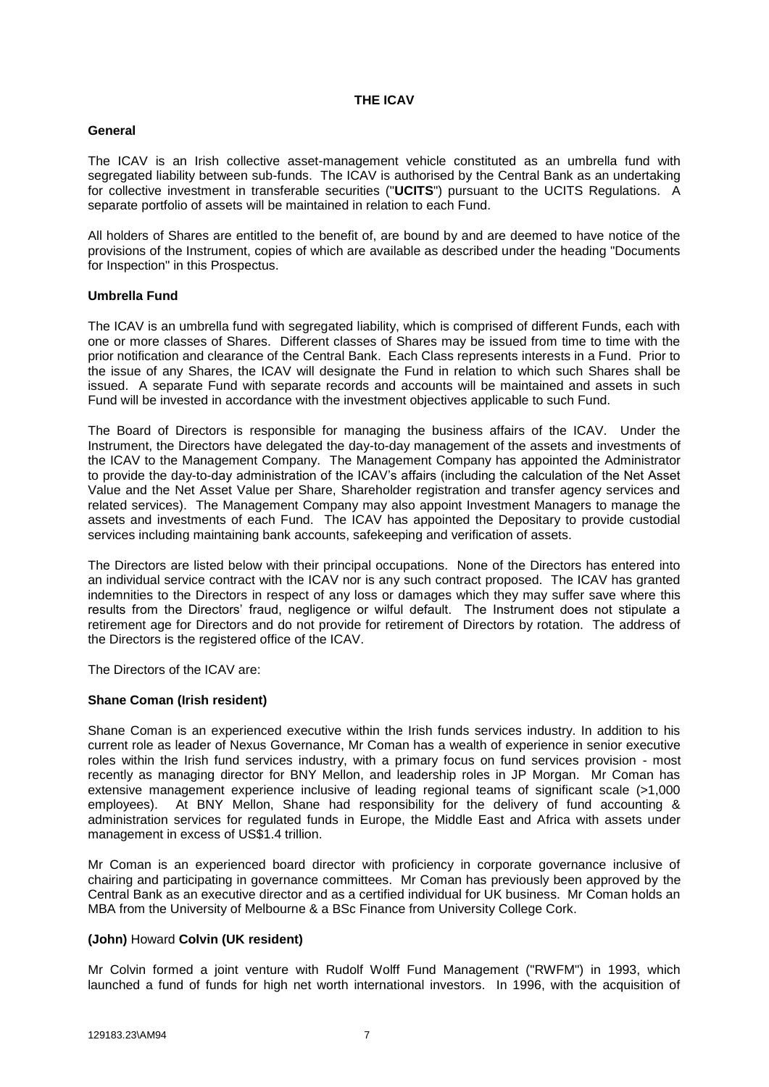#### **THE ICAV**

#### <span id="page-13-0"></span>**General**

The ICAV is an Irish collective asset-management vehicle constituted as an umbrella fund with segregated liability between sub-funds. The ICAV is authorised by the Central Bank as an undertaking for collective investment in transferable securities ("**UCITS**") pursuant to the UCITS Regulations. A separate portfolio of assets will be maintained in relation to each Fund.

All holders of Shares are entitled to the benefit of, are bound by and are deemed to have notice of the provisions of the Instrument, copies of which are available as described under the heading "Documents for Inspection" in this Prospectus.

#### **Umbrella Fund**

The ICAV is an umbrella fund with segregated liability, which is comprised of different Funds, each with one or more classes of Shares. Different classes of Shares may be issued from time to time with the prior notification and clearance of the Central Bank. Each Class represents interests in a Fund. Prior to the issue of any Shares, the ICAV will designate the Fund in relation to which such Shares shall be issued. A separate Fund with separate records and accounts will be maintained and assets in such Fund will be invested in accordance with the investment objectives applicable to such Fund.

The Board of Directors is responsible for managing the business affairs of the ICAV. Under the Instrument, the Directors have delegated the day-to-day management of the assets and investments of the ICAV to the Management Company. The Management Company has appointed the Administrator to provide the day-to-day administration of the ICAV's affairs (including the calculation of the Net Asset Value and the Net Asset Value per Share, Shareholder registration and transfer agency services and related services). The Management Company may also appoint Investment Managers to manage the assets and investments of each Fund. The ICAV has appointed the Depositary to provide custodial services including maintaining bank accounts, safekeeping and verification of assets.

The Directors are listed below with their principal occupations. None of the Directors has entered into an individual service contract with the ICAV nor is any such contract proposed. The ICAV has granted indemnities to the Directors in respect of any loss or damages which they may suffer save where this results from the Directors' fraud, negligence or wilful default. The Instrument does not stipulate a retirement age for Directors and do not provide for retirement of Directors by rotation. The address of the Directors is the registered office of the ICAV.

The Directors of the ICAV are:

### **Shane Coman (Irish resident)**

Shane Coman is an experienced executive within the Irish funds services industry. In addition to his current role as leader of Nexus Governance, Mr Coman has a wealth of experience in senior executive roles within the Irish fund services industry, with a primary focus on fund services provision - most recently as managing director for BNY Mellon, and leadership roles in JP Morgan. Mr Coman has extensive management experience inclusive of leading regional teams of significant scale (>1,000 employees). At BNY Mellon, Shane had responsibility for the delivery of fund accounting & administration services for regulated funds in Europe, the Middle East and Africa with assets under management in excess of US\$1.4 trillion.

Mr Coman is an experienced board director with proficiency in corporate governance inclusive of chairing and participating in governance committees. Mr Coman has previously been approved by the Central Bank as an executive director and as a certified individual for UK business. Mr Coman holds an MBA from the University of Melbourne & a BSc Finance from University College Cork.

### **(John)** Howard **Colvin (UK resident)**

Mr Colvin formed a joint venture with Rudolf Wolff Fund Management ("RWFM") in 1993, which launched a fund of funds for high net worth international investors. In 1996, with the acquisition of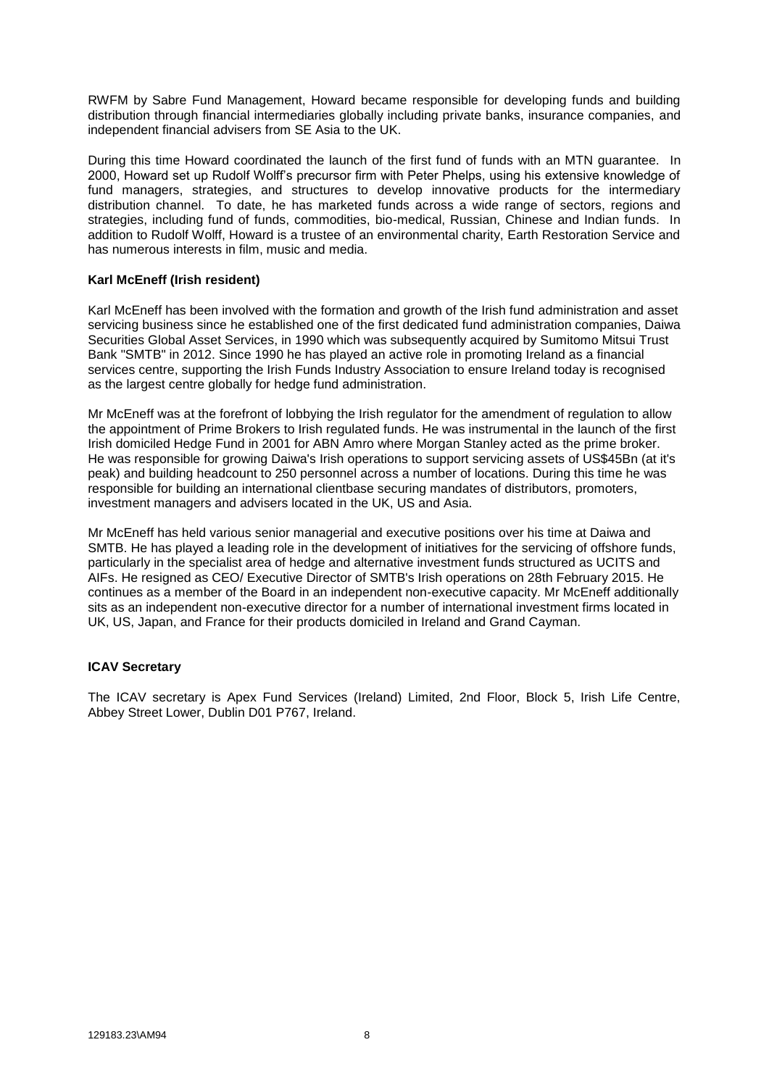RWFM by Sabre Fund Management, Howard became responsible for developing funds and building distribution through financial intermediaries globally including private banks, insurance companies, and independent financial advisers from SE Asia to the UK.

During this time Howard coordinated the launch of the first fund of funds with an MTN guarantee. In 2000, Howard set up Rudolf Wolff's precursor firm with Peter Phelps, using his extensive knowledge of fund managers, strategies, and structures to develop innovative products for the intermediary distribution channel. To date, he has marketed funds across a wide range of sectors, regions and strategies, including fund of funds, commodities, bio-medical, Russian, Chinese and Indian funds. In addition to Rudolf Wolff, Howard is a trustee of an environmental charity, Earth Restoration Service and has numerous interests in film, music and media.

#### **Karl McEneff (Irish resident)**

Karl McEneff has been involved with the formation and growth of the Irish fund administration and asset servicing business since he established one of the first dedicated fund administration companies, Daiwa Securities Global Asset Services, in 1990 which was subsequently acquired by Sumitomo Mitsui Trust Bank "SMTB" in 2012. Since 1990 he has played an active role in promoting Ireland as a financial services centre, supporting the Irish Funds Industry Association to ensure Ireland today is recognised as the largest centre globally for hedge fund administration.

Mr McEneff was at the forefront of lobbying the Irish regulator for the amendment of regulation to allow the appointment of Prime Brokers to Irish regulated funds. He was instrumental in the launch of the first Irish domiciled Hedge Fund in 2001 for ABN Amro where Morgan Stanley acted as the prime broker. He was responsible for growing Daiwa's Irish operations to support servicing assets of US\$45Bn (at it's peak) and building headcount to 250 personnel across a number of locations. During this time he was responsible for building an international clientbase securing mandates of distributors, promoters, investment managers and advisers located in the UK, US and Asia.

Mr McEneff has held various senior managerial and executive positions over his time at Daiwa and SMTB. He has played a leading role in the development of initiatives for the servicing of offshore funds, particularly in the specialist area of hedge and alternative investment funds structured as UCITS and AIFs. He resigned as CEO/ Executive Director of SMTB's Irish operations on 28th February 2015. He continues as a member of the Board in an independent non-executive capacity. Mr McEneff additionally sits as an independent non-executive director for a number of international investment firms located in UK, US, Japan, and France for their products domiciled in Ireland and Grand Cayman.

### **ICAV Secretary**

The ICAV secretary is Apex Fund Services (Ireland) Limited, 2nd Floor, Block 5, Irish Life Centre, Abbey Street Lower, Dublin D01 P767, Ireland.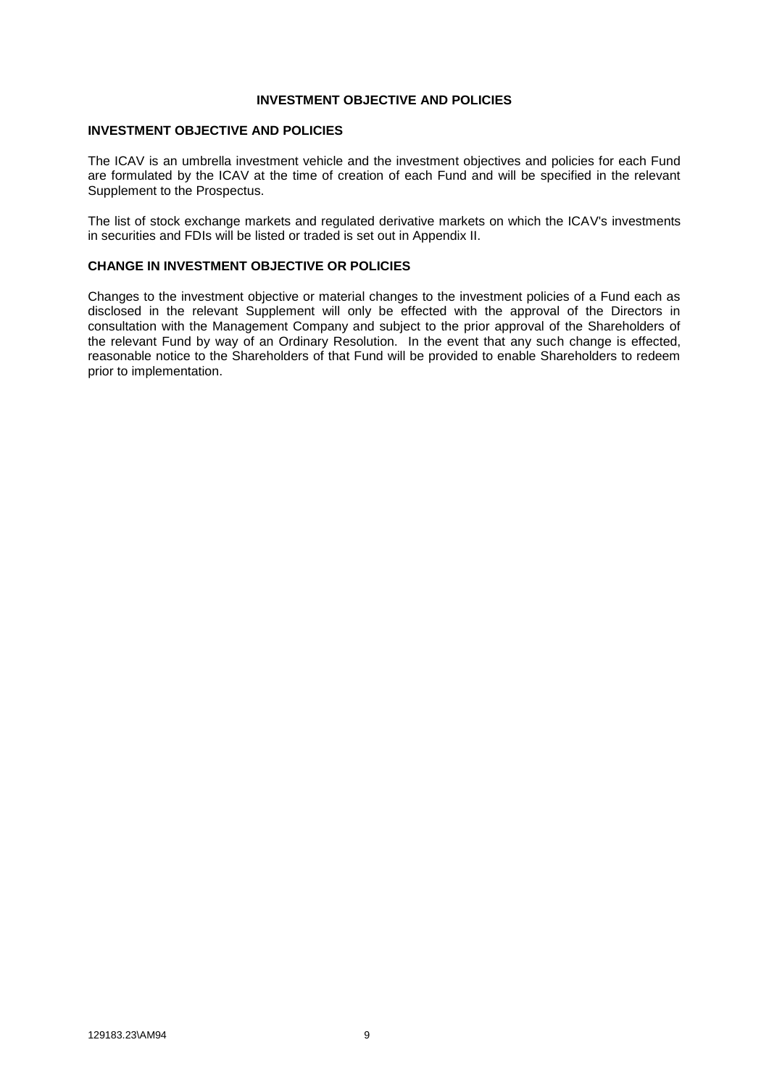#### **INVESTMENT OBJECTIVE AND POLICIES**

#### **INVESTMENT OBJECTIVE AND POLICIES**

The ICAV is an umbrella investment vehicle and the investment objectives and policies for each Fund are formulated by the ICAV at the time of creation of each Fund and will be specified in the relevant Supplement to the Prospectus.

The list of stock exchange markets and regulated derivative markets on which the ICAV's investments in securities and FDIs will be listed or traded is set out in Appendix II.

### **CHANGE IN INVESTMENT OBJECTIVE OR POLICIES**

Changes to the investment objective or material changes to the investment policies of a Fund each as disclosed in the relevant Supplement will only be effected with the approval of the Directors in consultation with the Management Company and subject to the prior approval of the Shareholders of the relevant Fund by way of an Ordinary Resolution. In the event that any such change is effected, reasonable notice to the Shareholders of that Fund will be provided to enable Shareholders to redeem prior to implementation.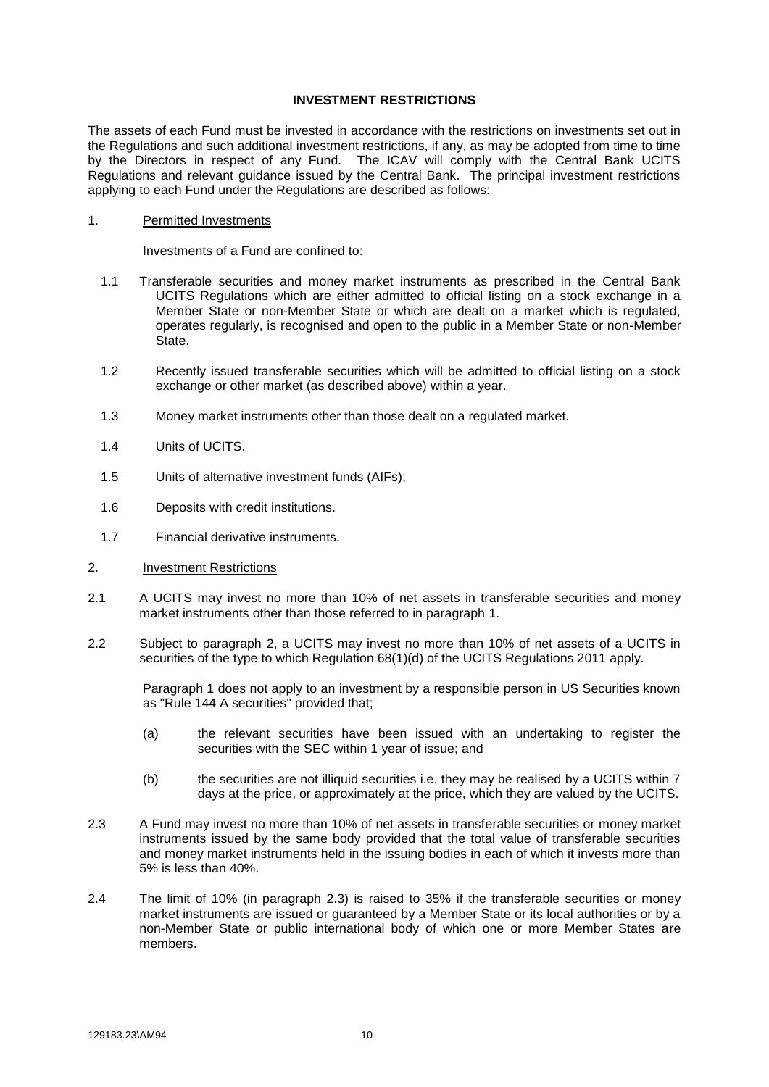#### **INVESTMENT RESTRICTIONS**

<span id="page-16-0"></span>The assets of each Fund must be invested in accordance with the restrictions on investments set out in the Regulations and such additional investment restrictions, if any, as may be adopted from time to time by the Directors in respect of any Fund. The ICAV will comply with the Central Bank UCITS Regulations and relevant guidance issued by the Central Bank. The principal investment restrictions applying to each Fund under the Regulations are described as follows:

#### 1. Permitted Investments

Investments of a Fund are confined to:

- 1.1 Transferable securities and money market instruments as prescribed in the Central Bank UCITS Regulations which are either admitted to official listing on a stock exchange in a Member State or non-Member State or which are dealt on a market which is regulated, operates regularly, is recognised and open to the public in a Member State or non-Member State.
- 1.2 Recently issued transferable securities which will be admitted to official listing on a stock exchange or other market (as described above) within a year.
- 1.3 Money market instruments other than those dealt on a regulated market.
- 1.4 Units of UCITS.
- 1.5 Units of alternative investment funds (AIFs);
- 1.6 Deposits with credit institutions.
- 1.7 Financial derivative instruments.
- 2. Investment Restrictions
- 2.1 A UCITS may invest no more than 10% of net assets in transferable securities and money market instruments other than those referred to in paragraph 1.
- 2.2 Subject to paragraph 2, a UCITS may invest no more than 10% of net assets of a UCITS in securities of the type to which Regulation 68(1)(d) of the UCITS Regulations 2011 apply.

Paragraph 1 does not apply to an investment by a responsible person in US Securities known as "Rule 144 A securities" provided that;

- (a) the relevant securities have been issued with an undertaking to register the securities with the SEC within 1 year of issue; and
- (b) the securities are not illiquid securities i.e. they may be realised by a UCITS within 7 days at the price, or approximately at the price, which they are valued by the UCITS.
- 2.3 A Fund may invest no more than 10% of net assets in transferable securities or money market instruments issued by the same body provided that the total value of transferable securities and money market instruments held in the issuing bodies in each of which it invests more than 5% is less than 40%.
- 2.4 The limit of 10% (in paragraph 2.3) is raised to 35% if the transferable securities or money market instruments are issued or quaranteed by a Member State or its local authorities or by a non-Member State or public international body of which one or more Member States are members.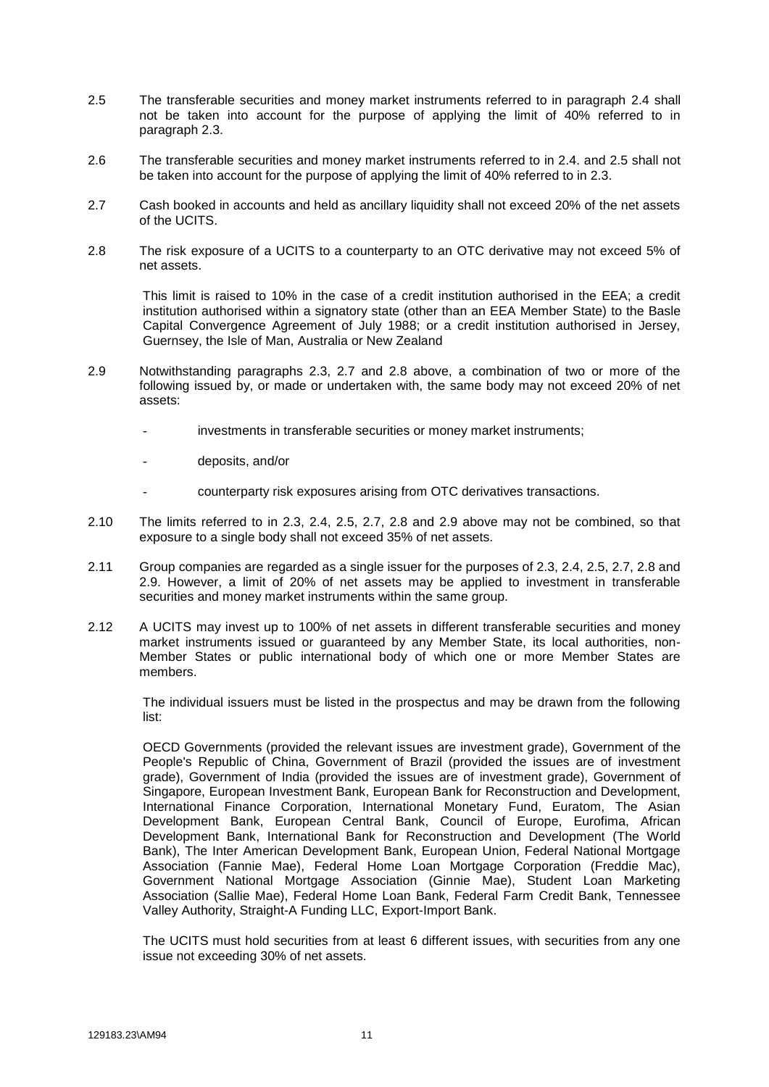- 2.5 The transferable securities and money market instruments referred to in paragraph 2.4 shall not be taken into account for the purpose of applying the limit of 40% referred to in paragraph 2.3.
- 2.6 The transferable securities and money market instruments referred to in 2.4. and 2.5 shall not be taken into account for the purpose of applying the limit of 40% referred to in 2.3.
- 2.7 Cash booked in accounts and held as ancillary liquidity shall not exceed 20% of the net assets of the UCITS.
- 2.8 The risk exposure of a UCITS to a counterparty to an OTC derivative may not exceed 5% of net assets.

This limit is raised to 10% in the case of a credit institution authorised in the EEA; a credit institution authorised within a signatory state (other than an EEA Member State) to the Basle Capital Convergence Agreement of July 1988; or a credit institution authorised in Jersey, Guernsey, the Isle of Man, Australia or New Zealand

- 2.9 Notwithstanding paragraphs 2.3, 2.7 and 2.8 above, a combination of two or more of the following issued by, or made or undertaken with, the same body may not exceed 20% of net assets:
	- investments in transferable securities or money market instruments;
	- deposits, and/or
	- counterparty risk exposures arising from OTC derivatives transactions.
- 2.10 The limits referred to in 2.3, 2.4, 2.5, 2.7, 2.8 and 2.9 above may not be combined, so that exposure to a single body shall not exceed 35% of net assets.
- 2.11 Group companies are regarded as a single issuer for the purposes of 2.3, 2.4, 2.5, 2.7, 2.8 and 2.9. However, a limit of 20% of net assets may be applied to investment in transferable securities and money market instruments within the same group.
- 2.12 A UCITS may invest up to 100% of net assets in different transferable securities and money market instruments issued or guaranteed by any Member State, its local authorities, non-Member States or public international body of which one or more Member States are members.

The individual issuers must be listed in the prospectus and may be drawn from the following list:

OECD Governments (provided the relevant issues are investment grade), Government of the People's Republic of China, Government of Brazil (provided the issues are of investment grade), Government of India (provided the issues are of investment grade), Government of Singapore, European Investment Bank, European Bank for Reconstruction and Development, International Finance Corporation, International Monetary Fund, Euratom, The Asian Development Bank, European Central Bank, Council of Europe, Eurofima, African Development Bank, International Bank for Reconstruction and Development (The World Bank), The Inter American Development Bank, European Union, Federal National Mortgage Association (Fannie Mae), Federal Home Loan Mortgage Corporation (Freddie Mac), Government National Mortgage Association (Ginnie Mae), Student Loan Marketing Association (Sallie Mae), Federal Home Loan Bank, Federal Farm Credit Bank, Tennessee Valley Authority, Straight-A Funding LLC, Export-Import Bank.

The UCITS must hold securities from at least 6 different issues, with securities from any one issue not exceeding 30% of net assets.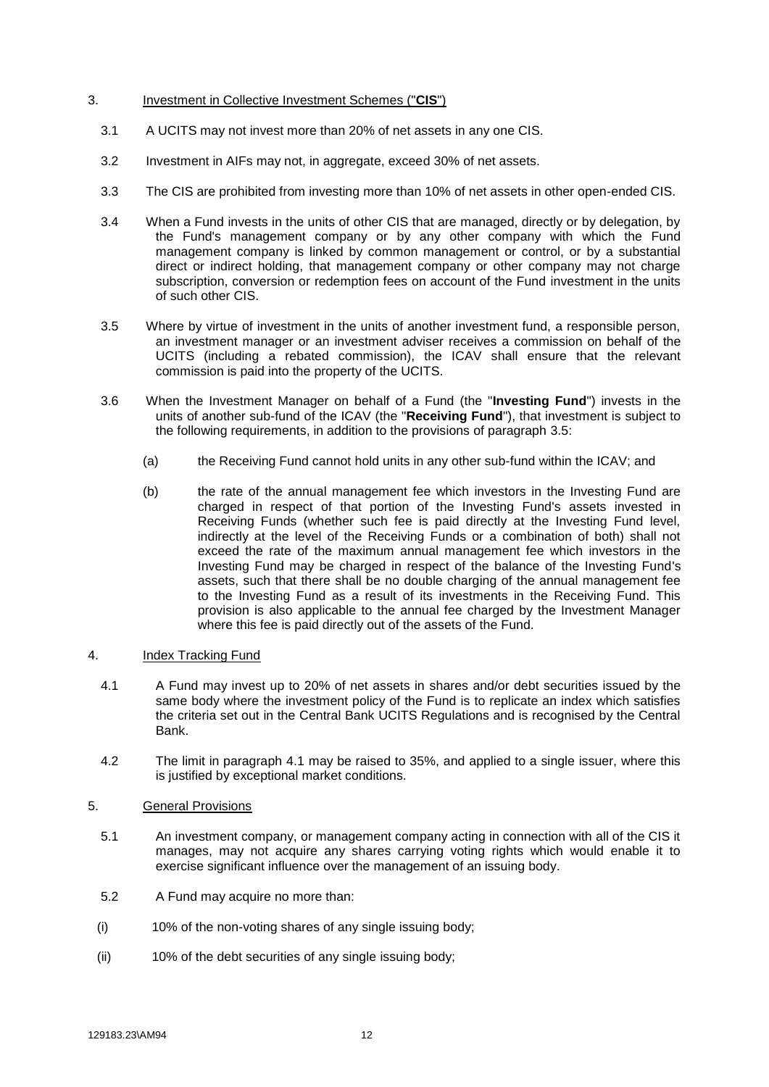#### 3. Investment in Collective Investment Schemes ("**CIS**")

- 3.1 A UCITS may not invest more than 20% of net assets in any one CIS.
- 3.2 Investment in AIFs may not, in aggregate, exceed 30% of net assets.
- 3.3 The CIS are prohibited from investing more than 10% of net assets in other open-ended CIS.
- 3.4 When a Fund invests in the units of other CIS that are managed, directly or by delegation, by the Fund's management company or by any other company with which the Fund management company is linked by common management or control, or by a substantial direct or indirect holding, that management company or other company may not charge subscription, conversion or redemption fees on account of the Fund investment in the units of such other CIS.
- 3.5 Where by virtue of investment in the units of another investment fund, a responsible person, an investment manager or an investment adviser receives a commission on behalf of the UCITS (including a rebated commission), the ICAV shall ensure that the relevant commission is paid into the property of the UCITS.
- 3.6 When the Investment Manager on behalf of a Fund (the "**Investing Fund**") invests in the units of another sub-fund of the ICAV (the "**Receiving Fund**"), that investment is subject to the following requirements, in addition to the provisions of paragraph 3.5:
	- (a) the Receiving Fund cannot hold units in any other sub-fund within the ICAV; and
	- (b) the rate of the annual management fee which investors in the Investing Fund are charged in respect of that portion of the Investing Fund's assets invested in Receiving Funds (whether such fee is paid directly at the Investing Fund level, indirectly at the level of the Receiving Funds or a combination of both) shall not exceed the rate of the maximum annual management fee which investors in the Investing Fund may be charged in respect of the balance of the Investing Fund's assets, such that there shall be no double charging of the annual management fee to the Investing Fund as a result of its investments in the Receiving Fund. This provision is also applicable to the annual fee charged by the Investment Manager where this fee is paid directly out of the assets of the Fund.

#### 4. Index Tracking Fund

- 4.1 A Fund may invest up to 20% of net assets in shares and/or debt securities issued by the same body where the investment policy of the Fund is to replicate an index which satisfies the criteria set out in the Central Bank UCITS Regulations and is recognised by the Central **Bank**
- 4.2 The limit in paragraph 4.1 may be raised to 35%, and applied to a single issuer, where this is justified by exceptional market conditions.

#### 5. General Provisions

- 5.1 An investment company, or management company acting in connection with all of the CIS it manages, may not acquire any shares carrying voting rights which would enable it to exercise significant influence over the management of an issuing body.
- 5.2 A Fund may acquire no more than:
- (i) 10% of the non-voting shares of any single issuing body;
- (ii) 10% of the debt securities of any single issuing body;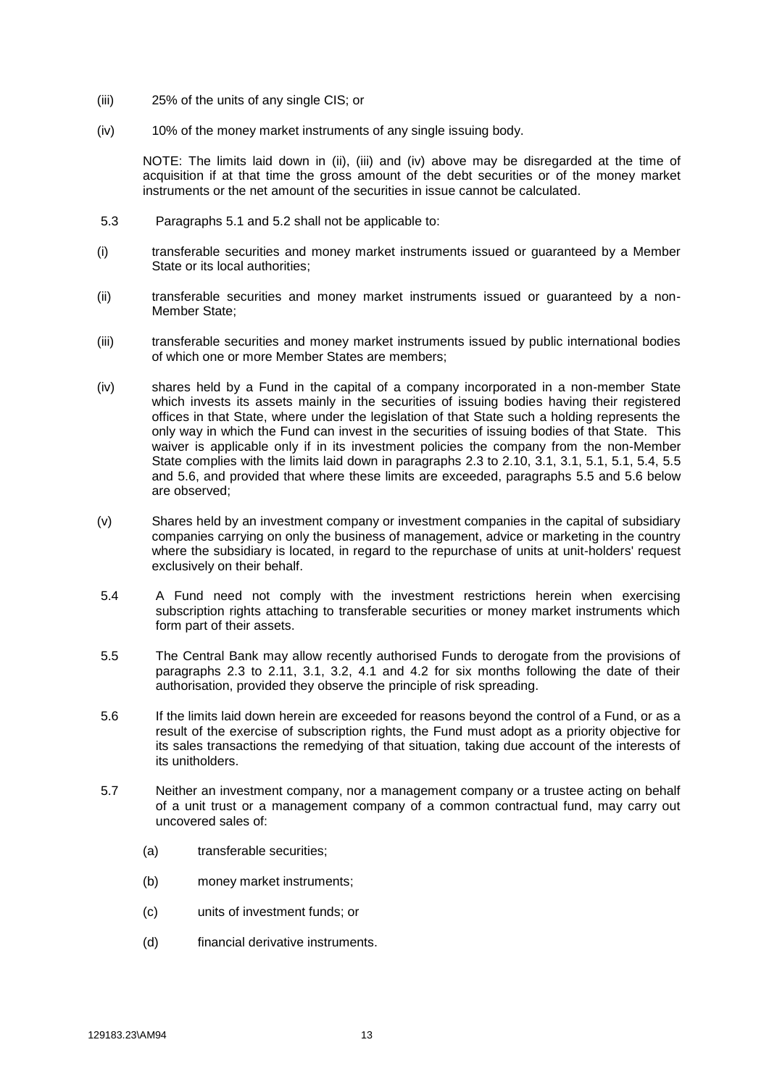- (iii) 25% of the units of any single CIS; or
- (iv) 10% of the money market instruments of any single issuing body.

NOTE: The limits laid down in (ii), (iii) and (iv) above may be disregarded at the time of acquisition if at that time the gross amount of the debt securities or of the money market instruments or the net amount of the securities in issue cannot be calculated.

- 5.3 Paragraphs 5.1 and 5.2 shall not be applicable to:
- (i) transferable securities and money market instruments issued or guaranteed by a Member State or its local authorities;
- (ii) transferable securities and money market instruments issued or guaranteed by a non-Member State;
- (iii) transferable securities and money market instruments issued by public international bodies of which one or more Member States are members;
- (iv) shares held by a Fund in the capital of a company incorporated in a non-member State which invests its assets mainly in the securities of issuing bodies having their registered offices in that State, where under the legislation of that State such a holding represents the only way in which the Fund can invest in the securities of issuing bodies of that State. This waiver is applicable only if in its investment policies the company from the non-Member State complies with the limits laid down in paragraphs 2.3 to 2.10, 3.1, 3.1, 5.1, 5.1, 5.4, 5.5 and 5.6, and provided that where these limits are exceeded, paragraphs 5.5 and 5.6 below are observed;
- (v) Shares held by an investment company or investment companies in the capital of subsidiary companies carrying on only the business of management, advice or marketing in the country where the subsidiary is located, in regard to the repurchase of units at unit-holders' request exclusively on their behalf.
- 5.4 A Fund need not comply with the investment restrictions herein when exercising subscription rights attaching to transferable securities or money market instruments which form part of their assets.
- 5.5 The Central Bank may allow recently authorised Funds to derogate from the provisions of paragraphs 2.3 to 2.11, 3.1, 3.2, 4.1 and 4.2 for six months following the date of their authorisation, provided they observe the principle of risk spreading.
- 5.6 If the limits laid down herein are exceeded for reasons beyond the control of a Fund, or as a result of the exercise of subscription rights, the Fund must adopt as a priority objective for its sales transactions the remedying of that situation, taking due account of the interests of its unitholders.
- 5.7 Neither an investment company, nor a management company or a trustee acting on behalf of a unit trust or a management company of a common contractual fund, may carry out uncovered sales of:
	- (a) transferable securities;
	- (b) money market instruments;
	- (c) units of investment funds; or
	- (d) financial derivative instruments.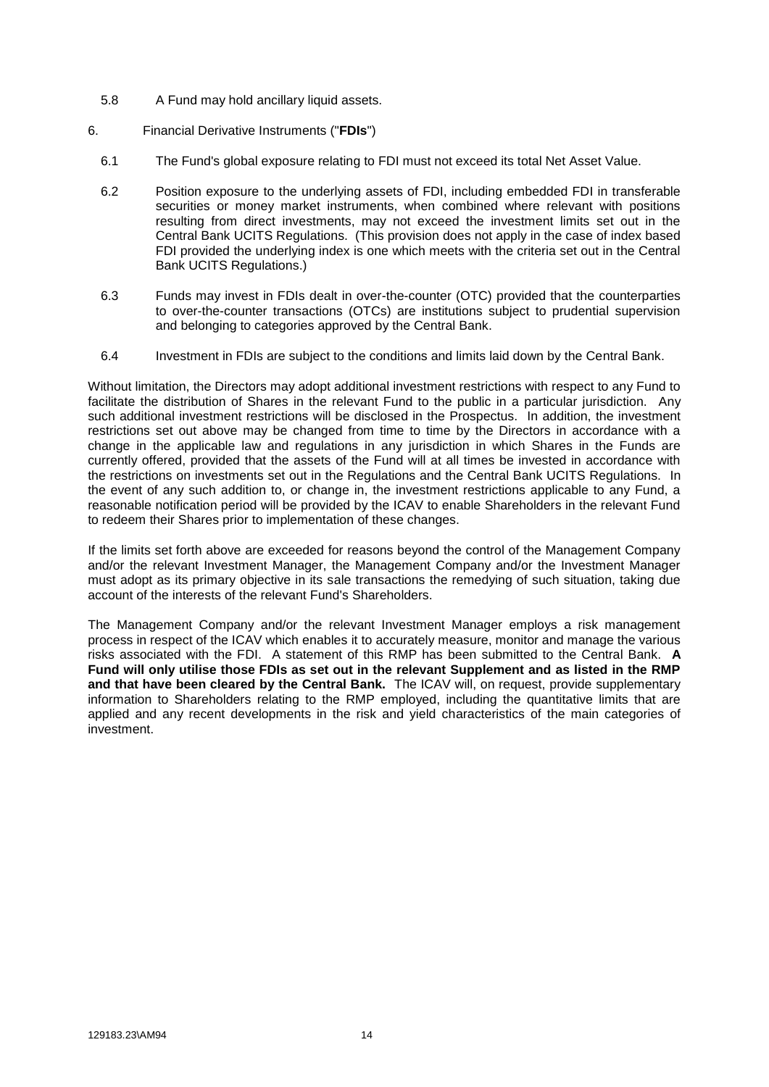- 5.8 A Fund may hold ancillary liquid assets.
- 6. Financial Derivative Instruments ("**FDIs**")
	- 6.1 The Fund's global exposure relating to FDI must not exceed its total Net Asset Value.
	- 6.2 Position exposure to the underlying assets of FDI, including embedded FDI in transferable securities or money market instruments, when combined where relevant with positions resulting from direct investments, may not exceed the investment limits set out in the Central Bank UCITS Regulations. (This provision does not apply in the case of index based FDI provided the underlying index is one which meets with the criteria set out in the Central Bank UCITS Regulations.)
	- 6.3 Funds may invest in FDIs dealt in over-the-counter (OTC) provided that the counterparties to over-the-counter transactions (OTCs) are institutions subject to prudential supervision and belonging to categories approved by the Central Bank.
	- 6.4 Investment in FDIs are subject to the conditions and limits laid down by the Central Bank.

Without limitation, the Directors may adopt additional investment restrictions with respect to any Fund to facilitate the distribution of Shares in the relevant Fund to the public in a particular jurisdiction. Any such additional investment restrictions will be disclosed in the Prospectus. In addition, the investment restrictions set out above may be changed from time to time by the Directors in accordance with a change in the applicable law and regulations in any jurisdiction in which Shares in the Funds are currently offered, provided that the assets of the Fund will at all times be invested in accordance with the restrictions on investments set out in the Regulations and the Central Bank UCITS Regulations. In the event of any such addition to, or change in, the investment restrictions applicable to any Fund, a reasonable notification period will be provided by the ICAV to enable Shareholders in the relevant Fund to redeem their Shares prior to implementation of these changes.

If the limits set forth above are exceeded for reasons beyond the control of the Management Company and/or the relevant Investment Manager, the Management Company and/or the Investment Manager must adopt as its primary objective in its sale transactions the remedying of such situation, taking due account of the interests of the relevant Fund's Shareholders.

The Management Company and/or the relevant Investment Manager employs a risk management process in respect of the ICAV which enables it to accurately measure, monitor and manage the various risks associated with the FDI. A statement of this RMP has been submitted to the Central Bank. **A Fund will only utilise those FDIs as set out in the relevant Supplement and as listed in the RMP and that have been cleared by the Central Bank.** The ICAV will, on request, provide supplementary information to Shareholders relating to the RMP employed, including the quantitative limits that are applied and any recent developments in the risk and yield characteristics of the main categories of investment.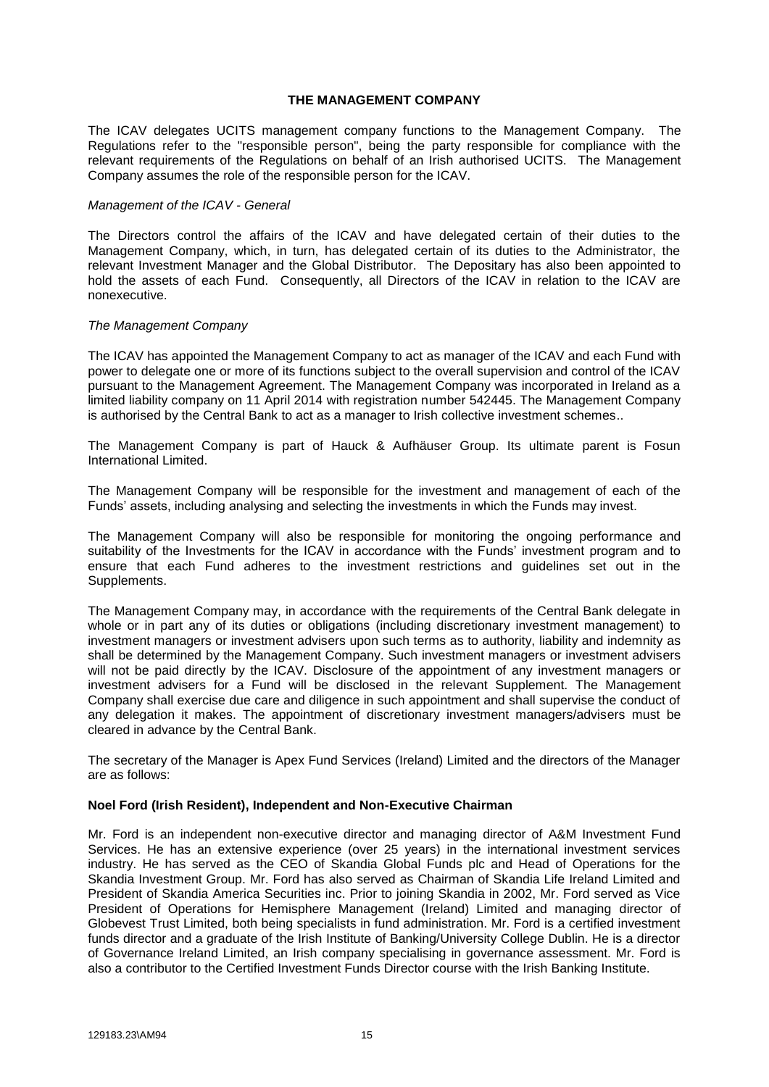#### **THE MANAGEMENT COMPANY**

<span id="page-21-0"></span>The ICAV delegates UCITS management company functions to the Management Company. The Regulations refer to the "responsible person", being the party responsible for compliance with the relevant requirements of the Regulations on behalf of an Irish authorised UCITS. The Management Company assumes the role of the responsible person for the ICAV.

#### *Management of the ICAV - General*

The Directors control the affairs of the ICAV and have delegated certain of their duties to the Management Company, which, in turn, has delegated certain of its duties to the Administrator, the relevant Investment Manager and the Global Distributor. The Depositary has also been appointed to hold the assets of each Fund. Consequently, all Directors of the ICAV in relation to the ICAV are nonexecutive.

#### *The Management Company*

The ICAV has appointed the Management Company to act as manager of the ICAV and each Fund with power to delegate one or more of its functions subject to the overall supervision and control of the ICAV pursuant to the Management Agreement. The Management Company was incorporated in Ireland as a limited liability company on 11 April 2014 with registration number 542445. The Management Company is authorised by the Central Bank to act as a manager to Irish collective investment schemes..

The Management Company is part of Hauck & Aufhäuser Group. Its ultimate parent is Fosun International Limited.

The Management Company will be responsible for the investment and management of each of the Funds' assets, including analysing and selecting the investments in which the Funds may invest.

The Management Company will also be responsible for monitoring the ongoing performance and suitability of the Investments for the ICAV in accordance with the Funds' investment program and to ensure that each Fund adheres to the investment restrictions and guidelines set out in the Supplements.

The Management Company may, in accordance with the requirements of the Central Bank delegate in whole or in part any of its duties or obligations (including discretionary investment management) to investment managers or investment advisers upon such terms as to authority, liability and indemnity as shall be determined by the Management Company. Such investment managers or investment advisers will not be paid directly by the ICAV. Disclosure of the appointment of any investment managers or investment advisers for a Fund will be disclosed in the relevant Supplement. The Management Company shall exercise due care and diligence in such appointment and shall supervise the conduct of any delegation it makes. The appointment of discretionary investment managers/advisers must be cleared in advance by the Central Bank.

The secretary of the Manager is Apex Fund Services (Ireland) Limited and the directors of the Manager are as follows:

#### **Noel Ford (Irish Resident), Independent and Non-Executive Chairman**

Mr. Ford is an independent non-executive director and managing director of A&M Investment Fund Services. He has an extensive experience (over 25 years) in the international investment services industry. He has served as the CEO of Skandia Global Funds plc and Head of Operations for the Skandia Investment Group. Mr. Ford has also served as Chairman of Skandia Life Ireland Limited and President of Skandia America Securities inc. Prior to joining Skandia in 2002, Mr. Ford served as Vice President of Operations for Hemisphere Management (Ireland) Limited and managing director of Globevest Trust Limited, both being specialists in fund administration. Mr. Ford is a certified investment funds director and a graduate of the Irish Institute of Banking/University College Dublin. He is a director of Governance Ireland Limited, an Irish company specialising in governance assessment. Mr. Ford is also a contributor to the Certified Investment Funds Director course with the Irish Banking Institute.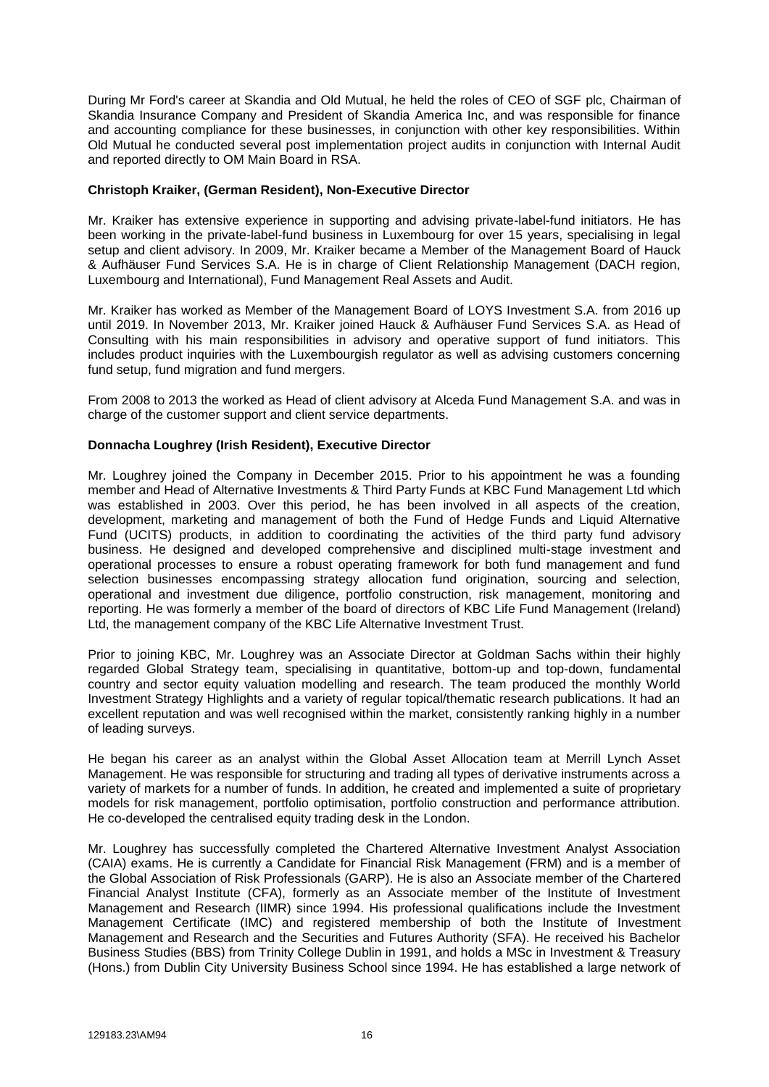During Mr Ford's career at Skandia and Old Mutual, he held the roles of CEO of SGF plc, Chairman of Skandia Insurance Company and President of Skandia America Inc, and was responsible for finance and accounting compliance for these businesses, in conjunction with other key responsibilities. Within Old Mutual he conducted several post implementation project audits in conjunction with Internal Audit and reported directly to OM Main Board in RSA.

#### **Christoph Kraiker, (German Resident), Non-Executive Director**

Mr. Kraiker has extensive experience in supporting and advising private-label-fund initiators. He has been working in the private-label-fund business in Luxembourg for over 15 years, specialising in legal setup and client advisory. In 2009, Mr. Kraiker became a Member of the Management Board of Hauck & Aufhäuser Fund Services S.A. He is in charge of Client Relationship Management (DACH region, Luxembourg and International), Fund Management Real Assets and Audit.

Mr. Kraiker has worked as Member of the Management Board of LOYS Investment S.A. from 2016 up until 2019. In November 2013, Mr. Kraiker joined Hauck & Aufhäuser Fund Services S.A. as Head of Consulting with his main responsibilities in advisory and operative support of fund initiators. This includes product inquiries with the Luxembourgish regulator as well as advising customers concerning fund setup, fund migration and fund mergers.

From 2008 to 2013 the worked as Head of client advisory at Alceda Fund Management S.A. and was in charge of the customer support and client service departments.

#### **Donnacha Loughrey (Irish Resident), Executive Director**

Mr. Loughrey joined the Company in December 2015. Prior to his appointment he was a founding member and Head of Alternative Investments & Third Party Funds at KBC Fund Management Ltd which was established in 2003. Over this period, he has been involved in all aspects of the creation, development, marketing and management of both the Fund of Hedge Funds and Liquid Alternative Fund (UCITS) products, in addition to coordinating the activities of the third party fund advisory business. He designed and developed comprehensive and disciplined multi-stage investment and operational processes to ensure a robust operating framework for both fund management and fund selection businesses encompassing strategy allocation fund origination, sourcing and selection, operational and investment due diligence, portfolio construction, risk management, monitoring and reporting. He was formerly a member of the board of directors of KBC Life Fund Management (Ireland) Ltd, the management company of the KBC Life Alternative Investment Trust.

Prior to joining KBC, Mr. Loughrey was an Associate Director at Goldman Sachs within their highly regarded Global Strategy team, specialising in quantitative, bottom-up and top-down, fundamental country and sector equity valuation modelling and research. The team produced the monthly World Investment Strategy Highlights and a variety of regular topical/thematic research publications. It had an excellent reputation and was well recognised within the market, consistently ranking highly in a number of leading surveys.

He began his career as an analyst within the Global Asset Allocation team at Merrill Lynch Asset Management. He was responsible for structuring and trading all types of derivative instruments across a variety of markets for a number of funds. In addition, he created and implemented a suite of proprietary models for risk management, portfolio optimisation, portfolio construction and performance attribution. He co-developed the centralised equity trading desk in the London.

Mr. Loughrey has successfully completed the Chartered Alternative Investment Analyst Association (CAIA) exams. He is currently a Candidate for Financial Risk Management (FRM) and is a member of the Global Association of Risk Professionals (GARP). He is also an Associate member of the Chartered Financial Analyst Institute (CFA), formerly as an Associate member of the Institute of Investment Management and Research (IIMR) since 1994. His professional qualifications include the Investment Management Certificate (IMC) and registered membership of both the Institute of Investment Management and Research and the Securities and Futures Authority (SFA). He received his Bachelor Business Studies (BBS) from Trinity College Dublin in 1991, and holds a MSc in Investment & Treasury (Hons.) from Dublin City University Business School since 1994. He has established a large network of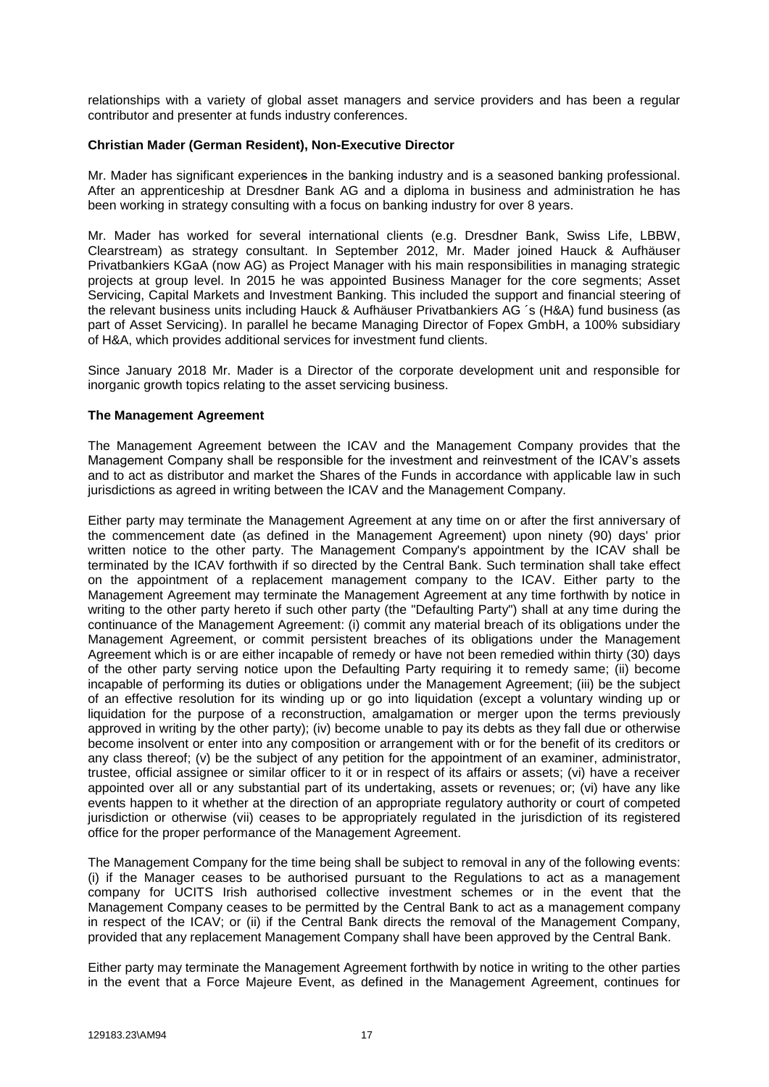relationships with a variety of global asset managers and service providers and has been a regular contributor and presenter at funds industry conferences.

#### **Christian Mader (German Resident), Non-Executive Director**

Mr. Mader has significant experiences in the banking industry and is a seasoned banking professional. After an apprenticeship at Dresdner Bank AG and a diploma in business and administration he has been working in strategy consulting with a focus on banking industry for over 8 years.

Mr. Mader has worked for several international clients (e.g. Dresdner Bank, Swiss Life, LBBW, Clearstream) as strategy consultant. In September 2012, Mr. Mader joined Hauck & Aufhäuser Privatbankiers KGaA (now AG) as Project Manager with his main responsibilities in managing strategic projects at group level. In 2015 he was appointed Business Manager for the core segments; Asset Servicing, Capital Markets and Investment Banking. This included the support and financial steering of the relevant business units including Hauck & Aufhäuser Privatbankiers AG ´s (H&A) fund business (as part of Asset Servicing). In parallel he became Managing Director of Fopex GmbH, a 100% subsidiary of H&A, which provides additional services for investment fund clients.

Since January 2018 Mr. Mader is a Director of the corporate development unit and responsible for inorganic growth topics relating to the asset servicing business.

#### **The Management Agreement**

The Management Agreement between the ICAV and the Management Company provides that the Management Company shall be responsible for the investment and reinvestment of the ICAV's assets and to act as distributor and market the Shares of the Funds in accordance with applicable law in such jurisdictions as agreed in writing between the ICAV and the Management Company.

Either party may terminate the Management Agreement at any time on or after the first anniversary of the commencement date (as defined in the Management Agreement) upon ninety (90) days' prior written notice to the other party. The Management Company's appointment by the ICAV shall be terminated by the ICAV forthwith if so directed by the Central Bank. Such termination shall take effect on the appointment of a replacement management company to the ICAV. Either party to the Management Agreement may terminate the Management Agreement at any time forthwith by notice in writing to the other party hereto if such other party (the "Defaulting Party") shall at any time during the continuance of the Management Agreement: (i) commit any material breach of its obligations under the Management Agreement, or commit persistent breaches of its obligations under the Management Agreement which is or are either incapable of remedy or have not been remedied within thirty (30) days of the other party serving notice upon the Defaulting Party requiring it to remedy same; (ii) become incapable of performing its duties or obligations under the Management Agreement; (iii) be the subject of an effective resolution for its winding up or go into liquidation (except a voluntary winding up or liquidation for the purpose of a reconstruction, amalgamation or merger upon the terms previously approved in writing by the other party); (iv) become unable to pay its debts as they fall due or otherwise become insolvent or enter into any composition or arrangement with or for the benefit of its creditors or any class thereof; (v) be the subject of any petition for the appointment of an examiner, administrator, trustee, official assignee or similar officer to it or in respect of its affairs or assets; (vi) have a receiver appointed over all or any substantial part of its undertaking, assets or revenues; or; (vi) have any like events happen to it whether at the direction of an appropriate regulatory authority or court of competed jurisdiction or otherwise (vii) ceases to be appropriately regulated in the jurisdiction of its registered office for the proper performance of the Management Agreement.

The Management Company for the time being shall be subject to removal in any of the following events: (i) if the Manager ceases to be authorised pursuant to the Regulations to act as a management company for UCITS Irish authorised collective investment schemes or in the event that the Management Company ceases to be permitted by the Central Bank to act as a management company in respect of the ICAV; or (ii) if the Central Bank directs the removal of the Management Company, provided that any replacement Management Company shall have been approved by the Central Bank.

Either party may terminate the Management Agreement forthwith by notice in writing to the other parties in the event that a Force Majeure Event, as defined in the Management Agreement, continues for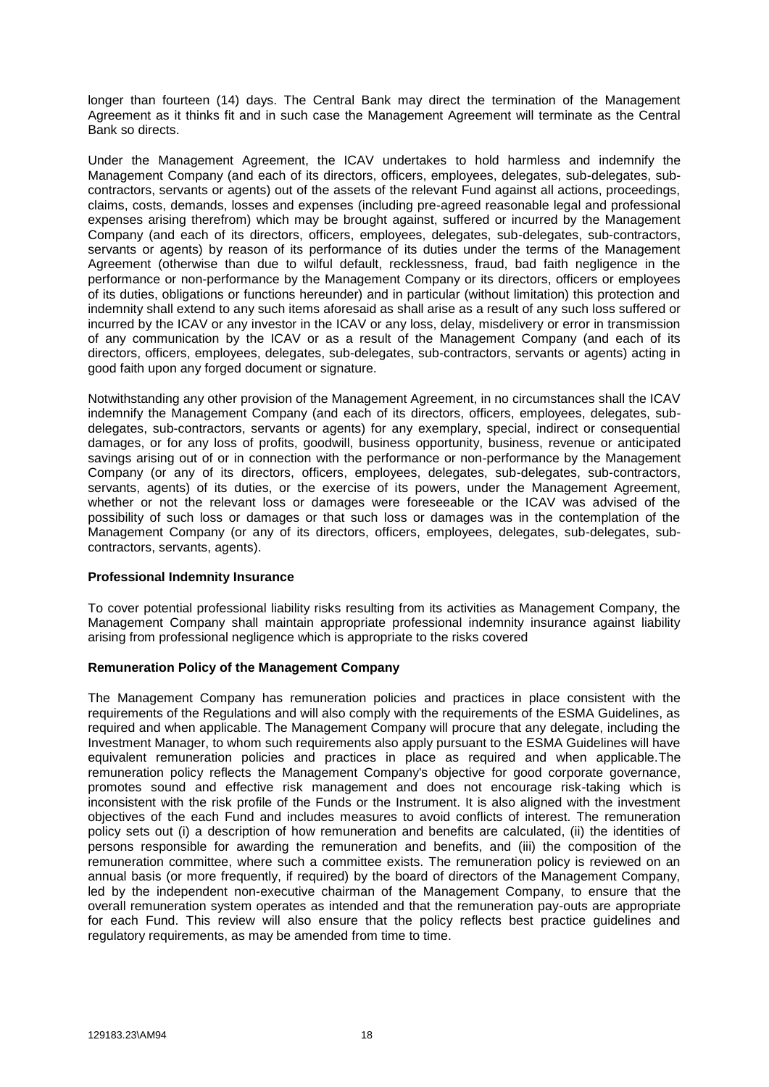longer than fourteen (14) days. The Central Bank may direct the termination of the Management Agreement as it thinks fit and in such case the Management Agreement will terminate as the Central Bank so directs.

Under the Management Agreement, the ICAV undertakes to hold harmless and indemnify the Management Company (and each of its directors, officers, employees, delegates, sub-delegates, subcontractors, servants or agents) out of the assets of the relevant Fund against all actions, proceedings, claims, costs, demands, losses and expenses (including pre-agreed reasonable legal and professional expenses arising therefrom) which may be brought against, suffered or incurred by the Management Company (and each of its directors, officers, employees, delegates, sub-delegates, sub-contractors, servants or agents) by reason of its performance of its duties under the terms of the Management Agreement (otherwise than due to wilful default, recklessness, fraud, bad faith negligence in the performance or non-performance by the Management Company or its directors, officers or employees of its duties, obligations or functions hereunder) and in particular (without limitation) this protection and indemnity shall extend to any such items aforesaid as shall arise as a result of any such loss suffered or incurred by the ICAV or any investor in the ICAV or any loss, delay, misdelivery or error in transmission of any communication by the ICAV or as a result of the Management Company (and each of its directors, officers, employees, delegates, sub-delegates, sub-contractors, servants or agents) acting in good faith upon any forged document or signature.

Notwithstanding any other provision of the Management Agreement, in no circumstances shall the ICAV indemnify the Management Company (and each of its directors, officers, employees, delegates, subdelegates, sub-contractors, servants or agents) for any exemplary, special, indirect or consequential damages, or for any loss of profits, goodwill, business opportunity, business, revenue or anticipated savings arising out of or in connection with the performance or non-performance by the Management Company (or any of its directors, officers, employees, delegates, sub-delegates, sub-contractors, servants, agents) of its duties, or the exercise of its powers, under the Management Agreement, whether or not the relevant loss or damages were foreseeable or the ICAV was advised of the possibility of such loss or damages or that such loss or damages was in the contemplation of the Management Company (or any of its directors, officers, employees, delegates, sub-delegates, subcontractors, servants, agents).

#### **Professional Indemnity Insurance**

To cover potential professional liability risks resulting from its activities as Management Company, the Management Company shall maintain appropriate professional indemnity insurance against liability arising from professional negligence which is appropriate to the risks covered

#### **Remuneration Policy of the Management Company**

The Management Company has remuneration policies and practices in place consistent with the requirements of the Regulations and will also comply with the requirements of the ESMA Guidelines, as required and when applicable. The Management Company will procure that any delegate, including the Investment Manager, to whom such requirements also apply pursuant to the ESMA Guidelines will have equivalent remuneration policies and practices in place as required and when applicable.The remuneration policy reflects the Management Company's objective for good corporate governance, promotes sound and effective risk management and does not encourage risk-taking which is inconsistent with the risk profile of the Funds or the Instrument. It is also aligned with the investment objectives of the each Fund and includes measures to avoid conflicts of interest. The remuneration policy sets out (i) a description of how remuneration and benefits are calculated, (ii) the identities of persons responsible for awarding the remuneration and benefits, and (iii) the composition of the remuneration committee, where such a committee exists. The remuneration policy is reviewed on an annual basis (or more frequently, if required) by the board of directors of the Management Company, led by the independent non-executive chairman of the Management Company, to ensure that the overall remuneration system operates as intended and that the remuneration pay-outs are appropriate for each Fund. This review will also ensure that the policy reflects best practice guidelines and regulatory requirements, as may be amended from time to time.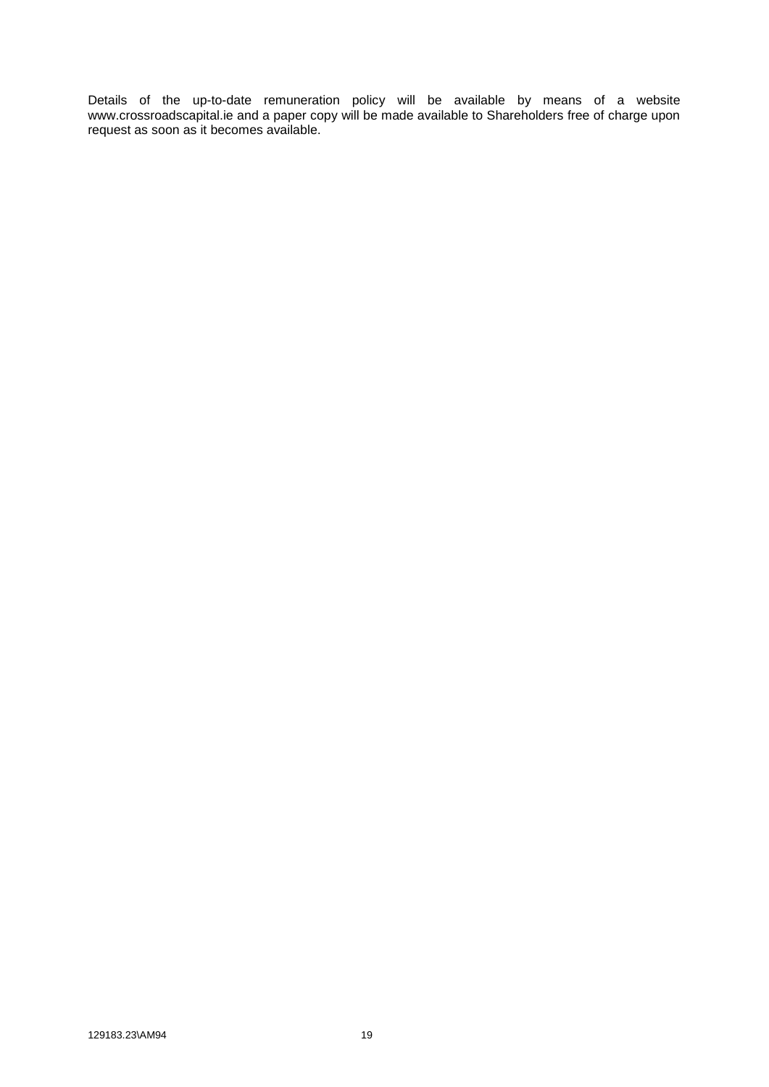Details of the up-to-date remuneration policy will be available by means of a website www.crossroadscapital.ie and a paper copy will be made available to Shareholders free of charge upon request as soon as it becomes available.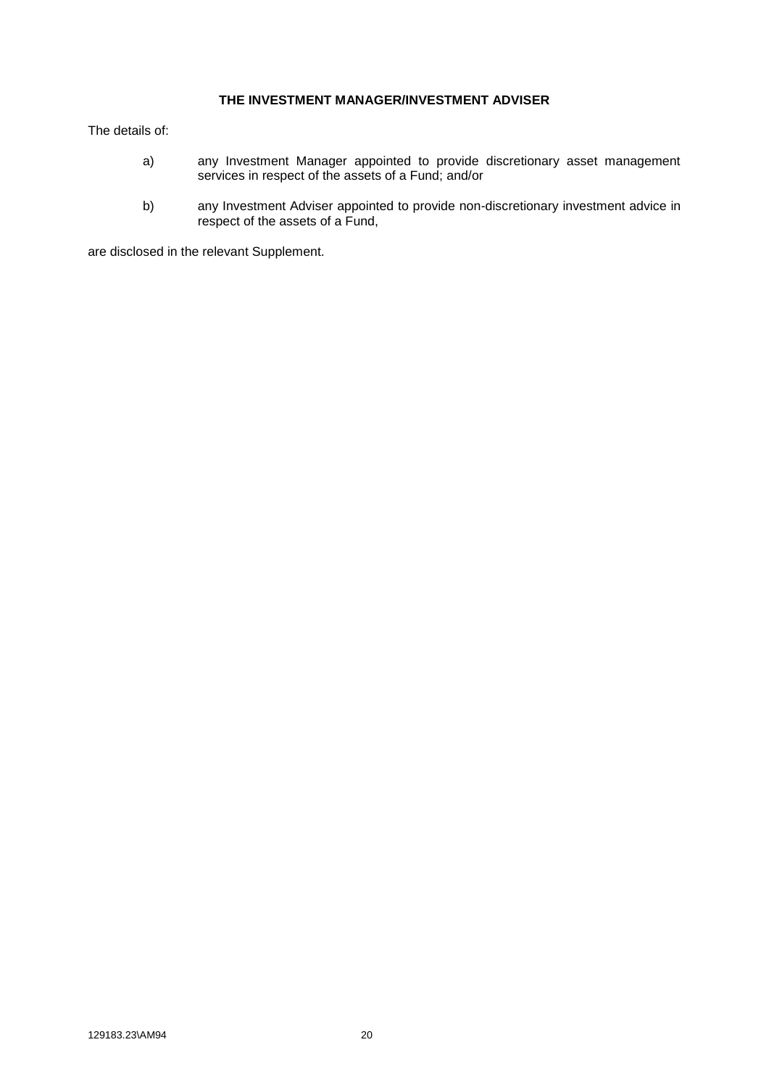### **THE INVESTMENT MANAGER/INVESTMENT ADVISER**

<span id="page-26-0"></span>The details of:

- a) any Investment Manager appointed to provide discretionary asset management services in respect of the assets of a Fund; and/or
- b) any Investment Adviser appointed to provide non-discretionary investment advice in respect of the assets of a Fund,

are disclosed in the relevant Supplement.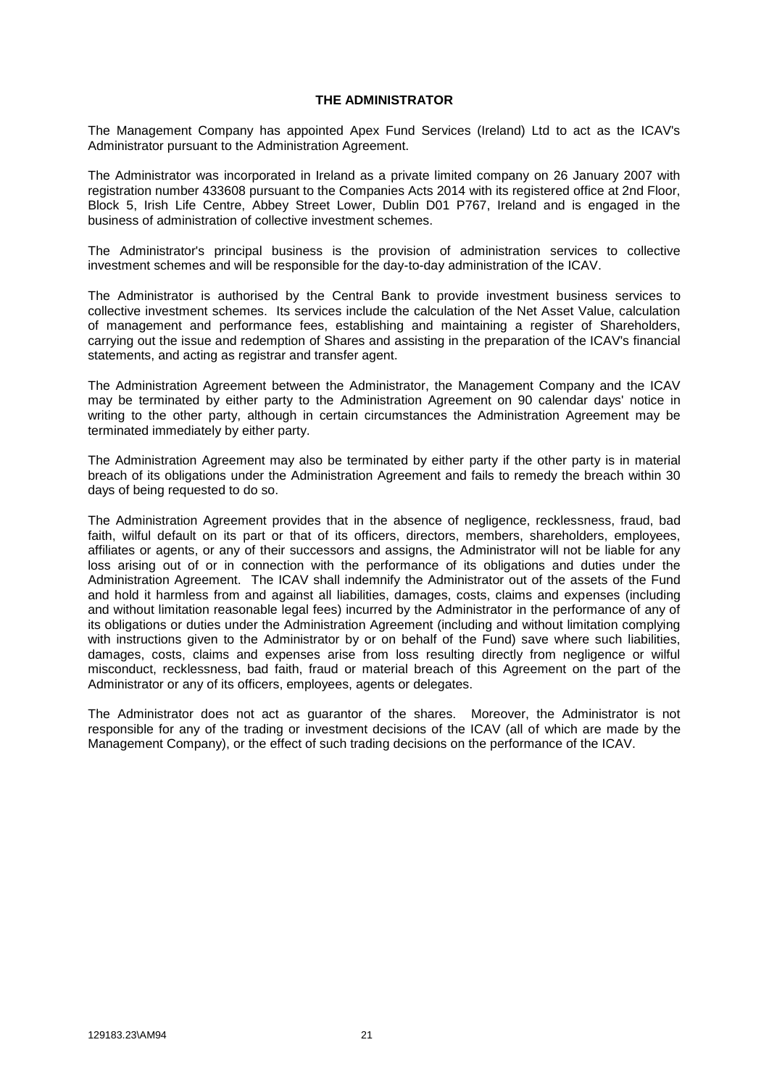#### **THE ADMINISTRATOR**

<span id="page-27-0"></span>The Management Company has appointed Apex Fund Services (Ireland) Ltd to act as the ICAV's Administrator pursuant to the Administration Agreement.

The Administrator was incorporated in Ireland as a private limited company on 26 January 2007 with registration number 433608 pursuant to the Companies Acts 2014 with its registered office at 2nd Floor, Block 5, Irish Life Centre, Abbey Street Lower, Dublin D01 P767, Ireland and is engaged in the business of administration of collective investment schemes.

The Administrator's principal business is the provision of administration services to collective investment schemes and will be responsible for the day-to-day administration of the ICAV.

The Administrator is authorised by the Central Bank to provide investment business services to collective investment schemes. Its services include the calculation of the Net Asset Value, calculation of management and performance fees, establishing and maintaining a register of Shareholders, carrying out the issue and redemption of Shares and assisting in the preparation of the ICAV's financial statements, and acting as registrar and transfer agent.

The Administration Agreement between the Administrator, the Management Company and the ICAV may be terminated by either party to the Administration Agreement on 90 calendar days' notice in writing to the other party, although in certain circumstances the Administration Agreement may be terminated immediately by either party.

The Administration Agreement may also be terminated by either party if the other party is in material breach of its obligations under the Administration Agreement and fails to remedy the breach within 30 days of being requested to do so.

The Administration Agreement provides that in the absence of negligence, recklessness, fraud, bad faith, wilful default on its part or that of its officers, directors, members, shareholders, employees, affiliates or agents, or any of their successors and assigns, the Administrator will not be liable for any loss arising out of or in connection with the performance of its obligations and duties under the Administration Agreement. The ICAV shall indemnify the Administrator out of the assets of the Fund and hold it harmless from and against all liabilities, damages, costs, claims and expenses (including and without limitation reasonable legal fees) incurred by the Administrator in the performance of any of its obligations or duties under the Administration Agreement (including and without limitation complying with instructions given to the Administrator by or on behalf of the Fund) save where such liabilities, damages, costs, claims and expenses arise from loss resulting directly from negligence or wilful misconduct, recklessness, bad faith, fraud or material breach of this Agreement on the part of the Administrator or any of its officers, employees, agents or delegates.

The Administrator does not act as guarantor of the shares. Moreover, the Administrator is not responsible for any of the trading or investment decisions of the ICAV (all of which are made by the Management Company), or the effect of such trading decisions on the performance of the ICAV.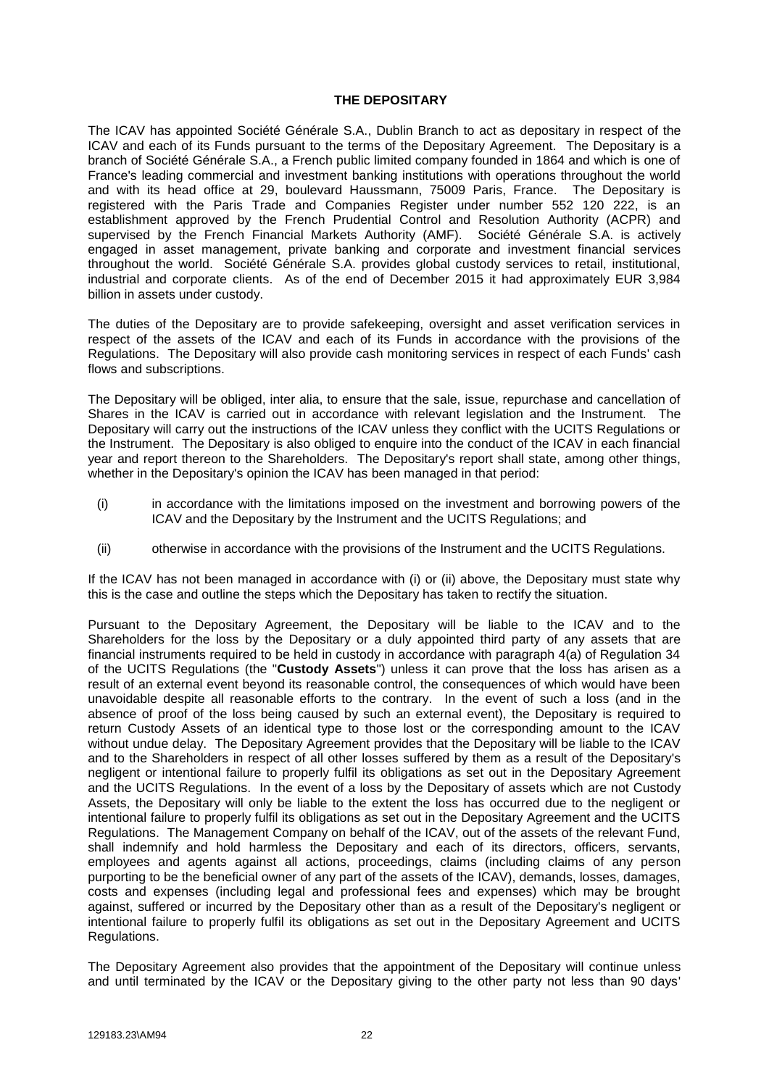#### <span id="page-28-0"></span>**THE DEPOSITARY**

The ICAV has appointed Société Générale S.A., Dublin Branch to act as depositary in respect of the ICAV and each of its Funds pursuant to the terms of the Depositary Agreement. The Depositary is a branch of Société Générale S.A., a French public limited company founded in 1864 and which is one of France's leading commercial and investment banking institutions with operations throughout the world and with its head office at 29, boulevard Haussmann, 75009 Paris, France. The Depositary is registered with the Paris Trade and Companies Register under number 552 120 222, is an establishment approved by the French Prudential Control and Resolution Authority (ACPR) and supervised by the French Financial Markets Authority (AMF). Société Générale S.A. is actively engaged in asset management, private banking and corporate and investment financial services throughout the world. Société Générale S.A. provides global custody services to retail, institutional, industrial and corporate clients. As of the end of December 2015 it had approximately EUR 3,984 billion in assets under custody.

The duties of the Depositary are to provide safekeeping, oversight and asset verification services in respect of the assets of the ICAV and each of its Funds in accordance with the provisions of the Regulations. The Depositary will also provide cash monitoring services in respect of each Funds' cash flows and subscriptions.

The Depositary will be obliged, inter alia, to ensure that the sale, issue, repurchase and cancellation of Shares in the ICAV is carried out in accordance with relevant legislation and the Instrument. The Depositary will carry out the instructions of the ICAV unless they conflict with the UCITS Regulations or the Instrument. The Depositary is also obliged to enquire into the conduct of the ICAV in each financial year and report thereon to the Shareholders. The Depositary's report shall state, among other things, whether in the Depositary's opinion the ICAV has been managed in that period:

- (i) in accordance with the limitations imposed on the investment and borrowing powers of the ICAV and the Depositary by the Instrument and the UCITS Regulations; and
- (ii) otherwise in accordance with the provisions of the Instrument and the UCITS Regulations.

If the ICAV has not been managed in accordance with (i) or (ii) above, the Depositary must state why this is the case and outline the steps which the Depositary has taken to rectify the situation.

Pursuant to the Depositary Agreement, the Depositary will be liable to the ICAV and to the Shareholders for the loss by the Depositary or a duly appointed third party of any assets that are financial instruments required to be held in custody in accordance with paragraph 4(a) of Regulation 34 of the UCITS Regulations (the "**Custody Assets**") unless it can prove that the loss has arisen as a result of an external event beyond its reasonable control, the consequences of which would have been unavoidable despite all reasonable efforts to the contrary. In the event of such a loss (and in the absence of proof of the loss being caused by such an external event), the Depositary is required to return Custody Assets of an identical type to those lost or the corresponding amount to the ICAV without undue delay. The Depositary Agreement provides that the Depositary will be liable to the ICAV and to the Shareholders in respect of all other losses suffered by them as a result of the Depositary's negligent or intentional failure to properly fulfil its obligations as set out in the Depositary Agreement and the UCITS Regulations. In the event of a loss by the Depositary of assets which are not Custody Assets, the Depositary will only be liable to the extent the loss has occurred due to the negligent or intentional failure to properly fulfil its obligations as set out in the Depositary Agreement and the UCITS Regulations. The Management Company on behalf of the ICAV, out of the assets of the relevant Fund, shall indemnify and hold harmless the Depositary and each of its directors, officers, servants, employees and agents against all actions, proceedings, claims (including claims of any person purporting to be the beneficial owner of any part of the assets of the ICAV), demands, losses, damages, costs and expenses (including legal and professional fees and expenses) which may be brought against, suffered or incurred by the Depositary other than as a result of the Depositary's negligent or intentional failure to properly fulfil its obligations as set out in the Depositary Agreement and UCITS Regulations.

The Depositary Agreement also provides that the appointment of the Depositary will continue unless and until terminated by the ICAV or the Depositary giving to the other party not less than 90 days'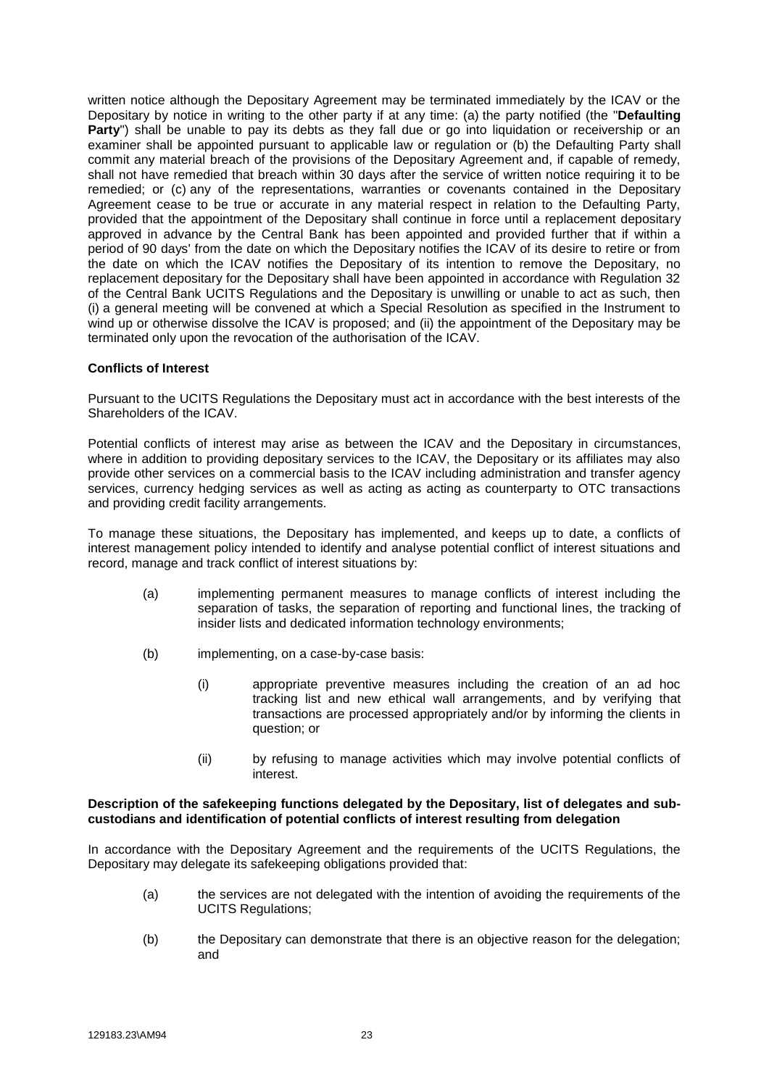written notice although the Depositary Agreement may be terminated immediately by the ICAV or the Depositary by notice in writing to the other party if at any time: (a) the party notified (the "**Defaulting Party**") shall be unable to pay its debts as they fall due or go into liquidation or receivership or an examiner shall be appointed pursuant to applicable law or regulation or (b) the Defaulting Party shall commit any material breach of the provisions of the Depositary Agreement and, if capable of remedy, shall not have remedied that breach within 30 days after the service of written notice requiring it to be remedied; or (c) any of the representations, warranties or covenants contained in the Depositary Agreement cease to be true or accurate in any material respect in relation to the Defaulting Party, provided that the appointment of the Depositary shall continue in force until a replacement depositary approved in advance by the Central Bank has been appointed and provided further that if within a period of 90 days' from the date on which the Depositary notifies the ICAV of its desire to retire or from the date on which the ICAV notifies the Depositary of its intention to remove the Depositary, no replacement depositary for the Depositary shall have been appointed in accordance with Regulation 32 of the Central Bank UCITS Regulations and the Depositary is unwilling or unable to act as such, then (i) a general meeting will be convened at which a Special Resolution as specified in the Instrument to wind up or otherwise dissolve the ICAV is proposed; and (ii) the appointment of the Depositary may be terminated only upon the revocation of the authorisation of the ICAV.

#### **Conflicts of Interest**

Pursuant to the UCITS Regulations the Depositary must act in accordance with the best interests of the Shareholders of the ICAV.

Potential conflicts of interest may arise as between the ICAV and the Depositary in circumstances, where in addition to providing depositary services to the ICAV, the Depositary or its affiliates may also provide other services on a commercial basis to the ICAV including administration and transfer agency services, currency hedging services as well as acting as acting as counterparty to OTC transactions and providing credit facility arrangements.

To manage these situations, the Depositary has implemented, and keeps up to date, a conflicts of interest management policy intended to identify and analyse potential conflict of interest situations and record, manage and track conflict of interest situations by:

- (a) implementing permanent measures to manage conflicts of interest including the separation of tasks, the separation of reporting and functional lines, the tracking of insider lists and dedicated information technology environments;
- (b) implementing, on a case-by-case basis:
	- (i) appropriate preventive measures including the creation of an ad hoc tracking list and new ethical wall arrangements, and by verifying that transactions are processed appropriately and/or by informing the clients in question; or
	- (ii) by refusing to manage activities which may involve potential conflicts of interest.

#### **Description of the safekeeping functions delegated by the Depositary, list of delegates and subcustodians and identification of potential conflicts of interest resulting from delegation**

In accordance with the Depositary Agreement and the requirements of the UCITS Regulations, the Depositary may delegate its safekeeping obligations provided that:

- (a) the services are not delegated with the intention of avoiding the requirements of the UCITS Regulations;
- (b) the Depositary can demonstrate that there is an objective reason for the delegation; and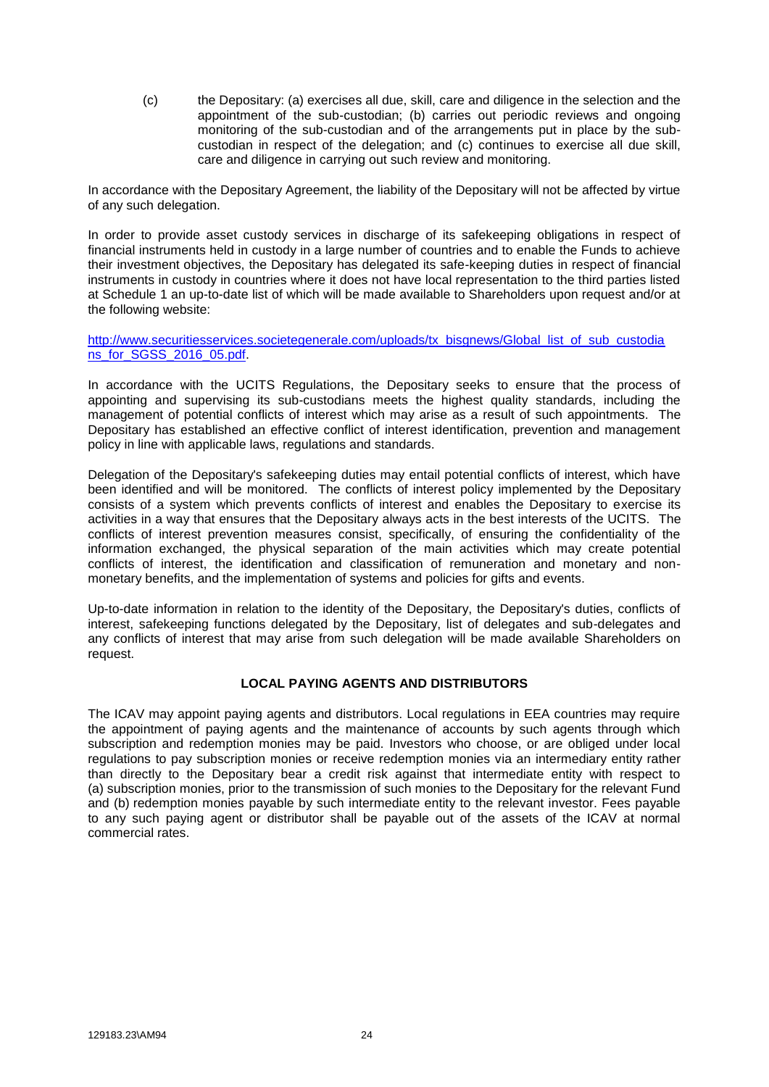<span id="page-30-0"></span>(c) the Depositary: (a) exercises all due, skill, care and diligence in the selection and the appointment of the sub-custodian; (b) carries out periodic reviews and ongoing monitoring of the sub-custodian and of the arrangements put in place by the subcustodian in respect of the delegation; and (c) continues to exercise all due skill, care and diligence in carrying out such review and monitoring.

In accordance with the Depositary Agreement, the liability of the Depositary will not be affected by virtue of any such delegation.

In order to provide asset custody services in discharge of its safekeeping obligations in respect of financial instruments held in custody in a large number of countries and to enable the Funds to achieve their investment objectives, the Depositary has delegated its safe-keeping duties in respect of financial instruments in custody in countries where it does not have local representation to the third parties listed at Schedule 1 an up-to-date list of which will be made available to Shareholders upon request and/or at the following website:

http://www.securitiesservices.societegenerale.com/uploads/tx\_bisgnews/Global\_list\_of\_sub\_custodia [ns\\_for\\_SGSS\\_2016\\_05.pdf.](http://www.securitiesservices.societegenerale.com/uploads/tx_bisgnews/Global_list_of_sub_custodia%20ns_for_SGSS_2016_05.pdf)

In accordance with the UCITS Regulations, the Depositary seeks to ensure that the process of appointing and supervising its sub-custodians meets the highest quality standards, including the management of potential conflicts of interest which may arise as a result of such appointments. The Depositary has established an effective conflict of interest identification, prevention and management policy in line with applicable laws, regulations and standards.

Delegation of the Depositary's safekeeping duties may entail potential conflicts of interest, which have been identified and will be monitored. The conflicts of interest policy implemented by the Depositary consists of a system which prevents conflicts of interest and enables the Depositary to exercise its activities in a way that ensures that the Depositary always acts in the best interests of the UCITS. The conflicts of interest prevention measures consist, specifically, of ensuring the confidentiality of the information exchanged, the physical separation of the main activities which may create potential conflicts of interest, the identification and classification of remuneration and monetary and nonmonetary benefits, and the implementation of systems and policies for gifts and events.

Up-to-date information in relation to the identity of the Depositary, the Depositary's duties, conflicts of interest, safekeeping functions delegated by the Depositary, list of delegates and sub-delegates and any conflicts of interest that may arise from such delegation will be made available Shareholders on request.

#### **LOCAL PAYING AGENTS AND DISTRIBUTORS**

The ICAV may appoint paying agents and distributors. Local regulations in EEA countries may require the appointment of paying agents and the maintenance of accounts by such agents through which subscription and redemption monies may be paid. Investors who choose, or are obliged under local regulations to pay subscription monies or receive redemption monies via an intermediary entity rather than directly to the Depositary bear a credit risk against that intermediate entity with respect to (a) subscription monies, prior to the transmission of such monies to the Depositary for the relevant Fund and (b) redemption monies payable by such intermediate entity to the relevant investor. Fees payable to any such paying agent or distributor shall be payable out of the assets of the ICAV at normal commercial rates.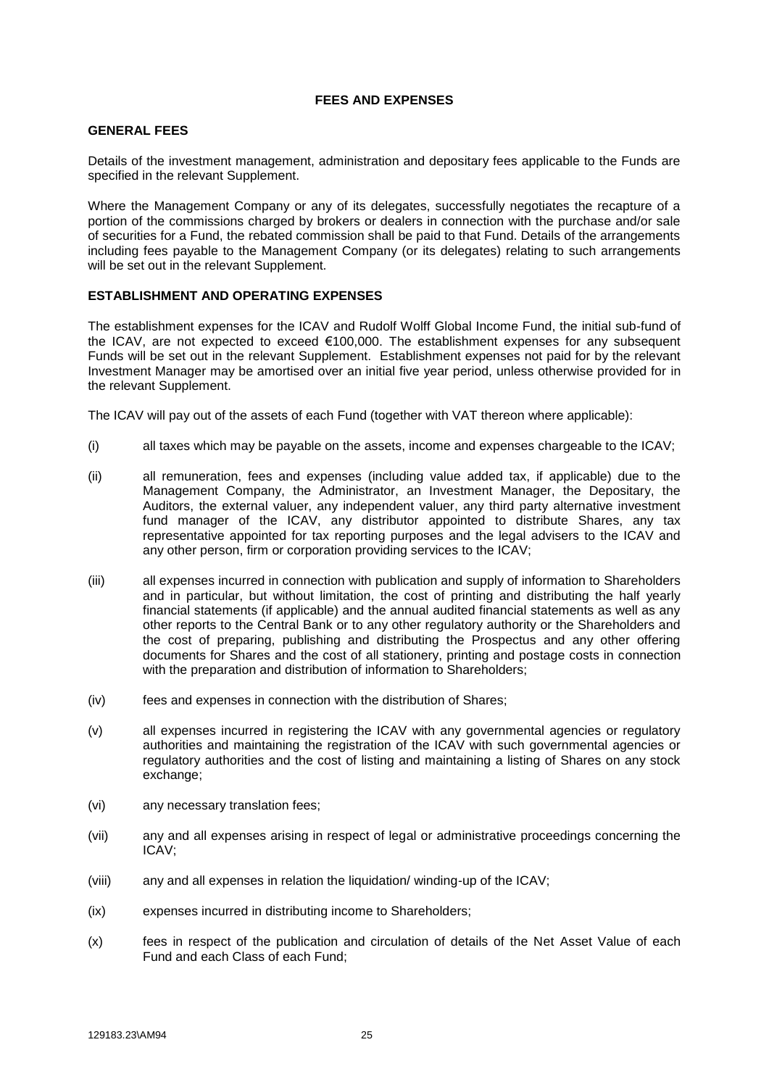#### **FEES AND EXPENSES**

#### <span id="page-31-0"></span>**GENERAL FEES**

Details of the investment management, administration and depositary fees applicable to the Funds are specified in the relevant Supplement.

Where the Management Company or any of its delegates, successfully negotiates the recapture of a portion of the commissions charged by brokers or dealers in connection with the purchase and/or sale of securities for a Fund, the rebated commission shall be paid to that Fund. Details of the arrangements including fees payable to the Management Company (or its delegates) relating to such arrangements will be set out in the relevant Supplement.

#### **ESTABLISHMENT AND OPERATING EXPENSES**

The establishment expenses for the ICAV and Rudolf Wolff Global Income Fund, the initial sub-fund of the ICAV, are not expected to exceed €100,000. The establishment expenses for any subsequent Funds will be set out in the relevant Supplement. Establishment expenses not paid for by the relevant Investment Manager may be amortised over an initial five year period, unless otherwise provided for in the relevant Supplement.

The ICAV will pay out of the assets of each Fund (together with VAT thereon where applicable):

- (i) all taxes which may be payable on the assets, income and expenses chargeable to the ICAV;
- (ii) all remuneration, fees and expenses (including value added tax, if applicable) due to the Management Company, the Administrator, an Investment Manager, the Depositary, the Auditors, the external valuer, any independent valuer, any third party alternative investment fund manager of the ICAV, any distributor appointed to distribute Shares, any tax representative appointed for tax reporting purposes and the legal advisers to the ICAV and any other person, firm or corporation providing services to the ICAV;
- (iii) all expenses incurred in connection with publication and supply of information to Shareholders and in particular, but without limitation, the cost of printing and distributing the half yearly financial statements (if applicable) and the annual audited financial statements as well as any other reports to the Central Bank or to any other regulatory authority or the Shareholders and the cost of preparing, publishing and distributing the Prospectus and any other offering documents for Shares and the cost of all stationery, printing and postage costs in connection with the preparation and distribution of information to Shareholders;
- (iv) fees and expenses in connection with the distribution of Shares;
- (v) all expenses incurred in registering the ICAV with any governmental agencies or regulatory authorities and maintaining the registration of the ICAV with such governmental agencies or regulatory authorities and the cost of listing and maintaining a listing of Shares on any stock exchange:
- (vi) any necessary translation fees;
- (vii) any and all expenses arising in respect of legal or administrative proceedings concerning the ICAV;
- (viii) any and all expenses in relation the liquidation/ winding-up of the ICAV;
- (ix) expenses incurred in distributing income to Shareholders;
- (x) fees in respect of the publication and circulation of details of the Net Asset Value of each Fund and each Class of each Fund;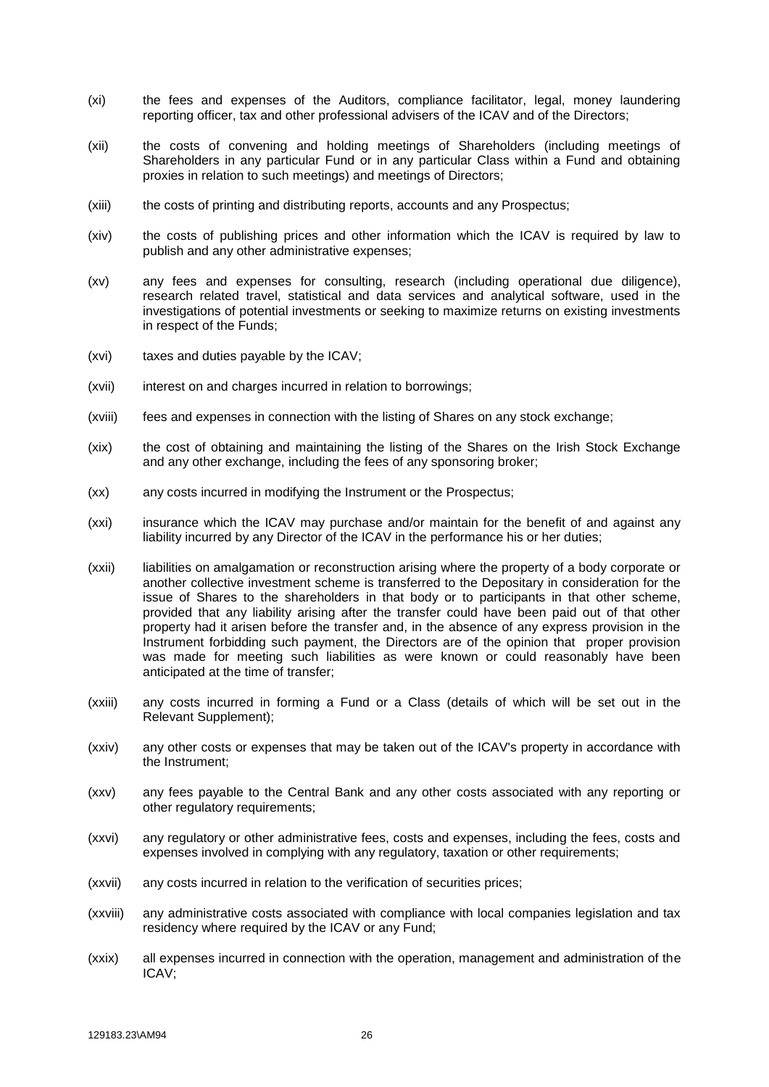- (xi) the fees and expenses of the Auditors, compliance facilitator, legal, money laundering reporting officer, tax and other professional advisers of the ICAV and of the Directors;
- (xii) the costs of convening and holding meetings of Shareholders (including meetings of Shareholders in any particular Fund or in any particular Class within a Fund and obtaining proxies in relation to such meetings) and meetings of Directors;
- (xiii) the costs of printing and distributing reports, accounts and any Prospectus;
- (xiv) the costs of publishing prices and other information which the ICAV is required by law to publish and any other administrative expenses;
- (xv) any fees and expenses for consulting, research (including operational due diligence), research related travel, statistical and data services and analytical software, used in the investigations of potential investments or seeking to maximize returns on existing investments in respect of the Funds;
- (xvi) taxes and duties payable by the ICAV;
- (xvii) interest on and charges incurred in relation to borrowings;
- (xviii) fees and expenses in connection with the listing of Shares on any stock exchange;
- (xix) the cost of obtaining and maintaining the listing of the Shares on the Irish Stock Exchange and any other exchange, including the fees of any sponsoring broker;
- (xx) any costs incurred in modifying the Instrument or the Prospectus;
- (xxi) insurance which the ICAV may purchase and/or maintain for the benefit of and against any liability incurred by any Director of the ICAV in the performance his or her duties;
- (xxii) liabilities on amalgamation or reconstruction arising where the property of a body corporate or another collective investment scheme is transferred to the Depositary in consideration for the issue of Shares to the shareholders in that body or to participants in that other scheme, provided that any liability arising after the transfer could have been paid out of that other property had it arisen before the transfer and, in the absence of any express provision in the Instrument forbidding such payment, the Directors are of the opinion that proper provision was made for meeting such liabilities as were known or could reasonably have been anticipated at the time of transfer;
- (xxiii) any costs incurred in forming a Fund or a Class (details of which will be set out in the Relevant Supplement);
- (xxiv) any other costs or expenses that may be taken out of the ICAV's property in accordance with the Instrument;
- (xxv) any fees payable to the Central Bank and any other costs associated with any reporting or other regulatory requirements;
- (xxvi) any regulatory or other administrative fees, costs and expenses, including the fees, costs and expenses involved in complying with any regulatory, taxation or other requirements;
- (xxvii) any costs incurred in relation to the verification of securities prices;
- (xxviii) any administrative costs associated with compliance with local companies legislation and tax residency where required by the ICAV or any Fund;
- (xxix) all expenses incurred in connection with the operation, management and administration of the ICAV;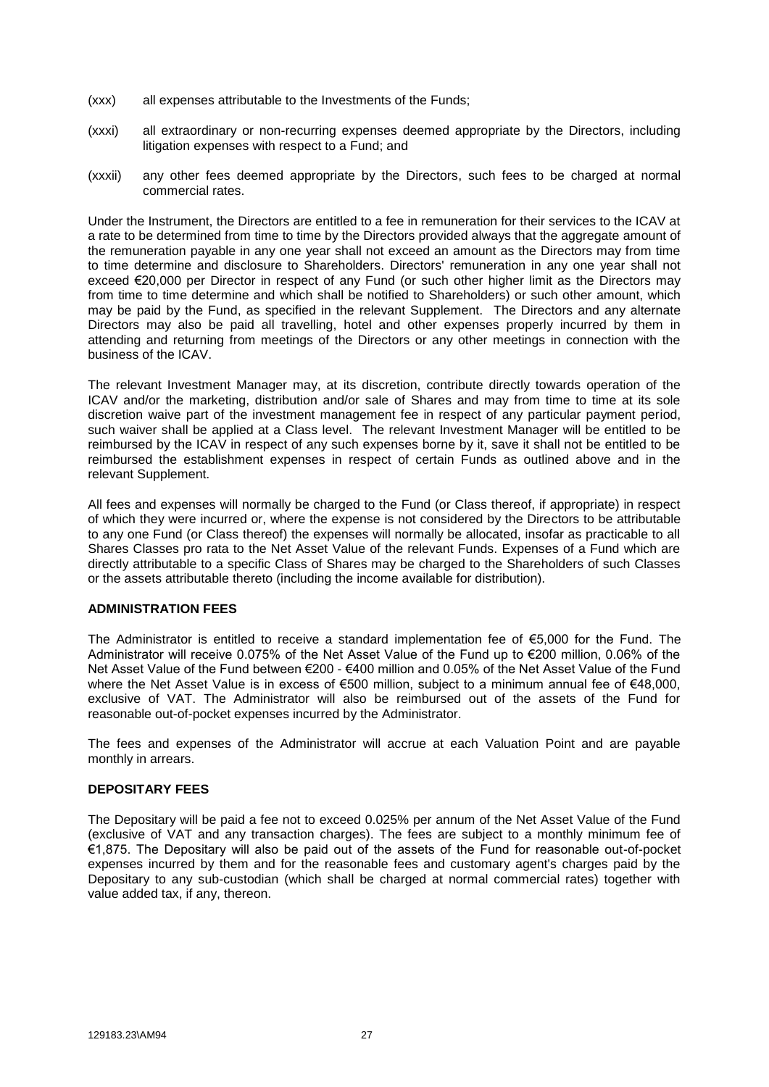- (xxx) all expenses attributable to the Investments of the Funds;
- (xxxi) all extraordinary or non-recurring expenses deemed appropriate by the Directors, including litigation expenses with respect to a Fund; and
- (xxxii) any other fees deemed appropriate by the Directors, such fees to be charged at normal commercial rates.

Under the Instrument, the Directors are entitled to a fee in remuneration for their services to the ICAV at a rate to be determined from time to time by the Directors provided always that the aggregate amount of the remuneration payable in any one year shall not exceed an amount as the Directors may from time to time determine and disclosure to Shareholders. Directors' remuneration in any one year shall not exceed €20,000 per Director in respect of any Fund (or such other higher limit as the Directors may from time to time determine and which shall be notified to Shareholders) or such other amount, which may be paid by the Fund, as specified in the relevant Supplement. The Directors and any alternate Directors may also be paid all travelling, hotel and other expenses properly incurred by them in attending and returning from meetings of the Directors or any other meetings in connection with the business of the ICAV.

The relevant Investment Manager may, at its discretion, contribute directly towards operation of the ICAV and/or the marketing, distribution and/or sale of Shares and may from time to time at its sole discretion waive part of the investment management fee in respect of any particular payment period, such waiver shall be applied at a Class level. The relevant Investment Manager will be entitled to be reimbursed by the ICAV in respect of any such expenses borne by it, save it shall not be entitled to be reimbursed the establishment expenses in respect of certain Funds as outlined above and in the relevant Supplement.

All fees and expenses will normally be charged to the Fund (or Class thereof, if appropriate) in respect of which they were incurred or, where the expense is not considered by the Directors to be attributable to any one Fund (or Class thereof) the expenses will normally be allocated, insofar as practicable to all Shares Classes pro rata to the Net Asset Value of the relevant Funds. Expenses of a Fund which are directly attributable to a specific Class of Shares may be charged to the Shareholders of such Classes or the assets attributable thereto (including the income available for distribution).

#### **ADMINISTRATION FEES**

The Administrator is entitled to receive a standard implementation fee of €5,000 for the Fund. The Administrator will receive 0.075% of the Net Asset Value of the Fund up to €200 million, 0.06% of the Net Asset Value of the Fund between €200 - €400 million and 0.05% of the Net Asset Value of the Fund where the Net Asset Value is in excess of €500 million, subject to a minimum annual fee of €48,000, exclusive of VAT. The Administrator will also be reimbursed out of the assets of the Fund for reasonable out-of-pocket expenses incurred by the Administrator.

The fees and expenses of the Administrator will accrue at each Valuation Point and are payable monthly in arrears.

### **DEPOSITARY FEES**

The Depositary will be paid a fee not to exceed 0.025% per annum of the Net Asset Value of the Fund (exclusive of VAT and any transaction charges). The fees are subject to a monthly minimum fee of €1,875. The Depositary will also be paid out of the assets of the Fund for reasonable out-of-pocket expenses incurred by them and for the reasonable fees and customary agent's charges paid by the Depositary to any sub-custodian (which shall be charged at normal commercial rates) together with value added tax, if any, thereon.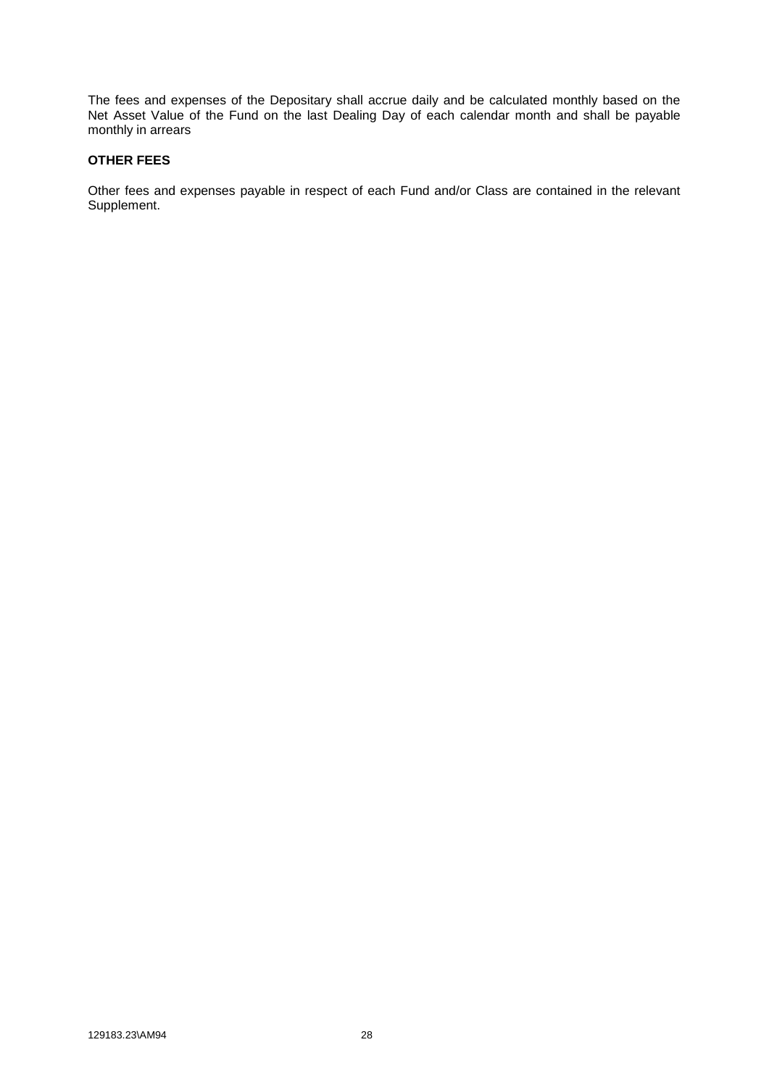The fees and expenses of the Depositary shall accrue daily and be calculated monthly based on the Net Asset Value of the Fund on the last Dealing Day of each calendar month and shall be payable monthly in arrears

#### **OTHER FEES**

Other fees and expenses payable in respect of each Fund and/or Class are contained in the relevant Supplement.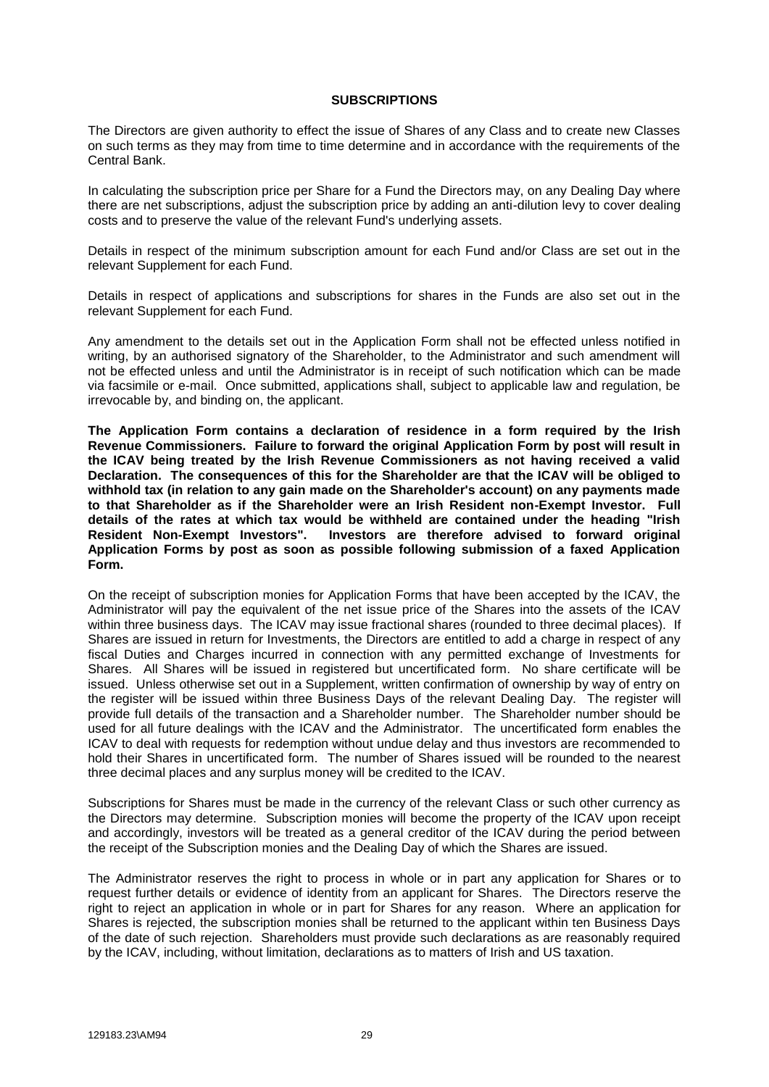#### **SUBSCRIPTIONS**

<span id="page-35-0"></span>The Directors are given authority to effect the issue of Shares of any Class and to create new Classes on such terms as they may from time to time determine and in accordance with the requirements of the Central Bank.

In calculating the subscription price per Share for a Fund the Directors may, on any Dealing Day where there are net subscriptions, adjust the subscription price by adding an anti-dilution levy to cover dealing costs and to preserve the value of the relevant Fund's underlying assets.

Details in respect of the minimum subscription amount for each Fund and/or Class are set out in the relevant Supplement for each Fund.

Details in respect of applications and subscriptions for shares in the Funds are also set out in the relevant Supplement for each Fund.

Any amendment to the details set out in the Application Form shall not be effected unless notified in writing, by an authorised signatory of the Shareholder, to the Administrator and such amendment will not be effected unless and until the Administrator is in receipt of such notification which can be made via facsimile or e-mail. Once submitted, applications shall, subject to applicable law and regulation, be irrevocable by, and binding on, the applicant.

**The Application Form contains a declaration of residence in a form required by the Irish Revenue Commissioners. Failure to forward the original Application Form by post will result in the ICAV being treated by the Irish Revenue Commissioners as not having received a valid Declaration. The consequences of this for the Shareholder are that the ICAV will be obliged to withhold tax (in relation to any gain made on the Shareholder's account) on any payments made to that Shareholder as if the Shareholder were an Irish Resident non-Exempt Investor. Full details of the rates at which tax would be withheld are contained under the heading "Irish Resident Non-Exempt Investors". Investors are therefore advised to forward original Application Forms by post as soon as possible following submission of a faxed Application Form.**

On the receipt of subscription monies for Application Forms that have been accepted by the ICAV, the Administrator will pay the equivalent of the net issue price of the Shares into the assets of the ICAV within three business days. The ICAV may issue fractional shares (rounded to three decimal places). If Shares are issued in return for Investments, the Directors are entitled to add a charge in respect of any fiscal Duties and Charges incurred in connection with any permitted exchange of Investments for Shares. All Shares will be issued in registered but uncertificated form. No share certificate will be issued. Unless otherwise set out in a Supplement, written confirmation of ownership by way of entry on the register will be issued within three Business Days of the relevant Dealing Day. The register will provide full details of the transaction and a Shareholder number. The Shareholder number should be used for all future dealings with the ICAV and the Administrator. The uncertificated form enables the ICAV to deal with requests for redemption without undue delay and thus investors are recommended to hold their Shares in uncertificated form. The number of Shares issued will be rounded to the nearest three decimal places and any surplus money will be credited to the ICAV.

Subscriptions for Shares must be made in the currency of the relevant Class or such other currency as the Directors may determine. Subscription monies will become the property of the ICAV upon receipt and accordingly, investors will be treated as a general creditor of the ICAV during the period between the receipt of the Subscription monies and the Dealing Day of which the Shares are issued.

The Administrator reserves the right to process in whole or in part any application for Shares or to request further details or evidence of identity from an applicant for Shares. The Directors reserve the right to reject an application in whole or in part for Shares for any reason. Where an application for Shares is rejected, the subscription monies shall be returned to the applicant within ten Business Days of the date of such rejection. Shareholders must provide such declarations as are reasonably required by the ICAV, including, without limitation, declarations as to matters of Irish and US taxation.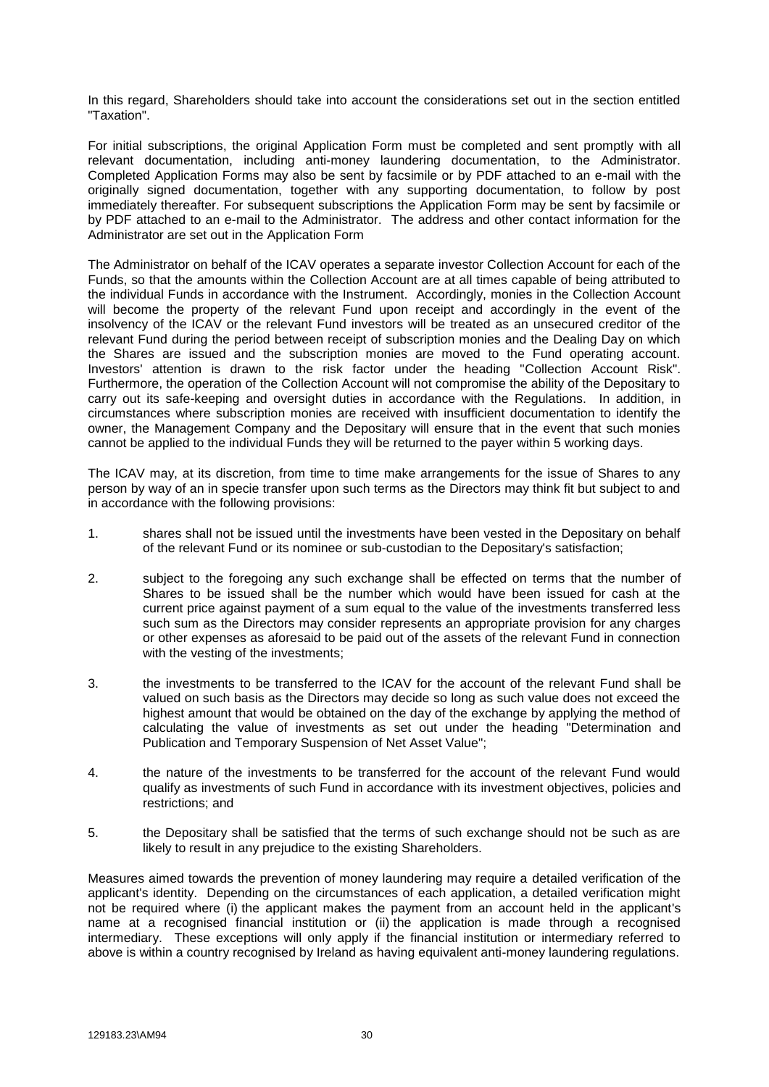In this regard, Shareholders should take into account the considerations set out in the section entitled "Taxation".

For initial subscriptions, the original Application Form must be completed and sent promptly with all relevant documentation, including anti-money laundering documentation, to the Administrator. Completed Application Forms may also be sent by facsimile or by PDF attached to an e-mail with the originally signed documentation, together with any supporting documentation, to follow by post immediately thereafter. For subsequent subscriptions the Application Form may be sent by facsimile or by PDF attached to an e-mail to the Administrator. The address and other contact information for the Administrator are set out in the Application Form

The Administrator on behalf of the ICAV operates a separate investor Collection Account for each of the Funds, so that the amounts within the Collection Account are at all times capable of being attributed to the individual Funds in accordance with the Instrument. Accordingly, monies in the Collection Account will become the property of the relevant Fund upon receipt and accordingly in the event of the insolvency of the ICAV or the relevant Fund investors will be treated as an unsecured creditor of the relevant Fund during the period between receipt of subscription monies and the Dealing Day on which the Shares are issued and the subscription monies are moved to the Fund operating account. Investors' attention is drawn to the risk factor under the heading "Collection Account Risk". Furthermore, the operation of the Collection Account will not compromise the ability of the Depositary to carry out its safe-keeping and oversight duties in accordance with the Regulations. In addition, in circumstances where subscription monies are received with insufficient documentation to identify the owner, the Management Company and the Depositary will ensure that in the event that such monies cannot be applied to the individual Funds they will be returned to the payer within 5 working days.

The ICAV may, at its discretion, from time to time make arrangements for the issue of Shares to any person by way of an in specie transfer upon such terms as the Directors may think fit but subject to and in accordance with the following provisions:

- 1. shares shall not be issued until the investments have been vested in the Depositary on behalf of the relevant Fund or its nominee or sub-custodian to the Depositary's satisfaction;
- 2. subject to the foregoing any such exchange shall be effected on terms that the number of Shares to be issued shall be the number which would have been issued for cash at the current price against payment of a sum equal to the value of the investments transferred less such sum as the Directors may consider represents an appropriate provision for any charges or other expenses as aforesaid to be paid out of the assets of the relevant Fund in connection with the vesting of the investments;
- 3. the investments to be transferred to the ICAV for the account of the relevant Fund shall be valued on such basis as the Directors may decide so long as such value does not exceed the highest amount that would be obtained on the day of the exchange by applying the method of calculating the value of investments as set out under the heading "Determination and Publication and Temporary Suspension of Net Asset Value";
- 4. the nature of the investments to be transferred for the account of the relevant Fund would qualify as investments of such Fund in accordance with its investment objectives, policies and restrictions; and
- 5. the Depositary shall be satisfied that the terms of such exchange should not be such as are likely to result in any prejudice to the existing Shareholders.

Measures aimed towards the prevention of money laundering may require a detailed verification of the applicant's identity. Depending on the circumstances of each application, a detailed verification might not be required where (i) the applicant makes the payment from an account held in the applicant's name at a recognised financial institution or (ii) the application is made through a recognised intermediary. These exceptions will only apply if the financial institution or intermediary referred to above is within a country recognised by Ireland as having equivalent anti-money laundering regulations.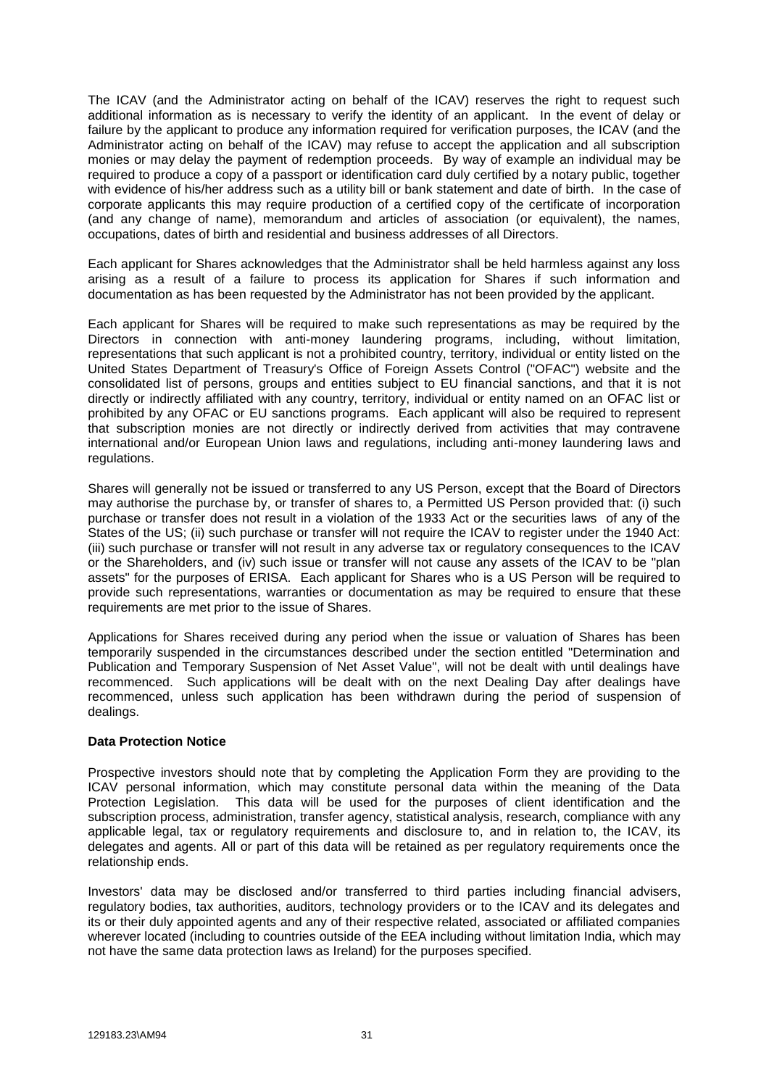The ICAV (and the Administrator acting on behalf of the ICAV) reserves the right to request such additional information as is necessary to verify the identity of an applicant. In the event of delay or failure by the applicant to produce any information required for verification purposes, the ICAV (and the Administrator acting on behalf of the ICAV) may refuse to accept the application and all subscription monies or may delay the payment of redemption proceeds. By way of example an individual may be required to produce a copy of a passport or identification card duly certified by a notary public, together with evidence of his/her address such as a utility bill or bank statement and date of birth. In the case of corporate applicants this may require production of a certified copy of the certificate of incorporation (and any change of name), memorandum and articles of association (or equivalent), the names, occupations, dates of birth and residential and business addresses of all Directors.

Each applicant for Shares acknowledges that the Administrator shall be held harmless against any loss arising as a result of a failure to process its application for Shares if such information and documentation as has been requested by the Administrator has not been provided by the applicant.

Each applicant for Shares will be required to make such representations as may be required by the Directors in connection with anti-money laundering programs, including, without limitation, representations that such applicant is not a prohibited country, territory, individual or entity listed on the United States Department of Treasury's Office of Foreign Assets Control ("OFAC") website and the consolidated list of persons, groups and entities subject to EU financial sanctions, and that it is not directly or indirectly affiliated with any country, territory, individual or entity named on an OFAC list or prohibited by any OFAC or EU sanctions programs. Each applicant will also be required to represent that subscription monies are not directly or indirectly derived from activities that may contravene international and/or European Union laws and regulations, including anti-money laundering laws and regulations.

Shares will generally not be issued or transferred to any US Person, except that the Board of Directors may authorise the purchase by, or transfer of shares to, a Permitted US Person provided that: (i) such purchase or transfer does not result in a violation of the 1933 Act or the securities laws of any of the States of the US; (ii) such purchase or transfer will not require the ICAV to register under the 1940 Act: (iii) such purchase or transfer will not result in any adverse tax or regulatory consequences to the ICAV or the Shareholders, and (iv) such issue or transfer will not cause any assets of the ICAV to be "plan assets" for the purposes of ERISA. Each applicant for Shares who is a US Person will be required to provide such representations, warranties or documentation as may be required to ensure that these requirements are met prior to the issue of Shares.

Applications for Shares received during any period when the issue or valuation of Shares has been temporarily suspended in the circumstances described under the section entitled "Determination and Publication and Temporary Suspension of Net Asset Value", will not be dealt with until dealings have recommenced. Such applications will be dealt with on the next Dealing Day after dealings have recommenced, unless such application has been withdrawn during the period of suspension of dealings.

#### **Data Protection Notice**

Prospective investors should note that by completing the Application Form they are providing to the ICAV personal information, which may constitute personal data within the meaning of the Data Protection Legislation. This data will be used for the purposes of client identification and the subscription process, administration, transfer agency, statistical analysis, research, compliance with any applicable legal, tax or regulatory requirements and disclosure to, and in relation to, the ICAV, its delegates and agents. All or part of this data will be retained as per regulatory requirements once the relationship ends.

Investors' data may be disclosed and/or transferred to third parties including financial advisers, regulatory bodies, tax authorities, auditors, technology providers or to the ICAV and its delegates and its or their duly appointed agents and any of their respective related, associated or affiliated companies wherever located (including to countries outside of the EEA including without limitation India, which may not have the same data protection laws as Ireland) for the purposes specified.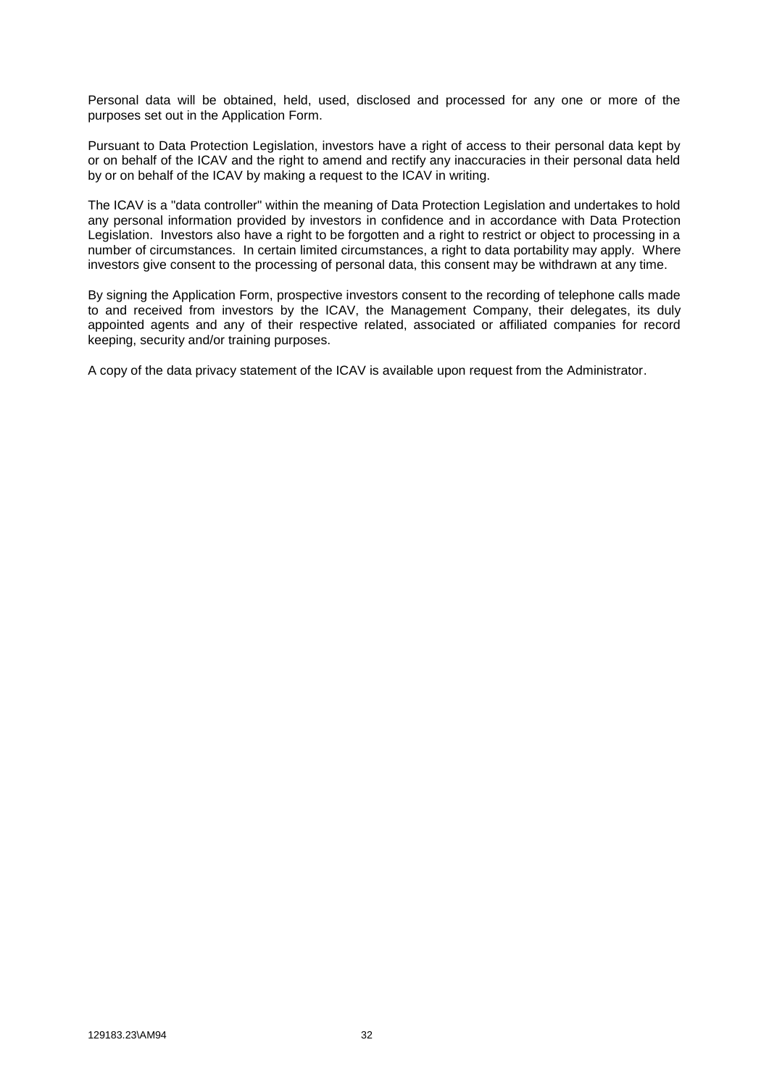Personal data will be obtained, held, used, disclosed and processed for any one or more of the purposes set out in the Application Form.

Pursuant to Data Protection Legislation, investors have a right of access to their personal data kept by or on behalf of the ICAV and the right to amend and rectify any inaccuracies in their personal data held by or on behalf of the ICAV by making a request to the ICAV in writing.

The ICAV is a "data controller" within the meaning of Data Protection Legislation and undertakes to hold any personal information provided by investors in confidence and in accordance with Data Protection Legislation. Investors also have a right to be forgotten and a right to restrict or object to processing in a number of circumstances. In certain limited circumstances, a right to data portability may apply. Where investors give consent to the processing of personal data, this consent may be withdrawn at any time.

By signing the Application Form, prospective investors consent to the recording of telephone calls made to and received from investors by the ICAV, the Management Company, their delegates, its duly appointed agents and any of their respective related, associated or affiliated companies for record keeping, security and/or training purposes.

A copy of the data privacy statement of the ICAV is available upon request from the Administrator.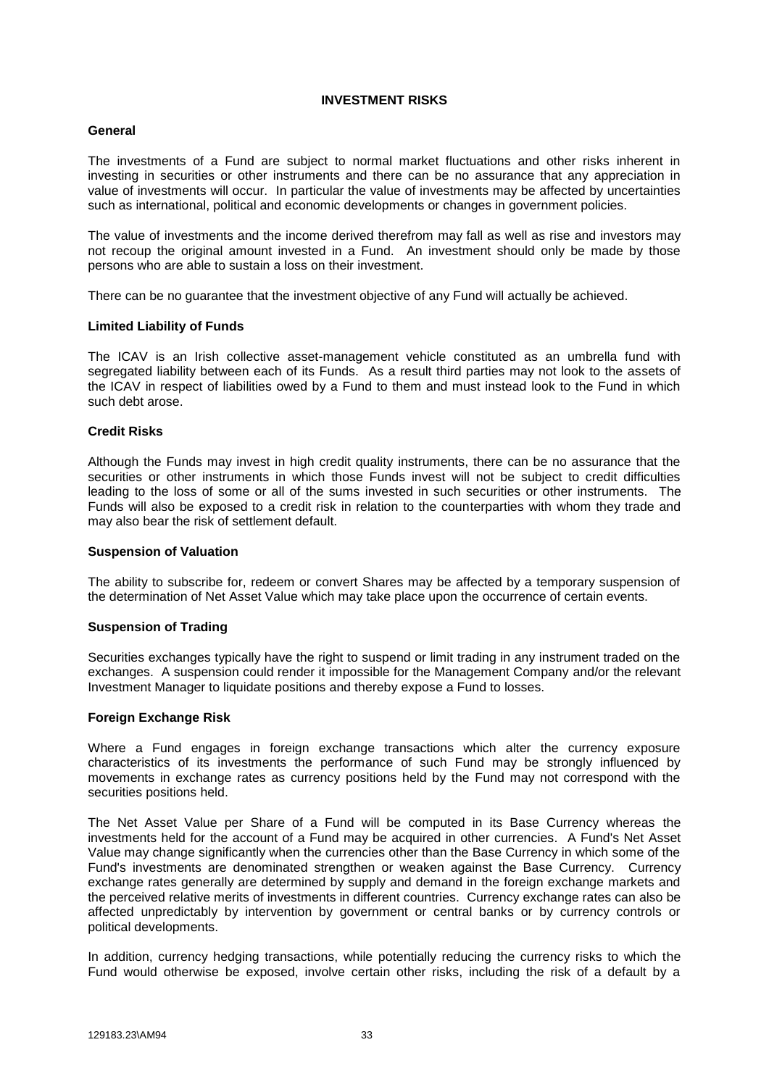### **INVESTMENT RISKS**

## **General**

The investments of a Fund are subject to normal market fluctuations and other risks inherent in investing in securities or other instruments and there can be no assurance that any appreciation in value of investments will occur. In particular the value of investments may be affected by uncertainties such as international, political and economic developments or changes in government policies.

The value of investments and the income derived therefrom may fall as well as rise and investors may not recoup the original amount invested in a Fund. An investment should only be made by those persons who are able to sustain a loss on their investment.

There can be no guarantee that the investment objective of any Fund will actually be achieved.

## **Limited Liability of Funds**

The ICAV is an Irish collective asset-management vehicle constituted as an umbrella fund with segregated liability between each of its Funds. As a result third parties may not look to the assets of the ICAV in respect of liabilities owed by a Fund to them and must instead look to the Fund in which such debt arose.

## **Credit Risks**

Although the Funds may invest in high credit quality instruments, there can be no assurance that the securities or other instruments in which those Funds invest will not be subject to credit difficulties leading to the loss of some or all of the sums invested in such securities or other instruments. The Funds will also be exposed to a credit risk in relation to the counterparties with whom they trade and may also bear the risk of settlement default.

#### **Suspension of Valuation**

The ability to subscribe for, redeem or convert Shares may be affected by a temporary suspension of the determination of Net Asset Value which may take place upon the occurrence of certain events.

#### **Suspension of Trading**

Securities exchanges typically have the right to suspend or limit trading in any instrument traded on the exchanges. A suspension could render it impossible for the Management Company and/or the relevant Investment Manager to liquidate positions and thereby expose a Fund to losses.

#### **Foreign Exchange Risk**

Where a Fund engages in foreign exchange transactions which alter the currency exposure characteristics of its investments the performance of such Fund may be strongly influenced by movements in exchange rates as currency positions held by the Fund may not correspond with the securities positions held.

The Net Asset Value per Share of a Fund will be computed in its Base Currency whereas the investments held for the account of a Fund may be acquired in other currencies. A Fund's Net Asset Value may change significantly when the currencies other than the Base Currency in which some of the Fund's investments are denominated strengthen or weaken against the Base Currency. Currency exchange rates generally are determined by supply and demand in the foreign exchange markets and the perceived relative merits of investments in different countries. Currency exchange rates can also be affected unpredictably by intervention by government or central banks or by currency controls or political developments.

In addition, currency hedging transactions, while potentially reducing the currency risks to which the Fund would otherwise be exposed, involve certain other risks, including the risk of a default by a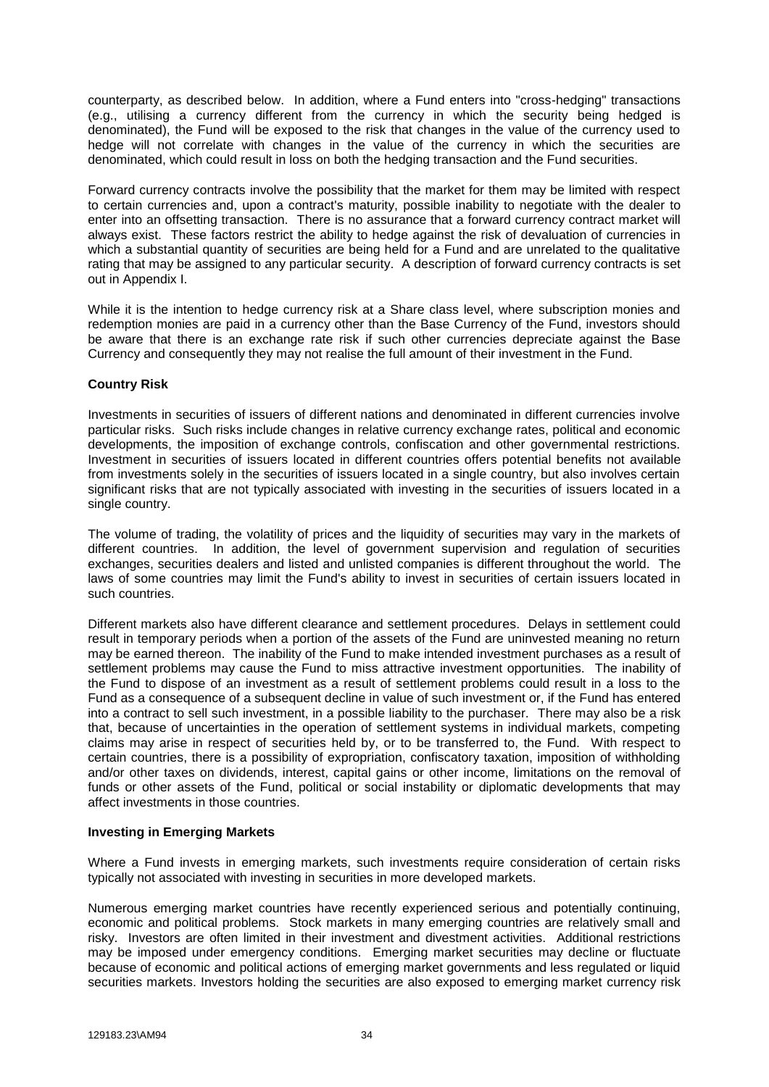counterparty, as described below. In addition, where a Fund enters into "cross-hedging" transactions (e.g., utilising a currency different from the currency in which the security being hedged is denominated), the Fund will be exposed to the risk that changes in the value of the currency used to hedge will not correlate with changes in the value of the currency in which the securities are denominated, which could result in loss on both the hedging transaction and the Fund securities.

Forward currency contracts involve the possibility that the market for them may be limited with respect to certain currencies and, upon a contract's maturity, possible inability to negotiate with the dealer to enter into an offsetting transaction. There is no assurance that a forward currency contract market will always exist. These factors restrict the ability to hedge against the risk of devaluation of currencies in which a substantial quantity of securities are being held for a Fund and are unrelated to the qualitative rating that may be assigned to any particular security. A description of forward currency contracts is set out in Appendix I.

While it is the intention to hedge currency risk at a Share class level, where subscription monies and redemption monies are paid in a currency other than the Base Currency of the Fund, investors should be aware that there is an exchange rate risk if such other currencies depreciate against the Base Currency and consequently they may not realise the full amount of their investment in the Fund.

## **Country Risk**

Investments in securities of issuers of different nations and denominated in different currencies involve particular risks. Such risks include changes in relative currency exchange rates, political and economic developments, the imposition of exchange controls, confiscation and other governmental restrictions. Investment in securities of issuers located in different countries offers potential benefits not available from investments solely in the securities of issuers located in a single country, but also involves certain significant risks that are not typically associated with investing in the securities of issuers located in a single country.

The volume of trading, the volatility of prices and the liquidity of securities may vary in the markets of different countries. In addition, the level of government supervision and regulation of securities exchanges, securities dealers and listed and unlisted companies is different throughout the world. The laws of some countries may limit the Fund's ability to invest in securities of certain issuers located in such countries.

Different markets also have different clearance and settlement procedures. Delays in settlement could result in temporary periods when a portion of the assets of the Fund are uninvested meaning no return may be earned thereon. The inability of the Fund to make intended investment purchases as a result of settlement problems may cause the Fund to miss attractive investment opportunities. The inability of the Fund to dispose of an investment as a result of settlement problems could result in a loss to the Fund as a consequence of a subsequent decline in value of such investment or, if the Fund has entered into a contract to sell such investment, in a possible liability to the purchaser. There may also be a risk that, because of uncertainties in the operation of settlement systems in individual markets, competing claims may arise in respect of securities held by, or to be transferred to, the Fund. With respect to certain countries, there is a possibility of expropriation, confiscatory taxation, imposition of withholding and/or other taxes on dividends, interest, capital gains or other income, limitations on the removal of funds or other assets of the Fund, political or social instability or diplomatic developments that may affect investments in those countries.

#### **Investing in Emerging Markets**

Where a Fund invests in emerging markets, such investments require consideration of certain risks typically not associated with investing in securities in more developed markets.

Numerous emerging market countries have recently experienced serious and potentially continuing, economic and political problems. Stock markets in many emerging countries are relatively small and risky. Investors are often limited in their investment and divestment activities. Additional restrictions may be imposed under emergency conditions. Emerging market securities may decline or fluctuate because of economic and political actions of emerging market governments and less regulated or liquid securities markets. Investors holding the securities are also exposed to emerging market currency risk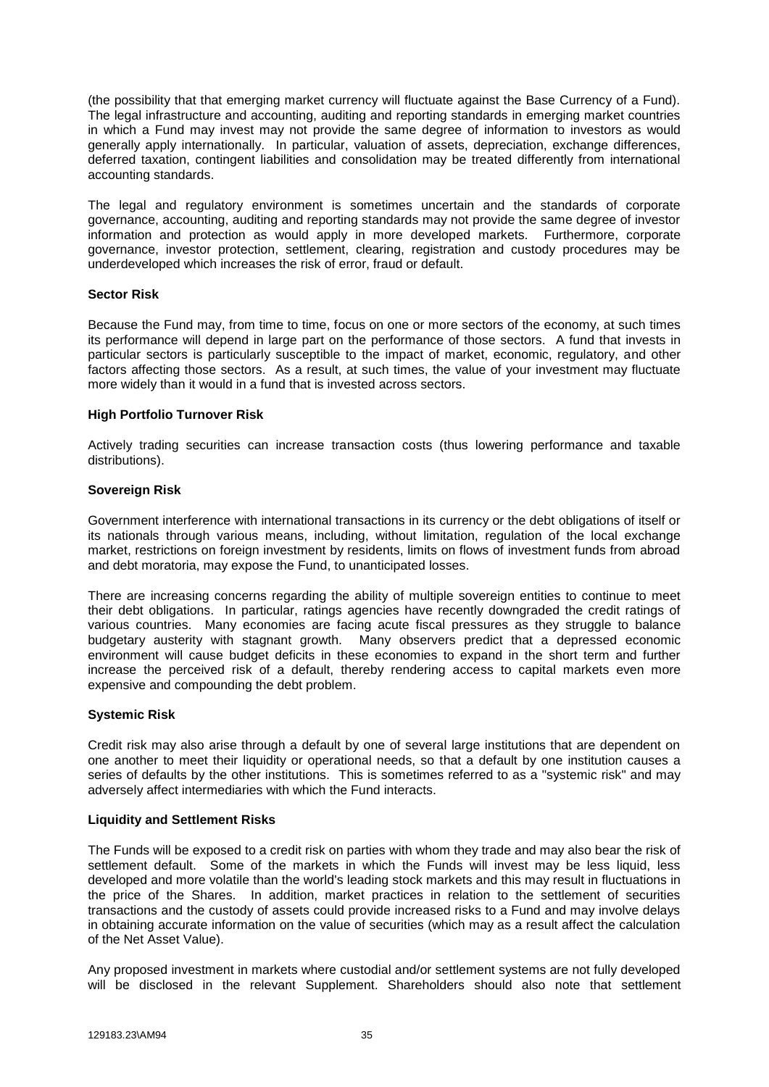(the possibility that that emerging market currency will fluctuate against the Base Currency of a Fund). The legal infrastructure and accounting, auditing and reporting standards in emerging market countries in which a Fund may invest may not provide the same degree of information to investors as would generally apply internationally. In particular, valuation of assets, depreciation, exchange differences, deferred taxation, contingent liabilities and consolidation may be treated differently from international accounting standards.

The legal and regulatory environment is sometimes uncertain and the standards of corporate governance, accounting, auditing and reporting standards may not provide the same degree of investor information and protection as would apply in more developed markets. Furthermore, corporate governance, investor protection, settlement, clearing, registration and custody procedures may be underdeveloped which increases the risk of error, fraud or default.

#### **Sector Risk**

Because the Fund may, from time to time, focus on one or more sectors of the economy, at such times its performance will depend in large part on the performance of those sectors. A fund that invests in particular sectors is particularly susceptible to the impact of market, economic, regulatory, and other factors affecting those sectors. As a result, at such times, the value of your investment may fluctuate more widely than it would in a fund that is invested across sectors.

## **High Portfolio Turnover Risk**

Actively trading securities can increase transaction costs (thus lowering performance and taxable distributions).

## **Sovereign Risk**

Government interference with international transactions in its currency or the debt obligations of itself or its nationals through various means, including, without limitation, regulation of the local exchange market, restrictions on foreign investment by residents, limits on flows of investment funds from abroad and debt moratoria, may expose the Fund, to unanticipated losses.

There are increasing concerns regarding the ability of multiple sovereign entities to continue to meet their debt obligations. In particular, ratings agencies have recently downgraded the credit ratings of various countries. Many economies are facing acute fiscal pressures as they struggle to balance budgetary austerity with stagnant growth. Many observers predict that a depressed economic environment will cause budget deficits in these economies to expand in the short term and further increase the perceived risk of a default, thereby rendering access to capital markets even more expensive and compounding the debt problem.

# **Systemic Risk**

Credit risk may also arise through a default by one of several large institutions that are dependent on one another to meet their liquidity or operational needs, so that a default by one institution causes a series of defaults by the other institutions. This is sometimes referred to as a "systemic risk" and may adversely affect intermediaries with which the Fund interacts.

#### **Liquidity and Settlement Risks**

The Funds will be exposed to a credit risk on parties with whom they trade and may also bear the risk of settlement default. Some of the markets in which the Funds will invest may be less liquid, less developed and more volatile than the world's leading stock markets and this may result in fluctuations in the price of the Shares. In addition, market practices in relation to the settlement of securities transactions and the custody of assets could provide increased risks to a Fund and may involve delays in obtaining accurate information on the value of securities (which may as a result affect the calculation of the Net Asset Value).

Any proposed investment in markets where custodial and/or settlement systems are not fully developed will be disclosed in the relevant Supplement. Shareholders should also note that settlement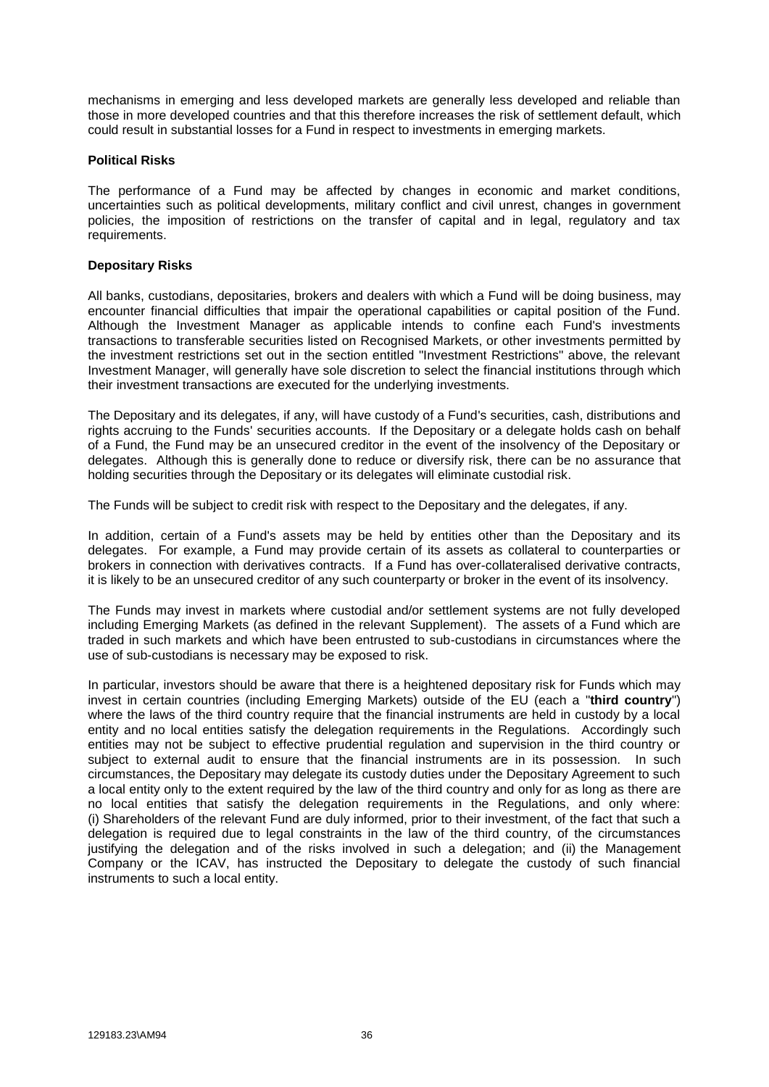mechanisms in emerging and less developed markets are generally less developed and reliable than those in more developed countries and that this therefore increases the risk of settlement default, which could result in substantial losses for a Fund in respect to investments in emerging markets.

### **Political Risks**

The performance of a Fund may be affected by changes in economic and market conditions, uncertainties such as political developments, military conflict and civil unrest, changes in government policies, the imposition of restrictions on the transfer of capital and in legal, regulatory and tax requirements.

### **Depositary Risks**

All banks, custodians, depositaries, brokers and dealers with which a Fund will be doing business, may encounter financial difficulties that impair the operational capabilities or capital position of the Fund. Although the Investment Manager as applicable intends to confine each Fund's investments transactions to transferable securities listed on Recognised Markets, or other investments permitted by the investment restrictions set out in the section entitled "Investment Restrictions" above, the relevant Investment Manager, will generally have sole discretion to select the financial institutions through which their investment transactions are executed for the underlying investments.

The Depositary and its delegates, if any, will have custody of a Fund's securities, cash, distributions and rights accruing to the Funds' securities accounts. If the Depositary or a delegate holds cash on behalf of a Fund, the Fund may be an unsecured creditor in the event of the insolvency of the Depositary or delegates. Although this is generally done to reduce or diversify risk, there can be no assurance that holding securities through the Depositary or its delegates will eliminate custodial risk.

The Funds will be subject to credit risk with respect to the Depositary and the delegates, if any.

In addition, certain of a Fund's assets may be held by entities other than the Depositary and its delegates. For example, a Fund may provide certain of its assets as collateral to counterparties or brokers in connection with derivatives contracts. If a Fund has over-collateralised derivative contracts, it is likely to be an unsecured creditor of any such counterparty or broker in the event of its insolvency.

The Funds may invest in markets where custodial and/or settlement systems are not fully developed including Emerging Markets (as defined in the relevant Supplement). The assets of a Fund which are traded in such markets and which have been entrusted to sub-custodians in circumstances where the use of sub-custodians is necessary may be exposed to risk.

In particular, investors should be aware that there is a heightened depositary risk for Funds which may invest in certain countries (including Emerging Markets) outside of the EU (each a "**third country**") where the laws of the third country require that the financial instruments are held in custody by a local entity and no local entities satisfy the delegation requirements in the Regulations. Accordingly such entities may not be subject to effective prudential regulation and supervision in the third country or subject to external audit to ensure that the financial instruments are in its possession. In such circumstances, the Depositary may delegate its custody duties under the Depositary Agreement to such a local entity only to the extent required by the law of the third country and only for as long as there are no local entities that satisfy the delegation requirements in the Regulations, and only where: (i) Shareholders of the relevant Fund are duly informed, prior to their investment, of the fact that such a delegation is required due to legal constraints in the law of the third country, of the circumstances justifying the delegation and of the risks involved in such a delegation; and (ii) the Management Company or the ICAV, has instructed the Depositary to delegate the custody of such financial instruments to such a local entity.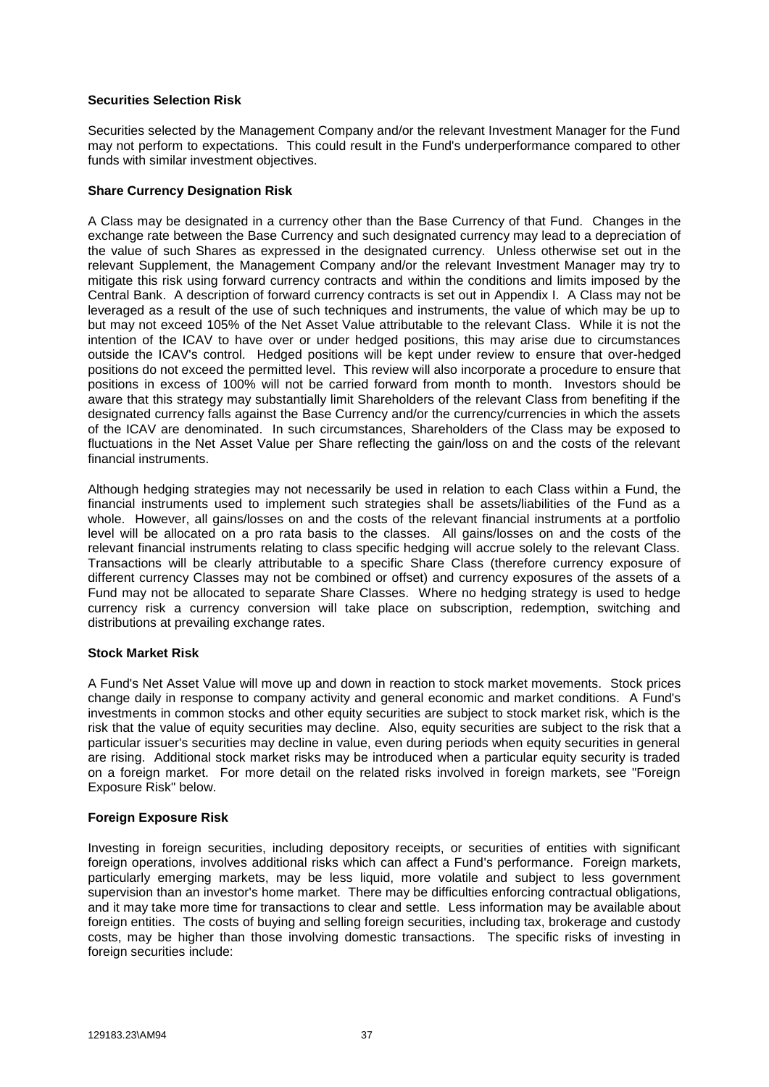## **Securities Selection Risk**

Securities selected by the Management Company and/or the relevant Investment Manager for the Fund may not perform to expectations. This could result in the Fund's underperformance compared to other funds with similar investment objectives.

## **Share Currency Designation Risk**

A Class may be designated in a currency other than the Base Currency of that Fund. Changes in the exchange rate between the Base Currency and such designated currency may lead to a depreciation of the value of such Shares as expressed in the designated currency. Unless otherwise set out in the relevant Supplement, the Management Company and/or the relevant Investment Manager may try to mitigate this risk using forward currency contracts and within the conditions and limits imposed by the Central Bank. A description of forward currency contracts is set out in Appendix I. A Class may not be leveraged as a result of the use of such techniques and instruments, the value of which may be up to but may not exceed 105% of the Net Asset Value attributable to the relevant Class. While it is not the intention of the ICAV to have over or under hedged positions, this may arise due to circumstances outside the ICAV's control. Hedged positions will be kept under review to ensure that over-hedged positions do not exceed the permitted level. This review will also incorporate a procedure to ensure that positions in excess of 100% will not be carried forward from month to month. Investors should be aware that this strategy may substantially limit Shareholders of the relevant Class from benefiting if the designated currency falls against the Base Currency and/or the currency/currencies in which the assets of the ICAV are denominated. In such circumstances, Shareholders of the Class may be exposed to fluctuations in the Net Asset Value per Share reflecting the gain/loss on and the costs of the relevant financial instruments.

Although hedging strategies may not necessarily be used in relation to each Class within a Fund, the financial instruments used to implement such strategies shall be assets/liabilities of the Fund as a whole. However, all gains/losses on and the costs of the relevant financial instruments at a portfolio level will be allocated on a pro rata basis to the classes. All gains/losses on and the costs of the relevant financial instruments relating to class specific hedging will accrue solely to the relevant Class. Transactions will be clearly attributable to a specific Share Class (therefore currency exposure of different currency Classes may not be combined or offset) and currency exposures of the assets of a Fund may not be allocated to separate Share Classes. Where no hedging strategy is used to hedge currency risk a currency conversion will take place on subscription, redemption, switching and distributions at prevailing exchange rates.

#### **Stock Market Risk**

A Fund's Net Asset Value will move up and down in reaction to stock market movements. Stock prices change daily in response to company activity and general economic and market conditions. A Fund's investments in common stocks and other equity securities are subject to stock market risk, which is the risk that the value of equity securities may decline. Also, equity securities are subject to the risk that a particular issuer's securities may decline in value, even during periods when equity securities in general are rising. Additional stock market risks may be introduced when a particular equity security is traded on a foreign market. For more detail on the related risks involved in foreign markets, see "Foreign Exposure Risk" below.

# **Foreign Exposure Risk**

Investing in foreign securities, including depository receipts, or securities of entities with significant foreign operations, involves additional risks which can affect a Fund's performance. Foreign markets, particularly emerging markets, may be less liquid, more volatile and subject to less government supervision than an investor's home market. There may be difficulties enforcing contractual obligations, and it may take more time for transactions to clear and settle. Less information may be available about foreign entities. The costs of buying and selling foreign securities, including tax, brokerage and custody costs, may be higher than those involving domestic transactions. The specific risks of investing in foreign securities include: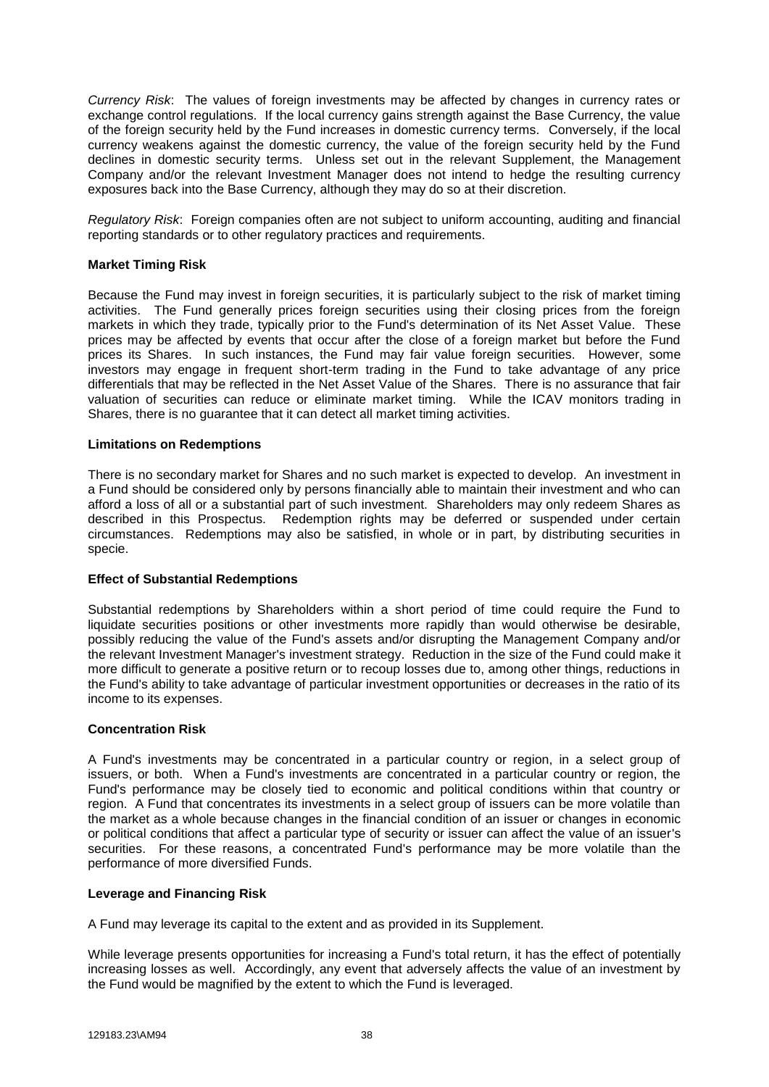*Currency Risk*: The values of foreign investments may be affected by changes in currency rates or exchange control regulations. If the local currency gains strength against the Base Currency, the value of the foreign security held by the Fund increases in domestic currency terms. Conversely, if the local currency weakens against the domestic currency, the value of the foreign security held by the Fund declines in domestic security terms. Unless set out in the relevant Supplement, the Management Company and/or the relevant Investment Manager does not intend to hedge the resulting currency exposures back into the Base Currency, although they may do so at their discretion.

*Regulatory Risk*: Foreign companies often are not subject to uniform accounting, auditing and financial reporting standards or to other regulatory practices and requirements.

## **Market Timing Risk**

Because the Fund may invest in foreign securities, it is particularly subject to the risk of market timing activities. The Fund generally prices foreign securities using their closing prices from the foreign markets in which they trade, typically prior to the Fund's determination of its Net Asset Value. These prices may be affected by events that occur after the close of a foreign market but before the Fund prices its Shares. In such instances, the Fund may fair value foreign securities. However, some investors may engage in frequent short-term trading in the Fund to take advantage of any price differentials that may be reflected in the Net Asset Value of the Shares. There is no assurance that fair valuation of securities can reduce or eliminate market timing. While the ICAV monitors trading in Shares, there is no guarantee that it can detect all market timing activities.

#### **Limitations on Redemptions**

There is no secondary market for Shares and no such market is expected to develop. An investment in a Fund should be considered only by persons financially able to maintain their investment and who can afford a loss of all or a substantial part of such investment. Shareholders may only redeem Shares as described in this Prospectus. Redemption rights may be deferred or suspended under certain circumstances. Redemptions may also be satisfied, in whole or in part, by distributing securities in specie.

#### **Effect of Substantial Redemptions**

Substantial redemptions by Shareholders within a short period of time could require the Fund to liquidate securities positions or other investments more rapidly than would otherwise be desirable, possibly reducing the value of the Fund's assets and/or disrupting the Management Company and/or the relevant Investment Manager's investment strategy. Reduction in the size of the Fund could make it more difficult to generate a positive return or to recoup losses due to, among other things, reductions in the Fund's ability to take advantage of particular investment opportunities or decreases in the ratio of its income to its expenses.

#### **Concentration Risk**

A Fund's investments may be concentrated in a particular country or region, in a select group of issuers, or both. When a Fund's investments are concentrated in a particular country or region, the Fund's performance may be closely tied to economic and political conditions within that country or region. A Fund that concentrates its investments in a select group of issuers can be more volatile than the market as a whole because changes in the financial condition of an issuer or changes in economic or political conditions that affect a particular type of security or issuer can affect the value of an issuer's securities. For these reasons, a concentrated Fund's performance may be more volatile than the performance of more diversified Funds.

#### **Leverage and Financing Risk**

A Fund may leverage its capital to the extent and as provided in its Supplement.

While leverage presents opportunities for increasing a Fund's total return, it has the effect of potentially increasing losses as well. Accordingly, any event that adversely affects the value of an investment by the Fund would be magnified by the extent to which the Fund is leveraged.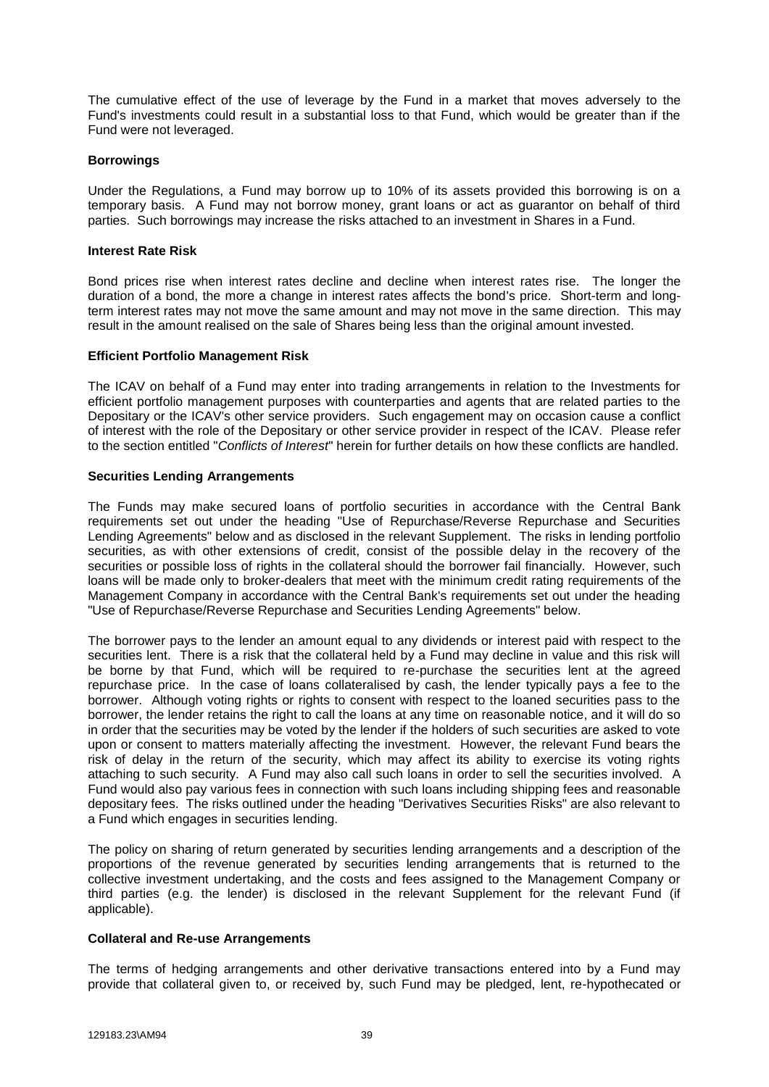The cumulative effect of the use of leverage by the Fund in a market that moves adversely to the Fund's investments could result in a substantial loss to that Fund, which would be greater than if the Fund were not leveraged.

#### **Borrowings**

Under the Regulations, a Fund may borrow up to 10% of its assets provided this borrowing is on a temporary basis. A Fund may not borrow money, grant loans or act as guarantor on behalf of third parties. Such borrowings may increase the risks attached to an investment in Shares in a Fund.

#### **Interest Rate Risk**

Bond prices rise when interest rates decline and decline when interest rates rise. The longer the duration of a bond, the more a change in interest rates affects the bond's price. Short-term and longterm interest rates may not move the same amount and may not move in the same direction. This may result in the amount realised on the sale of Shares being less than the original amount invested.

## **Efficient Portfolio Management Risk**

The ICAV on behalf of a Fund may enter into trading arrangements in relation to the Investments for efficient portfolio management purposes with counterparties and agents that are related parties to the Depositary or the ICAV's other service providers. Such engagement may on occasion cause a conflict of interest with the role of the Depositary or other service provider in respect of the ICAV. Please refer to the section entitled "*Conflicts of Interest*" herein for further details on how these conflicts are handled.

## **Securities Lending Arrangements**

The Funds may make secured loans of portfolio securities in accordance with the Central Bank requirements set out under the heading "Use of Repurchase/Reverse Repurchase and Securities Lending Agreements" below and as disclosed in the relevant Supplement. The risks in lending portfolio securities, as with other extensions of credit, consist of the possible delay in the recovery of the securities or possible loss of rights in the collateral should the borrower fail financially. However, such loans will be made only to broker-dealers that meet with the minimum credit rating requirements of the Management Company in accordance with the Central Bank's requirements set out under the heading "Use of Repurchase/Reverse Repurchase and Securities Lending Agreements" below.

The borrower pays to the lender an amount equal to any dividends or interest paid with respect to the securities lent. There is a risk that the collateral held by a Fund may decline in value and this risk will be borne by that Fund, which will be required to re-purchase the securities lent at the agreed repurchase price. In the case of loans collateralised by cash, the lender typically pays a fee to the borrower. Although voting rights or rights to consent with respect to the loaned securities pass to the borrower, the lender retains the right to call the loans at any time on reasonable notice, and it will do so in order that the securities may be voted by the lender if the holders of such securities are asked to vote upon or consent to matters materially affecting the investment. However, the relevant Fund bears the risk of delay in the return of the security, which may affect its ability to exercise its voting rights attaching to such security. A Fund may also call such loans in order to sell the securities involved. A Fund would also pay various fees in connection with such loans including shipping fees and reasonable depositary fees. The risks outlined under the heading "Derivatives Securities Risks" are also relevant to a Fund which engages in securities lending.

The policy on sharing of return generated by securities lending arrangements and a description of the proportions of the revenue generated by securities lending arrangements that is returned to the collective investment undertaking, and the costs and fees assigned to the Management Company or third parties (e.g. the lender) is disclosed in the relevant Supplement for the relevant Fund (if applicable).

# **Collateral and Re-use Arrangements**

The terms of hedging arrangements and other derivative transactions entered into by a Fund may provide that collateral given to, or received by, such Fund may be pledged, lent, re-hypothecated or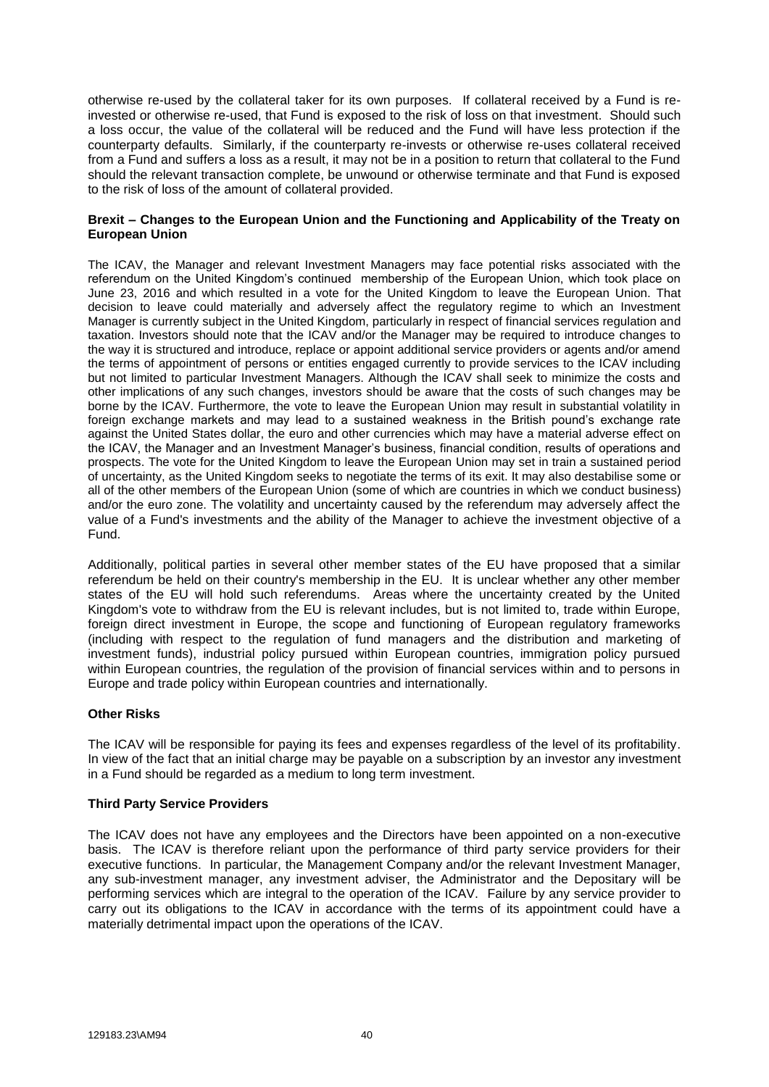otherwise re-used by the collateral taker for its own purposes. If collateral received by a Fund is reinvested or otherwise re-used, that Fund is exposed to the risk of loss on that investment. Should such a loss occur, the value of the collateral will be reduced and the Fund will have less protection if the counterparty defaults. Similarly, if the counterparty re-invests or otherwise re-uses collateral received from a Fund and suffers a loss as a result, it may not be in a position to return that collateral to the Fund should the relevant transaction complete, be unwound or otherwise terminate and that Fund is exposed to the risk of loss of the amount of collateral provided.

### **Brexit – Changes to the European Union and the Functioning and Applicability of the Treaty on European Union**

The ICAV, the Manager and relevant Investment Managers may face potential risks associated with the referendum on the United Kingdom's continued membership of the European Union, which took place on June 23, 2016 and which resulted in a vote for the United Kingdom to leave the European Union. That decision to leave could materially and adversely affect the regulatory regime to which an Investment Manager is currently subject in the United Kingdom, particularly in respect of financial services regulation and taxation. Investors should note that the ICAV and/or the Manager may be required to introduce changes to the way it is structured and introduce, replace or appoint additional service providers or agents and/or amend the terms of appointment of persons or entities engaged currently to provide services to the ICAV including but not limited to particular Investment Managers. Although the ICAV shall seek to minimize the costs and other implications of any such changes, investors should be aware that the costs of such changes may be borne by the ICAV. Furthermore, the vote to leave the European Union may result in substantial volatility in foreign exchange markets and may lead to a sustained weakness in the British pound's exchange rate against the United States dollar, the euro and other currencies which may have a material adverse effect on the ICAV, the Manager and an Investment Manager's business, financial condition, results of operations and prospects. The vote for the United Kingdom to leave the European Union may set in train a sustained period of uncertainty, as the United Kingdom seeks to negotiate the terms of its exit. It may also destabilise some or all of the other members of the European Union (some of which are countries in which we conduct business) and/or the euro zone. The volatility and uncertainty caused by the referendum may adversely affect the value of a Fund's investments and the ability of the Manager to achieve the investment objective of a Fund.

Additionally, political parties in several other member states of the EU have proposed that a similar referendum be held on their country's membership in the EU. It is unclear whether any other member states of the EU will hold such referendums. Areas where the uncertainty created by the United Kingdom's vote to withdraw from the EU is relevant includes, but is not limited to, trade within Europe, foreign direct investment in Europe, the scope and functioning of European regulatory frameworks (including with respect to the regulation of fund managers and the distribution and marketing of investment funds), industrial policy pursued within European countries, immigration policy pursued within European countries, the regulation of the provision of financial services within and to persons in Europe and trade policy within European countries and internationally.

# **Other Risks**

The ICAV will be responsible for paying its fees and expenses regardless of the level of its profitability. In view of the fact that an initial charge may be payable on a subscription by an investor any investment in a Fund should be regarded as a medium to long term investment.

#### **Third Party Service Providers**

The ICAV does not have any employees and the Directors have been appointed on a non-executive basis. The ICAV is therefore reliant upon the performance of third party service providers for their executive functions. In particular, the Management Company and/or the relevant Investment Manager, any sub-investment manager, any investment adviser, the Administrator and the Depositary will be performing services which are integral to the operation of the ICAV. Failure by any service provider to carry out its obligations to the ICAV in accordance with the terms of its appointment could have a materially detrimental impact upon the operations of the ICAV.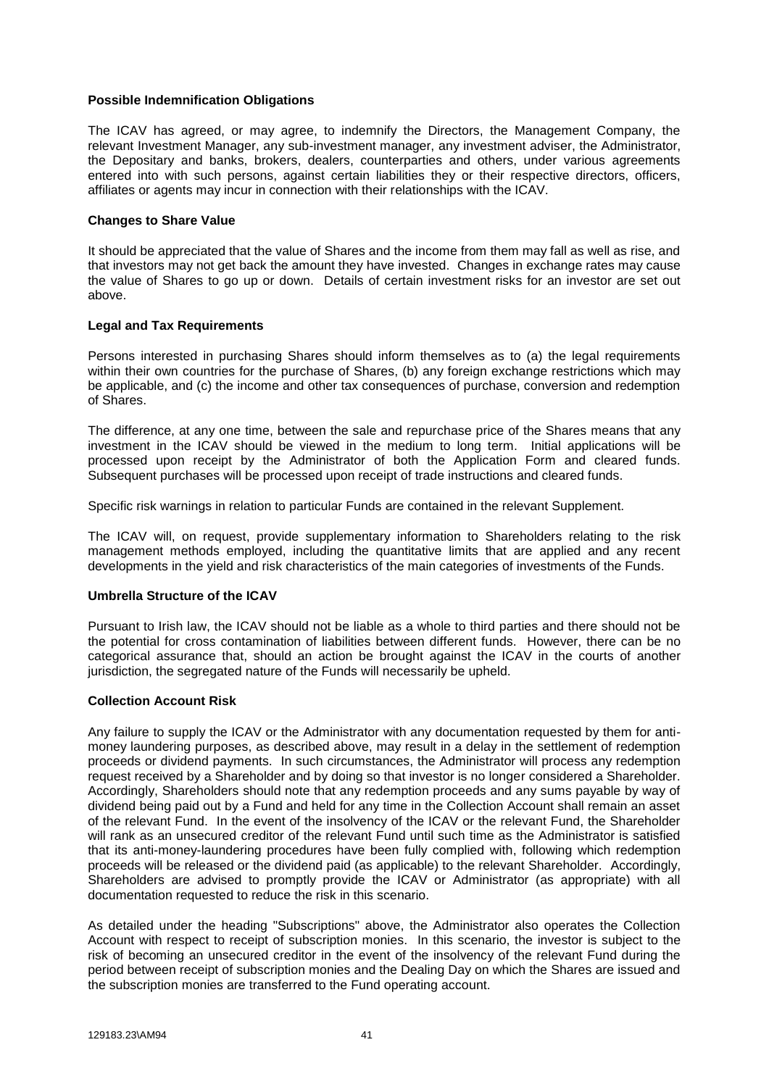### **Possible Indemnification Obligations**

The ICAV has agreed, or may agree, to indemnify the Directors, the Management Company, the relevant Investment Manager, any sub-investment manager, any investment adviser, the Administrator, the Depositary and banks, brokers, dealers, counterparties and others, under various agreements entered into with such persons, against certain liabilities they or their respective directors, officers, affiliates or agents may incur in connection with their relationships with the ICAV.

### **Changes to Share Value**

It should be appreciated that the value of Shares and the income from them may fall as well as rise, and that investors may not get back the amount they have invested. Changes in exchange rates may cause the value of Shares to go up or down. Details of certain investment risks for an investor are set out above.

## **Legal and Tax Requirements**

Persons interested in purchasing Shares should inform themselves as to (a) the legal requirements within their own countries for the purchase of Shares, (b) any foreign exchange restrictions which may be applicable, and (c) the income and other tax consequences of purchase, conversion and redemption of Shares.

The difference, at any one time, between the sale and repurchase price of the Shares means that any investment in the ICAV should be viewed in the medium to long term. Initial applications will be processed upon receipt by the Administrator of both the Application Form and cleared funds. Subsequent purchases will be processed upon receipt of trade instructions and cleared funds.

Specific risk warnings in relation to particular Funds are contained in the relevant Supplement.

The ICAV will, on request, provide supplementary information to Shareholders relating to the risk management methods employed, including the quantitative limits that are applied and any recent developments in the yield and risk characteristics of the main categories of investments of the Funds.

#### **Umbrella Structure of the ICAV**

Pursuant to Irish law, the ICAV should not be liable as a whole to third parties and there should not be the potential for cross contamination of liabilities between different funds. However, there can be no categorical assurance that, should an action be brought against the ICAV in the courts of another jurisdiction, the segregated nature of the Funds will necessarily be upheld.

## **Collection Account Risk**

Any failure to supply the ICAV or the Administrator with any documentation requested by them for antimoney laundering purposes, as described above, may result in a delay in the settlement of redemption proceeds or dividend payments. In such circumstances, the Administrator will process any redemption request received by a Shareholder and by doing so that investor is no longer considered a Shareholder. Accordingly, Shareholders should note that any redemption proceeds and any sums payable by way of dividend being paid out by a Fund and held for any time in the Collection Account shall remain an asset of the relevant Fund. In the event of the insolvency of the ICAV or the relevant Fund, the Shareholder will rank as an unsecured creditor of the relevant Fund until such time as the Administrator is satisfied that its anti-money-laundering procedures have been fully complied with, following which redemption proceeds will be released or the dividend paid (as applicable) to the relevant Shareholder. Accordingly, Shareholders are advised to promptly provide the ICAV or Administrator (as appropriate) with all documentation requested to reduce the risk in this scenario.

As detailed under the heading "Subscriptions" above, the Administrator also operates the Collection Account with respect to receipt of subscription monies. In this scenario, the investor is subject to the risk of becoming an unsecured creditor in the event of the insolvency of the relevant Fund during the period between receipt of subscription monies and the Dealing Day on which the Shares are issued and the subscription monies are transferred to the Fund operating account.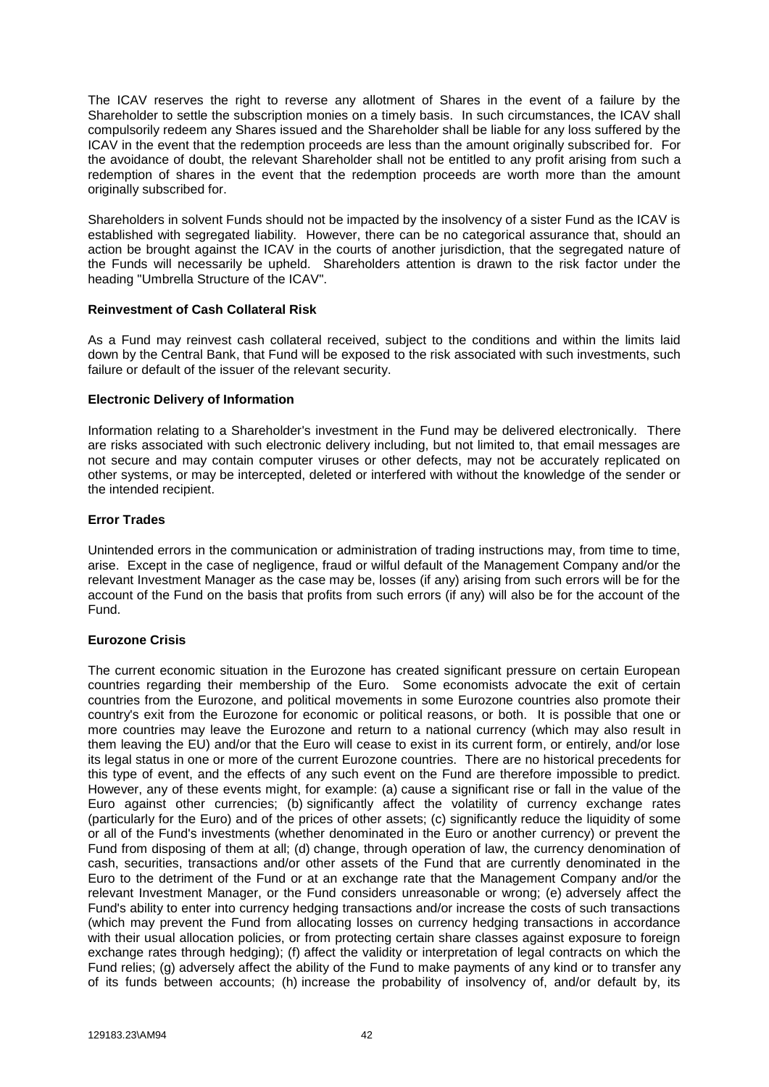The ICAV reserves the right to reverse any allotment of Shares in the event of a failure by the Shareholder to settle the subscription monies on a timely basis. In such circumstances, the ICAV shall compulsorily redeem any Shares issued and the Shareholder shall be liable for any loss suffered by the ICAV in the event that the redemption proceeds are less than the amount originally subscribed for. For the avoidance of doubt, the relevant Shareholder shall not be entitled to any profit arising from such a redemption of shares in the event that the redemption proceeds are worth more than the amount originally subscribed for.

Shareholders in solvent Funds should not be impacted by the insolvency of a sister Fund as the ICAV is established with segregated liability. However, there can be no categorical assurance that, should an action be brought against the ICAV in the courts of another jurisdiction, that the segregated nature of the Funds will necessarily be upheld. Shareholders attention is drawn to the risk factor under the heading "Umbrella Structure of the ICAV".

## **Reinvestment of Cash Collateral Risk**

As a Fund may reinvest cash collateral received, subject to the conditions and within the limits laid down by the Central Bank, that Fund will be exposed to the risk associated with such investments, such failure or default of the issuer of the relevant security.

## **Electronic Delivery of Information**

Information relating to a Shareholder's investment in the Fund may be delivered electronically. There are risks associated with such electronic delivery including, but not limited to, that email messages are not secure and may contain computer viruses or other defects, may not be accurately replicated on other systems, or may be intercepted, deleted or interfered with without the knowledge of the sender or the intended recipient.

## **Error Trades**

Unintended errors in the communication or administration of trading instructions may, from time to time, arise. Except in the case of negligence, fraud or wilful default of the Management Company and/or the relevant Investment Manager as the case may be, losses (if any) arising from such errors will be for the account of the Fund on the basis that profits from such errors (if any) will also be for the account of the Fund.

#### **Eurozone Crisis**

The current economic situation in the Eurozone has created significant pressure on certain European countries regarding their membership of the Euro. Some economists advocate the exit of certain countries from the Eurozone, and political movements in some Eurozone countries also promote their country's exit from the Eurozone for economic or political reasons, or both. It is possible that one or more countries may leave the Eurozone and return to a national currency (which may also result in them leaving the EU) and/or that the Euro will cease to exist in its current form, or entirely, and/or lose its legal status in one or more of the current Eurozone countries. There are no historical precedents for this type of event, and the effects of any such event on the Fund are therefore impossible to predict. However, any of these events might, for example: (a) cause a significant rise or fall in the value of the Euro against other currencies; (b) significantly affect the volatility of currency exchange rates (particularly for the Euro) and of the prices of other assets; (c) significantly reduce the liquidity of some or all of the Fund's investments (whether denominated in the Euro or another currency) or prevent the Fund from disposing of them at all; (d) change, through operation of law, the currency denomination of cash, securities, transactions and/or other assets of the Fund that are currently denominated in the Euro to the detriment of the Fund or at an exchange rate that the Management Company and/or the relevant Investment Manager, or the Fund considers unreasonable or wrong; (e) adversely affect the Fund's ability to enter into currency hedging transactions and/or increase the costs of such transactions (which may prevent the Fund from allocating losses on currency hedging transactions in accordance with their usual allocation policies, or from protecting certain share classes against exposure to foreign exchange rates through hedging); (f) affect the validity or interpretation of legal contracts on which the Fund relies; (g) adversely affect the ability of the Fund to make payments of any kind or to transfer any of its funds between accounts; (h) increase the probability of insolvency of, and/or default by, its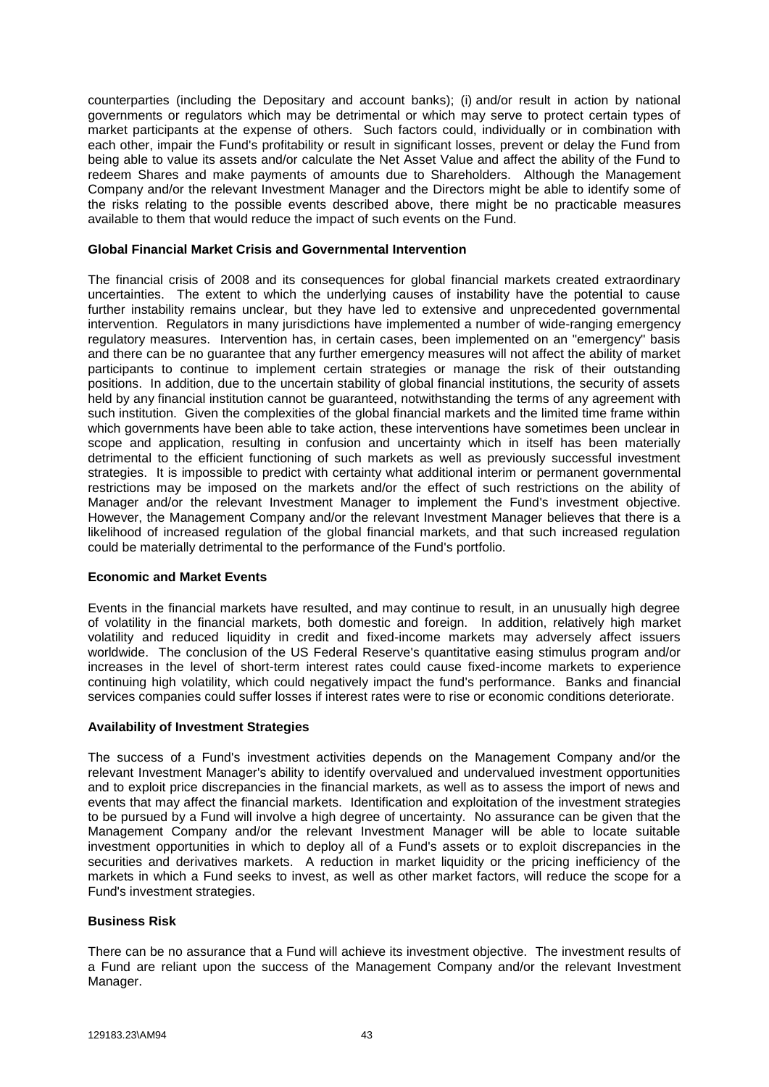counterparties (including the Depositary and account banks); (i) and/or result in action by national governments or regulators which may be detrimental or which may serve to protect certain types of market participants at the expense of others. Such factors could, individually or in combination with each other, impair the Fund's profitability or result in significant losses, prevent or delay the Fund from being able to value its assets and/or calculate the Net Asset Value and affect the ability of the Fund to redeem Shares and make payments of amounts due to Shareholders. Although the Management Company and/or the relevant Investment Manager and the Directors might be able to identify some of the risks relating to the possible events described above, there might be no practicable measures available to them that would reduce the impact of such events on the Fund.

### **Global Financial Market Crisis and Governmental Intervention**

The financial crisis of 2008 and its consequences for global financial markets created extraordinary uncertainties. The extent to which the underlying causes of instability have the potential to cause further instability remains unclear, but they have led to extensive and unprecedented governmental intervention. Regulators in many jurisdictions have implemented a number of wide-ranging emergency regulatory measures. Intervention has, in certain cases, been implemented on an "emergency" basis and there can be no guarantee that any further emergency measures will not affect the ability of market participants to continue to implement certain strategies or manage the risk of their outstanding positions. In addition, due to the uncertain stability of global financial institutions, the security of assets held by any financial institution cannot be guaranteed, notwithstanding the terms of any agreement with such institution. Given the complexities of the global financial markets and the limited time frame within which governments have been able to take action, these interventions have sometimes been unclear in scope and application, resulting in confusion and uncertainty which in itself has been materially detrimental to the efficient functioning of such markets as well as previously successful investment strategies. It is impossible to predict with certainty what additional interim or permanent governmental restrictions may be imposed on the markets and/or the effect of such restrictions on the ability of Manager and/or the relevant Investment Manager to implement the Fund's investment objective. However, the Management Company and/or the relevant Investment Manager believes that there is a likelihood of increased regulation of the global financial markets, and that such increased regulation could be materially detrimental to the performance of the Fund's portfolio.

### **Economic and Market Events**

Events in the financial markets have resulted, and may continue to result, in an unusually high degree of volatility in the financial markets, both domestic and foreign. In addition, relatively high market volatility and reduced liquidity in credit and fixed-income markets may adversely affect issuers worldwide. The conclusion of the US Federal Reserve's quantitative easing stimulus program and/or increases in the level of short-term interest rates could cause fixed-income markets to experience continuing high volatility, which could negatively impact the fund's performance. Banks and financial services companies could suffer losses if interest rates were to rise or economic conditions deteriorate.

#### **Availability of Investment Strategies**

The success of a Fund's investment activities depends on the Management Company and/or the relevant Investment Manager's ability to identify overvalued and undervalued investment opportunities and to exploit price discrepancies in the financial markets, as well as to assess the import of news and events that may affect the financial markets. Identification and exploitation of the investment strategies to be pursued by a Fund will involve a high degree of uncertainty. No assurance can be given that the Management Company and/or the relevant Investment Manager will be able to locate suitable investment opportunities in which to deploy all of a Fund's assets or to exploit discrepancies in the securities and derivatives markets. A reduction in market liquidity or the pricing inefficiency of the markets in which a Fund seeks to invest, as well as other market factors, will reduce the scope for a Fund's investment strategies.

#### **Business Risk**

There can be no assurance that a Fund will achieve its investment objective. The investment results of a Fund are reliant upon the success of the Management Company and/or the relevant Investment Manager.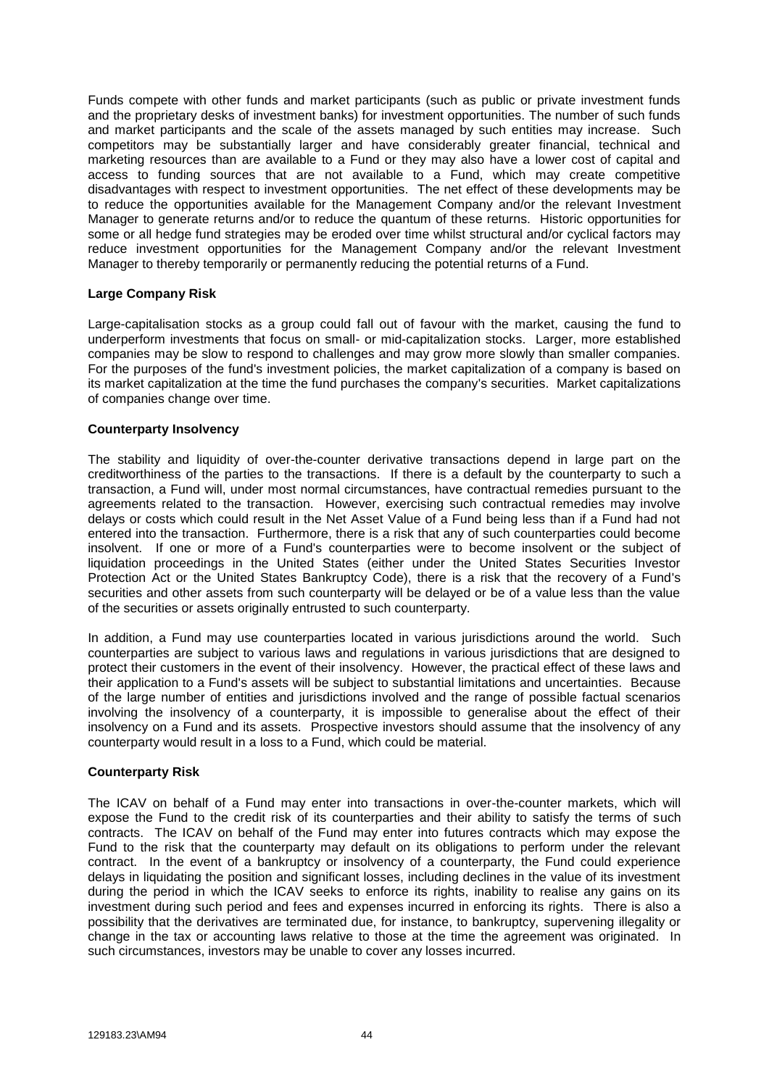Funds compete with other funds and market participants (such as public or private investment funds and the proprietary desks of investment banks) for investment opportunities. The number of such funds and market participants and the scale of the assets managed by such entities may increase. Such competitors may be substantially larger and have considerably greater financial, technical and marketing resources than are available to a Fund or they may also have a lower cost of capital and access to funding sources that are not available to a Fund, which may create competitive disadvantages with respect to investment opportunities. The net effect of these developments may be to reduce the opportunities available for the Management Company and/or the relevant Investment Manager to generate returns and/or to reduce the quantum of these returns. Historic opportunities for some or all hedge fund strategies may be eroded over time whilst structural and/or cyclical factors may reduce investment opportunities for the Management Company and/or the relevant Investment Manager to thereby temporarily or permanently reducing the potential returns of a Fund.

## **Large Company Risk**

Large-capitalisation stocks as a group could fall out of favour with the market, causing the fund to underperform investments that focus on small- or mid-capitalization stocks. Larger, more established companies may be slow to respond to challenges and may grow more slowly than smaller companies. For the purposes of the fund's investment policies, the market capitalization of a company is based on its market capitalization at the time the fund purchases the company's securities. Market capitalizations of companies change over time.

## **Counterparty Insolvency**

The stability and liquidity of over-the-counter derivative transactions depend in large part on the creditworthiness of the parties to the transactions. If there is a default by the counterparty to such a transaction, a Fund will, under most normal circumstances, have contractual remedies pursuant to the agreements related to the transaction. However, exercising such contractual remedies may involve delays or costs which could result in the Net Asset Value of a Fund being less than if a Fund had not entered into the transaction. Furthermore, there is a risk that any of such counterparties could become insolvent. If one or more of a Fund's counterparties were to become insolvent or the subject of liquidation proceedings in the United States (either under the United States Securities Investor Protection Act or the United States Bankruptcy Code), there is a risk that the recovery of a Fund's securities and other assets from such counterparty will be delayed or be of a value less than the value of the securities or assets originally entrusted to such counterparty.

In addition, a Fund may use counterparties located in various jurisdictions around the world. Such counterparties are subject to various laws and regulations in various jurisdictions that are designed to protect their customers in the event of their insolvency. However, the practical effect of these laws and their application to a Fund's assets will be subject to substantial limitations and uncertainties. Because of the large number of entities and jurisdictions involved and the range of possible factual scenarios involving the insolvency of a counterparty, it is impossible to generalise about the effect of their insolvency on a Fund and its assets. Prospective investors should assume that the insolvency of any counterparty would result in a loss to a Fund, which could be material.

#### **Counterparty Risk**

The ICAV on behalf of a Fund may enter into transactions in over-the-counter markets, which will expose the Fund to the credit risk of its counterparties and their ability to satisfy the terms of such contracts. The ICAV on behalf of the Fund may enter into futures contracts which may expose the Fund to the risk that the counterparty may default on its obligations to perform under the relevant contract. In the event of a bankruptcy or insolvency of a counterparty, the Fund could experience delays in liquidating the position and significant losses, including declines in the value of its investment during the period in which the ICAV seeks to enforce its rights, inability to realise any gains on its investment during such period and fees and expenses incurred in enforcing its rights. There is also a possibility that the derivatives are terminated due, for instance, to bankruptcy, supervening illegality or change in the tax or accounting laws relative to those at the time the agreement was originated. In such circumstances, investors may be unable to cover any losses incurred.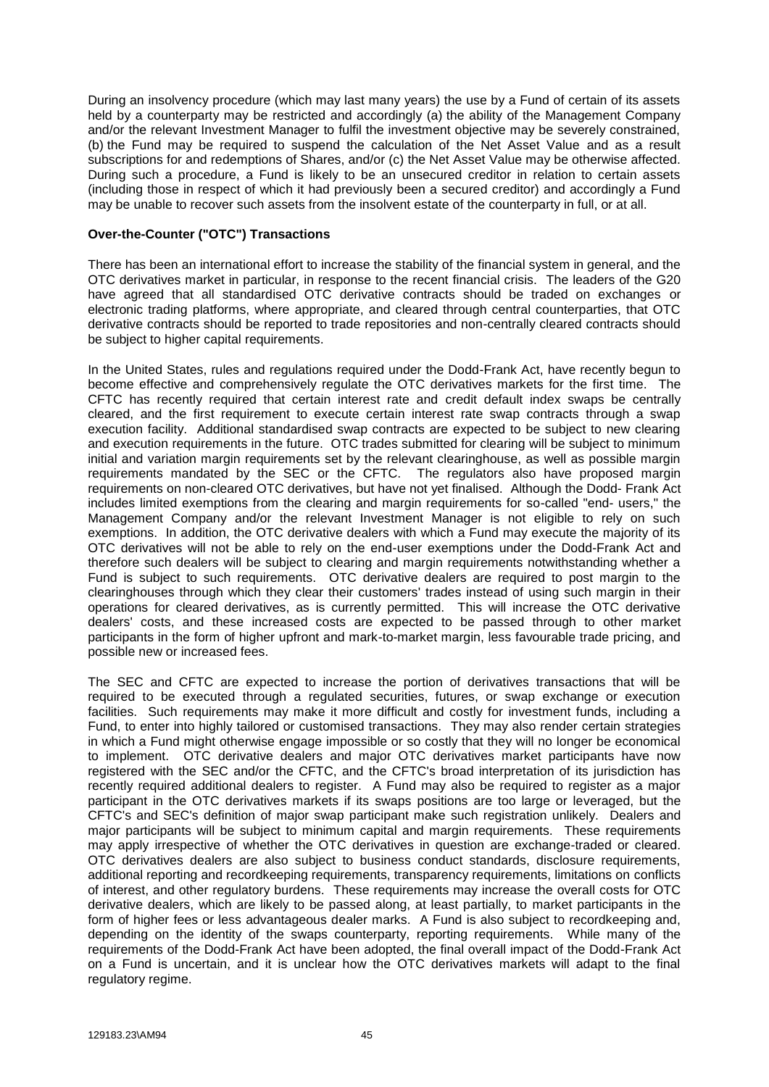During an insolvency procedure (which may last many years) the use by a Fund of certain of its assets held by a counterparty may be restricted and accordingly (a) the ability of the Management Company and/or the relevant Investment Manager to fulfil the investment objective may be severely constrained, (b) the Fund may be required to suspend the calculation of the Net Asset Value and as a result subscriptions for and redemptions of Shares, and/or (c) the Net Asset Value may be otherwise affected. During such a procedure, a Fund is likely to be an unsecured creditor in relation to certain assets (including those in respect of which it had previously been a secured creditor) and accordingly a Fund may be unable to recover such assets from the insolvent estate of the counterparty in full, or at all.

## **Over-the-Counter ("OTC") Transactions**

There has been an international effort to increase the stability of the financial system in general, and the OTC derivatives market in particular, in response to the recent financial crisis. The leaders of the G20 have agreed that all standardised OTC derivative contracts should be traded on exchanges or electronic trading platforms, where appropriate, and cleared through central counterparties, that OTC derivative contracts should be reported to trade repositories and non-centrally cleared contracts should be subject to higher capital requirements.

In the United States, rules and regulations required under the Dodd-Frank Act, have recently begun to become effective and comprehensively regulate the OTC derivatives markets for the first time. The CFTC has recently required that certain interest rate and credit default index swaps be centrally cleared, and the first requirement to execute certain interest rate swap contracts through a swap execution facility. Additional standardised swap contracts are expected to be subject to new clearing and execution requirements in the future. OTC trades submitted for clearing will be subject to minimum initial and variation margin requirements set by the relevant clearinghouse, as well as possible margin requirements mandated by the SEC or the CFTC. The regulators also have proposed margin requirements on non-cleared OTC derivatives, but have not yet finalised. Although the Dodd- Frank Act includes limited exemptions from the clearing and margin requirements for so-called "end- users," the Management Company and/or the relevant Investment Manager is not eligible to rely on such exemptions. In addition, the OTC derivative dealers with which a Fund may execute the majority of its OTC derivatives will not be able to rely on the end-user exemptions under the Dodd-Frank Act and therefore such dealers will be subject to clearing and margin requirements notwithstanding whether a Fund is subject to such requirements. OTC derivative dealers are required to post margin to the clearinghouses through which they clear their customers' trades instead of using such margin in their operations for cleared derivatives, as is currently permitted. This will increase the OTC derivative dealers' costs, and these increased costs are expected to be passed through to other market participants in the form of higher upfront and mark-to-market margin, less favourable trade pricing, and possible new or increased fees.

The SEC and CFTC are expected to increase the portion of derivatives transactions that will be required to be executed through a regulated securities, futures, or swap exchange or execution facilities. Such requirements may make it more difficult and costly for investment funds, including a Fund, to enter into highly tailored or customised transactions. They may also render certain strategies in which a Fund might otherwise engage impossible or so costly that they will no longer be economical to implement. OTC derivative dealers and major OTC derivatives market participants have now registered with the SEC and/or the CFTC, and the CFTC's broad interpretation of its jurisdiction has recently required additional dealers to register. A Fund may also be required to register as a major participant in the OTC derivatives markets if its swaps positions are too large or leveraged, but the CFTC's and SEC's definition of major swap participant make such registration unlikely. Dealers and major participants will be subject to minimum capital and margin requirements. These requirements may apply irrespective of whether the OTC derivatives in question are exchange-traded or cleared. OTC derivatives dealers are also subject to business conduct standards, disclosure requirements, additional reporting and recordkeeping requirements, transparency requirements, limitations on conflicts of interest, and other regulatory burdens. These requirements may increase the overall costs for OTC derivative dealers, which are likely to be passed along, at least partially, to market participants in the form of higher fees or less advantageous dealer marks. A Fund is also subject to recordkeeping and, depending on the identity of the swaps counterparty, reporting requirements. While many of the requirements of the Dodd-Frank Act have been adopted, the final overall impact of the Dodd-Frank Act on a Fund is uncertain, and it is unclear how the OTC derivatives markets will adapt to the final regulatory regime.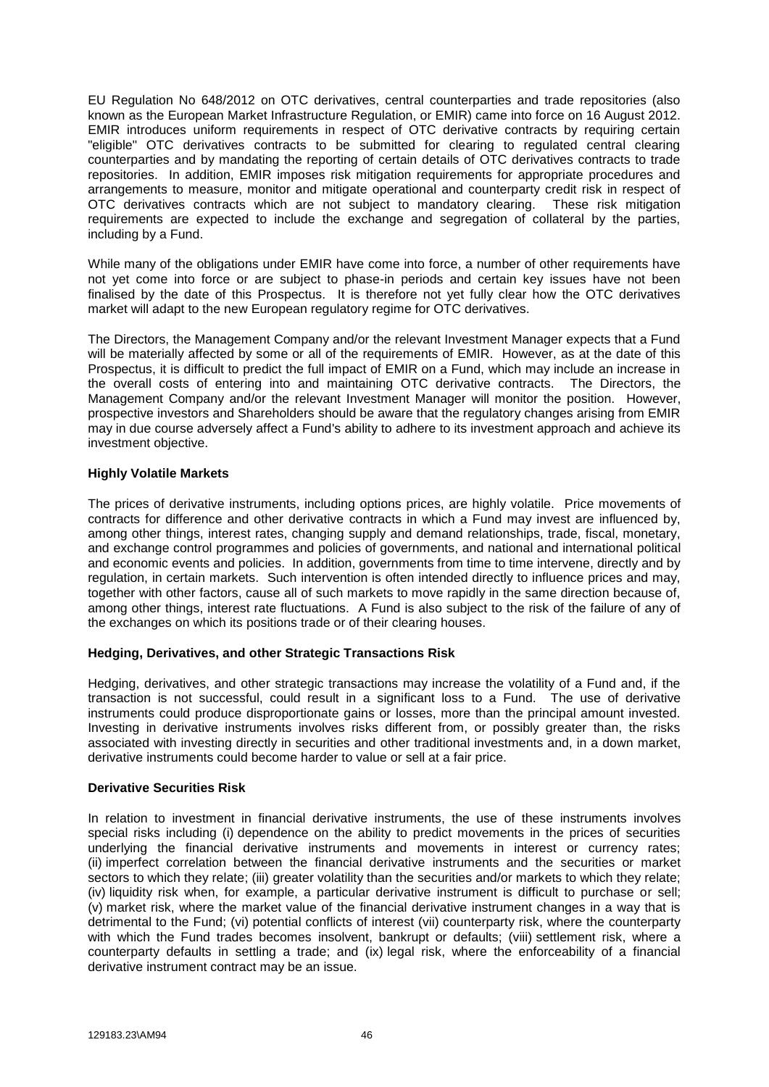EU Regulation No 648/2012 on OTC derivatives, central counterparties and trade repositories (also known as the European Market Infrastructure Regulation, or EMIR) came into force on 16 August 2012. EMIR introduces uniform requirements in respect of OTC derivative contracts by requiring certain "eligible" OTC derivatives contracts to be submitted for clearing to regulated central clearing counterparties and by mandating the reporting of certain details of OTC derivatives contracts to trade repositories. In addition, EMIR imposes risk mitigation requirements for appropriate procedures and arrangements to measure, monitor and mitigate operational and counterparty credit risk in respect of OTC derivatives contracts which are not subject to mandatory clearing. These risk mitigation requirements are expected to include the exchange and segregation of collateral by the parties, including by a Fund.

While many of the obligations under EMIR have come into force, a number of other requirements have not yet come into force or are subject to phase-in periods and certain key issues have not been finalised by the date of this Prospectus. It is therefore not yet fully clear how the OTC derivatives market will adapt to the new European regulatory regime for OTC derivatives.

The Directors, the Management Company and/or the relevant Investment Manager expects that a Fund will be materially affected by some or all of the requirements of EMIR. However, as at the date of this Prospectus, it is difficult to predict the full impact of EMIR on a Fund, which may include an increase in the overall costs of entering into and maintaining OTC derivative contracts. The Directors, the Management Company and/or the relevant Investment Manager will monitor the position. However, prospective investors and Shareholders should be aware that the regulatory changes arising from EMIR may in due course adversely affect a Fund's ability to adhere to its investment approach and achieve its investment objective.

## **Highly Volatile Markets**

The prices of derivative instruments, including options prices, are highly volatile. Price movements of contracts for difference and other derivative contracts in which a Fund may invest are influenced by, among other things, interest rates, changing supply and demand relationships, trade, fiscal, monetary, and exchange control programmes and policies of governments, and national and international political and economic events and policies. In addition, governments from time to time intervene, directly and by regulation, in certain markets. Such intervention is often intended directly to influence prices and may, together with other factors, cause all of such markets to move rapidly in the same direction because of, among other things, interest rate fluctuations. A Fund is also subject to the risk of the failure of any of the exchanges on which its positions trade or of their clearing houses.

# **Hedging, Derivatives, and other Strategic Transactions Risk**

Hedging, derivatives, and other strategic transactions may increase the volatility of a Fund and, if the transaction is not successful, could result in a significant loss to a Fund. The use of derivative instruments could produce disproportionate gains or losses, more than the principal amount invested. Investing in derivative instruments involves risks different from, or possibly greater than, the risks associated with investing directly in securities and other traditional investments and, in a down market, derivative instruments could become harder to value or sell at a fair price.

#### **Derivative Securities Risk**

In relation to investment in financial derivative instruments, the use of these instruments involves special risks including (i) dependence on the ability to predict movements in the prices of securities underlying the financial derivative instruments and movements in interest or currency rates; (ii) imperfect correlation between the financial derivative instruments and the securities or market sectors to which they relate; (iii) greater volatility than the securities and/or markets to which they relate; (iv) liquidity risk when, for example, a particular derivative instrument is difficult to purchase or sell; (v) market risk, where the market value of the financial derivative instrument changes in a way that is detrimental to the Fund; (vi) potential conflicts of interest (vii) counterparty risk, where the counterparty with which the Fund trades becomes insolvent, bankrupt or defaults; (viii) settlement risk, where a counterparty defaults in settling a trade; and (ix) legal risk, where the enforceability of a financial derivative instrument contract may be an issue.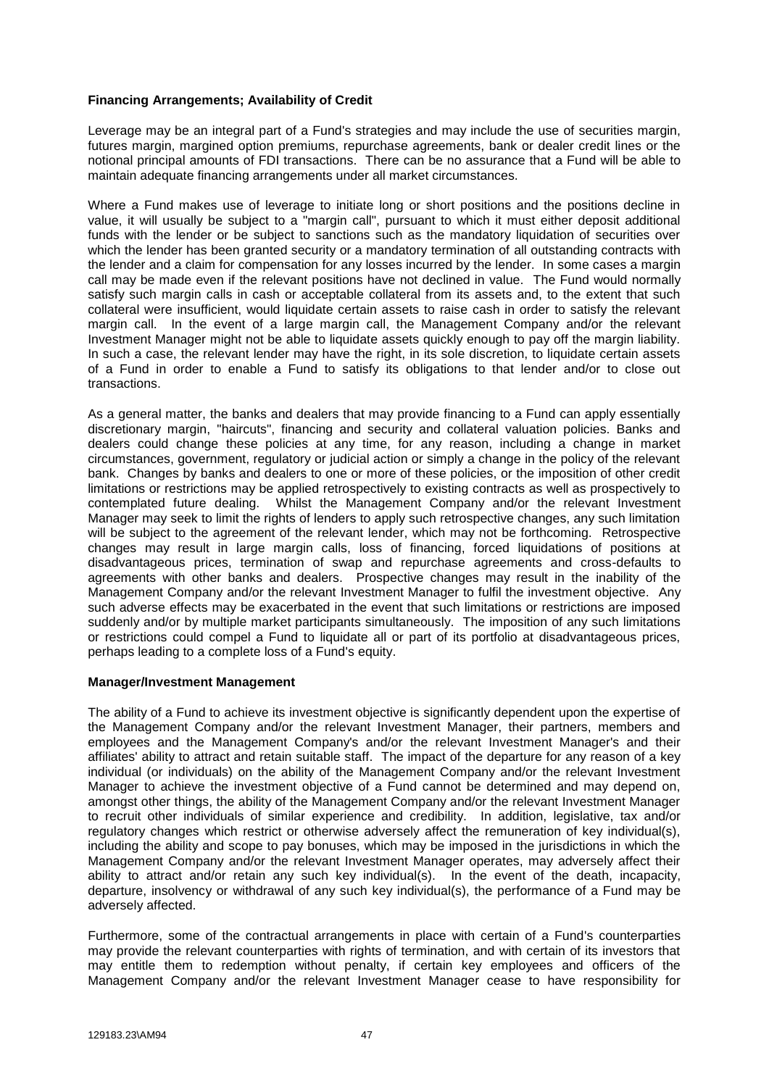## **Financing Arrangements; Availability of Credit**

Leverage may be an integral part of a Fund's strategies and may include the use of securities margin, futures margin, margined option premiums, repurchase agreements, bank or dealer credit lines or the notional principal amounts of FDI transactions. There can be no assurance that a Fund will be able to maintain adequate financing arrangements under all market circumstances.

Where a Fund makes use of leverage to initiate long or short positions and the positions decline in value, it will usually be subject to a "margin call", pursuant to which it must either deposit additional funds with the lender or be subject to sanctions such as the mandatory liquidation of securities over which the lender has been granted security or a mandatory termination of all outstanding contracts with the lender and a claim for compensation for any losses incurred by the lender. In some cases a margin call may be made even if the relevant positions have not declined in value. The Fund would normally satisfy such margin calls in cash or acceptable collateral from its assets and, to the extent that such collateral were insufficient, would liquidate certain assets to raise cash in order to satisfy the relevant margin call. In the event of a large margin call, the Management Company and/or the relevant Investment Manager might not be able to liquidate assets quickly enough to pay off the margin liability. In such a case, the relevant lender may have the right, in its sole discretion, to liquidate certain assets of a Fund in order to enable a Fund to satisfy its obligations to that lender and/or to close out transactions.

As a general matter, the banks and dealers that may provide financing to a Fund can apply essentially discretionary margin, "haircuts", financing and security and collateral valuation policies. Banks and dealers could change these policies at any time, for any reason, including a change in market circumstances, government, regulatory or judicial action or simply a change in the policy of the relevant bank. Changes by banks and dealers to one or more of these policies, or the imposition of other credit limitations or restrictions may be applied retrospectively to existing contracts as well as prospectively to contemplated future dealing. Whilst the Management Company and/or the relevant Investment Manager may seek to limit the rights of lenders to apply such retrospective changes, any such limitation will be subject to the agreement of the relevant lender, which may not be forthcoming. Retrospective changes may result in large margin calls, loss of financing, forced liquidations of positions at disadvantageous prices, termination of swap and repurchase agreements and cross-defaults to agreements with other banks and dealers. Prospective changes may result in the inability of the Management Company and/or the relevant Investment Manager to fulfil the investment objective. Any such adverse effects may be exacerbated in the event that such limitations or restrictions are imposed suddenly and/or by multiple market participants simultaneously. The imposition of any such limitations or restrictions could compel a Fund to liquidate all or part of its portfolio at disadvantageous prices, perhaps leading to a complete loss of a Fund's equity.

#### **Manager/Investment Management**

The ability of a Fund to achieve its investment objective is significantly dependent upon the expertise of the Management Company and/or the relevant Investment Manager, their partners, members and employees and the Management Company's and/or the relevant Investment Manager's and their affiliates' ability to attract and retain suitable staff. The impact of the departure for any reason of a key individual (or individuals) on the ability of the Management Company and/or the relevant Investment Manager to achieve the investment objective of a Fund cannot be determined and may depend on, amongst other things, the ability of the Management Company and/or the relevant Investment Manager to recruit other individuals of similar experience and credibility. In addition, legislative, tax and/or regulatory changes which restrict or otherwise adversely affect the remuneration of key individual(s), including the ability and scope to pay bonuses, which may be imposed in the jurisdictions in which the Management Company and/or the relevant Investment Manager operates, may adversely affect their ability to attract and/or retain any such key individual(s). In the event of the death, incapacity, departure, insolvency or withdrawal of any such key individual(s), the performance of a Fund may be adversely affected.

Furthermore, some of the contractual arrangements in place with certain of a Fund's counterparties may provide the relevant counterparties with rights of termination, and with certain of its investors that may entitle them to redemption without penalty, if certain key employees and officers of the Management Company and/or the relevant Investment Manager cease to have responsibility for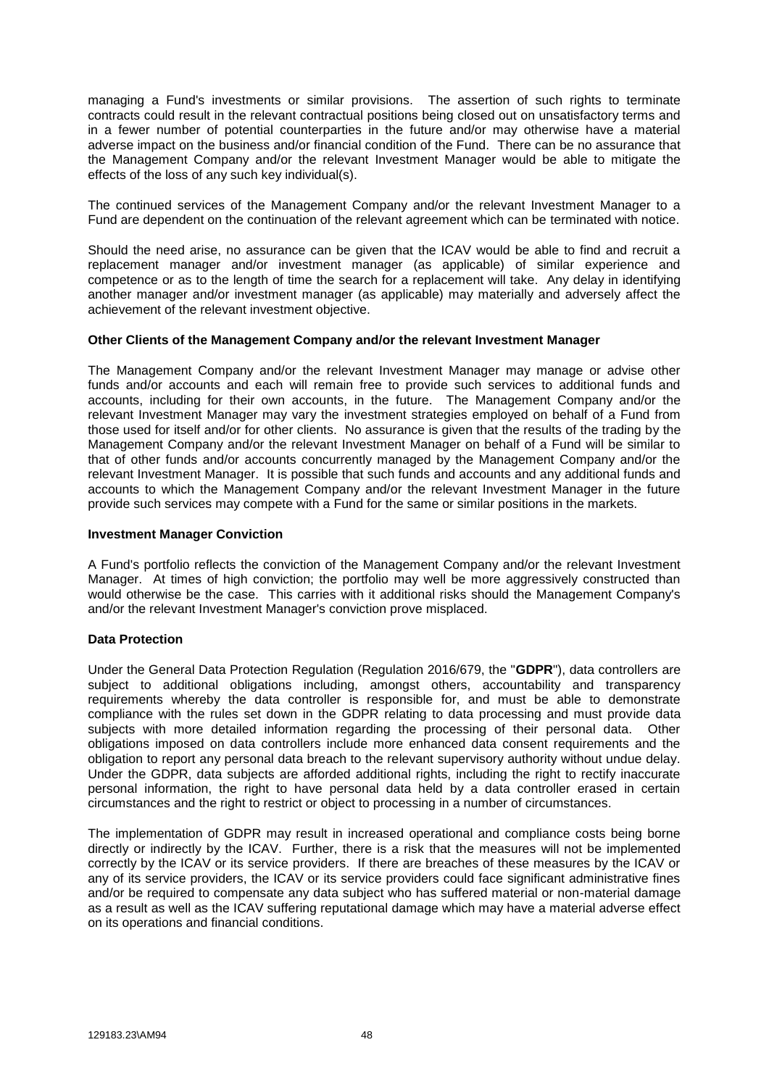managing a Fund's investments or similar provisions. The assertion of such rights to terminate contracts could result in the relevant contractual positions being closed out on unsatisfactory terms and in a fewer number of potential counterparties in the future and/or may otherwise have a material adverse impact on the business and/or financial condition of the Fund. There can be no assurance that the Management Company and/or the relevant Investment Manager would be able to mitigate the effects of the loss of any such key individual(s).

The continued services of the Management Company and/or the relevant Investment Manager to a Fund are dependent on the continuation of the relevant agreement which can be terminated with notice.

Should the need arise, no assurance can be given that the ICAV would be able to find and recruit a replacement manager and/or investment manager (as applicable) of similar experience and competence or as to the length of time the search for a replacement will take. Any delay in identifying another manager and/or investment manager (as applicable) may materially and adversely affect the achievement of the relevant investment objective.

#### **Other Clients of the Management Company and/or the relevant Investment Manager**

The Management Company and/or the relevant Investment Manager may manage or advise other funds and/or accounts and each will remain free to provide such services to additional funds and accounts, including for their own accounts, in the future. The Management Company and/or the relevant Investment Manager may vary the investment strategies employed on behalf of a Fund from those used for itself and/or for other clients. No assurance is given that the results of the trading by the Management Company and/or the relevant Investment Manager on behalf of a Fund will be similar to that of other funds and/or accounts concurrently managed by the Management Company and/or the relevant Investment Manager. It is possible that such funds and accounts and any additional funds and accounts to which the Management Company and/or the relevant Investment Manager in the future provide such services may compete with a Fund for the same or similar positions in the markets.

#### **Investment Manager Conviction**

A Fund's portfolio reflects the conviction of the Management Company and/or the relevant Investment Manager. At times of high conviction; the portfolio may well be more aggressively constructed than would otherwise be the case. This carries with it additional risks should the Management Company's and/or the relevant Investment Manager's conviction prove misplaced.

# **Data Protection**

Under the General Data Protection Regulation (Regulation 2016/679, the "**GDPR**"), data controllers are subject to additional obligations including, amongst others, accountability and transparency requirements whereby the data controller is responsible for, and must be able to demonstrate compliance with the rules set down in the GDPR relating to data processing and must provide data subjects with more detailed information regarding the processing of their personal data. Other obligations imposed on data controllers include more enhanced data consent requirements and the obligation to report any personal data breach to the relevant supervisory authority without undue delay. Under the GDPR, data subjects are afforded additional rights, including the right to rectify inaccurate personal information, the right to have personal data held by a data controller erased in certain circumstances and the right to restrict or object to processing in a number of circumstances.

The implementation of GDPR may result in increased operational and compliance costs being borne directly or indirectly by the ICAV. Further, there is a risk that the measures will not be implemented correctly by the ICAV or its service providers. If there are breaches of these measures by the ICAV or any of its service providers, the ICAV or its service providers could face significant administrative fines and/or be required to compensate any data subject who has suffered material or non-material damage as a result as well as the ICAV suffering reputational damage which may have a material adverse effect on its operations and financial conditions.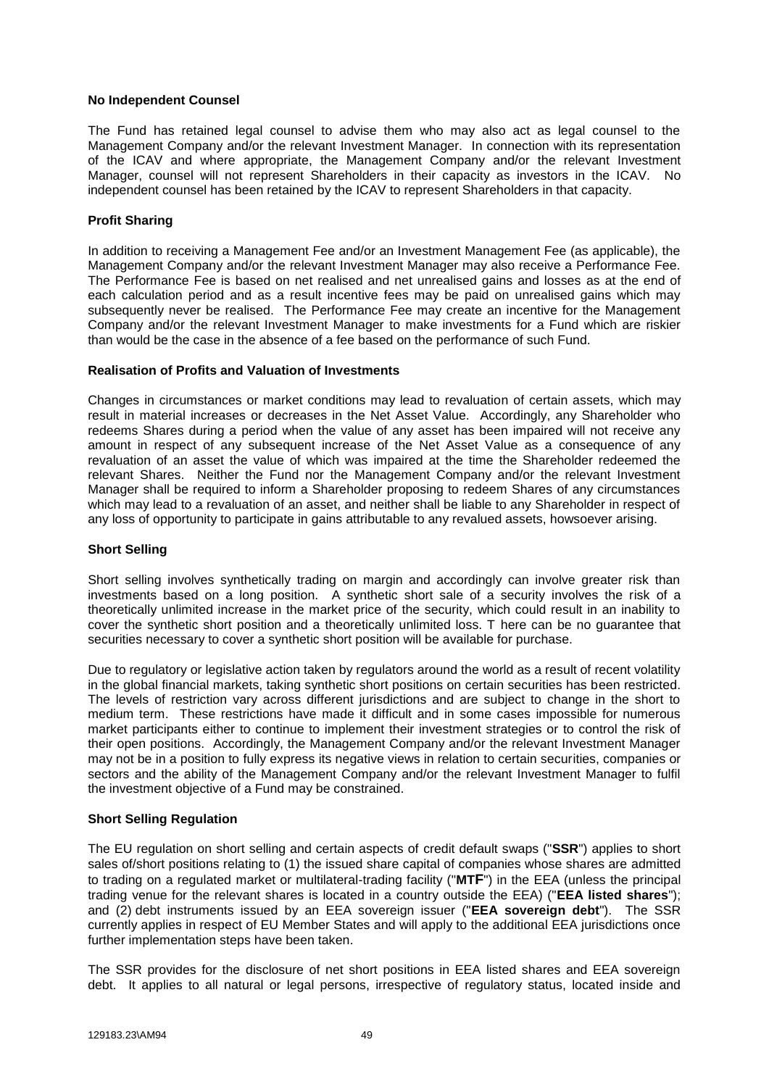### **No Independent Counsel**

The Fund has retained legal counsel to advise them who may also act as legal counsel to the Management Company and/or the relevant Investment Manager. In connection with its representation of the ICAV and where appropriate, the Management Company and/or the relevant Investment Manager, counsel will not represent Shareholders in their capacity as investors in the ICAV. No independent counsel has been retained by the ICAV to represent Shareholders in that capacity.

## **Profit Sharing**

In addition to receiving a Management Fee and/or an Investment Management Fee (as applicable), the Management Company and/or the relevant Investment Manager may also receive a Performance Fee. The Performance Fee is based on net realised and net unrealised gains and losses as at the end of each calculation period and as a result incentive fees may be paid on unrealised gains which may subsequently never be realised. The Performance Fee may create an incentive for the Management Company and/or the relevant Investment Manager to make investments for a Fund which are riskier than would be the case in the absence of a fee based on the performance of such Fund.

#### **Realisation of Profits and Valuation of Investments**

Changes in circumstances or market conditions may lead to revaluation of certain assets, which may result in material increases or decreases in the Net Asset Value. Accordingly, any Shareholder who redeems Shares during a period when the value of any asset has been impaired will not receive any amount in respect of any subsequent increase of the Net Asset Value as a consequence of any revaluation of an asset the value of which was impaired at the time the Shareholder redeemed the relevant Shares. Neither the Fund nor the Management Company and/or the relevant Investment Manager shall be required to inform a Shareholder proposing to redeem Shares of any circumstances which may lead to a revaluation of an asset, and neither shall be liable to any Shareholder in respect of any loss of opportunity to participate in gains attributable to any revalued assets, howsoever arising.

### **Short Selling**

Short selling involves synthetically trading on margin and accordingly can involve greater risk than investments based on a long position. A synthetic short sale of a security involves the risk of a theoretically unlimited increase in the market price of the security, which could result in an inability to cover the synthetic short position and a theoretically unlimited loss. T here can be no guarantee that securities necessary to cover a synthetic short position will be available for purchase.

Due to regulatory or legislative action taken by regulators around the world as a result of recent volatility in the global financial markets, taking synthetic short positions on certain securities has been restricted. The levels of restriction vary across different jurisdictions and are subject to change in the short to medium term. These restrictions have made it difficult and in some cases impossible for numerous market participants either to continue to implement their investment strategies or to control the risk of their open positions. Accordingly, the Management Company and/or the relevant Investment Manager may not be in a position to fully express its negative views in relation to certain securities, companies or sectors and the ability of the Management Company and/or the relevant Investment Manager to fulfil the investment objective of a Fund may be constrained.

# **Short Selling Regulation**

The EU regulation on short selling and certain aspects of credit default swaps ("**SSR**") applies to short sales of/short positions relating to (1) the issued share capital of companies whose shares are admitted to trading on a regulated market or multilateral-trading facility ("**MTF**") in the EEA (unless the principal trading venue for the relevant shares is located in a country outside the EEA) ("**EEA listed shares**"); and (2) debt instruments issued by an EEA sovereign issuer ("**EEA sovereign debt**"). The SSR currently applies in respect of EU Member States and will apply to the additional EEA jurisdictions once further implementation steps have been taken.

The SSR provides for the disclosure of net short positions in EEA listed shares and EEA sovereign debt. It applies to all natural or legal persons, irrespective of regulatory status, located inside and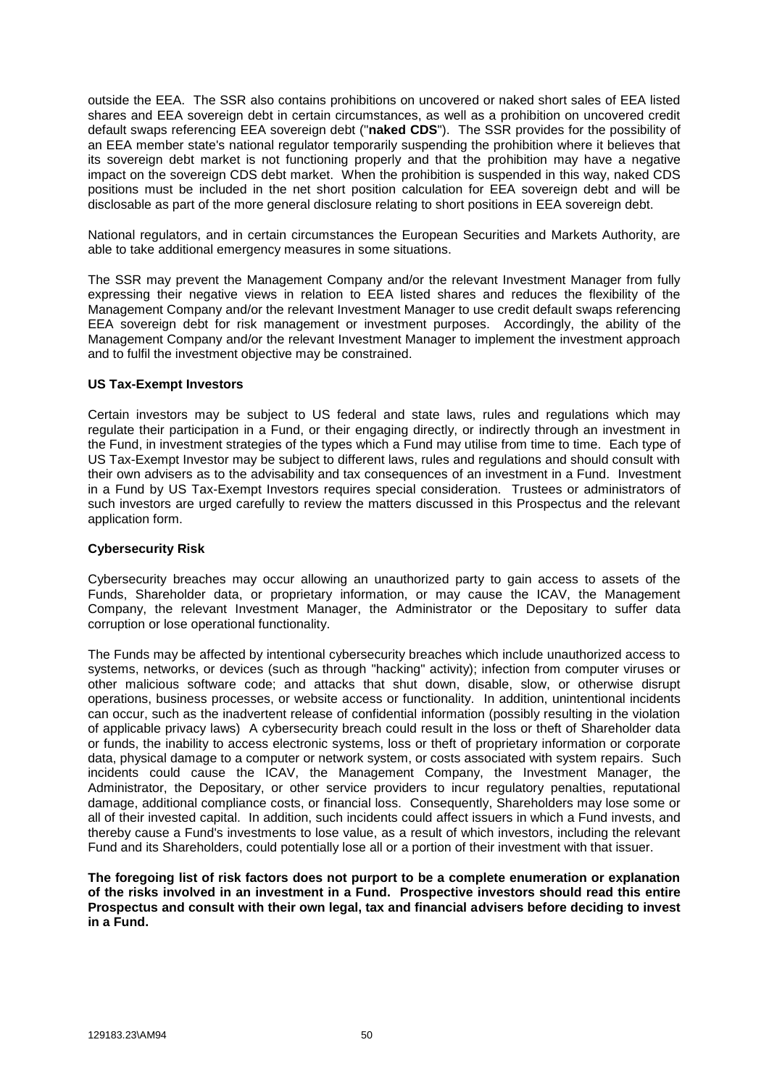outside the EEA. The SSR also contains prohibitions on uncovered or naked short sales of EEA listed shares and EEA sovereign debt in certain circumstances, as well as a prohibition on uncovered credit default swaps referencing EEA sovereign debt ("**naked CDS**"). The SSR provides for the possibility of an EEA member state's national regulator temporarily suspending the prohibition where it believes that its sovereign debt market is not functioning properly and that the prohibition may have a negative impact on the sovereign CDS debt market. When the prohibition is suspended in this way, naked CDS positions must be included in the net short position calculation for EEA sovereign debt and will be disclosable as part of the more general disclosure relating to short positions in EEA sovereign debt.

National regulators, and in certain circumstances the European Securities and Markets Authority, are able to take additional emergency measures in some situations.

The SSR may prevent the Management Company and/or the relevant Investment Manager from fully expressing their negative views in relation to EEA listed shares and reduces the flexibility of the Management Company and/or the relevant Investment Manager to use credit default swaps referencing EEA sovereign debt for risk management or investment purposes. Accordingly, the ability of the Management Company and/or the relevant Investment Manager to implement the investment approach and to fulfil the investment objective may be constrained.

#### **US Tax-Exempt Investors**

Certain investors may be subject to US federal and state laws, rules and regulations which may regulate their participation in a Fund, or their engaging directly, or indirectly through an investment in the Fund, in investment strategies of the types which a Fund may utilise from time to time. Each type of US Tax-Exempt Investor may be subject to different laws, rules and regulations and should consult with their own advisers as to the advisability and tax consequences of an investment in a Fund. Investment in a Fund by US Tax-Exempt Investors requires special consideration. Trustees or administrators of such investors are urged carefully to review the matters discussed in this Prospectus and the relevant application form.

#### **Cybersecurity Risk**

Cybersecurity breaches may occur allowing an unauthorized party to gain access to assets of the Funds, Shareholder data, or proprietary information, or may cause the ICAV, the Management Company, the relevant Investment Manager, the Administrator or the Depositary to suffer data corruption or lose operational functionality.

The Funds may be affected by intentional cybersecurity breaches which include unauthorized access to systems, networks, or devices (such as through "hacking" activity); infection from computer viruses or other malicious software code; and attacks that shut down, disable, slow, or otherwise disrupt operations, business processes, or website access or functionality. In addition, unintentional incidents can occur, such as the inadvertent release of confidential information (possibly resulting in the violation of applicable privacy laws) A cybersecurity breach could result in the loss or theft of Shareholder data or funds, the inability to access electronic systems, loss or theft of proprietary information or corporate data, physical damage to a computer or network system, or costs associated with system repairs. Such incidents could cause the ICAV, the Management Company, the Investment Manager, the Administrator, the Depositary, or other service providers to incur regulatory penalties, reputational damage, additional compliance costs, or financial loss. Consequently, Shareholders may lose some or all of their invested capital. In addition, such incidents could affect issuers in which a Fund invests, and thereby cause a Fund's investments to lose value, as a result of which investors, including the relevant Fund and its Shareholders, could potentially lose all or a portion of their investment with that issuer.

**The foregoing list of risk factors does not purport to be a complete enumeration or explanation of the risks involved in an investment in a Fund. Prospective investors should read this entire Prospectus and consult with their own legal, tax and financial advisers before deciding to invest in a Fund.**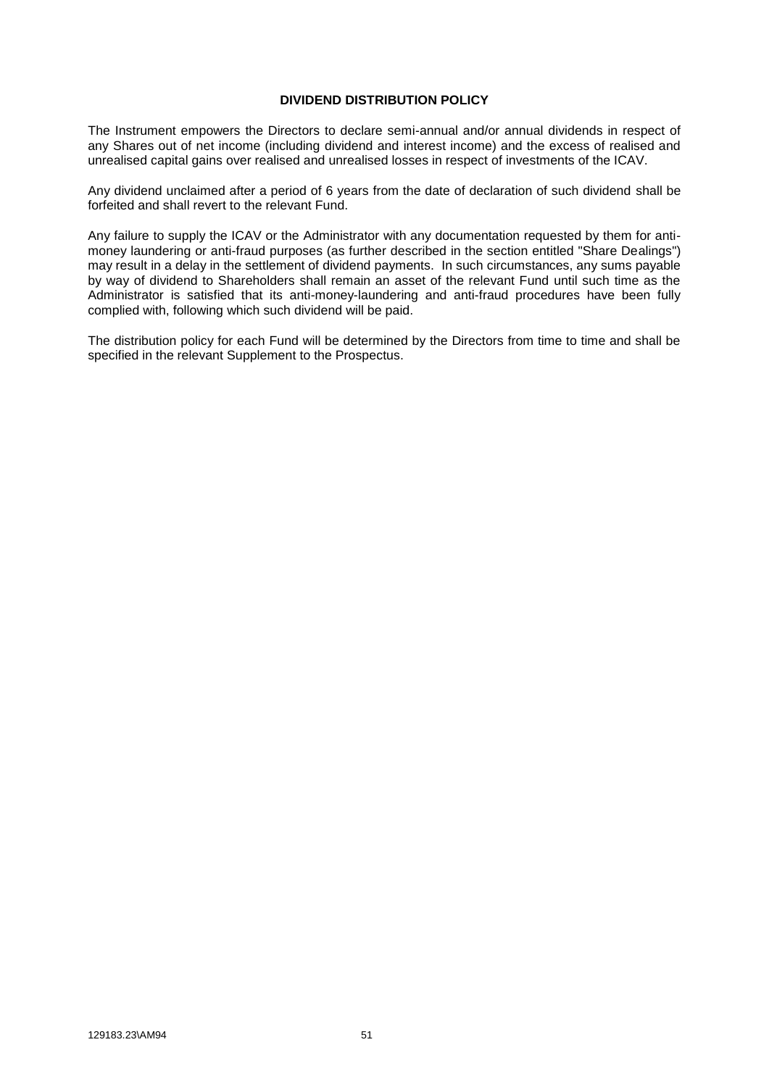### **DIVIDEND DISTRIBUTION POLICY**

The Instrument empowers the Directors to declare semi-annual and/or annual dividends in respect of any Shares out of net income (including dividend and interest income) and the excess of realised and unrealised capital gains over realised and unrealised losses in respect of investments of the ICAV.

Any dividend unclaimed after a period of 6 years from the date of declaration of such dividend shall be forfeited and shall revert to the relevant Fund.

Any failure to supply the ICAV or the Administrator with any documentation requested by them for antimoney laundering or anti-fraud purposes (as further described in the section entitled "Share Dealings") may result in a delay in the settlement of dividend payments. In such circumstances, any sums payable by way of dividend to Shareholders shall remain an asset of the relevant Fund until such time as the Administrator is satisfied that its anti-money-laundering and anti-fraud procedures have been fully complied with, following which such dividend will be paid.

The distribution policy for each Fund will be determined by the Directors from time to time and shall be specified in the relevant Supplement to the Prospectus.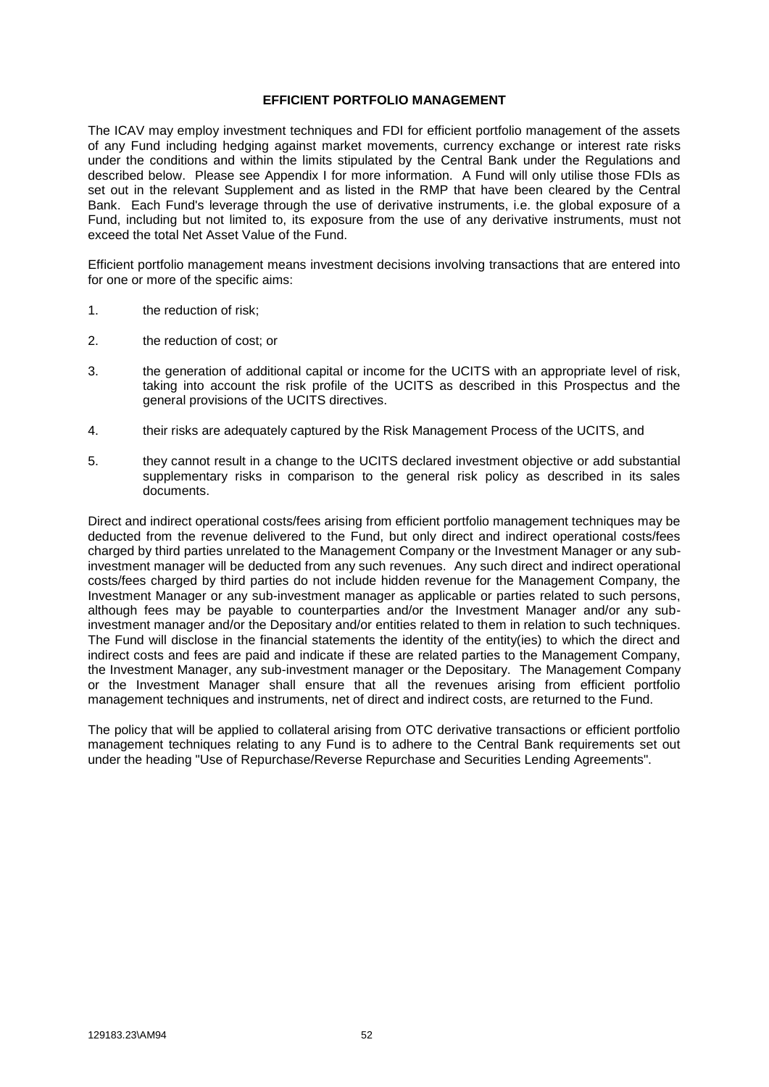## **EFFICIENT PORTFOLIO MANAGEMENT**

The ICAV may employ investment techniques and FDI for efficient portfolio management of the assets of any Fund including hedging against market movements, currency exchange or interest rate risks under the conditions and within the limits stipulated by the Central Bank under the Regulations and described below. Please see Appendix I for more information. A Fund will only utilise those FDIs as set out in the relevant Supplement and as listed in the RMP that have been cleared by the Central Bank. Each Fund's leverage through the use of derivative instruments, i.e. the global exposure of a Fund, including but not limited to, its exposure from the use of any derivative instruments, must not exceed the total Net Asset Value of the Fund.

Efficient portfolio management means investment decisions involving transactions that are entered into for one or more of the specific aims:

- 1. the reduction of risk;
- 2. the reduction of cost; or
- 3. the generation of additional capital or income for the UCITS with an appropriate level of risk, taking into account the risk profile of the UCITS as described in this Prospectus and the general provisions of the UCITS directives.
- 4. their risks are adequately captured by the Risk Management Process of the UCITS, and
- 5. they cannot result in a change to the UCITS declared investment objective or add substantial supplementary risks in comparison to the general risk policy as described in its sales documents.

Direct and indirect operational costs/fees arising from efficient portfolio management techniques may be deducted from the revenue delivered to the Fund, but only direct and indirect operational costs/fees charged by third parties unrelated to the Management Company or the Investment Manager or any subinvestment manager will be deducted from any such revenues. Any such direct and indirect operational costs/fees charged by third parties do not include hidden revenue for the Management Company, the Investment Manager or any sub-investment manager as applicable or parties related to such persons, although fees may be payable to counterparties and/or the Investment Manager and/or any subinvestment manager and/or the Depositary and/or entities related to them in relation to such techniques. The Fund will disclose in the financial statements the identity of the entity(ies) to which the direct and indirect costs and fees are paid and indicate if these are related parties to the Management Company, the Investment Manager, any sub-investment manager or the Depositary. The Management Company or the Investment Manager shall ensure that all the revenues arising from efficient portfolio management techniques and instruments, net of direct and indirect costs, are returned to the Fund.

The policy that will be applied to collateral arising from OTC derivative transactions or efficient portfolio management techniques relating to any Fund is to adhere to the Central Bank requirements set out under the heading "Use of Repurchase/Reverse Repurchase and Securities Lending Agreements".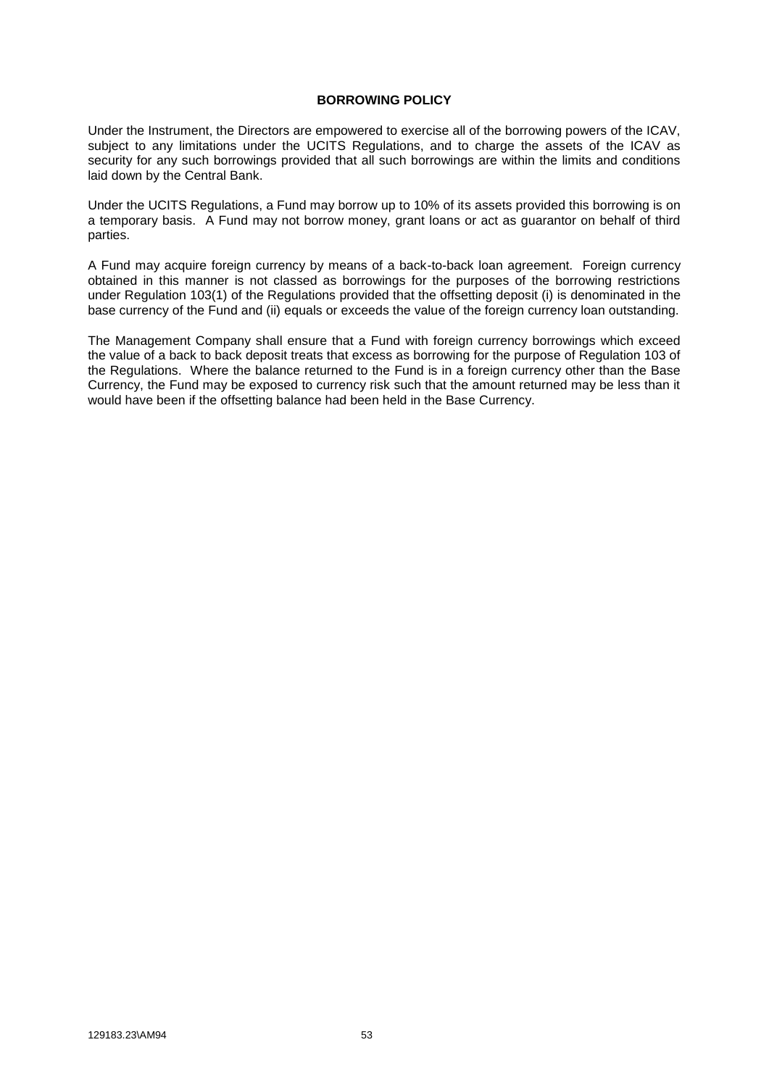### **BORROWING POLICY**

Under the Instrument, the Directors are empowered to exercise all of the borrowing powers of the ICAV, subject to any limitations under the UCITS Regulations, and to charge the assets of the ICAV as security for any such borrowings provided that all such borrowings are within the limits and conditions laid down by the Central Bank.

Under the UCITS Regulations, a Fund may borrow up to 10% of its assets provided this borrowing is on a temporary basis. A Fund may not borrow money, grant loans or act as guarantor on behalf of third parties.

A Fund may acquire foreign currency by means of a back-to-back loan agreement. Foreign currency obtained in this manner is not classed as borrowings for the purposes of the borrowing restrictions under Regulation 103(1) of the Regulations provided that the offsetting deposit (i) is denominated in the base currency of the Fund and (ii) equals or exceeds the value of the foreign currency loan outstanding.

The Management Company shall ensure that a Fund with foreign currency borrowings which exceed the value of a back to back deposit treats that excess as borrowing for the purpose of Regulation 103 of the Regulations. Where the balance returned to the Fund is in a foreign currency other than the Base Currency, the Fund may be exposed to currency risk such that the amount returned may be less than it would have been if the offsetting balance had been held in the Base Currency.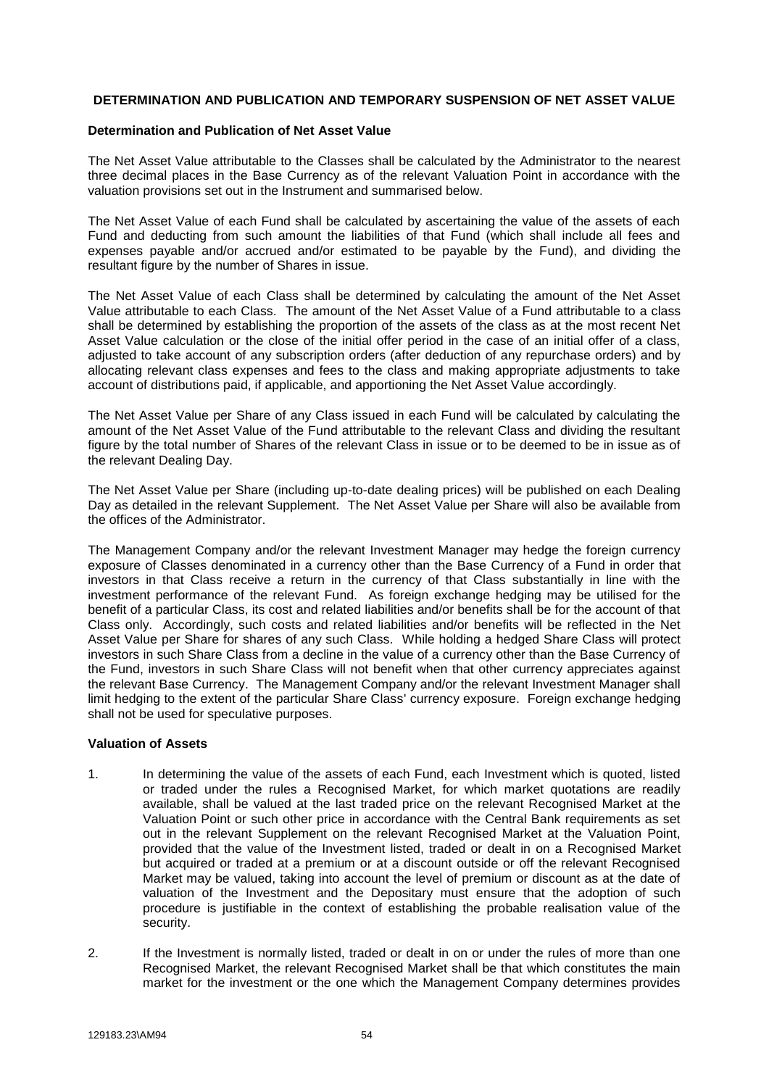## **DETERMINATION AND PUBLICATION AND TEMPORARY SUSPENSION OF NET ASSET VALUE**

#### **Determination and Publication of Net Asset Value**

The Net Asset Value attributable to the Classes shall be calculated by the Administrator to the nearest three decimal places in the Base Currency as of the relevant Valuation Point in accordance with the valuation provisions set out in the Instrument and summarised below.

The Net Asset Value of each Fund shall be calculated by ascertaining the value of the assets of each Fund and deducting from such amount the liabilities of that Fund (which shall include all fees and expenses payable and/or accrued and/or estimated to be payable by the Fund), and dividing the resultant figure by the number of Shares in issue.

The Net Asset Value of each Class shall be determined by calculating the amount of the Net Asset Value attributable to each Class. The amount of the Net Asset Value of a Fund attributable to a class shall be determined by establishing the proportion of the assets of the class as at the most recent Net Asset Value calculation or the close of the initial offer period in the case of an initial offer of a class, adjusted to take account of any subscription orders (after deduction of any repurchase orders) and by allocating relevant class expenses and fees to the class and making appropriate adjustments to take account of distributions paid, if applicable, and apportioning the Net Asset Value accordingly.

The Net Asset Value per Share of any Class issued in each Fund will be calculated by calculating the amount of the Net Asset Value of the Fund attributable to the relevant Class and dividing the resultant figure by the total number of Shares of the relevant Class in issue or to be deemed to be in issue as of the relevant Dealing Day.

The Net Asset Value per Share (including up-to-date dealing prices) will be published on each Dealing Day as detailed in the relevant Supplement. The Net Asset Value per Share will also be available from the offices of the Administrator.

The Management Company and/or the relevant Investment Manager may hedge the foreign currency exposure of Classes denominated in a currency other than the Base Currency of a Fund in order that investors in that Class receive a return in the currency of that Class substantially in line with the investment performance of the relevant Fund. As foreign exchange hedging may be utilised for the benefit of a particular Class, its cost and related liabilities and/or benefits shall be for the account of that Class only. Accordingly, such costs and related liabilities and/or benefits will be reflected in the Net Asset Value per Share for shares of any such Class. While holding a hedged Share Class will protect investors in such Share Class from a decline in the value of a currency other than the Base Currency of the Fund, investors in such Share Class will not benefit when that other currency appreciates against the relevant Base Currency. The Management Company and/or the relevant Investment Manager shall limit hedging to the extent of the particular Share Class' currency exposure. Foreign exchange hedging shall not be used for speculative purposes.

# **Valuation of Assets**

- 1. In determining the value of the assets of each Fund, each Investment which is quoted, listed or traded under the rules a Recognised Market, for which market quotations are readily available, shall be valued at the last traded price on the relevant Recognised Market at the Valuation Point or such other price in accordance with the Central Bank requirements as set out in the relevant Supplement on the relevant Recognised Market at the Valuation Point, provided that the value of the Investment listed, traded or dealt in on a Recognised Market but acquired or traded at a premium or at a discount outside or off the relevant Recognised Market may be valued, taking into account the level of premium or discount as at the date of valuation of the Investment and the Depositary must ensure that the adoption of such procedure is justifiable in the context of establishing the probable realisation value of the security.
- 2. If the Investment is normally listed, traded or dealt in on or under the rules of more than one Recognised Market, the relevant Recognised Market shall be that which constitutes the main market for the investment or the one which the Management Company determines provides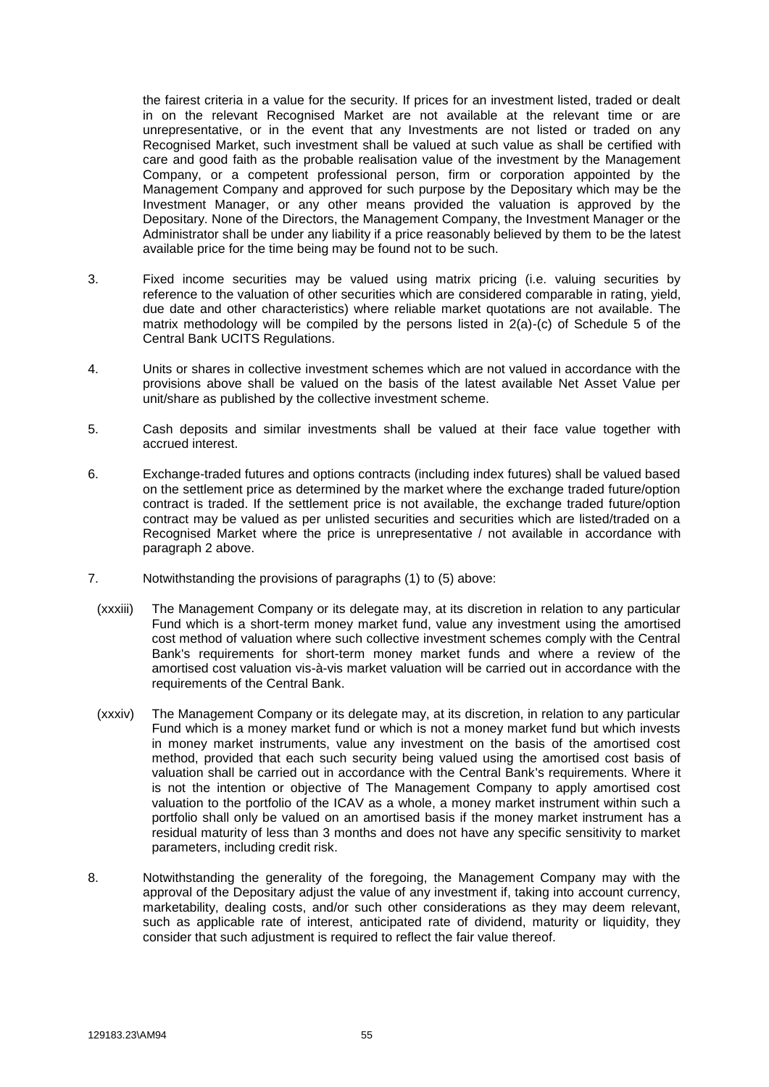the fairest criteria in a value for the security. If prices for an investment listed, traded or dealt in on the relevant Recognised Market are not available at the relevant time or are unrepresentative, or in the event that any Investments are not listed or traded on any Recognised Market, such investment shall be valued at such value as shall be certified with care and good faith as the probable realisation value of the investment by the Management Company, or a competent professional person, firm or corporation appointed by the Management Company and approved for such purpose by the Depositary which may be the Investment Manager, or any other means provided the valuation is approved by the Depositary. None of the Directors, the Management Company, the Investment Manager or the Administrator shall be under any liability if a price reasonably believed by them to be the latest available price for the time being may be found not to be such.

- 3. Fixed income securities may be valued using matrix pricing (i.e. valuing securities by reference to the valuation of other securities which are considered comparable in rating, yield, due date and other characteristics) where reliable market quotations are not available. The matrix methodology will be compiled by the persons listed in 2(a)-(c) of Schedule 5 of the Central Bank UCITS Regulations.
- 4. Units or shares in collective investment schemes which are not valued in accordance with the provisions above shall be valued on the basis of the latest available Net Asset Value per unit/share as published by the collective investment scheme.
- 5. Cash deposits and similar investments shall be valued at their face value together with accrued interest.
- 6. Exchange-traded futures and options contracts (including index futures) shall be valued based on the settlement price as determined by the market where the exchange traded future/option contract is traded. If the settlement price is not available, the exchange traded future/option contract may be valued as per unlisted securities and securities which are listed/traded on a Recognised Market where the price is unrepresentative / not available in accordance with paragraph 2 above.
- 7. Notwithstanding the provisions of paragraphs (1) to (5) above:
- (xxxiii) The Management Company or its delegate may, at its discretion in relation to any particular Fund which is a short-term money market fund, value any investment using the amortised cost method of valuation where such collective investment schemes comply with the Central Bank's requirements for short-term money market funds and where a review of the amortised cost valuation vis-à-vis market valuation will be carried out in accordance with the requirements of the Central Bank.
- (xxxiv) The Management Company or its delegate may, at its discretion, in relation to any particular Fund which is a money market fund or which is not a money market fund but which invests in money market instruments, value any investment on the basis of the amortised cost method, provided that each such security being valued using the amortised cost basis of valuation shall be carried out in accordance with the Central Bank's requirements. Where it is not the intention or objective of The Management Company to apply amortised cost valuation to the portfolio of the ICAV as a whole, a money market instrument within such a portfolio shall only be valued on an amortised basis if the money market instrument has a residual maturity of less than 3 months and does not have any specific sensitivity to market parameters, including credit risk.
- 8. Notwithstanding the generality of the foregoing, the Management Company may with the approval of the Depositary adjust the value of any investment if, taking into account currency, marketability, dealing costs, and/or such other considerations as they may deem relevant, such as applicable rate of interest, anticipated rate of dividend, maturity or liquidity, they consider that such adjustment is required to reflect the fair value thereof.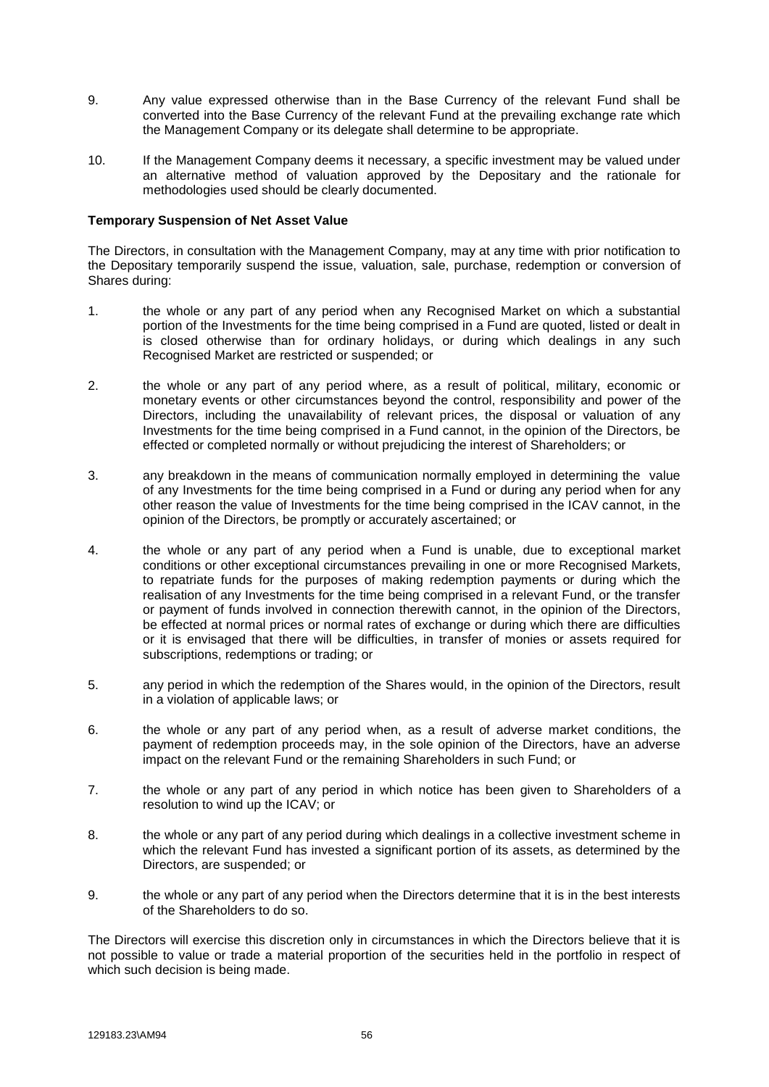- 9. Any value expressed otherwise than in the Base Currency of the relevant Fund shall be converted into the Base Currency of the relevant Fund at the prevailing exchange rate which the Management Company or its delegate shall determine to be appropriate.
- 10. If the Management Company deems it necessary, a specific investment may be valued under an alternative method of valuation approved by the Depositary and the rationale for methodologies used should be clearly documented.

### **Temporary Suspension of Net Asset Value**

The Directors, in consultation with the Management Company, may at any time with prior notification to the Depositary temporarily suspend the issue, valuation, sale, purchase, redemption or conversion of Shares during:

- 1. the whole or any part of any period when any Recognised Market on which a substantial portion of the Investments for the time being comprised in a Fund are quoted, listed or dealt in is closed otherwise than for ordinary holidays, or during which dealings in any such Recognised Market are restricted or suspended; or
- 2. the whole or any part of any period where, as a result of political, military, economic or monetary events or other circumstances beyond the control, responsibility and power of the Directors, including the unavailability of relevant prices, the disposal or valuation of any Investments for the time being comprised in a Fund cannot, in the opinion of the Directors, be effected or completed normally or without prejudicing the interest of Shareholders; or
- 3. any breakdown in the means of communication normally employed in determining the value of any Investments for the time being comprised in a Fund or during any period when for any other reason the value of Investments for the time being comprised in the ICAV cannot, in the opinion of the Directors, be promptly or accurately ascertained; or
- 4. the whole or any part of any period when a Fund is unable, due to exceptional market conditions or other exceptional circumstances prevailing in one or more Recognised Markets, to repatriate funds for the purposes of making redemption payments or during which the realisation of any Investments for the time being comprised in a relevant Fund, or the transfer or payment of funds involved in connection therewith cannot, in the opinion of the Directors, be effected at normal prices or normal rates of exchange or during which there are difficulties or it is envisaged that there will be difficulties, in transfer of monies or assets required for subscriptions, redemptions or trading; or
- 5. any period in which the redemption of the Shares would, in the opinion of the Directors, result in a violation of applicable laws; or
- 6. the whole or any part of any period when, as a result of adverse market conditions, the payment of redemption proceeds may, in the sole opinion of the Directors, have an adverse impact on the relevant Fund or the remaining Shareholders in such Fund; or
- 7. the whole or any part of any period in which notice has been given to Shareholders of a resolution to wind up the ICAV; or
- 8. the whole or any part of any period during which dealings in a collective investment scheme in which the relevant Fund has invested a significant portion of its assets, as determined by the Directors, are suspended; or
- 9. the whole or any part of any period when the Directors determine that it is in the best interests of the Shareholders to do so.

The Directors will exercise this discretion only in circumstances in which the Directors believe that it is not possible to value or trade a material proportion of the securities held in the portfolio in respect of which such decision is being made.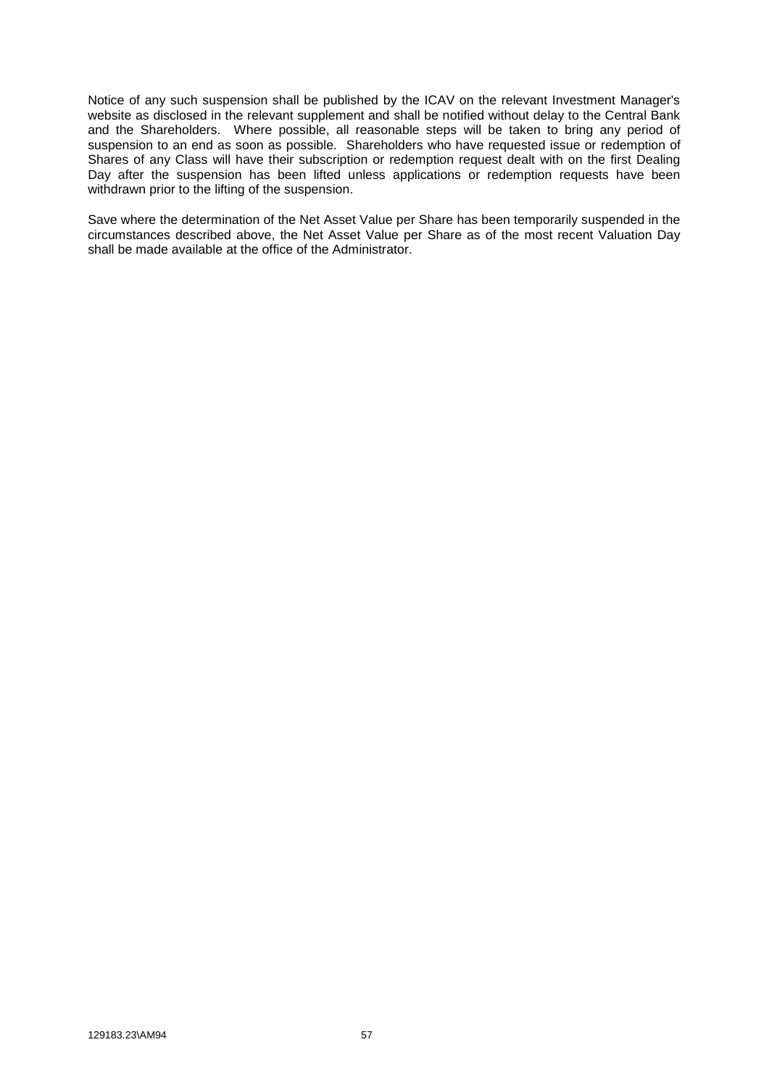Notice of any such suspension shall be published by the ICAV on the relevant Investment Manager's website as disclosed in the relevant supplement and shall be notified without delay to the Central Bank and the Shareholders. Where possible, all reasonable steps will be taken to bring any period of suspension to an end as soon as possible. Shareholders who have requested issue or redemption of Shares of any Class will have their subscription or redemption request dealt with on the first Dealing Day after the suspension has been lifted unless applications or redemption requests have been withdrawn prior to the lifting of the suspension.

Save where the determination of the Net Asset Value per Share has been temporarily suspended in the circumstances described above, the Net Asset Value per Share as of the most recent Valuation Day shall be made available at the office of the Administrator.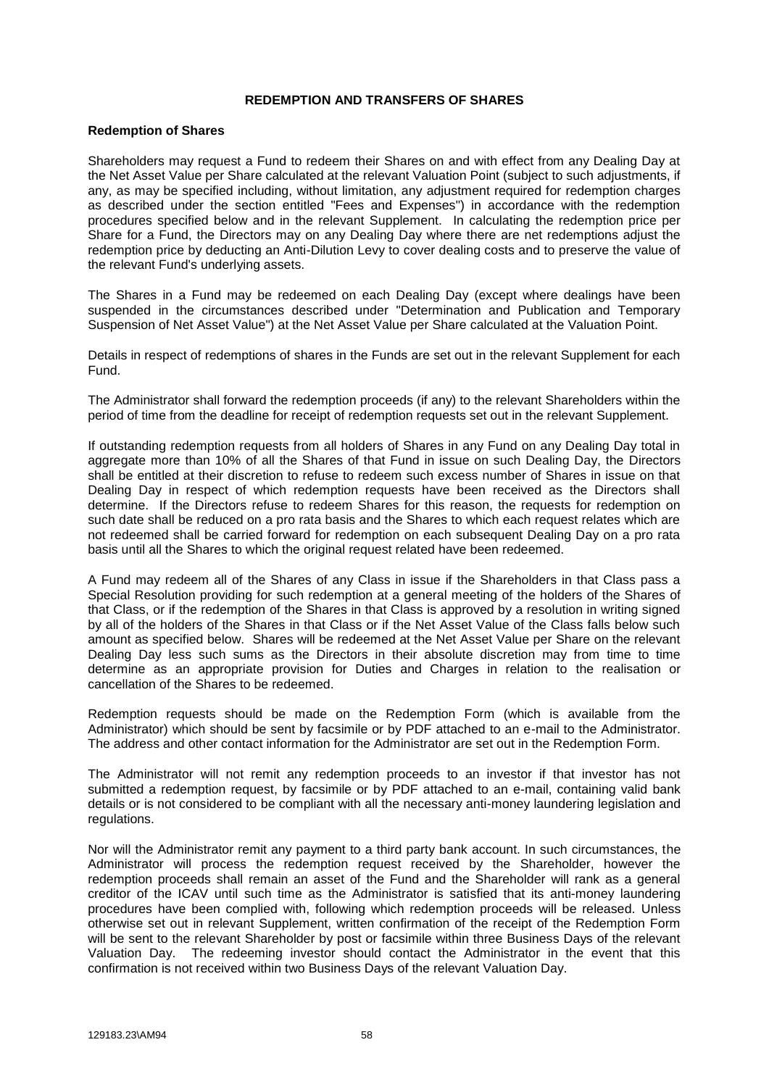## **REDEMPTION AND TRANSFERS OF SHARES**

#### **Redemption of Shares**

Shareholders may request a Fund to redeem their Shares on and with effect from any Dealing Day at the Net Asset Value per Share calculated at the relevant Valuation Point (subject to such adjustments, if any, as may be specified including, without limitation, any adjustment required for redemption charges as described under the section entitled "Fees and Expenses") in accordance with the redemption procedures specified below and in the relevant Supplement. In calculating the redemption price per Share for a Fund, the Directors may on any Dealing Day where there are net redemptions adjust the redemption price by deducting an Anti-Dilution Levy to cover dealing costs and to preserve the value of the relevant Fund's underlying assets.

The Shares in a Fund may be redeemed on each Dealing Day (except where dealings have been suspended in the circumstances described under "Determination and Publication and Temporary Suspension of Net Asset Value") at the Net Asset Value per Share calculated at the Valuation Point.

Details in respect of redemptions of shares in the Funds are set out in the relevant Supplement for each Fund.

The Administrator shall forward the redemption proceeds (if any) to the relevant Shareholders within the period of time from the deadline for receipt of redemption requests set out in the relevant Supplement.

If outstanding redemption requests from all holders of Shares in any Fund on any Dealing Day total in aggregate more than 10% of all the Shares of that Fund in issue on such Dealing Day, the Directors shall be entitled at their discretion to refuse to redeem such excess number of Shares in issue on that Dealing Day in respect of which redemption requests have been received as the Directors shall determine. If the Directors refuse to redeem Shares for this reason, the requests for redemption on such date shall be reduced on a pro rata basis and the Shares to which each request relates which are not redeemed shall be carried forward for redemption on each subsequent Dealing Day on a pro rata basis until all the Shares to which the original request related have been redeemed.

A Fund may redeem all of the Shares of any Class in issue if the Shareholders in that Class pass a Special Resolution providing for such redemption at a general meeting of the holders of the Shares of that Class, or if the redemption of the Shares in that Class is approved by a resolution in writing signed by all of the holders of the Shares in that Class or if the Net Asset Value of the Class falls below such amount as specified below. Shares will be redeemed at the Net Asset Value per Share on the relevant Dealing Day less such sums as the Directors in their absolute discretion may from time to time determine as an appropriate provision for Duties and Charges in relation to the realisation or cancellation of the Shares to be redeemed.

Redemption requests should be made on the Redemption Form (which is available from the Administrator) which should be sent by facsimile or by PDF attached to an e-mail to the Administrator. The address and other contact information for the Administrator are set out in the Redemption Form.

The Administrator will not remit any redemption proceeds to an investor if that investor has not submitted a redemption request, by facsimile or by PDF attached to an e-mail, containing valid bank details or is not considered to be compliant with all the necessary anti-money laundering legislation and regulations.

Nor will the Administrator remit any payment to a third party bank account. In such circumstances, the Administrator will process the redemption request received by the Shareholder, however the redemption proceeds shall remain an asset of the Fund and the Shareholder will rank as a general creditor of the ICAV until such time as the Administrator is satisfied that its anti-money laundering procedures have been complied with, following which redemption proceeds will be released. Unless otherwise set out in relevant Supplement, written confirmation of the receipt of the Redemption Form will be sent to the relevant Shareholder by post or facsimile within three Business Days of the relevant Valuation Day. The redeeming investor should contact the Administrator in the event that this confirmation is not received within two Business Days of the relevant Valuation Day.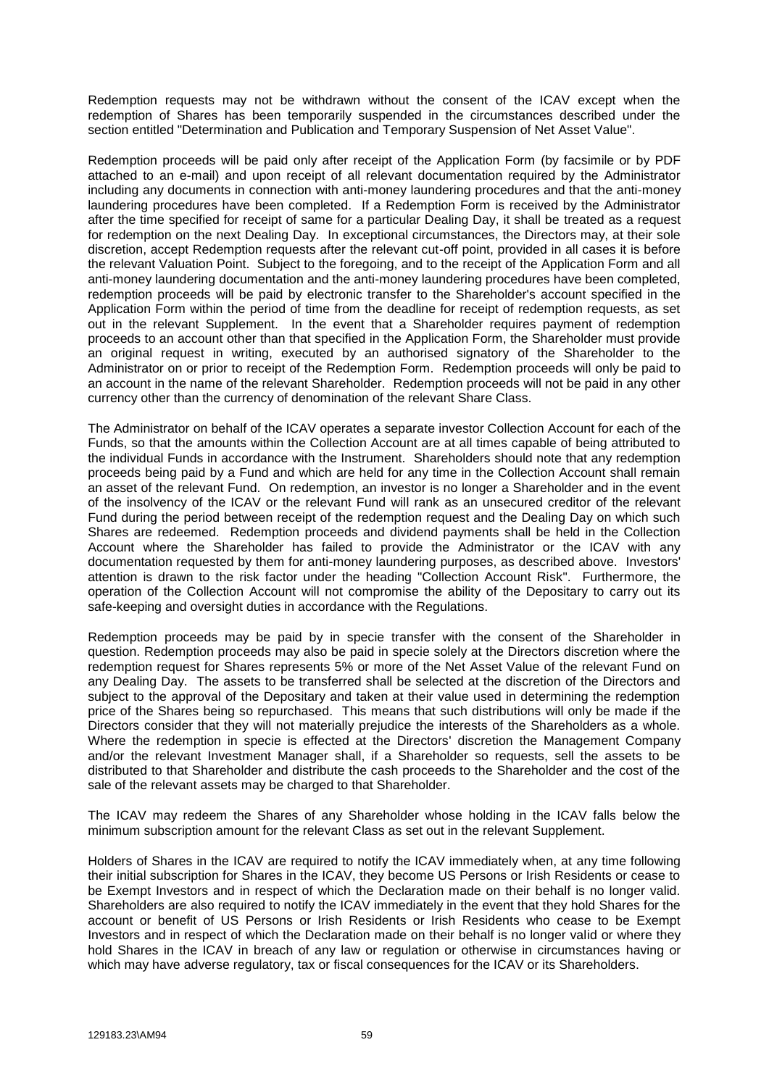Redemption requests may not be withdrawn without the consent of the ICAV except when the redemption of Shares has been temporarily suspended in the circumstances described under the section entitled "Determination and Publication and Temporary Suspension of Net Asset Value".

Redemption proceeds will be paid only after receipt of the Application Form (by facsimile or by PDF attached to an e-mail) and upon receipt of all relevant documentation required by the Administrator including any documents in connection with anti-money laundering procedures and that the anti-money laundering procedures have been completed. If a Redemption Form is received by the Administrator after the time specified for receipt of same for a particular Dealing Day, it shall be treated as a request for redemption on the next Dealing Day. In exceptional circumstances, the Directors may, at their sole discretion, accept Redemption requests after the relevant cut-off point, provided in all cases it is before the relevant Valuation Point. Subject to the foregoing, and to the receipt of the Application Form and all anti-money laundering documentation and the anti-money laundering procedures have been completed, redemption proceeds will be paid by electronic transfer to the Shareholder's account specified in the Application Form within the period of time from the deadline for receipt of redemption requests, as set out in the relevant Supplement. In the event that a Shareholder requires payment of redemption proceeds to an account other than that specified in the Application Form, the Shareholder must provide an original request in writing, executed by an authorised signatory of the Shareholder to the Administrator on or prior to receipt of the Redemption Form. Redemption proceeds will only be paid to an account in the name of the relevant Shareholder. Redemption proceeds will not be paid in any other currency other than the currency of denomination of the relevant Share Class.

The Administrator on behalf of the ICAV operates a separate investor Collection Account for each of the Funds, so that the amounts within the Collection Account are at all times capable of being attributed to the individual Funds in accordance with the Instrument. Shareholders should note that any redemption proceeds being paid by a Fund and which are held for any time in the Collection Account shall remain an asset of the relevant Fund. On redemption, an investor is no longer a Shareholder and in the event of the insolvency of the ICAV or the relevant Fund will rank as an unsecured creditor of the relevant Fund during the period between receipt of the redemption request and the Dealing Day on which such Shares are redeemed. Redemption proceeds and dividend payments shall be held in the Collection Account where the Shareholder has failed to provide the Administrator or the ICAV with any documentation requested by them for anti-money laundering purposes, as described above. Investors' attention is drawn to the risk factor under the heading "Collection Account Risk". Furthermore, the operation of the Collection Account will not compromise the ability of the Depositary to carry out its safe-keeping and oversight duties in accordance with the Regulations.

Redemption proceeds may be paid by in specie transfer with the consent of the Shareholder in question. Redemption proceeds may also be paid in specie solely at the Directors discretion where the redemption request for Shares represents 5% or more of the Net Asset Value of the relevant Fund on any Dealing Day. The assets to be transferred shall be selected at the discretion of the Directors and subject to the approval of the Depositary and taken at their value used in determining the redemption price of the Shares being so repurchased. This means that such distributions will only be made if the Directors consider that they will not materially prejudice the interests of the Shareholders as a whole. Where the redemption in specie is effected at the Directors' discretion the Management Company and/or the relevant Investment Manager shall, if a Shareholder so requests, sell the assets to be distributed to that Shareholder and distribute the cash proceeds to the Shareholder and the cost of the sale of the relevant assets may be charged to that Shareholder.

The ICAV may redeem the Shares of any Shareholder whose holding in the ICAV falls below the minimum subscription amount for the relevant Class as set out in the relevant Supplement.

Holders of Shares in the ICAV are required to notify the ICAV immediately when, at any time following their initial subscription for Shares in the ICAV, they become US Persons or Irish Residents or cease to be Exempt Investors and in respect of which the Declaration made on their behalf is no longer valid. Shareholders are also required to notify the ICAV immediately in the event that they hold Shares for the account or benefit of US Persons or Irish Residents or Irish Residents who cease to be Exempt Investors and in respect of which the Declaration made on their behalf is no longer valid or where they hold Shares in the ICAV in breach of any law or regulation or otherwise in circumstances having or which may have adverse regulatory, tax or fiscal consequences for the ICAV or its Shareholders.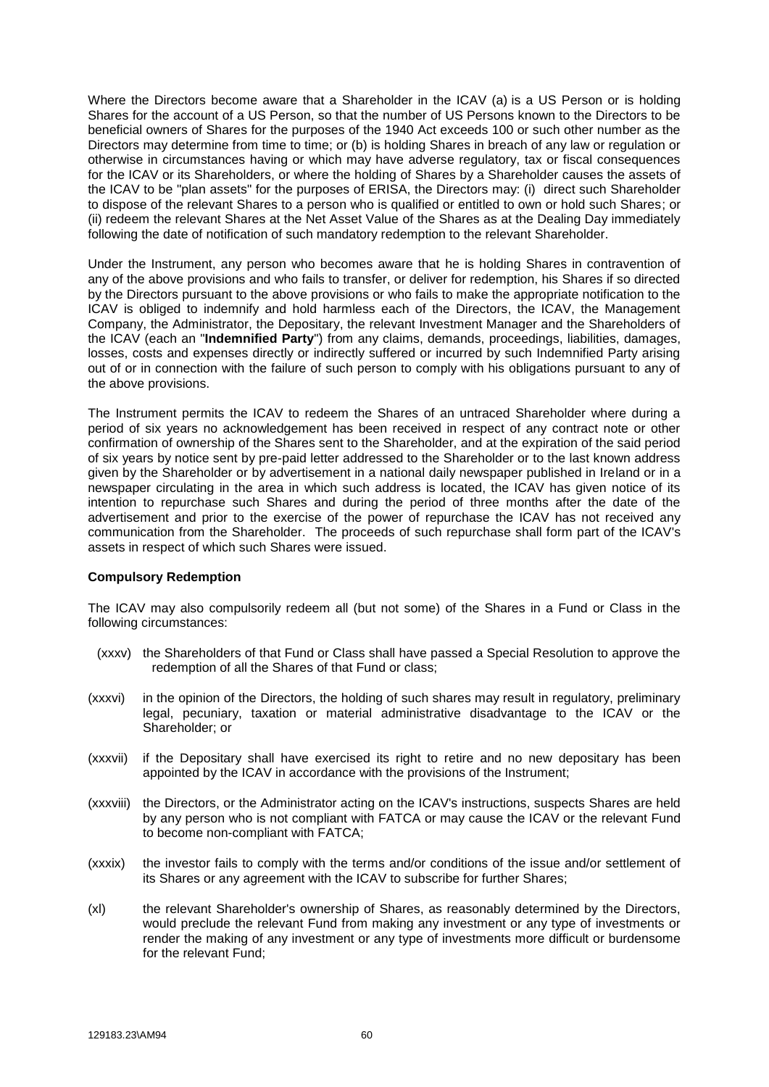Where the Directors become aware that a Shareholder in the ICAV (a) is a US Person or is holding Shares for the account of a US Person, so that the number of US Persons known to the Directors to be beneficial owners of Shares for the purposes of the 1940 Act exceeds 100 or such other number as the Directors may determine from time to time; or (b) is holding Shares in breach of any law or regulation or otherwise in circumstances having or which may have adverse regulatory, tax or fiscal consequences for the ICAV or its Shareholders, or where the holding of Shares by a Shareholder causes the assets of the ICAV to be "plan assets" for the purposes of ERISA, the Directors may: (i) direct such Shareholder to dispose of the relevant Shares to a person who is qualified or entitled to own or hold such Shares; or (ii) redeem the relevant Shares at the Net Asset Value of the Shares as at the Dealing Day immediately following the date of notification of such mandatory redemption to the relevant Shareholder.

Under the Instrument, any person who becomes aware that he is holding Shares in contravention of any of the above provisions and who fails to transfer, or deliver for redemption, his Shares if so directed by the Directors pursuant to the above provisions or who fails to make the appropriate notification to the ICAV is obliged to indemnify and hold harmless each of the Directors, the ICAV, the Management Company, the Administrator, the Depositary, the relevant Investment Manager and the Shareholders of the ICAV (each an "**Indemnified Party**") from any claims, demands, proceedings, liabilities, damages, losses, costs and expenses directly or indirectly suffered or incurred by such Indemnified Party arising out of or in connection with the failure of such person to comply with his obligations pursuant to any of the above provisions.

The Instrument permits the ICAV to redeem the Shares of an untraced Shareholder where during a period of six years no acknowledgement has been received in respect of any contract note or other confirmation of ownership of the Shares sent to the Shareholder, and at the expiration of the said period of six years by notice sent by pre-paid letter addressed to the Shareholder or to the last known address given by the Shareholder or by advertisement in a national daily newspaper published in Ireland or in a newspaper circulating in the area in which such address is located, the ICAV has given notice of its intention to repurchase such Shares and during the period of three months after the date of the advertisement and prior to the exercise of the power of repurchase the ICAV has not received any communication from the Shareholder. The proceeds of such repurchase shall form part of the ICAV's assets in respect of which such Shares were issued.

#### **Compulsory Redemption**

The ICAV may also compulsorily redeem all (but not some) of the Shares in a Fund or Class in the following circumstances:

- (xxxv) the Shareholders of that Fund or Class shall have passed a Special Resolution to approve the redemption of all the Shares of that Fund or class;
- (xxxvi) in the opinion of the Directors, the holding of such shares may result in regulatory, preliminary legal, pecuniary, taxation or material administrative disadvantage to the ICAV or the Shareholder; or
- (xxxvii) if the Depositary shall have exercised its right to retire and no new depositary has been appointed by the ICAV in accordance with the provisions of the Instrument;
- (xxxviii) the Directors, or the Administrator acting on the ICAV's instructions, suspects Shares are held by any person who is not compliant with FATCA or may cause the ICAV or the relevant Fund to become non-compliant with FATCA;
- (xxxix) the investor fails to comply with the terms and/or conditions of the issue and/or settlement of its Shares or any agreement with the ICAV to subscribe for further Shares;
- (xl) the relevant Shareholder's ownership of Shares, as reasonably determined by the Directors, would preclude the relevant Fund from making any investment or any type of investments or render the making of any investment or any type of investments more difficult or burdensome for the relevant Fund;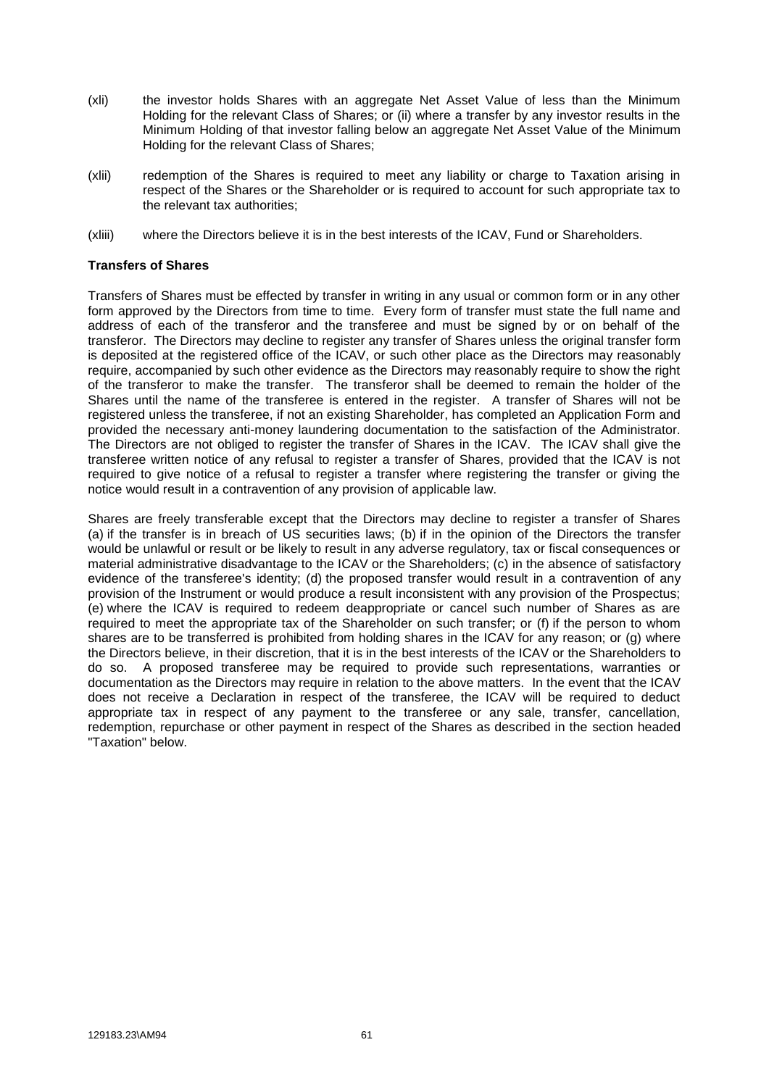- (xli) the investor holds Shares with an aggregate Net Asset Value of less than the Minimum Holding for the relevant Class of Shares; or (ii) where a transfer by any investor results in the Minimum Holding of that investor falling below an aggregate Net Asset Value of the Minimum Holding for the relevant Class of Shares;
- (xlii) redemption of the Shares is required to meet any liability or charge to Taxation arising in respect of the Shares or the Shareholder or is required to account for such appropriate tax to the relevant tax authorities;
- (xliii) where the Directors believe it is in the best interests of the ICAV, Fund or Shareholders.

#### **Transfers of Shares**

Transfers of Shares must be effected by transfer in writing in any usual or common form or in any other form approved by the Directors from time to time. Every form of transfer must state the full name and address of each of the transferor and the transferee and must be signed by or on behalf of the transferor. The Directors may decline to register any transfer of Shares unless the original transfer form is deposited at the registered office of the ICAV, or such other place as the Directors may reasonably require, accompanied by such other evidence as the Directors may reasonably require to show the right of the transferor to make the transfer. The transferor shall be deemed to remain the holder of the Shares until the name of the transferee is entered in the register. A transfer of Shares will not be registered unless the transferee, if not an existing Shareholder, has completed an Application Form and provided the necessary anti-money laundering documentation to the satisfaction of the Administrator. The Directors are not obliged to register the transfer of Shares in the ICAV. The ICAV shall give the transferee written notice of any refusal to register a transfer of Shares, provided that the ICAV is not required to give notice of a refusal to register a transfer where registering the transfer or giving the notice would result in a contravention of any provision of applicable law.

Shares are freely transferable except that the Directors may decline to register a transfer of Shares (a) if the transfer is in breach of US securities laws; (b) if in the opinion of the Directors the transfer would be unlawful or result or be likely to result in any adverse regulatory, tax or fiscal consequences or material administrative disadvantage to the ICAV or the Shareholders; (c) in the absence of satisfactory evidence of the transferee's identity; (d) the proposed transfer would result in a contravention of any provision of the Instrument or would produce a result inconsistent with any provision of the Prospectus; (e) where the ICAV is required to redeem deappropriate or cancel such number of Shares as are required to meet the appropriate tax of the Shareholder on such transfer; or (f) if the person to whom shares are to be transferred is prohibited from holding shares in the ICAV for any reason; or (g) where the Directors believe, in their discretion, that it is in the best interests of the ICAV or the Shareholders to do so. A proposed transferee may be required to provide such representations, warranties or documentation as the Directors may require in relation to the above matters. In the event that the ICAV does not receive a Declaration in respect of the transferee, the ICAV will be required to deduct appropriate tax in respect of any payment to the transferee or any sale, transfer, cancellation, redemption, repurchase or other payment in respect of the Shares as described in the section headed "Taxation" below.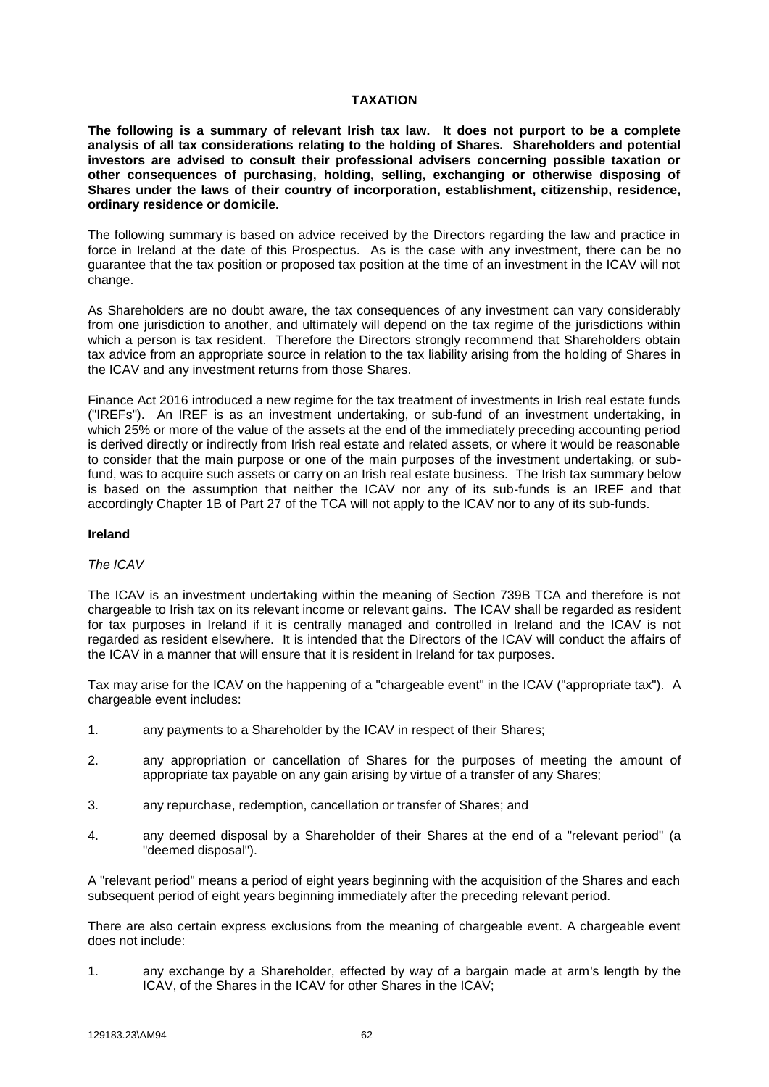## **TAXATION**

**The following is a summary of relevant Irish tax law. It does not purport to be a complete analysis of all tax considerations relating to the holding of Shares. Shareholders and potential investors are advised to consult their professional advisers concerning possible taxation or other consequences of purchasing, holding, selling, exchanging or otherwise disposing of Shares under the laws of their country of incorporation, establishment, citizenship, residence, ordinary residence or domicile.**

The following summary is based on advice received by the Directors regarding the law and practice in force in Ireland at the date of this Prospectus. As is the case with any investment, there can be no guarantee that the tax position or proposed tax position at the time of an investment in the ICAV will not change.

As Shareholders are no doubt aware, the tax consequences of any investment can vary considerably from one jurisdiction to another, and ultimately will depend on the tax regime of the jurisdictions within which a person is tax resident. Therefore the Directors strongly recommend that Shareholders obtain tax advice from an appropriate source in relation to the tax liability arising from the holding of Shares in the ICAV and any investment returns from those Shares.

Finance Act 2016 introduced a new regime for the tax treatment of investments in Irish real estate funds ("IREFs"). An IREF is as an investment undertaking, or sub-fund of an investment undertaking, in which 25% or more of the value of the assets at the end of the immediately preceding accounting period is derived directly or indirectly from Irish real estate and related assets, or where it would be reasonable to consider that the main purpose or one of the main purposes of the investment undertaking, or subfund, was to acquire such assets or carry on an Irish real estate business. The Irish tax summary below is based on the assumption that neither the ICAV nor any of its sub-funds is an IREF and that accordingly Chapter 1B of Part 27 of the TCA will not apply to the ICAV nor to any of its sub-funds.

### **Ireland**

## *The ICAV*

The ICAV is an investment undertaking within the meaning of Section 739B TCA and therefore is not chargeable to Irish tax on its relevant income or relevant gains. The ICAV shall be regarded as resident for tax purposes in Ireland if it is centrally managed and controlled in Ireland and the ICAV is not regarded as resident elsewhere. It is intended that the Directors of the ICAV will conduct the affairs of the ICAV in a manner that will ensure that it is resident in Ireland for tax purposes.

Tax may arise for the ICAV on the happening of a "chargeable event" in the ICAV ("appropriate tax"). A chargeable event includes:

- 1. any payments to a Shareholder by the ICAV in respect of their Shares;
- 2. any appropriation or cancellation of Shares for the purposes of meeting the amount of appropriate tax payable on any gain arising by virtue of a transfer of any Shares;
- 3. any repurchase, redemption, cancellation or transfer of Shares; and
- 4. any deemed disposal by a Shareholder of their Shares at the end of a "relevant period" (a "deemed disposal").

A "relevant period" means a period of eight years beginning with the acquisition of the Shares and each subsequent period of eight years beginning immediately after the preceding relevant period.

There are also certain express exclusions from the meaning of chargeable event. A chargeable event does not include:

1. any exchange by a Shareholder, effected by way of a bargain made at arm's length by the ICAV, of the Shares in the ICAV for other Shares in the ICAV;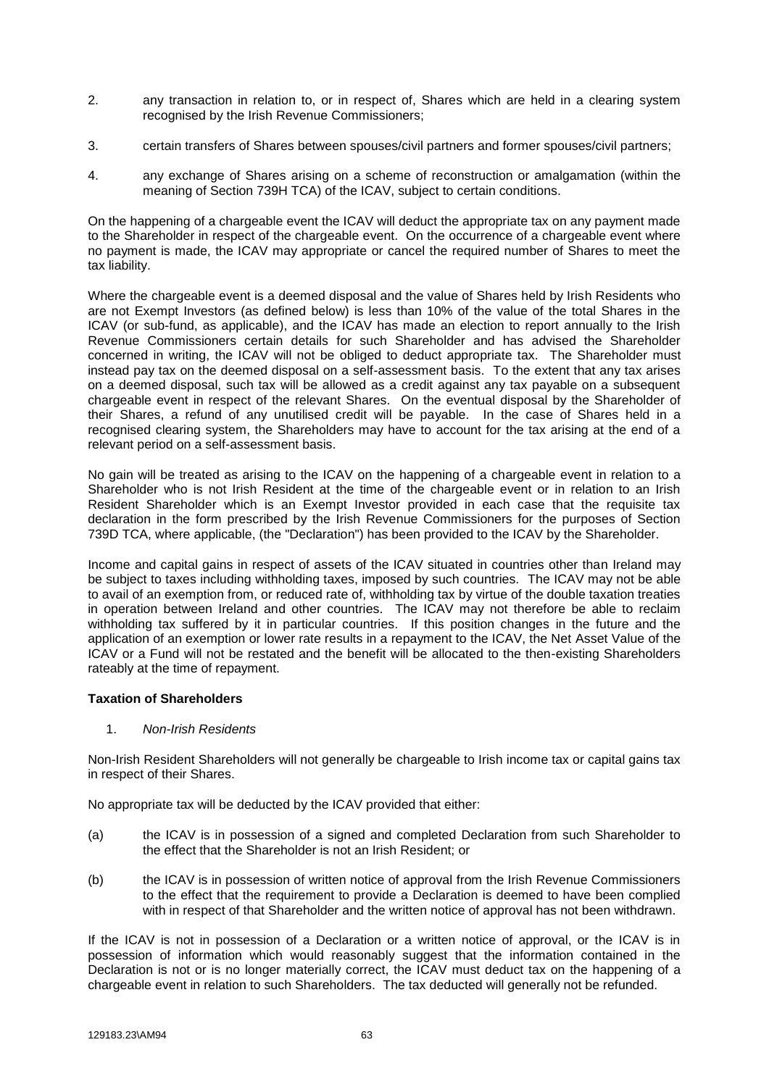- 2. any transaction in relation to, or in respect of, Shares which are held in a clearing system recognised by the Irish Revenue Commissioners;
- 3. certain transfers of Shares between spouses/civil partners and former spouses/civil partners;
- 4. any exchange of Shares arising on a scheme of reconstruction or amalgamation (within the meaning of Section 739H TCA) of the ICAV, subject to certain conditions.

On the happening of a chargeable event the ICAV will deduct the appropriate tax on any payment made to the Shareholder in respect of the chargeable event. On the occurrence of a chargeable event where no payment is made, the ICAV may appropriate or cancel the required number of Shares to meet the tax liability.

Where the chargeable event is a deemed disposal and the value of Shares held by Irish Residents who are not Exempt Investors (as defined below) is less than 10% of the value of the total Shares in the ICAV (or sub-fund, as applicable), and the ICAV has made an election to report annually to the Irish Revenue Commissioners certain details for such Shareholder and has advised the Shareholder concerned in writing, the ICAV will not be obliged to deduct appropriate tax. The Shareholder must instead pay tax on the deemed disposal on a self-assessment basis. To the extent that any tax arises on a deemed disposal, such tax will be allowed as a credit against any tax payable on a subsequent chargeable event in respect of the relevant Shares. On the eventual disposal by the Shareholder of their Shares, a refund of any unutilised credit will be payable. In the case of Shares held in a recognised clearing system, the Shareholders may have to account for the tax arising at the end of a relevant period on a self-assessment basis.

No gain will be treated as arising to the ICAV on the happening of a chargeable event in relation to a Shareholder who is not Irish Resident at the time of the chargeable event or in relation to an Irish Resident Shareholder which is an Exempt Investor provided in each case that the requisite tax declaration in the form prescribed by the Irish Revenue Commissioners for the purposes of Section 739D TCA, where applicable, (the "Declaration") has been provided to the ICAV by the Shareholder.

Income and capital gains in respect of assets of the ICAV situated in countries other than Ireland may be subject to taxes including withholding taxes, imposed by such countries. The ICAV may not be able to avail of an exemption from, or reduced rate of, withholding tax by virtue of the double taxation treaties in operation between Ireland and other countries. The ICAV may not therefore be able to reclaim withholding tax suffered by it in particular countries. If this position changes in the future and the application of an exemption or lower rate results in a repayment to the ICAV, the Net Asset Value of the ICAV or a Fund will not be restated and the benefit will be allocated to the then-existing Shareholders rateably at the time of repayment.

# **Taxation of Shareholders**

1. *Non-Irish Residents*

Non-Irish Resident Shareholders will not generally be chargeable to Irish income tax or capital gains tax in respect of their Shares.

No appropriate tax will be deducted by the ICAV provided that either:

- (a) the ICAV is in possession of a signed and completed Declaration from such Shareholder to the effect that the Shareholder is not an Irish Resident; or
- (b) the ICAV is in possession of written notice of approval from the Irish Revenue Commissioners to the effect that the requirement to provide a Declaration is deemed to have been complied with in respect of that Shareholder and the written notice of approval has not been withdrawn.

If the ICAV is not in possession of a Declaration or a written notice of approval, or the ICAV is in possession of information which would reasonably suggest that the information contained in the Declaration is not or is no longer materially correct, the ICAV must deduct tax on the happening of a chargeable event in relation to such Shareholders. The tax deducted will generally not be refunded.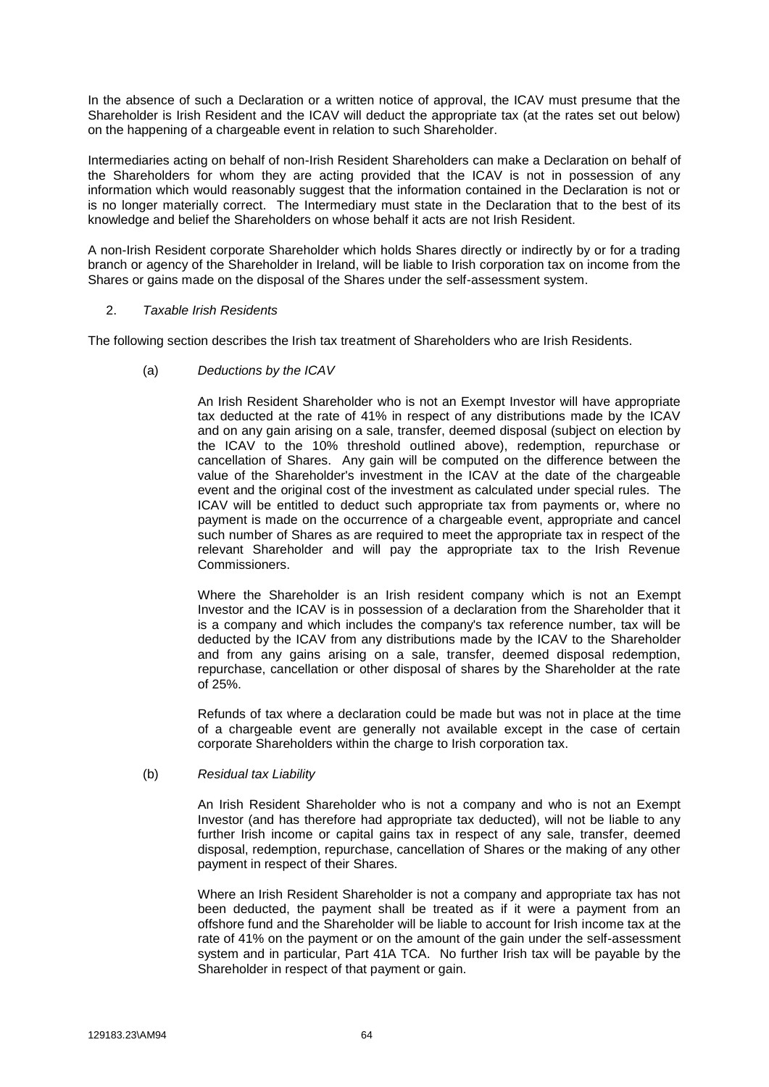In the absence of such a Declaration or a written notice of approval, the ICAV must presume that the Shareholder is Irish Resident and the ICAV will deduct the appropriate tax (at the rates set out below) on the happening of a chargeable event in relation to such Shareholder.

Intermediaries acting on behalf of non-Irish Resident Shareholders can make a Declaration on behalf of the Shareholders for whom they are acting provided that the ICAV is not in possession of any information which would reasonably suggest that the information contained in the Declaration is not or is no longer materially correct. The Intermediary must state in the Declaration that to the best of its knowledge and belief the Shareholders on whose behalf it acts are not Irish Resident.

A non-Irish Resident corporate Shareholder which holds Shares directly or indirectly by or for a trading branch or agency of the Shareholder in Ireland, will be liable to Irish corporation tax on income from the Shares or gains made on the disposal of the Shares under the self-assessment system.

## 2. *Taxable Irish Residents*

The following section describes the Irish tax treatment of Shareholders who are Irish Residents.

(a) *Deductions by the ICAV*

An Irish Resident Shareholder who is not an Exempt Investor will have appropriate tax deducted at the rate of 41% in respect of any distributions made by the ICAV and on any gain arising on a sale, transfer, deemed disposal (subject on election by the ICAV to the 10% threshold outlined above), redemption, repurchase or cancellation of Shares. Any gain will be computed on the difference between the value of the Shareholder's investment in the ICAV at the date of the chargeable event and the original cost of the investment as calculated under special rules. The ICAV will be entitled to deduct such appropriate tax from payments or, where no payment is made on the occurrence of a chargeable event, appropriate and cancel such number of Shares as are required to meet the appropriate tax in respect of the relevant Shareholder and will pay the appropriate tax to the Irish Revenue Commissioners.

Where the Shareholder is an Irish resident company which is not an Exempt Investor and the ICAV is in possession of a declaration from the Shareholder that it is a company and which includes the company's tax reference number, tax will be deducted by the ICAV from any distributions made by the ICAV to the Shareholder and from any gains arising on a sale, transfer, deemed disposal redemption, repurchase, cancellation or other disposal of shares by the Shareholder at the rate of 25%.

Refunds of tax where a declaration could be made but was not in place at the time of a chargeable event are generally not available except in the case of certain corporate Shareholders within the charge to Irish corporation tax.

(b) *Residual tax Liability*

An Irish Resident Shareholder who is not a company and who is not an Exempt Investor (and has therefore had appropriate tax deducted), will not be liable to any further Irish income or capital gains tax in respect of any sale, transfer, deemed disposal, redemption, repurchase, cancellation of Shares or the making of any other payment in respect of their Shares.

Where an Irish Resident Shareholder is not a company and appropriate tax has not been deducted, the payment shall be treated as if it were a payment from an offshore fund and the Shareholder will be liable to account for Irish income tax at the rate of 41% on the payment or on the amount of the gain under the self-assessment system and in particular, Part 41A TCA. No further Irish tax will be payable by the Shareholder in respect of that payment or gain.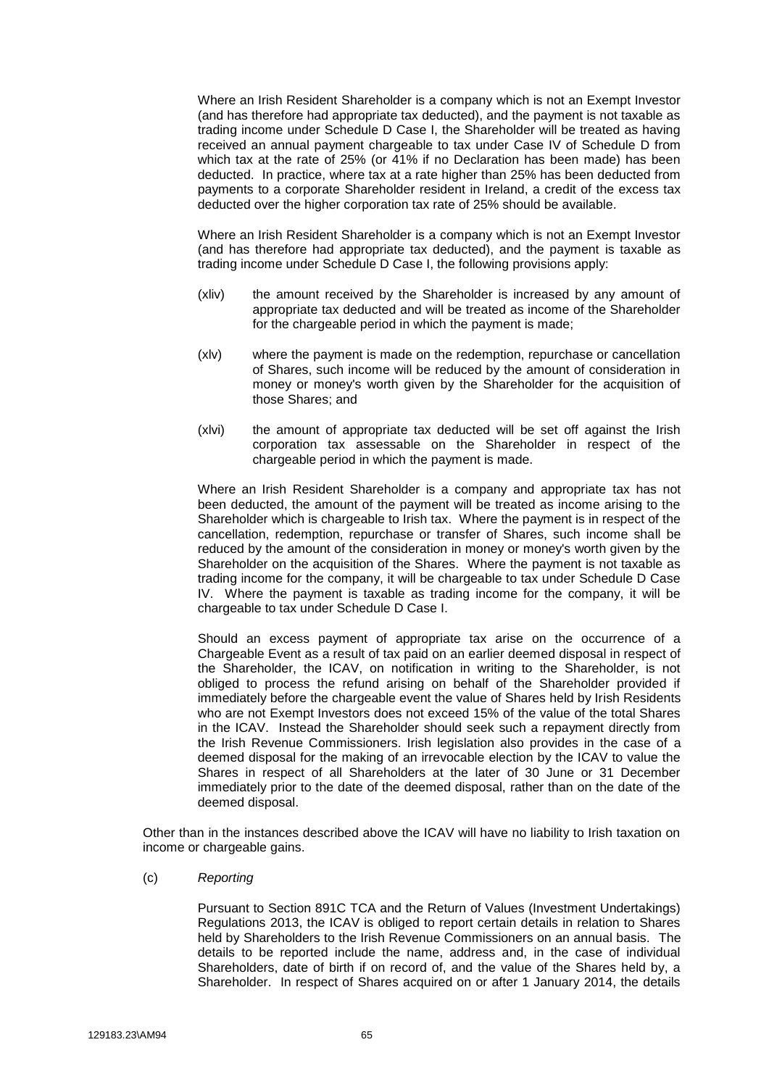Where an Irish Resident Shareholder is a company which is not an Exempt Investor (and has therefore had appropriate tax deducted), and the payment is not taxable as trading income under Schedule D Case I, the Shareholder will be treated as having received an annual payment chargeable to tax under Case IV of Schedule D from which tax at the rate of 25% (or 41% if no Declaration has been made) has been deducted. In practice, where tax at a rate higher than 25% has been deducted from payments to a corporate Shareholder resident in Ireland, a credit of the excess tax deducted over the higher corporation tax rate of 25% should be available.

Where an Irish Resident Shareholder is a company which is not an Exempt Investor (and has therefore had appropriate tax deducted), and the payment is taxable as trading income under Schedule D Case I, the following provisions apply:

- (xliv) the amount received by the Shareholder is increased by any amount of appropriate tax deducted and will be treated as income of the Shareholder for the chargeable period in which the payment is made;
- (xlv) where the payment is made on the redemption, repurchase or cancellation of Shares, such income will be reduced by the amount of consideration in money or money's worth given by the Shareholder for the acquisition of those Shares; and
- (xlvi) the amount of appropriate tax deducted will be set off against the Irish corporation tax assessable on the Shareholder in respect of the chargeable period in which the payment is made.

Where an Irish Resident Shareholder is a company and appropriate tax has not been deducted, the amount of the payment will be treated as income arising to the Shareholder which is chargeable to Irish tax. Where the payment is in respect of the cancellation, redemption, repurchase or transfer of Shares, such income shall be reduced by the amount of the consideration in money or money's worth given by the Shareholder on the acquisition of the Shares. Where the payment is not taxable as trading income for the company, it will be chargeable to tax under Schedule D Case IV. Where the payment is taxable as trading income for the company, it will be chargeable to tax under Schedule D Case I.

Should an excess payment of appropriate tax arise on the occurrence of a Chargeable Event as a result of tax paid on an earlier deemed disposal in respect of the Shareholder, the ICAV, on notification in writing to the Shareholder, is not obliged to process the refund arising on behalf of the Shareholder provided if immediately before the chargeable event the value of Shares held by Irish Residents who are not Exempt Investors does not exceed 15% of the value of the total Shares in the ICAV. Instead the Shareholder should seek such a repayment directly from the Irish Revenue Commissioners. Irish legislation also provides in the case of a deemed disposal for the making of an irrevocable election by the ICAV to value the Shares in respect of all Shareholders at the later of 30 June or 31 December immediately prior to the date of the deemed disposal, rather than on the date of the deemed disposal.

Other than in the instances described above the ICAV will have no liability to Irish taxation on income or chargeable gains.

(c) *Reporting*

Pursuant to Section 891C TCA and the Return of Values (Investment Undertakings) Regulations 2013, the ICAV is obliged to report certain details in relation to Shares held by Shareholders to the Irish Revenue Commissioners on an annual basis. The details to be reported include the name, address and, in the case of individual Shareholders, date of birth if on record of, and the value of the Shares held by, a Shareholder. In respect of Shares acquired on or after 1 January 2014, the details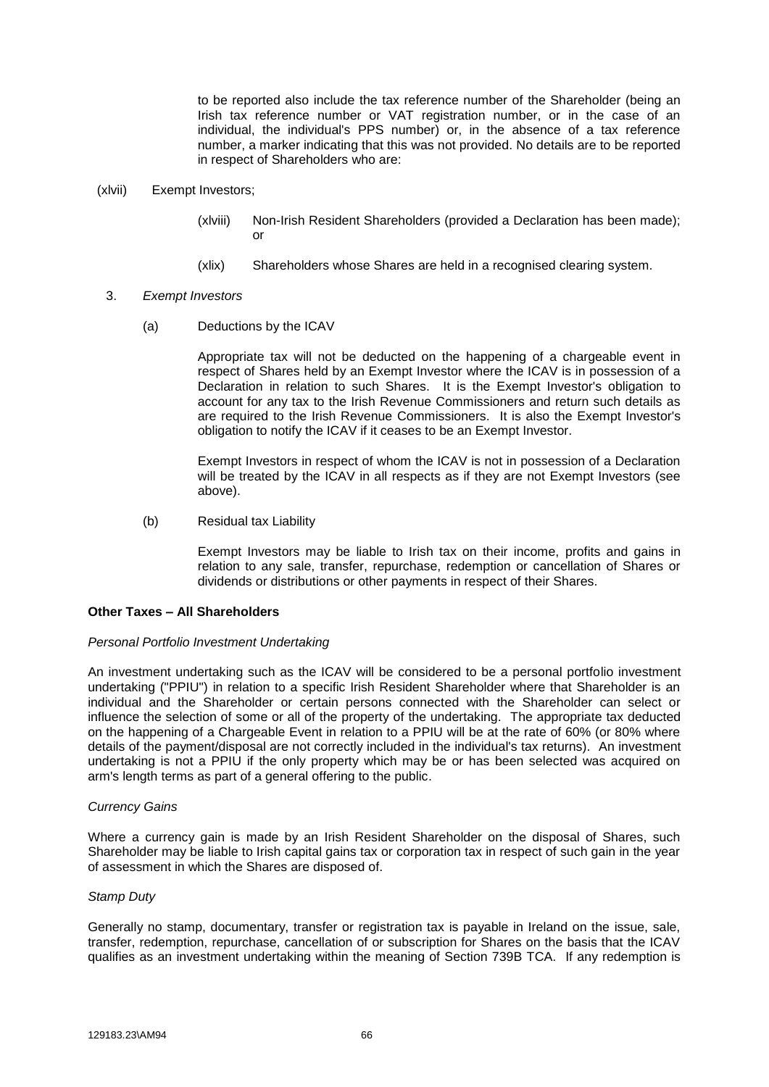to be reported also include the tax reference number of the Shareholder (being an Irish tax reference number or VAT registration number, or in the case of an individual, the individual's PPS number) or, in the absence of a tax reference number, a marker indicating that this was not provided. No details are to be reported in respect of Shareholders who are:

- (xlvii) Exempt Investors;
	- (xlviii) Non-Irish Resident Shareholders (provided a Declaration has been made); or
	- (xlix) Shareholders whose Shares are held in a recognised clearing system.
	- 3. *Exempt Investors*
		- (a) Deductions by the ICAV

Appropriate tax will not be deducted on the happening of a chargeable event in respect of Shares held by an Exempt Investor where the ICAV is in possession of a Declaration in relation to such Shares. It is the Exempt Investor's obligation to account for any tax to the Irish Revenue Commissioners and return such details as are required to the Irish Revenue Commissioners. It is also the Exempt Investor's obligation to notify the ICAV if it ceases to be an Exempt Investor.

Exempt Investors in respect of whom the ICAV is not in possession of a Declaration will be treated by the ICAV in all respects as if they are not Exempt Investors (see above).

(b) Residual tax Liability

Exempt Investors may be liable to Irish tax on their income, profits and gains in relation to any sale, transfer, repurchase, redemption or cancellation of Shares or dividends or distributions or other payments in respect of their Shares.

## **Other Taxes – All Shareholders**

#### *Personal Portfolio Investment Undertaking*

An investment undertaking such as the ICAV will be considered to be a personal portfolio investment undertaking ("PPIU") in relation to a specific Irish Resident Shareholder where that Shareholder is an individual and the Shareholder or certain persons connected with the Shareholder can select or influence the selection of some or all of the property of the undertaking. The appropriate tax deducted on the happening of a Chargeable Event in relation to a PPIU will be at the rate of 60% (or 80% where details of the payment/disposal are not correctly included in the individual's tax returns). An investment undertaking is not a PPIU if the only property which may be or has been selected was acquired on arm's length terms as part of a general offering to the public.

### *Currency Gains*

Where a currency gain is made by an Irish Resident Shareholder on the disposal of Shares, such Shareholder may be liable to Irish capital gains tax or corporation tax in respect of such gain in the year of assessment in which the Shares are disposed of.

### *Stamp Duty*

Generally no stamp, documentary, transfer or registration tax is payable in Ireland on the issue, sale, transfer, redemption, repurchase, cancellation of or subscription for Shares on the basis that the ICAV qualifies as an investment undertaking within the meaning of Section 739B TCA. If any redemption is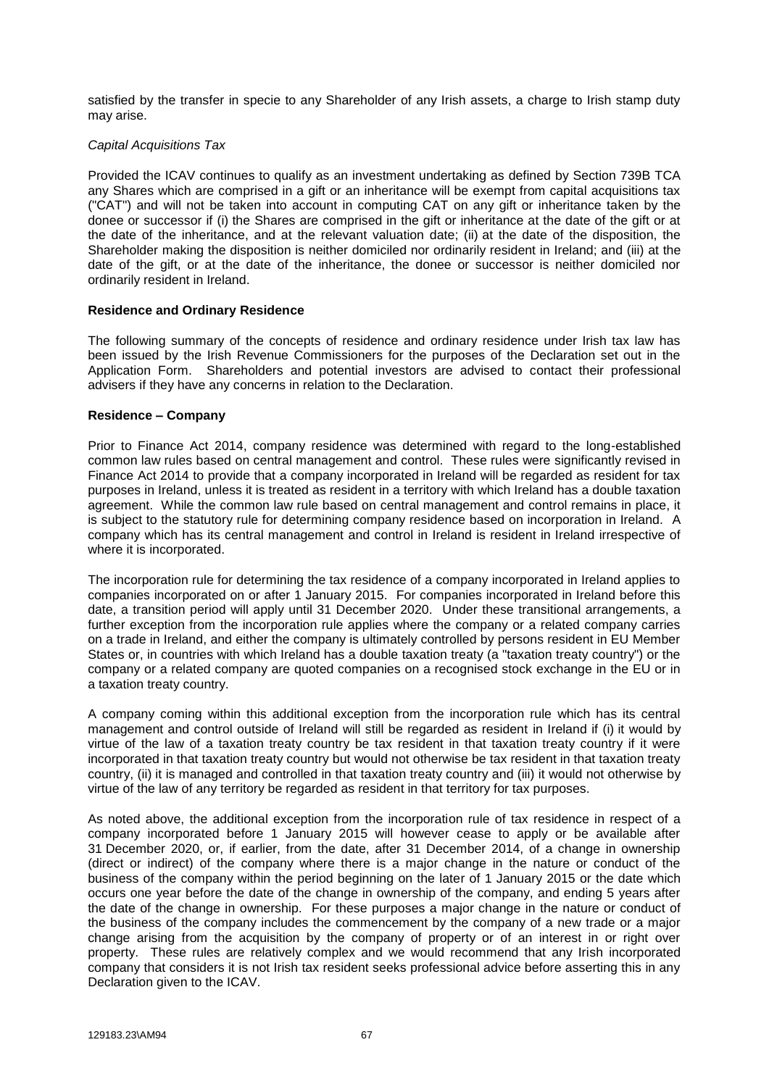satisfied by the transfer in specie to any Shareholder of any Irish assets, a charge to Irish stamp duty may arise.

## *Capital Acquisitions Tax*

Provided the ICAV continues to qualify as an investment undertaking as defined by Section 739B TCA any Shares which are comprised in a gift or an inheritance will be exempt from capital acquisitions tax ("CAT") and will not be taken into account in computing CAT on any gift or inheritance taken by the donee or successor if (i) the Shares are comprised in the gift or inheritance at the date of the gift or at the date of the inheritance, and at the relevant valuation date; (ii) at the date of the disposition, the Shareholder making the disposition is neither domiciled nor ordinarily resident in Ireland; and (iii) at the date of the gift, or at the date of the inheritance, the donee or successor is neither domiciled nor ordinarily resident in Ireland.

## **Residence and Ordinary Residence**

The following summary of the concepts of residence and ordinary residence under Irish tax law has been issued by the Irish Revenue Commissioners for the purposes of the Declaration set out in the Application Form. Shareholders and potential investors are advised to contact their professional advisers if they have any concerns in relation to the Declaration.

## **Residence – Company**

Prior to Finance Act 2014, company residence was determined with regard to the long-established common law rules based on central management and control. These rules were significantly revised in Finance Act 2014 to provide that a company incorporated in Ireland will be regarded as resident for tax purposes in Ireland, unless it is treated as resident in a territory with which Ireland has a double taxation agreement. While the common law rule based on central management and control remains in place, it is subject to the statutory rule for determining company residence based on incorporation in Ireland. A company which has its central management and control in Ireland is resident in Ireland irrespective of where it is incorporated.

The incorporation rule for determining the tax residence of a company incorporated in Ireland applies to companies incorporated on or after 1 January 2015. For companies incorporated in Ireland before this date, a transition period will apply until 31 December 2020. Under these transitional arrangements, a further exception from the incorporation rule applies where the company or a related company carries on a trade in Ireland, and either the company is ultimately controlled by persons resident in EU Member States or, in countries with which Ireland has a double taxation treaty (a "taxation treaty country") or the company or a related company are quoted companies on a recognised stock exchange in the EU or in a taxation treaty country.

A company coming within this additional exception from the incorporation rule which has its central management and control outside of Ireland will still be regarded as resident in Ireland if (i) it would by virtue of the law of a taxation treaty country be tax resident in that taxation treaty country if it were incorporated in that taxation treaty country but would not otherwise be tax resident in that taxation treaty country, (ii) it is managed and controlled in that taxation treaty country and (iii) it would not otherwise by virtue of the law of any territory be regarded as resident in that territory for tax purposes.

As noted above, the additional exception from the incorporation rule of tax residence in respect of a company incorporated before 1 January 2015 will however cease to apply or be available after 31 December 2020, or, if earlier, from the date, after 31 December 2014, of a change in ownership (direct or indirect) of the company where there is a major change in the nature or conduct of the business of the company within the period beginning on the later of 1 January 2015 or the date which occurs one year before the date of the change in ownership of the company, and ending 5 years after the date of the change in ownership. For these purposes a major change in the nature or conduct of the business of the company includes the commencement by the company of a new trade or a major change arising from the acquisition by the company of property or of an interest in or right over property. These rules are relatively complex and we would recommend that any Irish incorporated company that considers it is not Irish tax resident seeks professional advice before asserting this in any Declaration given to the ICAV.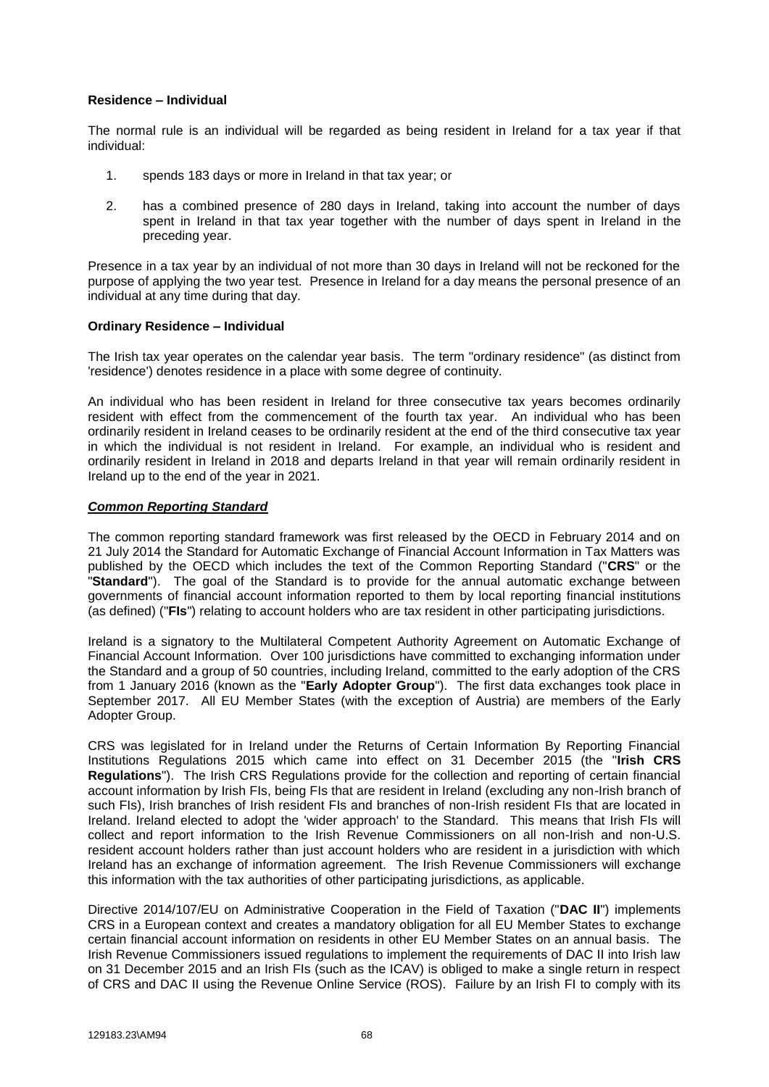### **Residence – Individual**

The normal rule is an individual will be regarded as being resident in Ireland for a tax year if that individual:

- 1. spends 183 days or more in Ireland in that tax year; or
- 2. has a combined presence of 280 days in Ireland, taking into account the number of days spent in Ireland in that tax year together with the number of days spent in Ireland in the preceding year.

Presence in a tax year by an individual of not more than 30 days in Ireland will not be reckoned for the purpose of applying the two year test. Presence in Ireland for a day means the personal presence of an individual at any time during that day.

## **Ordinary Residence – Individual**

The Irish tax year operates on the calendar year basis. The term "ordinary residence" (as distinct from 'residence') denotes residence in a place with some degree of continuity.

An individual who has been resident in Ireland for three consecutive tax years becomes ordinarily resident with effect from the commencement of the fourth tax year. An individual who has been ordinarily resident in Ireland ceases to be ordinarily resident at the end of the third consecutive tax year in which the individual is not resident in Ireland. For example, an individual who is resident and ordinarily resident in Ireland in 2018 and departs Ireland in that year will remain ordinarily resident in Ireland up to the end of the year in 2021.

## *Common Reporting Standard*

The common reporting standard framework was first released by the OECD in February 2014 and on 21 July 2014 the Standard for Automatic Exchange of Financial Account Information in Tax Matters was published by the OECD which includes the text of the Common Reporting Standard ("**CRS**" or the "**Standard**"). The goal of the Standard is to provide for the annual automatic exchange between governments of financial account information reported to them by local reporting financial institutions (as defined) ("**FIs**") relating to account holders who are tax resident in other participating jurisdictions.

Ireland is a signatory to the Multilateral Competent Authority Agreement on Automatic Exchange of Financial Account Information. Over 100 jurisdictions have committed to exchanging information under the Standard and a group of 50 countries, including Ireland, committed to the early adoption of the CRS from 1 January 2016 (known as the "**Early Adopter Group**"). The first data exchanges took place in September 2017. All EU Member States (with the exception of Austria) are members of the Early Adopter Group.

CRS was legislated for in Ireland under the Returns of Certain Information By Reporting Financial Institutions Regulations 2015 which came into effect on 31 December 2015 (the "**Irish CRS Regulations**"). The Irish CRS Regulations provide for the collection and reporting of certain financial account information by Irish FIs, being FIs that are resident in Ireland (excluding any non-Irish branch of such FIs), Irish branches of Irish resident FIs and branches of non-Irish resident FIs that are located in Ireland. Ireland elected to adopt the 'wider approach' to the Standard. This means that Irish FIs will collect and report information to the Irish Revenue Commissioners on all non-Irish and non-U.S. resident account holders rather than just account holders who are resident in a jurisdiction with which Ireland has an exchange of information agreement. The Irish Revenue Commissioners will exchange this information with the tax authorities of other participating jurisdictions, as applicable.

Directive 2014/107/EU on Administrative Cooperation in the Field of Taxation ("**DAC II**") implements CRS in a European context and creates a mandatory obligation for all EU Member States to exchange certain financial account information on residents in other EU Member States on an annual basis. The Irish Revenue Commissioners issued regulations to implement the requirements of DAC II into Irish law on 31 December 2015 and an Irish FIs (such as the ICAV) is obliged to make a single return in respect of CRS and DAC II using the Revenue Online Service (ROS). Failure by an Irish FI to comply with its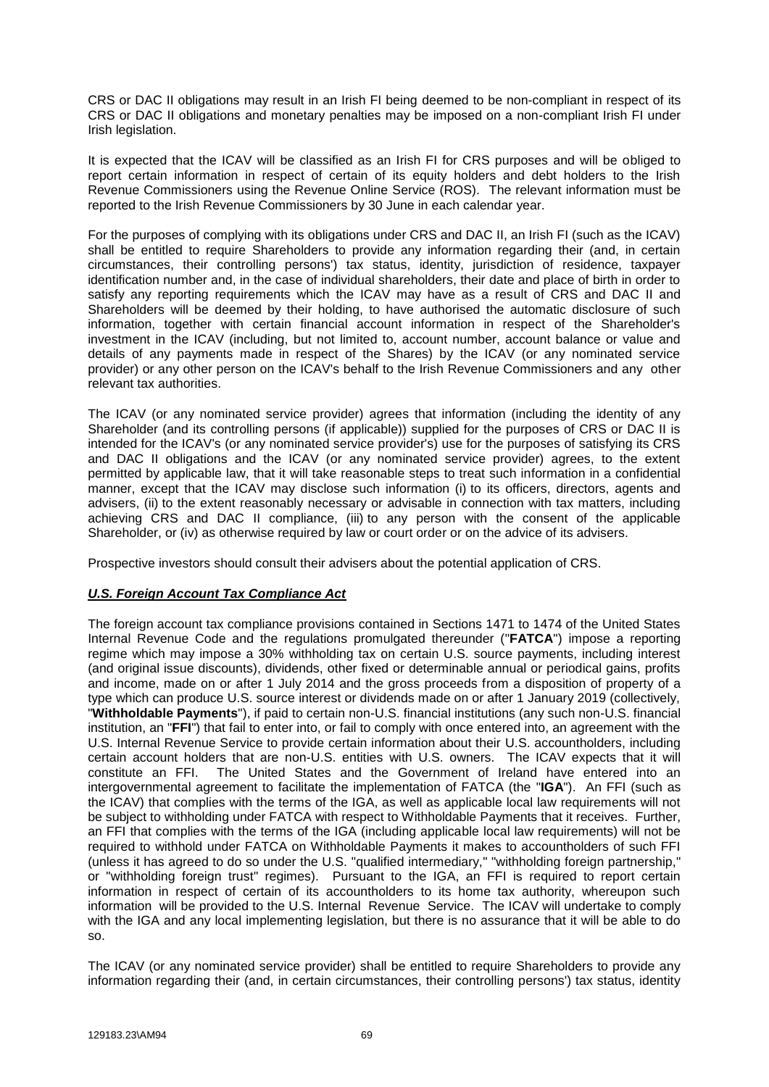CRS or DAC II obligations may result in an Irish FI being deemed to be non-compliant in respect of its CRS or DAC II obligations and monetary penalties may be imposed on a non-compliant Irish FI under Irish legislation.

It is expected that the ICAV will be classified as an Irish FI for CRS purposes and will be obliged to report certain information in respect of certain of its equity holders and debt holders to the Irish Revenue Commissioners using the Revenue Online Service (ROS). The relevant information must be reported to the Irish Revenue Commissioners by 30 June in each calendar year.

For the purposes of complying with its obligations under CRS and DAC II, an Irish FI (such as the ICAV) shall be entitled to require Shareholders to provide any information regarding their (and, in certain circumstances, their controlling persons') tax status, identity, jurisdiction of residence, taxpayer identification number and, in the case of individual shareholders, their date and place of birth in order to satisfy any reporting requirements which the ICAV may have as a result of CRS and DAC II and Shareholders will be deemed by their holding, to have authorised the automatic disclosure of such information, together with certain financial account information in respect of the Shareholder's investment in the ICAV (including, but not limited to, account number, account balance or value and details of any payments made in respect of the Shares) by the ICAV (or any nominated service provider) or any other person on the ICAV's behalf to the Irish Revenue Commissioners and any other relevant tax authorities.

The ICAV (or any nominated service provider) agrees that information (including the identity of any Shareholder (and its controlling persons (if applicable)) supplied for the purposes of CRS or DAC II is intended for the ICAV's (or any nominated service provider's) use for the purposes of satisfying its CRS and DAC II obligations and the ICAV (or any nominated service provider) agrees, to the extent permitted by applicable law, that it will take reasonable steps to treat such information in a confidential manner, except that the ICAV may disclose such information (i) to its officers, directors, agents and advisers, (ii) to the extent reasonably necessary or advisable in connection with tax matters, including achieving CRS and DAC II compliance, (iii) to any person with the consent of the applicable Shareholder, or (iv) as otherwise required by law or court order or on the advice of its advisers.

Prospective investors should consult their advisers about the potential application of CRS.

## *U.S. Foreign Account Tax Compliance Act*

The foreign account tax compliance provisions contained in Sections 1471 to 1474 of the United States Internal Revenue Code and the regulations promulgated thereunder ("**FATCA**") impose a reporting regime which may impose a 30% withholding tax on certain U.S. source payments, including interest (and original issue discounts), dividends, other fixed or determinable annual or periodical gains, profits and income, made on or after 1 July 2014 and the gross proceeds from a disposition of property of a type which can produce U.S. source interest or dividends made on or after 1 January 2019 (collectively, "**Withholdable Payments**"), if paid to certain non-U.S. financial institutions (any such non-U.S. financial institution, an "**FFI**") that fail to enter into, or fail to comply with once entered into, an agreement with the U.S. Internal Revenue Service to provide certain information about their U.S. accountholders, including certain account holders that are non-U.S. entities with U.S. owners. The ICAV expects that it will constitute an FFI. The United States and the Government of Ireland have entered into an intergovernmental agreement to facilitate the implementation of FATCA (the "**IGA**"). An FFI (such as the ICAV) that complies with the terms of the IGA, as well as applicable local law requirements will not be subject to withholding under FATCA with respect to Withholdable Payments that it receives. Further, an FFI that complies with the terms of the IGA (including applicable local law requirements) will not be required to withhold under FATCA on Withholdable Payments it makes to accountholders of such FFI (unless it has agreed to do so under the U.S. "qualified intermediary," "withholding foreign partnership," or "withholding foreign trust" regimes). Pursuant to the IGA, an FFI is required to report certain information in respect of certain of its accountholders to its home tax authority, whereupon such information will be provided to the U.S. Internal Revenue Service. The ICAV will undertake to comply with the IGA and any local implementing legislation, but there is no assurance that it will be able to do so.

The ICAV (or any nominated service provider) shall be entitled to require Shareholders to provide any information regarding their (and, in certain circumstances, their controlling persons') tax status, identity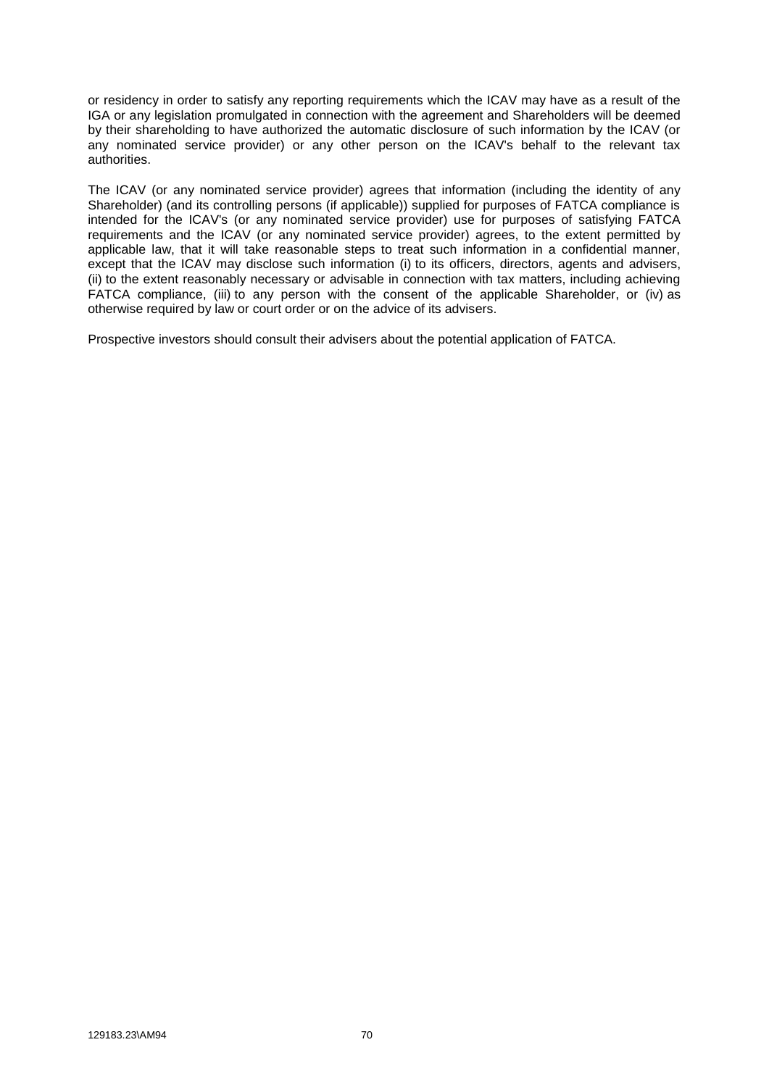or residency in order to satisfy any reporting requirements which the ICAV may have as a result of the IGA or any legislation promulgated in connection with the agreement and Shareholders will be deemed by their shareholding to have authorized the automatic disclosure of such information by the ICAV (or any nominated service provider) or any other person on the ICAV's behalf to the relevant tax authorities.

The ICAV (or any nominated service provider) agrees that information (including the identity of any Shareholder) (and its controlling persons (if applicable)) supplied for purposes of FATCA compliance is intended for the ICAV's (or any nominated service provider) use for purposes of satisfying FATCA requirements and the ICAV (or any nominated service provider) agrees, to the extent permitted by applicable law, that it will take reasonable steps to treat such information in a confidential manner, except that the ICAV may disclose such information (i) to its officers, directors, agents and advisers, (ii) to the extent reasonably necessary or advisable in connection with tax matters, including achieving FATCA compliance, (iii) to any person with the consent of the applicable Shareholder, or (iv) as otherwise required by law or court order or on the advice of its advisers.

Prospective investors should consult their advisers about the potential application of FATCA.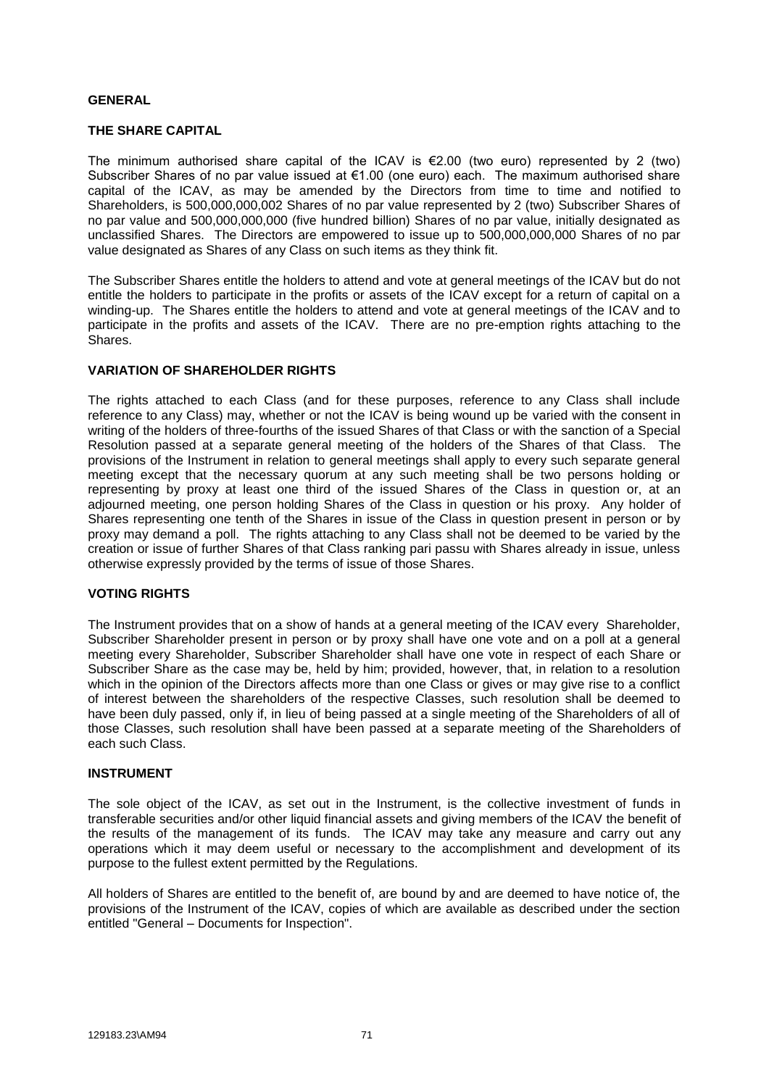## **GENERAL**

## **THE SHARE CAPITAL**

The minimum authorised share capital of the ICAV is  $E$ 2.00 (two euro) represented by 2 (two) Subscriber Shares of no par value issued at €1.00 (one euro) each. The maximum authorised share capital of the ICAV, as may be amended by the Directors from time to time and notified to Shareholders, is 500,000,000,002 Shares of no par value represented by 2 (two) Subscriber Shares of no par value and 500,000,000,000 (five hundred billion) Shares of no par value, initially designated as unclassified Shares. The Directors are empowered to issue up to 500,000,000,000 Shares of no par value designated as Shares of any Class on such items as they think fit.

The Subscriber Shares entitle the holders to attend and vote at general meetings of the ICAV but do not entitle the holders to participate in the profits or assets of the ICAV except for a return of capital on a winding-up. The Shares entitle the holders to attend and vote at general meetings of the ICAV and to participate in the profits and assets of the ICAV. There are no pre-emption rights attaching to the Shares.

### **VARIATION OF SHAREHOLDER RIGHTS**

The rights attached to each Class (and for these purposes, reference to any Class shall include reference to any Class) may, whether or not the ICAV is being wound up be varied with the consent in writing of the holders of three-fourths of the issued Shares of that Class or with the sanction of a Special Resolution passed at a separate general meeting of the holders of the Shares of that Class. The provisions of the Instrument in relation to general meetings shall apply to every such separate general meeting except that the necessary quorum at any such meeting shall be two persons holding or representing by proxy at least one third of the issued Shares of the Class in question or, at an adjourned meeting, one person holding Shares of the Class in question or his proxy. Any holder of Shares representing one tenth of the Shares in issue of the Class in question present in person or by proxy may demand a poll. The rights attaching to any Class shall not be deemed to be varied by the creation or issue of further Shares of that Class ranking pari passu with Shares already in issue, unless otherwise expressly provided by the terms of issue of those Shares.

### **VOTING RIGHTS**

The Instrument provides that on a show of hands at a general meeting of the ICAV every Shareholder, Subscriber Shareholder present in person or by proxy shall have one vote and on a poll at a general meeting every Shareholder, Subscriber Shareholder shall have one vote in respect of each Share or Subscriber Share as the case may be, held by him; provided, however, that, in relation to a resolution which in the opinion of the Directors affects more than one Class or gives or may give rise to a conflict of interest between the shareholders of the respective Classes, such resolution shall be deemed to have been duly passed, only if, in lieu of being passed at a single meeting of the Shareholders of all of those Classes, such resolution shall have been passed at a separate meeting of the Shareholders of each such Class.

### **INSTRUMENT**

The sole object of the ICAV, as set out in the Instrument, is the collective investment of funds in transferable securities and/or other liquid financial assets and giving members of the ICAV the benefit of the results of the management of its funds. The ICAV may take any measure and carry out any operations which it may deem useful or necessary to the accomplishment and development of its purpose to the fullest extent permitted by the Regulations.

All holders of Shares are entitled to the benefit of, are bound by and are deemed to have notice of, the provisions of the Instrument of the ICAV, copies of which are available as described under the section entitled "General – Documents for Inspection".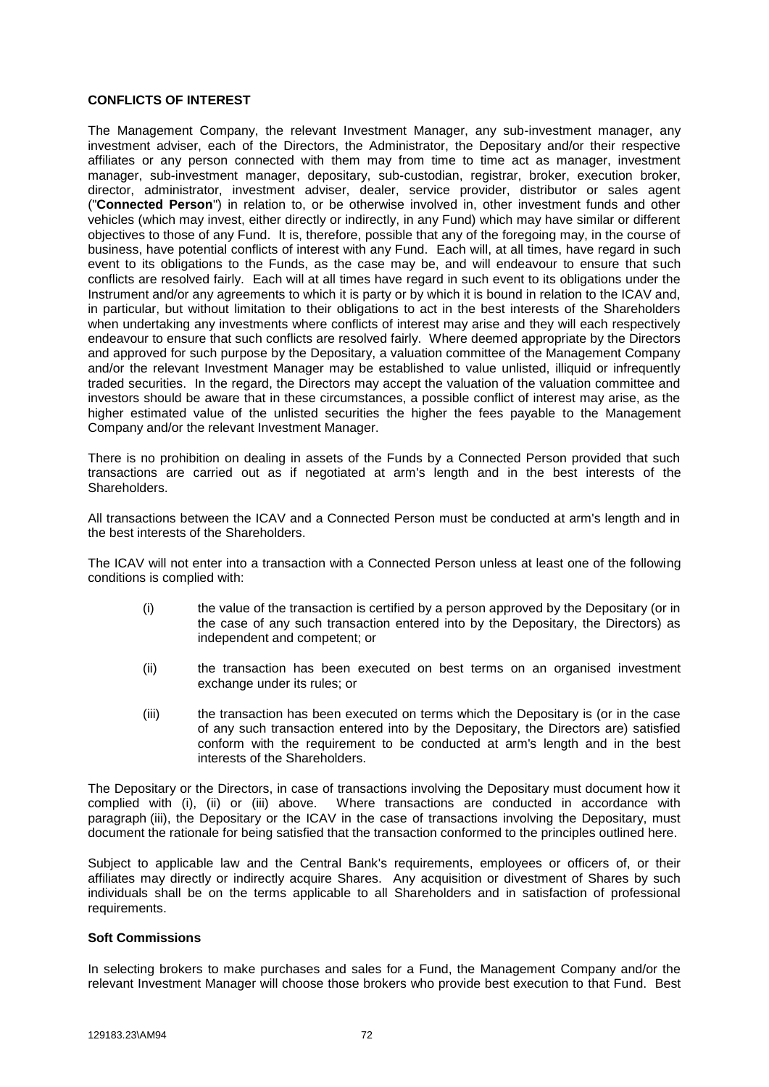## **CONFLICTS OF INTEREST**

The Management Company, the relevant Investment Manager, any sub-investment manager, any investment adviser, each of the Directors, the Administrator, the Depositary and/or their respective affiliates or any person connected with them may from time to time act as manager, investment manager, sub-investment manager, depositary, sub-custodian, registrar, broker, execution broker, director, administrator, investment adviser, dealer, service provider, distributor or sales agent ("**Connected Person**") in relation to, or be otherwise involved in, other investment funds and other vehicles (which may invest, either directly or indirectly, in any Fund) which may have similar or different objectives to those of any Fund. It is, therefore, possible that any of the foregoing may, in the course of business, have potential conflicts of interest with any Fund. Each will, at all times, have regard in such event to its obligations to the Funds, as the case may be, and will endeavour to ensure that such conflicts are resolved fairly. Each will at all times have regard in such event to its obligations under the Instrument and/or any agreements to which it is party or by which it is bound in relation to the ICAV and, in particular, but without limitation to their obligations to act in the best interests of the Shareholders when undertaking any investments where conflicts of interest may arise and they will each respectively endeavour to ensure that such conflicts are resolved fairly. Where deemed appropriate by the Directors and approved for such purpose by the Depositary, a valuation committee of the Management Company and/or the relevant Investment Manager may be established to value unlisted, illiquid or infrequently traded securities. In the regard, the Directors may accept the valuation of the valuation committee and investors should be aware that in these circumstances, a possible conflict of interest may arise, as the higher estimated value of the unlisted securities the higher the fees payable to the Management Company and/or the relevant Investment Manager.

There is no prohibition on dealing in assets of the Funds by a Connected Person provided that such transactions are carried out as if negotiated at arm's length and in the best interests of the Shareholders.

All transactions between the ICAV and a Connected Person must be conducted at arm's length and in the best interests of the Shareholders.

The ICAV will not enter into a transaction with a Connected Person unless at least one of the following conditions is complied with:

- (i) the value of the transaction is certified by a person approved by the Depositary (or in the case of any such transaction entered into by the Depositary, the Directors) as independent and competent; or
- (ii) the transaction has been executed on best terms on an organised investment exchange under its rules; or
- (iii) the transaction has been executed on terms which the Depositary is (or in the case of any such transaction entered into by the Depositary, the Directors are) satisfied conform with the requirement to be conducted at arm's length and in the best interests of the Shareholders.

The Depositary or the Directors, in case of transactions involving the Depositary must document how it complied with (i), (ii) or (iii) above. Where transactions are conducted in accordance with paragraph (iii), the Depositary or the ICAV in the case of transactions involving the Depositary, must document the rationale for being satisfied that the transaction conformed to the principles outlined here.

Subject to applicable law and the Central Bank's requirements, employees or officers of, or their affiliates may directly or indirectly acquire Shares. Any acquisition or divestment of Shares by such individuals shall be on the terms applicable to all Shareholders and in satisfaction of professional requirements.

### **Soft Commissions**

In selecting brokers to make purchases and sales for a Fund, the Management Company and/or the relevant Investment Manager will choose those brokers who provide best execution to that Fund. Best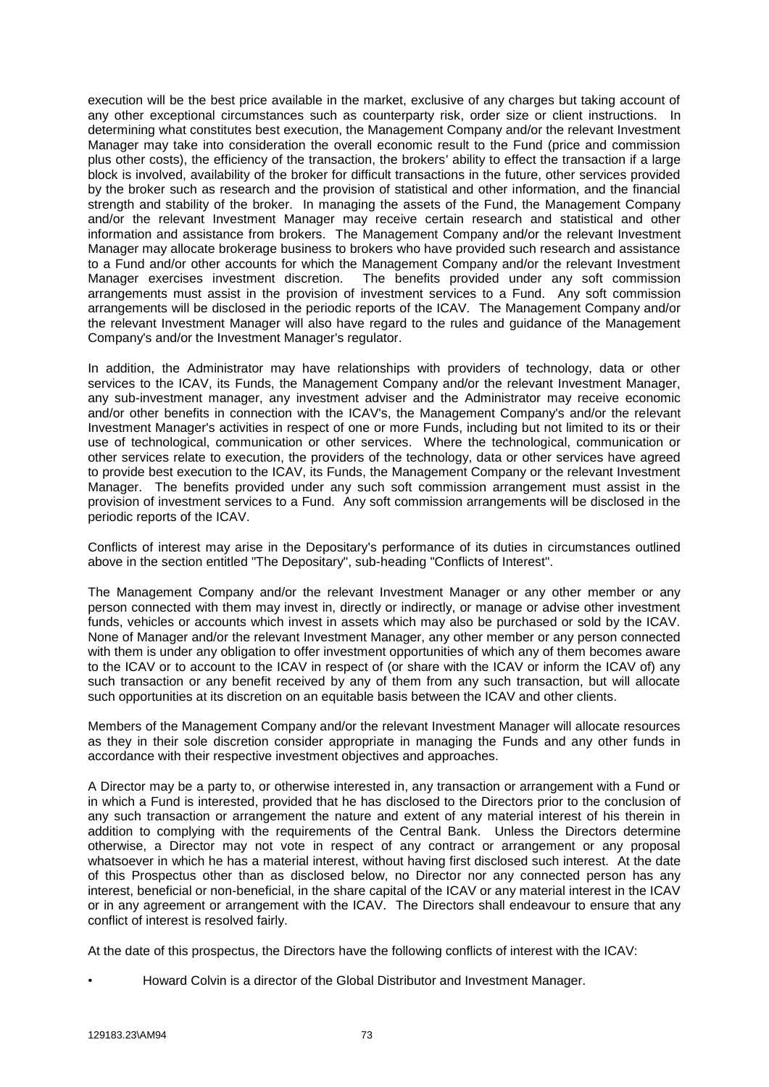execution will be the best price available in the market, exclusive of any charges but taking account of any other exceptional circumstances such as counterparty risk, order size or client instructions. In determining what constitutes best execution, the Management Company and/or the relevant Investment Manager may take into consideration the overall economic result to the Fund (price and commission plus other costs), the efficiency of the transaction, the brokers' ability to effect the transaction if a large block is involved, availability of the broker for difficult transactions in the future, other services provided by the broker such as research and the provision of statistical and other information, and the financial strength and stability of the broker. In managing the assets of the Fund, the Management Company and/or the relevant Investment Manager may receive certain research and statistical and other information and assistance from brokers. The Management Company and/or the relevant Investment Manager may allocate brokerage business to brokers who have provided such research and assistance to a Fund and/or other accounts for which the Management Company and/or the relevant Investment Manager exercises investment discretion. The benefits provided under any soft commission arrangements must assist in the provision of investment services to a Fund. Any soft commission arrangements will be disclosed in the periodic reports of the ICAV. The Management Company and/or the relevant Investment Manager will also have regard to the rules and guidance of the Management Company's and/or the Investment Manager's regulator.

In addition, the Administrator may have relationships with providers of technology, data or other services to the ICAV, its Funds, the Management Company and/or the relevant Investment Manager, any sub-investment manager, any investment adviser and the Administrator may receive economic and/or other benefits in connection with the ICAV's, the Management Company's and/or the relevant Investment Manager's activities in respect of one or more Funds, including but not limited to its or their use of technological, communication or other services. Where the technological, communication or other services relate to execution, the providers of the technology, data or other services have agreed to provide best execution to the ICAV, its Funds, the Management Company or the relevant Investment Manager. The benefits provided under any such soft commission arrangement must assist in the provision of investment services to a Fund. Any soft commission arrangements will be disclosed in the periodic reports of the ICAV.

Conflicts of interest may arise in the Depositary's performance of its duties in circumstances outlined above in the section entitled "The Depositary", sub-heading "Conflicts of Interest".

The Management Company and/or the relevant Investment Manager or any other member or any person connected with them may invest in, directly or indirectly, or manage or advise other investment funds, vehicles or accounts which invest in assets which may also be purchased or sold by the ICAV. None of Manager and/or the relevant Investment Manager, any other member or any person connected with them is under any obligation to offer investment opportunities of which any of them becomes aware to the ICAV or to account to the ICAV in respect of (or share with the ICAV or inform the ICAV of) any such transaction or any benefit received by any of them from any such transaction, but will allocate such opportunities at its discretion on an equitable basis between the ICAV and other clients.

Members of the Management Company and/or the relevant Investment Manager will allocate resources as they in their sole discretion consider appropriate in managing the Funds and any other funds in accordance with their respective investment objectives and approaches.

A Director may be a party to, or otherwise interested in, any transaction or arrangement with a Fund or in which a Fund is interested, provided that he has disclosed to the Directors prior to the conclusion of any such transaction or arrangement the nature and extent of any material interest of his therein in addition to complying with the requirements of the Central Bank. Unless the Directors determine otherwise, a Director may not vote in respect of any contract or arrangement or any proposal whatsoever in which he has a material interest, without having first disclosed such interest. At the date of this Prospectus other than as disclosed below, no Director nor any connected person has any interest, beneficial or non-beneficial, in the share capital of the ICAV or any material interest in the ICAV or in any agreement or arrangement with the ICAV. The Directors shall endeavour to ensure that any conflict of interest is resolved fairly.

At the date of this prospectus, the Directors have the following conflicts of interest with the ICAV:

• Howard Colvin is a director of the Global Distributor and Investment Manager.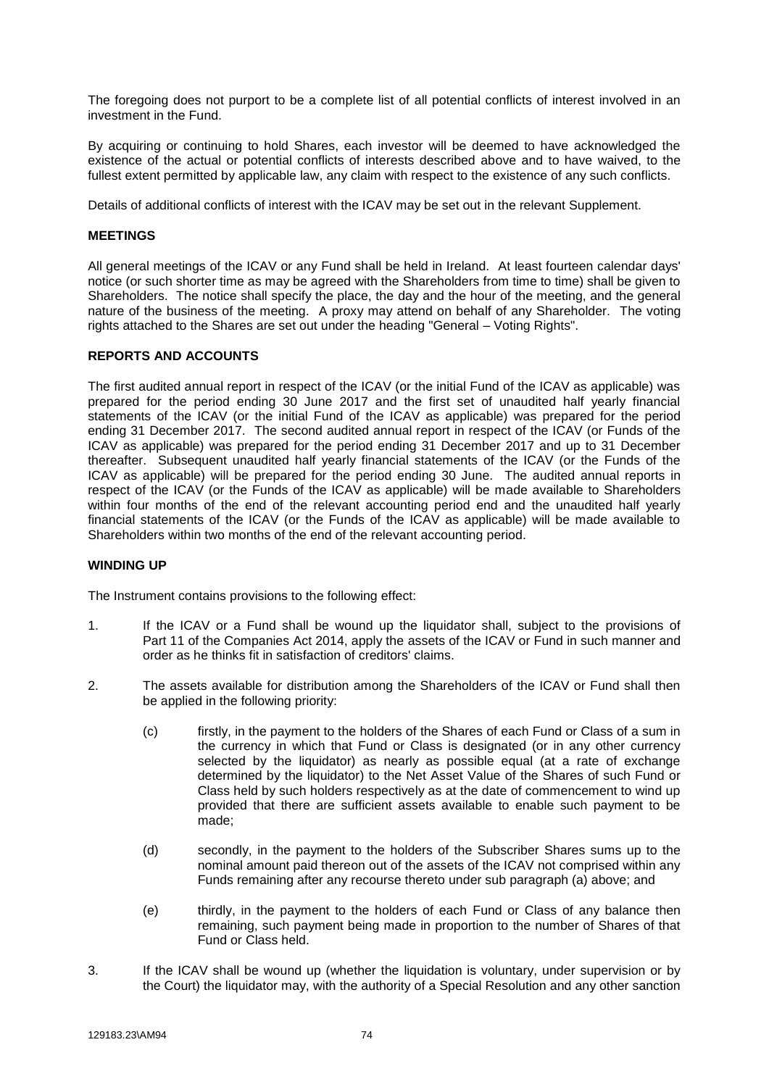The foregoing does not purport to be a complete list of all potential conflicts of interest involved in an investment in the Fund.

By acquiring or continuing to hold Shares, each investor will be deemed to have acknowledged the existence of the actual or potential conflicts of interests described above and to have waived, to the fullest extent permitted by applicable law, any claim with respect to the existence of any such conflicts.

Details of additional conflicts of interest with the ICAV may be set out in the relevant Supplement.

## **MEETINGS**

All general meetings of the ICAV or any Fund shall be held in Ireland. At least fourteen calendar days' notice (or such shorter time as may be agreed with the Shareholders from time to time) shall be given to Shareholders. The notice shall specify the place, the day and the hour of the meeting, and the general nature of the business of the meeting. A proxy may attend on behalf of any Shareholder. The voting rights attached to the Shares are set out under the heading "General – Voting Rights".

## **REPORTS AND ACCOUNTS**

The first audited annual report in respect of the ICAV (or the initial Fund of the ICAV as applicable) was prepared for the period ending 30 June 2017 and the first set of unaudited half yearly financial statements of the ICAV (or the initial Fund of the ICAV as applicable) was prepared for the period ending 31 December 2017. The second audited annual report in respect of the ICAV (or Funds of the ICAV as applicable) was prepared for the period ending 31 December 2017 and up to 31 December thereafter. Subsequent unaudited half yearly financial statements of the ICAV (or the Funds of the ICAV as applicable) will be prepared for the period ending 30 June. The audited annual reports in respect of the ICAV (or the Funds of the ICAV as applicable) will be made available to Shareholders within four months of the end of the relevant accounting period end and the unaudited half yearly financial statements of the ICAV (or the Funds of the ICAV as applicable) will be made available to Shareholders within two months of the end of the relevant accounting period.

### **WINDING UP**

The Instrument contains provisions to the following effect:

- 1. If the ICAV or a Fund shall be wound up the liquidator shall, subject to the provisions of Part 11 of the Companies Act 2014, apply the assets of the ICAV or Fund in such manner and order as he thinks fit in satisfaction of creditors' claims.
- 2. The assets available for distribution among the Shareholders of the ICAV or Fund shall then be applied in the following priority:
	- (c) firstly, in the payment to the holders of the Shares of each Fund or Class of a sum in the currency in which that Fund or Class is designated (or in any other currency selected by the liquidator) as nearly as possible equal (at a rate of exchange determined by the liquidator) to the Net Asset Value of the Shares of such Fund or Class held by such holders respectively as at the date of commencement to wind up provided that there are sufficient assets available to enable such payment to be made;
	- (d) secondly, in the payment to the holders of the Subscriber Shares sums up to the nominal amount paid thereon out of the assets of the ICAV not comprised within any Funds remaining after any recourse thereto under sub paragraph (a) above; and
	- (e) thirdly, in the payment to the holders of each Fund or Class of any balance then remaining, such payment being made in proportion to the number of Shares of that Fund or Class held.
- 3. If the ICAV shall be wound up (whether the liquidation is voluntary, under supervision or by the Court) the liquidator may, with the authority of a Special Resolution and any other sanction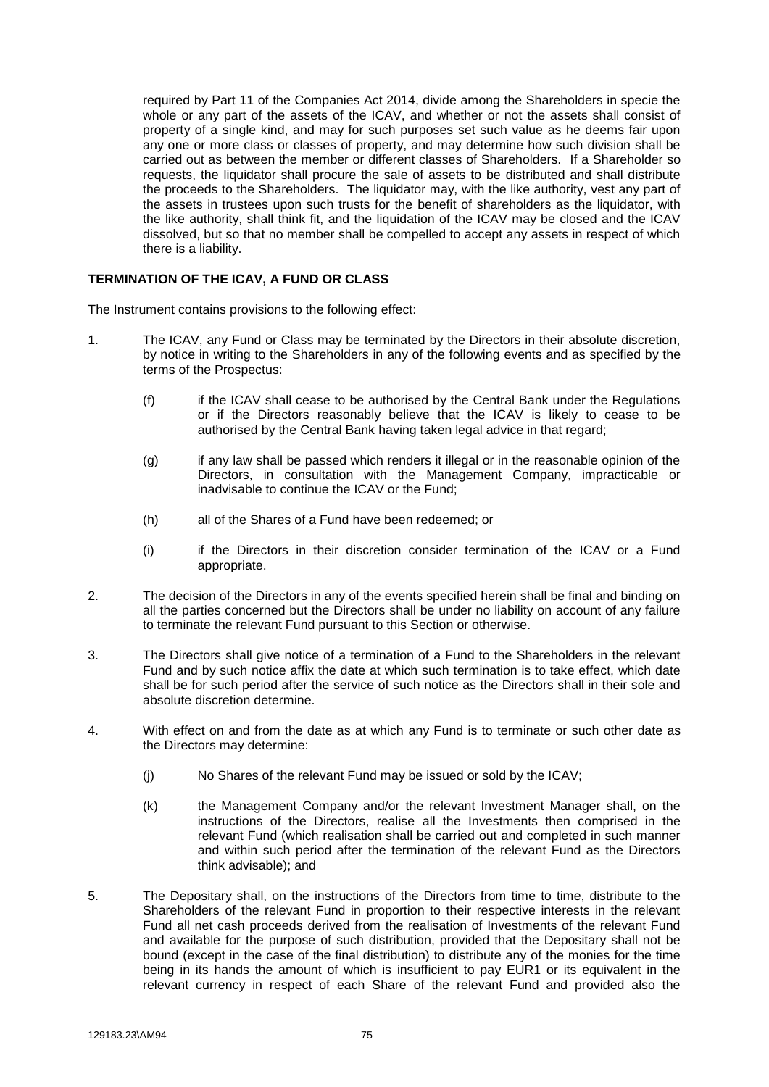required by Part 11 of the Companies Act 2014, divide among the Shareholders in specie the whole or any part of the assets of the ICAV, and whether or not the assets shall consist of property of a single kind, and may for such purposes set such value as he deems fair upon any one or more class or classes of property, and may determine how such division shall be carried out as between the member or different classes of Shareholders. If a Shareholder so requests, the liquidator shall procure the sale of assets to be distributed and shall distribute the proceeds to the Shareholders. The liquidator may, with the like authority, vest any part of the assets in trustees upon such trusts for the benefit of shareholders as the liquidator, with the like authority, shall think fit, and the liquidation of the ICAV may be closed and the ICAV dissolved, but so that no member shall be compelled to accept any assets in respect of which there is a liability.

## **TERMINATION OF THE ICAV, A FUND OR CLASS**

The Instrument contains provisions to the following effect:

- 1. The ICAV, any Fund or Class may be terminated by the Directors in their absolute discretion, by notice in writing to the Shareholders in any of the following events and as specified by the terms of the Prospectus:
	- (f) if the ICAV shall cease to be authorised by the Central Bank under the Regulations or if the Directors reasonably believe that the ICAV is likely to cease to be authorised by the Central Bank having taken legal advice in that regard;
	- (g) if any law shall be passed which renders it illegal or in the reasonable opinion of the Directors, in consultation with the Management Company, impracticable or inadvisable to continue the ICAV or the Fund;
	- (h) all of the Shares of a Fund have been redeemed; or
	- (i) if the Directors in their discretion consider termination of the ICAV or a Fund appropriate.
- 2. The decision of the Directors in any of the events specified herein shall be final and binding on all the parties concerned but the Directors shall be under no liability on account of any failure to terminate the relevant Fund pursuant to this Section or otherwise.
- 3. The Directors shall give notice of a termination of a Fund to the Shareholders in the relevant Fund and by such notice affix the date at which such termination is to take effect, which date shall be for such period after the service of such notice as the Directors shall in their sole and absolute discretion determine.
- 4. With effect on and from the date as at which any Fund is to terminate or such other date as the Directors may determine:
	- (j) No Shares of the relevant Fund may be issued or sold by the ICAV;
	- (k) the Management Company and/or the relevant Investment Manager shall, on the instructions of the Directors, realise all the Investments then comprised in the relevant Fund (which realisation shall be carried out and completed in such manner and within such period after the termination of the relevant Fund as the Directors think advisable); and
- 5. The Depositary shall, on the instructions of the Directors from time to time, distribute to the Shareholders of the relevant Fund in proportion to their respective interests in the relevant Fund all net cash proceeds derived from the realisation of Investments of the relevant Fund and available for the purpose of such distribution, provided that the Depositary shall not be bound (except in the case of the final distribution) to distribute any of the monies for the time being in its hands the amount of which is insufficient to pay EUR1 or its equivalent in the relevant currency in respect of each Share of the relevant Fund and provided also the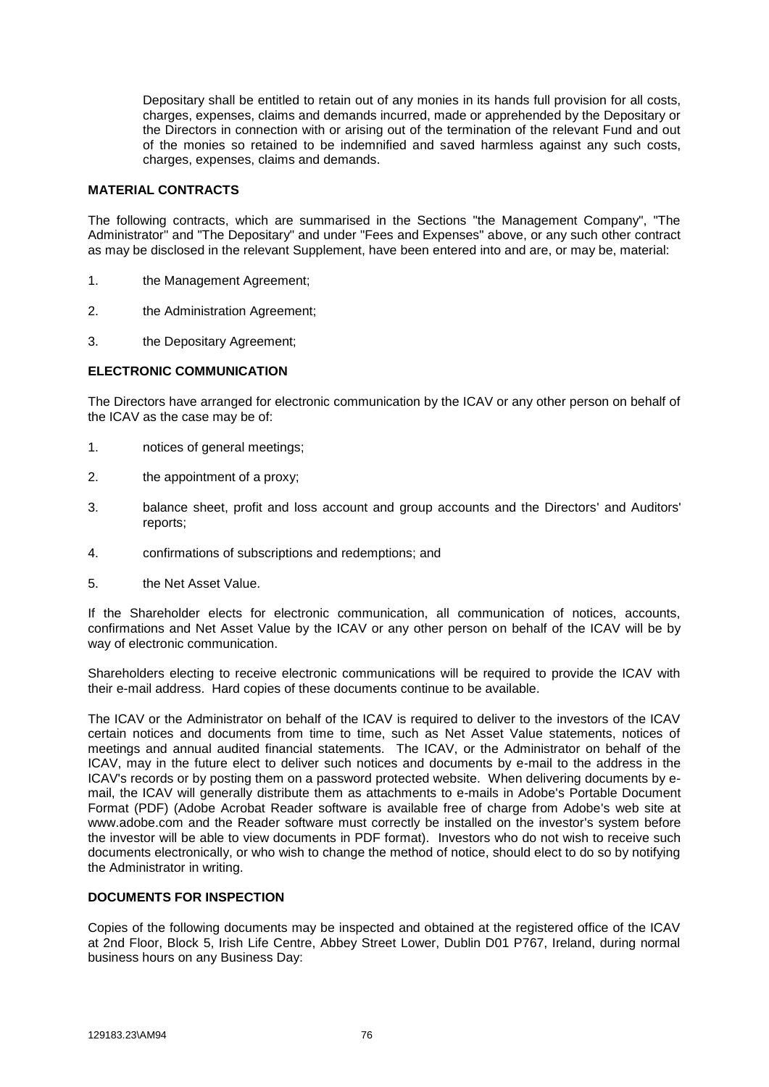Depositary shall be entitled to retain out of any monies in its hands full provision for all costs, charges, expenses, claims and demands incurred, made or apprehended by the Depositary or the Directors in connection with or arising out of the termination of the relevant Fund and out of the monies so retained to be indemnified and saved harmless against any such costs, charges, expenses, claims and demands.

### **MATERIAL CONTRACTS**

The following contracts, which are summarised in the Sections "the Management Company", "The Administrator" and "The Depositary" and under "Fees and Expenses" above, or any such other contract as may be disclosed in the relevant Supplement, have been entered into and are, or may be, material:

- 1. the Management Agreement;
- 2. the Administration Agreement;
- 3. the Depositary Agreement;

## **ELECTRONIC COMMUNICATION**

The Directors have arranged for electronic communication by the ICAV or any other person on behalf of the ICAV as the case may be of:

- 1. notices of general meetings;
- 2. the appointment of a proxy;
- 3. balance sheet, profit and loss account and group accounts and the Directors' and Auditors' reports;
- 4. confirmations of subscriptions and redemptions; and
- 5. the Net Asset Value.

If the Shareholder elects for electronic communication, all communication of notices, accounts, confirmations and Net Asset Value by the ICAV or any other person on behalf of the ICAV will be by way of electronic communication.

Shareholders electing to receive electronic communications will be required to provide the ICAV with their e-mail address. Hard copies of these documents continue to be available.

The ICAV or the Administrator on behalf of the ICAV is required to deliver to the investors of the ICAV certain notices and documents from time to time, such as Net Asset Value statements, notices of meetings and annual audited financial statements. The ICAV, or the Administrator on behalf of the ICAV, may in the future elect to deliver such notices and documents by e-mail to the address in the ICAV's records or by posting them on a password protected website. When delivering documents by email, the ICAV will generally distribute them as attachments to e-mails in Adobe's Portable Document Format (PDF) (Adobe Acrobat Reader software is available free of charge from Adobe's web site at www.adobe.com and the Reader software must correctly be installed on the investor's system before the investor will be able to view documents in PDF format). Investors who do not wish to receive such documents electronically, or who wish to change the method of notice, should elect to do so by notifying the Administrator in writing.

## **DOCUMENTS FOR INSPECTION**

Copies of the following documents may be inspected and obtained at the registered office of the ICAV at 2nd Floor, Block 5, Irish Life Centre, Abbey Street Lower, Dublin D01 P767, Ireland, during normal business hours on any Business Day: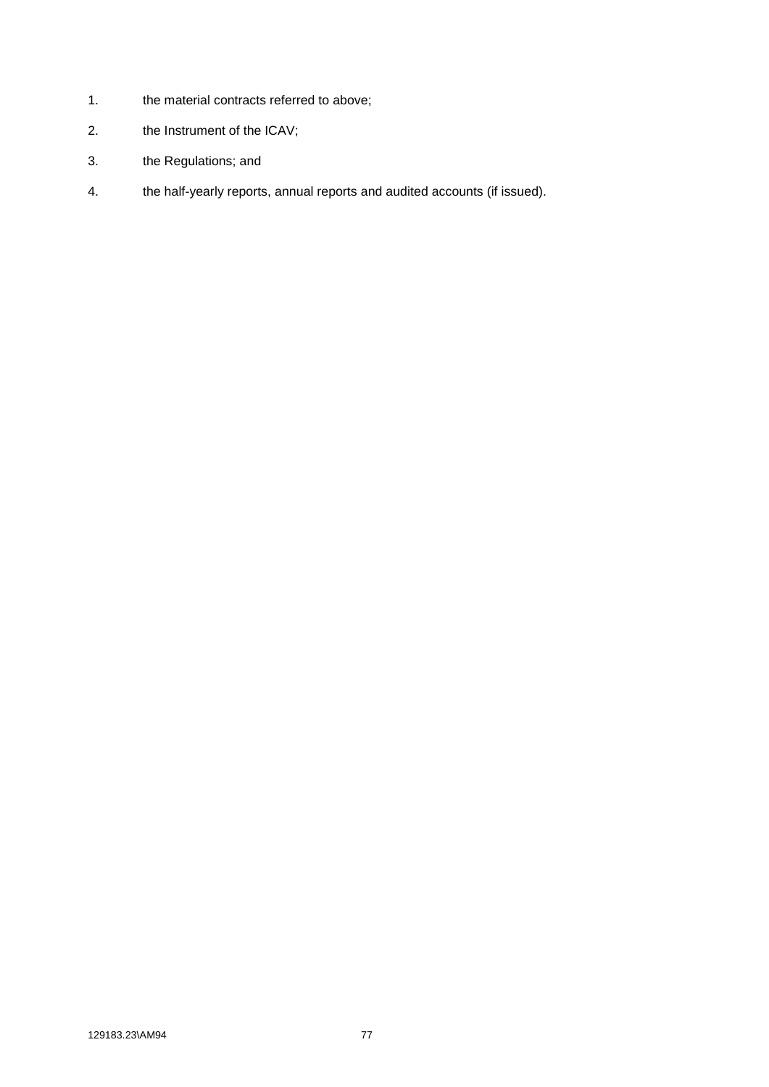- 1. the material contracts referred to above;
- 2. the Instrument of the ICAV;
- 3. the Regulations; and
- 4. the half-yearly reports, annual reports and audited accounts (if issued).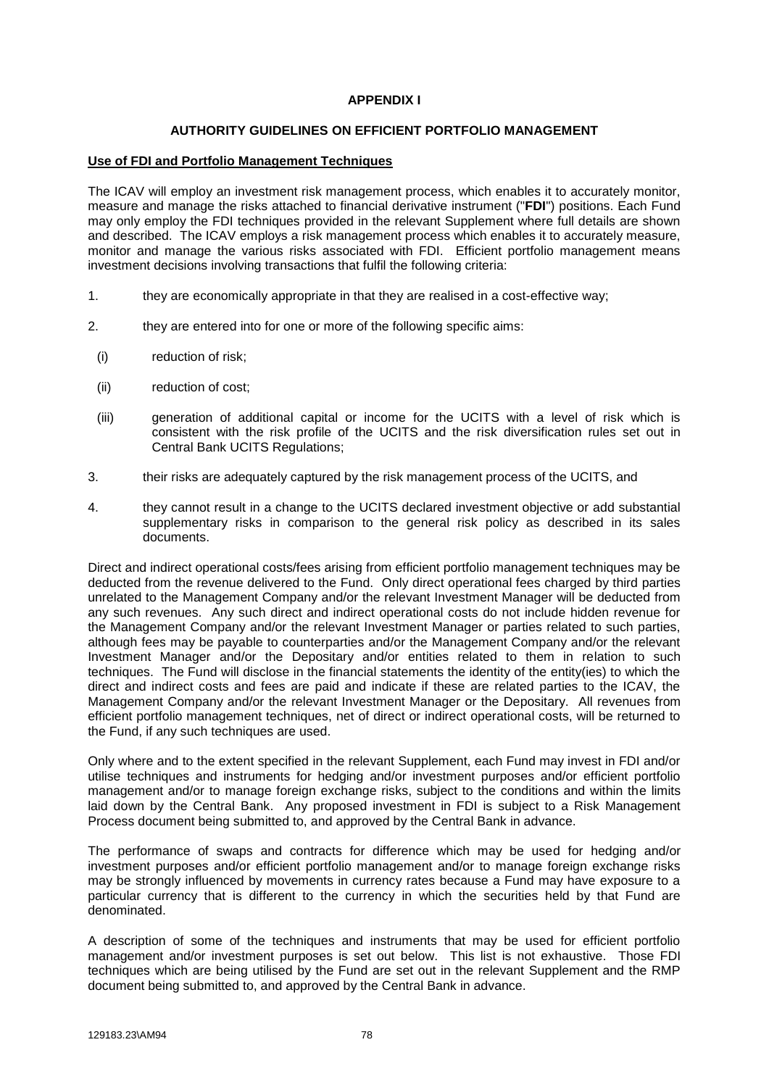# **APPENDIX I**

## **AUTHORITY GUIDELINES ON EFFICIENT PORTFOLIO MANAGEMENT**

## **Use of FDI and Portfolio Management Techniques**

The ICAV will employ an investment risk management process, which enables it to accurately monitor, measure and manage the risks attached to financial derivative instrument ("**FDI**") positions. Each Fund may only employ the FDI techniques provided in the relevant Supplement where full details are shown and described. The ICAV employs a risk management process which enables it to accurately measure, monitor and manage the various risks associated with FDI. Efficient portfolio management means investment decisions involving transactions that fulfil the following criteria:

- 1. they are economically appropriate in that they are realised in a cost-effective way;
- 2. they are entered into for one or more of the following specific aims:
	- (i) reduction of risk;
	- (ii) reduction of cost;
	- (iii) generation of additional capital or income for the UCITS with a level of risk which is consistent with the risk profile of the UCITS and the risk diversification rules set out in Central Bank UCITS Regulations:
- 3. their risks are adequately captured by the risk management process of the UCITS, and
- 4. they cannot result in a change to the UCITS declared investment objective or add substantial supplementary risks in comparison to the general risk policy as described in its sales documents.

Direct and indirect operational costs/fees arising from efficient portfolio management techniques may be deducted from the revenue delivered to the Fund. Only direct operational fees charged by third parties unrelated to the Management Company and/or the relevant Investment Manager will be deducted from any such revenues. Any such direct and indirect operational costs do not include hidden revenue for the Management Company and/or the relevant Investment Manager or parties related to such parties, although fees may be payable to counterparties and/or the Management Company and/or the relevant Investment Manager and/or the Depositary and/or entities related to them in relation to such techniques. The Fund will disclose in the financial statements the identity of the entity(ies) to which the direct and indirect costs and fees are paid and indicate if these are related parties to the ICAV, the Management Company and/or the relevant Investment Manager or the Depositary. All revenues from efficient portfolio management techniques, net of direct or indirect operational costs, will be returned to the Fund, if any such techniques are used.

Only where and to the extent specified in the relevant Supplement, each Fund may invest in FDI and/or utilise techniques and instruments for hedging and/or investment purposes and/or efficient portfolio management and/or to manage foreign exchange risks, subject to the conditions and within the limits laid down by the Central Bank. Any proposed investment in FDI is subject to a Risk Management Process document being submitted to, and approved by the Central Bank in advance.

The performance of swaps and contracts for difference which may be used for hedging and/or investment purposes and/or efficient portfolio management and/or to manage foreign exchange risks may be strongly influenced by movements in currency rates because a Fund may have exposure to a particular currency that is different to the currency in which the securities held by that Fund are denominated.

A description of some of the techniques and instruments that may be used for efficient portfolio management and/or investment purposes is set out below. This list is not exhaustive. Those FDI techniques which are being utilised by the Fund are set out in the relevant Supplement and the RMP document being submitted to, and approved by the Central Bank in advance.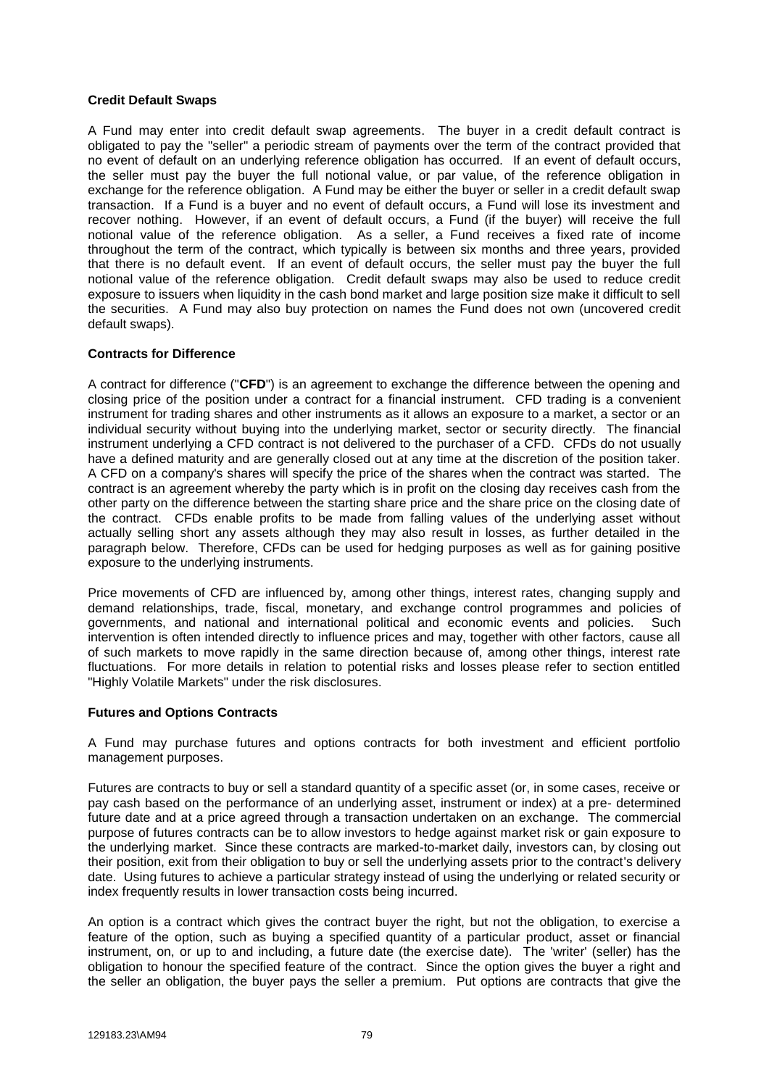## **Credit Default Swaps**

A Fund may enter into credit default swap agreements. The buyer in a credit default contract is obligated to pay the "seller" a periodic stream of payments over the term of the contract provided that no event of default on an underlying reference obligation has occurred. If an event of default occurs, the seller must pay the buyer the full notional value, or par value, of the reference obligation in exchange for the reference obligation. A Fund may be either the buyer or seller in a credit default swap transaction. If a Fund is a buyer and no event of default occurs, a Fund will lose its investment and recover nothing. However, if an event of default occurs, a Fund (if the buyer) will receive the full notional value of the reference obligation. As a seller, a Fund receives a fixed rate of income throughout the term of the contract, which typically is between six months and three years, provided that there is no default event. If an event of default occurs, the seller must pay the buyer the full notional value of the reference obligation. Credit default swaps may also be used to reduce credit exposure to issuers when liquidity in the cash bond market and large position size make it difficult to sell the securities. A Fund may also buy protection on names the Fund does not own (uncovered credit default swaps).

## **Contracts for Difference**

A contract for difference ("**CFD**") is an agreement to exchange the difference between the opening and closing price of the position under a contract for a financial instrument. CFD trading is a convenient instrument for trading shares and other instruments as it allows an exposure to a market, a sector or an individual security without buying into the underlying market, sector or security directly. The financial instrument underlying a CFD contract is not delivered to the purchaser of a CFD. CFDs do not usually have a defined maturity and are generally closed out at any time at the discretion of the position taker. A CFD on a company's shares will specify the price of the shares when the contract was started. The contract is an agreement whereby the party which is in profit on the closing day receives cash from the other party on the difference between the starting share price and the share price on the closing date of the contract. CFDs enable profits to be made from falling values of the underlying asset without actually selling short any assets although they may also result in losses, as further detailed in the paragraph below. Therefore, CFDs can be used for hedging purposes as well as for gaining positive exposure to the underlying instruments.

Price movements of CFD are influenced by, among other things, interest rates, changing supply and demand relationships, trade, fiscal, monetary, and exchange control programmes and policies of governments, and national and international political and economic events and policies. Such intervention is often intended directly to influence prices and may, together with other factors, cause all of such markets to move rapidly in the same direction because of, among other things, interest rate fluctuations. For more details in relation to potential risks and losses please refer to section entitled "Highly Volatile Markets" under the risk disclosures.

### **Futures and Options Contracts**

A Fund may purchase futures and options contracts for both investment and efficient portfolio management purposes.

Futures are contracts to buy or sell a standard quantity of a specific asset (or, in some cases, receive or pay cash based on the performance of an underlying asset, instrument or index) at a pre- determined future date and at a price agreed through a transaction undertaken on an exchange. The commercial purpose of futures contracts can be to allow investors to hedge against market risk or gain exposure to the underlying market. Since these contracts are marked-to-market daily, investors can, by closing out their position, exit from their obligation to buy or sell the underlying assets prior to the contract's delivery date. Using futures to achieve a particular strategy instead of using the underlying or related security or index frequently results in lower transaction costs being incurred.

An option is a contract which gives the contract buyer the right, but not the obligation, to exercise a feature of the option, such as buying a specified quantity of a particular product, asset or financial instrument, on, or up to and including, a future date (the exercise date). The 'writer' (seller) has the obligation to honour the specified feature of the contract. Since the option gives the buyer a right and the seller an obligation, the buyer pays the seller a premium. Put options are contracts that give the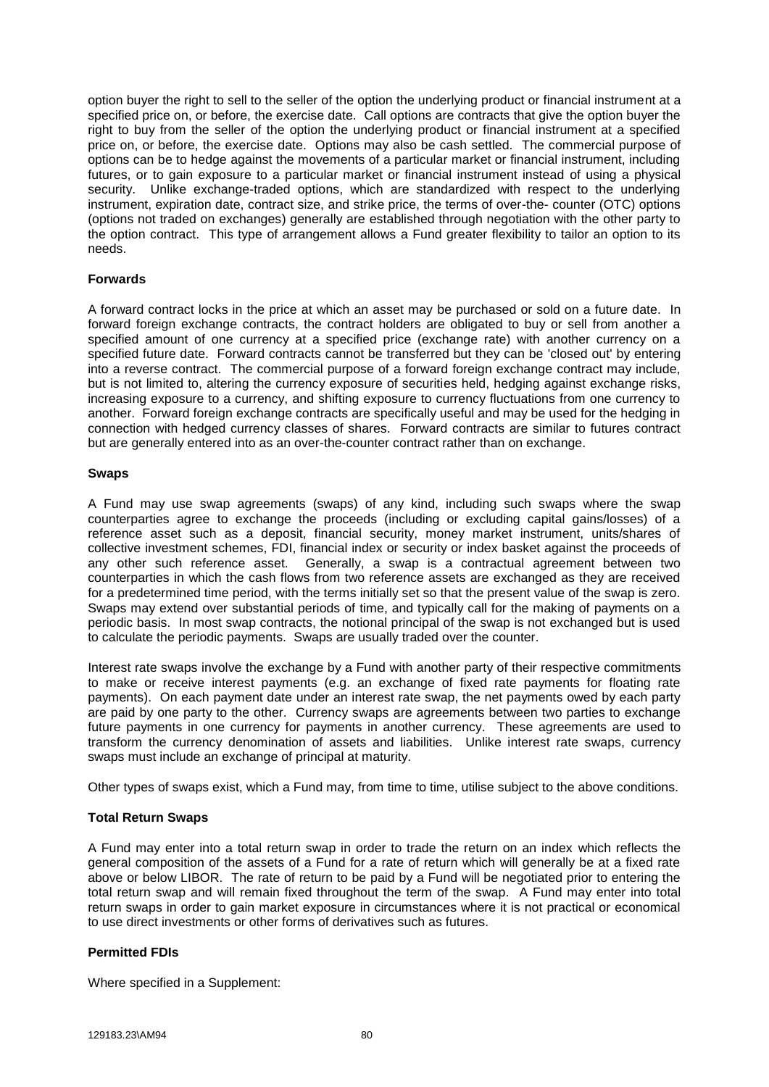option buyer the right to sell to the seller of the option the underlying product or financial instrument at a specified price on, or before, the exercise date. Call options are contracts that give the option buyer the right to buy from the seller of the option the underlying product or financial instrument at a specified price on, or before, the exercise date. Options may also be cash settled. The commercial purpose of options can be to hedge against the movements of a particular market or financial instrument, including futures, or to gain exposure to a particular market or financial instrument instead of using a physical security. Unlike exchange-traded options, which are standardized with respect to the underlying instrument, expiration date, contract size, and strike price, the terms of over-the- counter (OTC) options (options not traded on exchanges) generally are established through negotiation with the other party to the option contract. This type of arrangement allows a Fund greater flexibility to tailor an option to its needs.

## **Forwards**

A forward contract locks in the price at which an asset may be purchased or sold on a future date. In forward foreign exchange contracts, the contract holders are obligated to buy or sell from another a specified amount of one currency at a specified price (exchange rate) with another currency on a specified future date. Forward contracts cannot be transferred but they can be 'closed out' by entering into a reverse contract. The commercial purpose of a forward foreign exchange contract may include, but is not limited to, altering the currency exposure of securities held, hedging against exchange risks, increasing exposure to a currency, and shifting exposure to currency fluctuations from one currency to another. Forward foreign exchange contracts are specifically useful and may be used for the hedging in connection with hedged currency classes of shares. Forward contracts are similar to futures contract but are generally entered into as an over-the-counter contract rather than on exchange.

## **Swaps**

A Fund may use swap agreements (swaps) of any kind, including such swaps where the swap counterparties agree to exchange the proceeds (including or excluding capital gains/losses) of a reference asset such as a deposit, financial security, money market instrument, units/shares of collective investment schemes, FDI, financial index or security or index basket against the proceeds of any other such reference asset. Generally, a swap is a contractual agreement between two counterparties in which the cash flows from two reference assets are exchanged as they are received for a predetermined time period, with the terms initially set so that the present value of the swap is zero. Swaps may extend over substantial periods of time, and typically call for the making of payments on a periodic basis. In most swap contracts, the notional principal of the swap is not exchanged but is used to calculate the periodic payments. Swaps are usually traded over the counter.

Interest rate swaps involve the exchange by a Fund with another party of their respective commitments to make or receive interest payments (e.g. an exchange of fixed rate payments for floating rate payments). On each payment date under an interest rate swap, the net payments owed by each party are paid by one party to the other. Currency swaps are agreements between two parties to exchange future payments in one currency for payments in another currency. These agreements are used to transform the currency denomination of assets and liabilities. Unlike interest rate swaps, currency swaps must include an exchange of principal at maturity.

Other types of swaps exist, which a Fund may, from time to time, utilise subject to the above conditions.

## **Total Return Swaps**

A Fund may enter into a total return swap in order to trade the return on an index which reflects the general composition of the assets of a Fund for a rate of return which will generally be at a fixed rate above or below LIBOR. The rate of return to be paid by a Fund will be negotiated prior to entering the total return swap and will remain fixed throughout the term of the swap. A Fund may enter into total return swaps in order to gain market exposure in circumstances where it is not practical or economical to use direct investments or other forms of derivatives such as futures.

## **Permitted FDIs**

Where specified in a Supplement: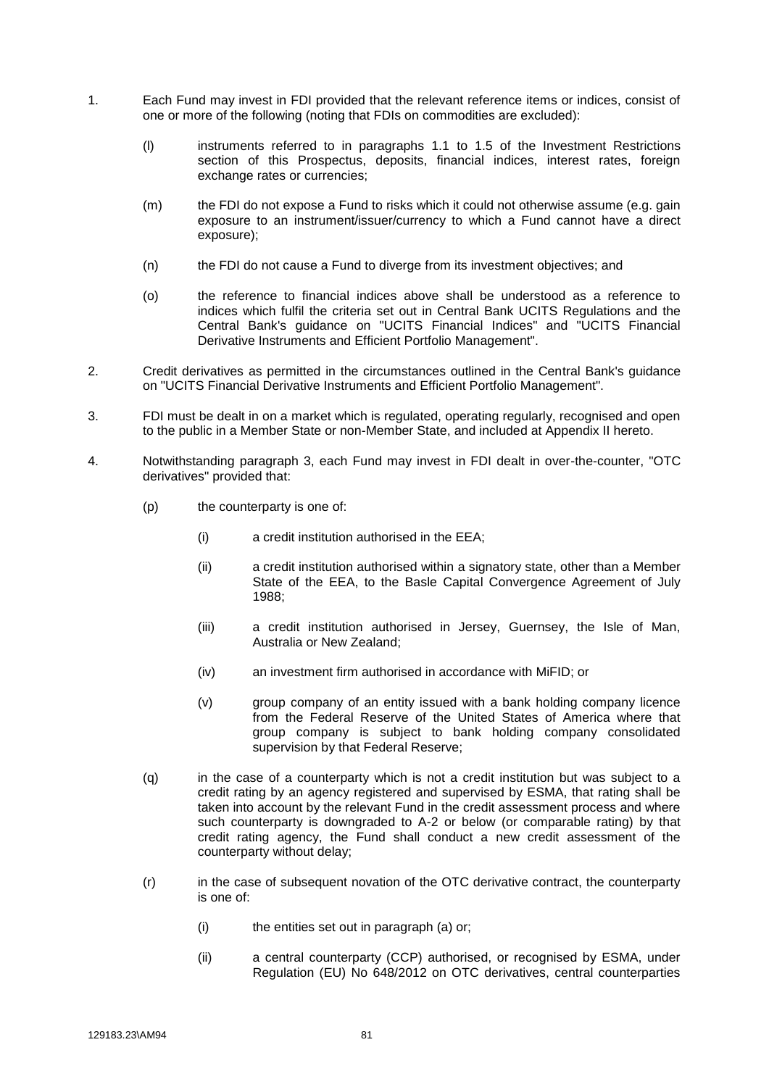- 1. Each Fund may invest in FDI provided that the relevant reference items or indices, consist of one or more of the following (noting that FDIs on commodities are excluded):
	- (l) instruments referred to in paragraphs 1.1 to 1.5 of the Investment Restrictions section of this Prospectus, deposits, financial indices, interest rates, foreign exchange rates or currencies;
	- (m) the FDI do not expose a Fund to risks which it could not otherwise assume (e.g. gain exposure to an instrument/issuer/currency to which a Fund cannot have a direct exposure);
	- (n) the FDI do not cause a Fund to diverge from its investment objectives; and
	- (o) the reference to financial indices above shall be understood as a reference to indices which fulfil the criteria set out in Central Bank UCITS Regulations and the Central Bank's guidance on "UCITS Financial Indices" and "UCITS Financial Derivative Instruments and Efficient Portfolio Management".
- 2. Credit derivatives as permitted in the circumstances outlined in the Central Bank's guidance on "UCITS Financial Derivative Instruments and Efficient Portfolio Management".
- 3. FDI must be dealt in on a market which is regulated, operating regularly, recognised and open to the public in a Member State or non-Member State, and included at Appendix II hereto.
- 4. Notwithstanding paragraph 3, each Fund may invest in FDI dealt in over-the-counter, "OTC derivatives" provided that:
	- (p) the counterparty is one of:
		- (i) a credit institution authorised in the EEA;
		- (ii) a credit institution authorised within a signatory state, other than a Member State of the EEA, to the Basle Capital Convergence Agreement of July 1988;
		- (iii) a credit institution authorised in Jersey, Guernsey, the Isle of Man, Australia or New Zealand;
		- (iv) an investment firm authorised in accordance with MiFID; or
		- (v) group company of an entity issued with a bank holding company licence from the Federal Reserve of the United States of America where that group company is subject to bank holding company consolidated supervision by that Federal Reserve;
	- (q) in the case of a counterparty which is not a credit institution but was subject to a credit rating by an agency registered and supervised by ESMA, that rating shall be taken into account by the relevant Fund in the credit assessment process and where such counterparty is downgraded to A-2 or below (or comparable rating) by that credit rating agency, the Fund shall conduct a new credit assessment of the counterparty without delay;
	- (r) in the case of subsequent novation of the OTC derivative contract, the counterparty is one of:
		- $(i)$  the entities set out in paragraph  $(a)$  or;
		- (ii) a central counterparty (CCP) authorised, or recognised by ESMA, under Regulation (EU) No 648/2012 on OTC derivatives, central counterparties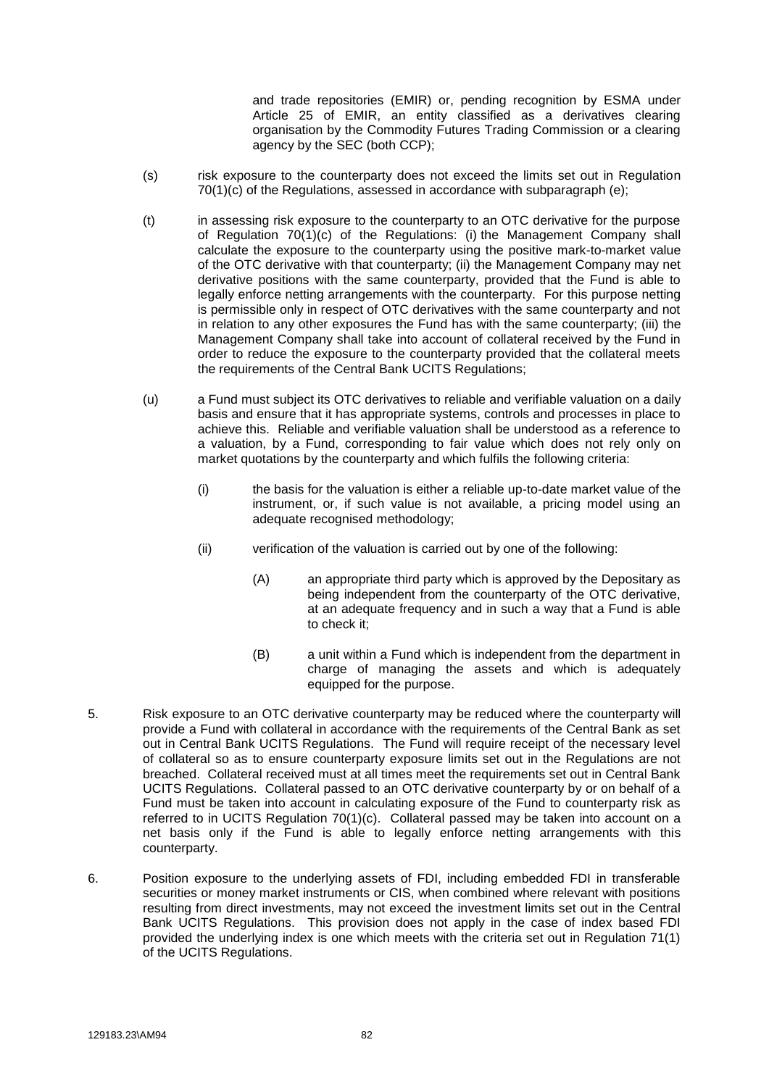and trade repositories (EMIR) or, pending recognition by ESMA under Article 25 of EMIR, an entity classified as a derivatives clearing organisation by the Commodity Futures Trading Commission or a clearing agency by the SEC (both CCP);

- (s) risk exposure to the counterparty does not exceed the limits set out in Regulation 70(1)(c) of the Regulations, assessed in accordance with subparagraph (e);
- (t) in assessing risk exposure to the counterparty to an OTC derivative for the purpose of Regulation 70(1)(c) of the Regulations: (i) the Management Company shall calculate the exposure to the counterparty using the positive mark-to-market value of the OTC derivative with that counterparty; (ii) the Management Company may net derivative positions with the same counterparty, provided that the Fund is able to legally enforce netting arrangements with the counterparty. For this purpose netting is permissible only in respect of OTC derivatives with the same counterparty and not in relation to any other exposures the Fund has with the same counterparty; (iii) the Management Company shall take into account of collateral received by the Fund in order to reduce the exposure to the counterparty provided that the collateral meets the requirements of the Central Bank UCITS Regulations;
- (u) a Fund must subject its OTC derivatives to reliable and verifiable valuation on a daily basis and ensure that it has appropriate systems, controls and processes in place to achieve this. Reliable and verifiable valuation shall be understood as a reference to a valuation, by a Fund, corresponding to fair value which does not rely only on market quotations by the counterparty and which fulfils the following criteria:
	- (i) the basis for the valuation is either a reliable up-to-date market value of the instrument, or, if such value is not available, a pricing model using an adequate recognised methodology;
	- (ii) verification of the valuation is carried out by one of the following:
		- (A) an appropriate third party which is approved by the Depositary as being independent from the counterparty of the OTC derivative, at an adequate frequency and in such a way that a Fund is able to check it;
		- (B) a unit within a Fund which is independent from the department in charge of managing the assets and which is adequately equipped for the purpose.
- 5. Risk exposure to an OTC derivative counterparty may be reduced where the counterparty will provide a Fund with collateral in accordance with the requirements of the Central Bank as set out in Central Bank UCITS Regulations. The Fund will require receipt of the necessary level of collateral so as to ensure counterparty exposure limits set out in the Regulations are not breached. Collateral received must at all times meet the requirements set out in Central Bank UCITS Regulations. Collateral passed to an OTC derivative counterparty by or on behalf of a Fund must be taken into account in calculating exposure of the Fund to counterparty risk as referred to in UCITS Regulation 70(1)(c). Collateral passed may be taken into account on a net basis only if the Fund is able to legally enforce netting arrangements with this counterparty.
- 6. Position exposure to the underlying assets of FDI, including embedded FDI in transferable securities or money market instruments or CIS, when combined where relevant with positions resulting from direct investments, may not exceed the investment limits set out in the Central Bank UCITS Regulations. This provision does not apply in the case of index based FDI provided the underlying index is one which meets with the criteria set out in Regulation 71(1) of the UCITS Regulations.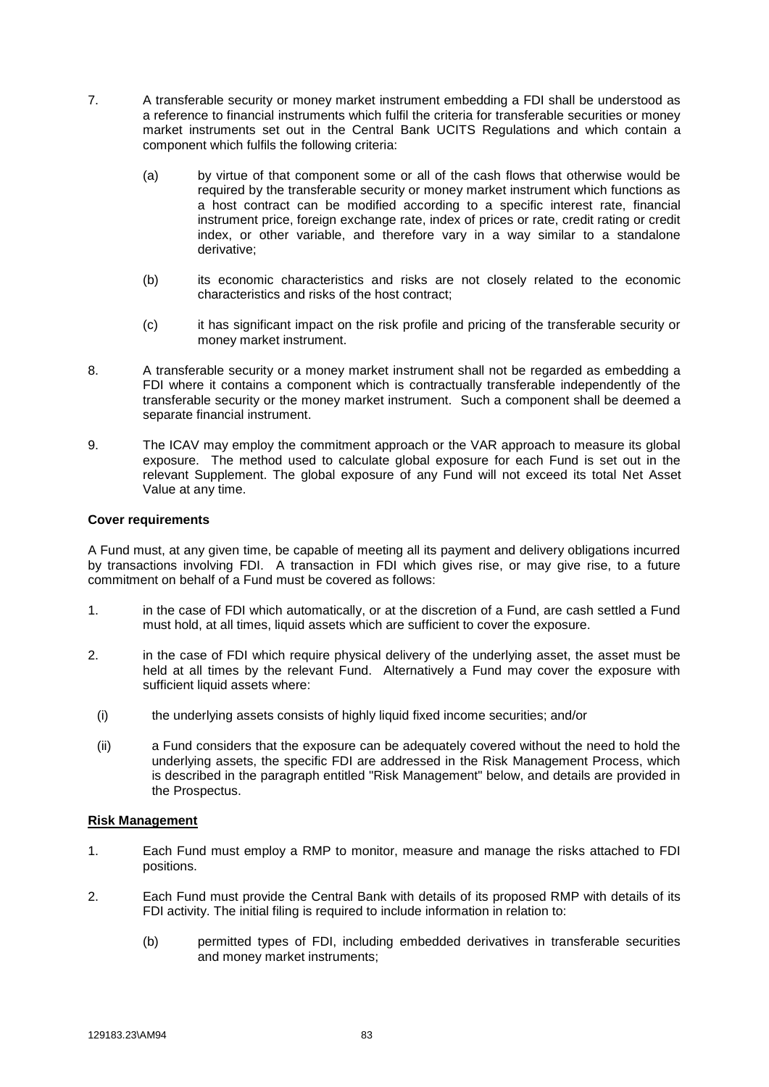- 7. A transferable security or money market instrument embedding a FDI shall be understood as a reference to financial instruments which fulfil the criteria for transferable securities or money market instruments set out in the Central Bank UCITS Regulations and which contain a component which fulfils the following criteria:
	- (a) by virtue of that component some or all of the cash flows that otherwise would be required by the transferable security or money market instrument which functions as a host contract can be modified according to a specific interest rate, financial instrument price, foreign exchange rate, index of prices or rate, credit rating or credit index, or other variable, and therefore vary in a way similar to a standalone derivative;
	- (b) its economic characteristics and risks are not closely related to the economic characteristics and risks of the host contract;
	- (c) it has significant impact on the risk profile and pricing of the transferable security or money market instrument.
- 8. A transferable security or a money market instrument shall not be regarded as embedding a FDI where it contains a component which is contractually transferable independently of the transferable security or the money market instrument. Such a component shall be deemed a separate financial instrument.
- 9. The ICAV may employ the commitment approach or the VAR approach to measure its global exposure. The method used to calculate global exposure for each Fund is set out in the relevant Supplement. The global exposure of any Fund will not exceed its total Net Asset Value at any time.

### **Cover requirements**

A Fund must, at any given time, be capable of meeting all its payment and delivery obligations incurred by transactions involving FDI. A transaction in FDI which gives rise, or may give rise, to a future commitment on behalf of a Fund must be covered as follows:

- 1. in the case of FDI which automatically, or at the discretion of a Fund, are cash settled a Fund must hold, at all times, liquid assets which are sufficient to cover the exposure.
- 2. in the case of FDI which require physical delivery of the underlying asset, the asset must be held at all times by the relevant Fund. Alternatively a Fund may cover the exposure with sufficient liquid assets where:
	- (i) the underlying assets consists of highly liquid fixed income securities; and/or
	- (ii) a Fund considers that the exposure can be adequately covered without the need to hold the underlying assets, the specific FDI are addressed in the Risk Management Process, which is described in the paragraph entitled "Risk Management" below, and details are provided in the Prospectus.

### **Risk Management**

- 1. Each Fund must employ a RMP to monitor, measure and manage the risks attached to FDI positions.
- 2. Each Fund must provide the Central Bank with details of its proposed RMP with details of its FDI activity. The initial filing is required to include information in relation to:
	- (b) permitted types of FDI, including embedded derivatives in transferable securities and money market instruments;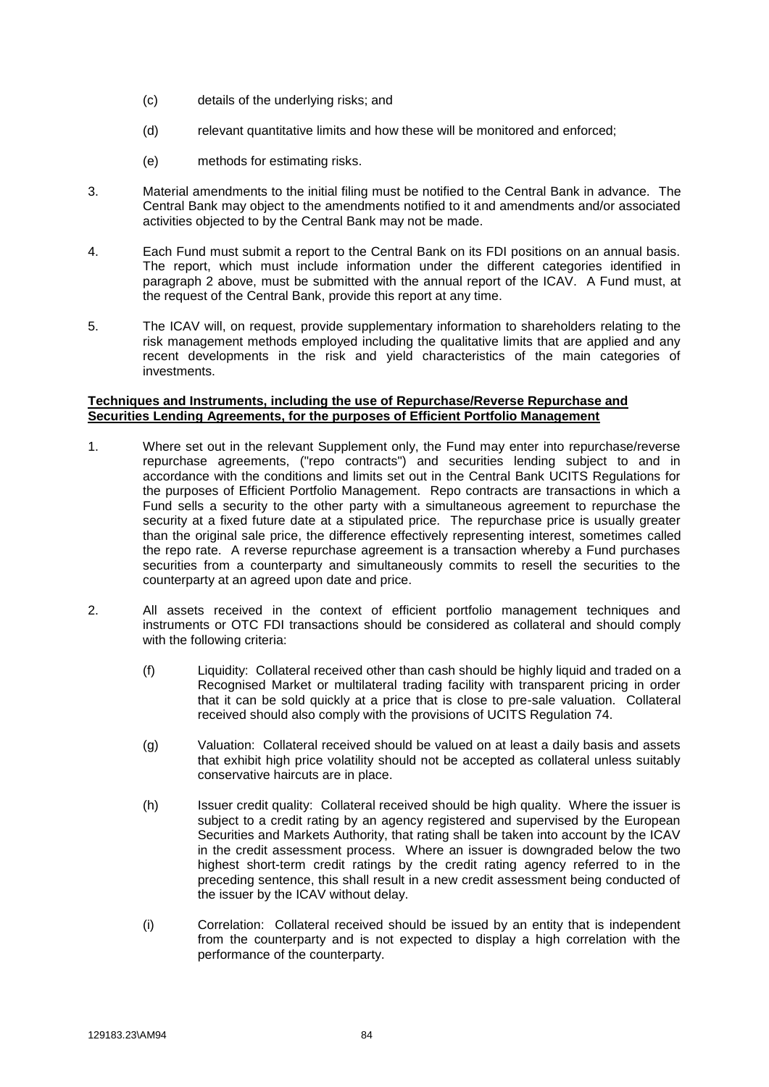- (c) details of the underlying risks; and
- (d) relevant quantitative limits and how these will be monitored and enforced;
- (e) methods for estimating risks.
- 3. Material amendments to the initial filing must be notified to the Central Bank in advance. The Central Bank may object to the amendments notified to it and amendments and/or associated activities objected to by the Central Bank may not be made.
- 4. Each Fund must submit a report to the Central Bank on its FDI positions on an annual basis. The report, which must include information under the different categories identified in paragraph 2 above, must be submitted with the annual report of the ICAV. A Fund must, at the request of the Central Bank, provide this report at any time.
- 5. The ICAV will, on request, provide supplementary information to shareholders relating to the risk management methods employed including the qualitative limits that are applied and any recent developments in the risk and yield characteristics of the main categories of investments.

### **Techniques and Instruments, including the use of Repurchase/Reverse Repurchase and Securities Lending Agreements, for the purposes of Efficient Portfolio Management**

- 1. Where set out in the relevant Supplement only, the Fund may enter into repurchase/reverse repurchase agreements, ("repo contracts") and securities lending subject to and in accordance with the conditions and limits set out in the Central Bank UCITS Regulations for the purposes of Efficient Portfolio Management. Repo contracts are transactions in which a Fund sells a security to the other party with a simultaneous agreement to repurchase the security at a fixed future date at a stipulated price. The repurchase price is usually greater than the original sale price, the difference effectively representing interest, sometimes called the repo rate. A reverse repurchase agreement is a transaction whereby a Fund purchases securities from a counterparty and simultaneously commits to resell the securities to the counterparty at an agreed upon date and price.
- 2. All assets received in the context of efficient portfolio management techniques and instruments or OTC FDI transactions should be considered as collateral and should comply with the following criteria:
	- (f) Liquidity: Collateral received other than cash should be highly liquid and traded on a Recognised Market or multilateral trading facility with transparent pricing in order that it can be sold quickly at a price that is close to pre-sale valuation. Collateral received should also comply with the provisions of UCITS Regulation 74.
	- (g) Valuation: Collateral received should be valued on at least a daily basis and assets that exhibit high price volatility should not be accepted as collateral unless suitably conservative haircuts are in place.
	- (h) Issuer credit quality: Collateral received should be high quality. Where the issuer is subject to a credit rating by an agency registered and supervised by the European Securities and Markets Authority, that rating shall be taken into account by the ICAV in the credit assessment process. Where an issuer is downgraded below the two highest short-term credit ratings by the credit rating agency referred to in the preceding sentence, this shall result in a new credit assessment being conducted of the issuer by the ICAV without delay.
	- (i) Correlation: Collateral received should be issued by an entity that is independent from the counterparty and is not expected to display a high correlation with the performance of the counterparty.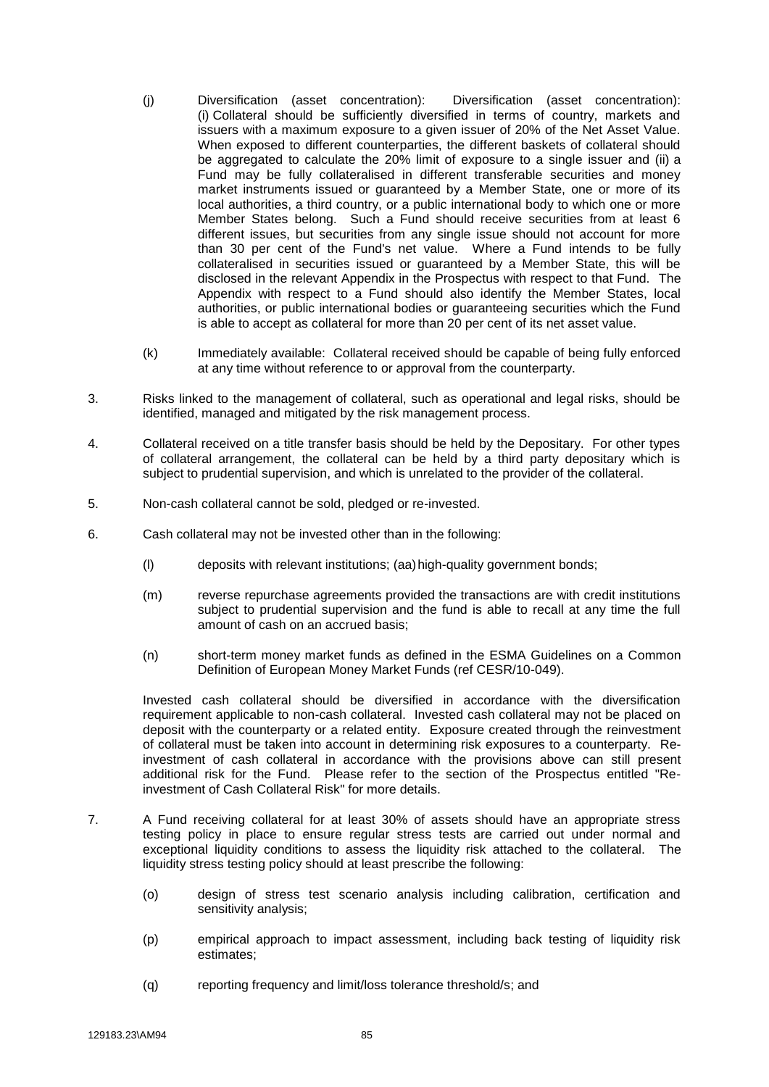- (j) Diversification (asset concentration): Diversification (asset concentration): (i) Collateral should be sufficiently diversified in terms of country, markets and issuers with a maximum exposure to a given issuer of 20% of the Net Asset Value. When exposed to different counterparties, the different baskets of collateral should be aggregated to calculate the 20% limit of exposure to a single issuer and (ii) a Fund may be fully collateralised in different transferable securities and money market instruments issued or guaranteed by a Member State, one or more of its local authorities, a third country, or a public international body to which one or more Member States belong. Such a Fund should receive securities from at least 6 different issues, but securities from any single issue should not account for more than 30 per cent of the Fund's net value. Where a Fund intends to be fully collateralised in securities issued or guaranteed by a Member State, this will be disclosed in the relevant Appendix in the Prospectus with respect to that Fund. The Appendix with respect to a Fund should also identify the Member States, local authorities, or public international bodies or guaranteeing securities which the Fund is able to accept as collateral for more than 20 per cent of its net asset value.
- (k) Immediately available: Collateral received should be capable of being fully enforced at any time without reference to or approval from the counterparty.
- 3. Risks linked to the management of collateral, such as operational and legal risks, should be identified, managed and mitigated by the risk management process.
- 4. Collateral received on a title transfer basis should be held by the Depositary. For other types of collateral arrangement, the collateral can be held by a third party depositary which is subject to prudential supervision, and which is unrelated to the provider of the collateral.
- 5. Non-cash collateral cannot be sold, pledged or re-invested.
- 6. Cash collateral may not be invested other than in the following:
	- (l) deposits with relevant institutions; (aa)high-quality government bonds;
	- (m) reverse repurchase agreements provided the transactions are with credit institutions subject to prudential supervision and the fund is able to recall at any time the full amount of cash on an accrued basis;
	- (n) short-term money market funds as defined in the ESMA Guidelines on a Common Definition of European Money Market Funds (ref CESR/10-049).

Invested cash collateral should be diversified in accordance with the diversification requirement applicable to non-cash collateral. Invested cash collateral may not be placed on deposit with the counterparty or a related entity. Exposure created through the reinvestment of collateral must be taken into account in determining risk exposures to a counterparty. Reinvestment of cash collateral in accordance with the provisions above can still present additional risk for the Fund. Please refer to the section of the Prospectus entitled "Reinvestment of Cash Collateral Risk" for more details.

- 7. A Fund receiving collateral for at least 30% of assets should have an appropriate stress testing policy in place to ensure regular stress tests are carried out under normal and exceptional liquidity conditions to assess the liquidity risk attached to the collateral. The liquidity stress testing policy should at least prescribe the following:
	- (o) design of stress test scenario analysis including calibration, certification and sensitivity analysis;
	- (p) empirical approach to impact assessment, including back testing of liquidity risk estimates;
	- (q) reporting frequency and limit/loss tolerance threshold/s; and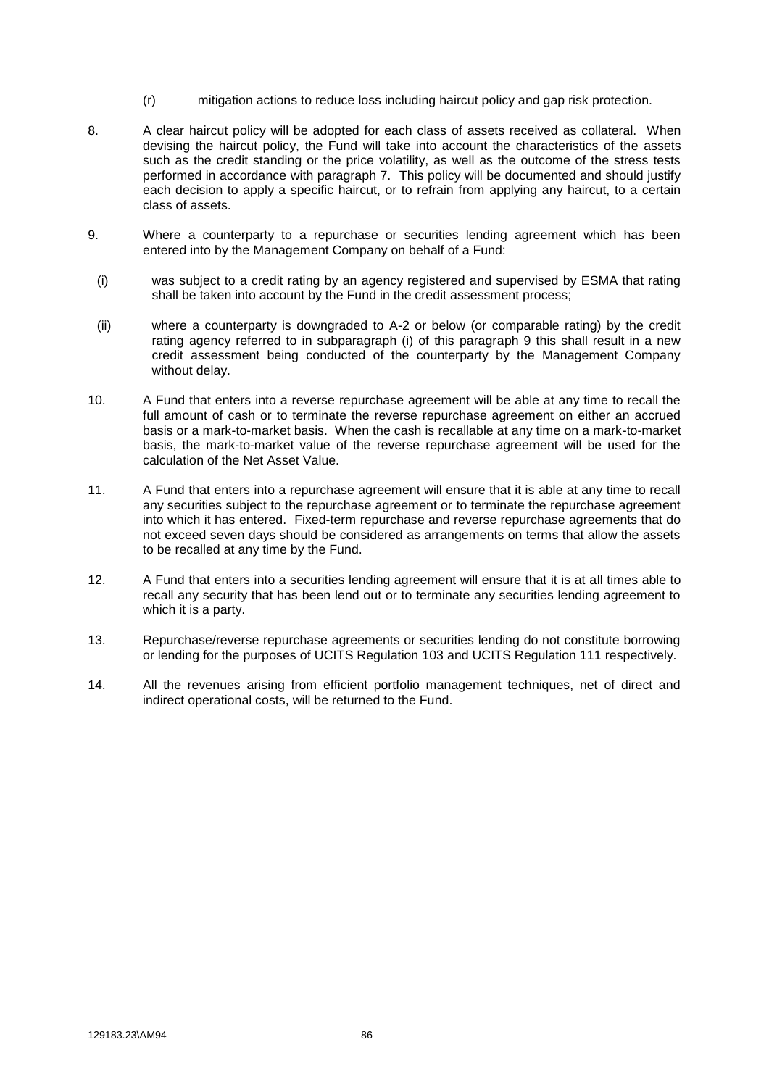- (r) mitigation actions to reduce loss including haircut policy and gap risk protection.
- 8. A clear haircut policy will be adopted for each class of assets received as collateral. When devising the haircut policy, the Fund will take into account the characteristics of the assets such as the credit standing or the price volatility, as well as the outcome of the stress tests performed in accordance with paragraph 7. This policy will be documented and should justify each decision to apply a specific haircut, or to refrain from applying any haircut, to a certain class of assets.
- 9. Where a counterparty to a repurchase or securities lending agreement which has been entered into by the Management Company on behalf of a Fund:
- (i) was subject to a credit rating by an agency registered and supervised by ESMA that rating shall be taken into account by the Fund in the credit assessment process;
- (ii) where a counterparty is downgraded to A-2 or below (or comparable rating) by the credit rating agency referred to in subparagraph (i) of this paragraph 9 this shall result in a new credit assessment being conducted of the counterparty by the Management Company without delay.
- 10. A Fund that enters into a reverse repurchase agreement will be able at any time to recall the full amount of cash or to terminate the reverse repurchase agreement on either an accrued basis or a mark-to-market basis. When the cash is recallable at any time on a mark-to-market basis, the mark-to-market value of the reverse repurchase agreement will be used for the calculation of the Net Asset Value.
- 11. A Fund that enters into a repurchase agreement will ensure that it is able at any time to recall any securities subject to the repurchase agreement or to terminate the repurchase agreement into which it has entered. Fixed-term repurchase and reverse repurchase agreements that do not exceed seven days should be considered as arrangements on terms that allow the assets to be recalled at any time by the Fund.
- 12. A Fund that enters into a securities lending agreement will ensure that it is at all times able to recall any security that has been lend out or to terminate any securities lending agreement to which it is a party.
- 13. Repurchase/reverse repurchase agreements or securities lending do not constitute borrowing or lending for the purposes of UCITS Regulation 103 and UCITS Regulation 111 respectively.
- 14. All the revenues arising from efficient portfolio management techniques, net of direct and indirect operational costs, will be returned to the Fund.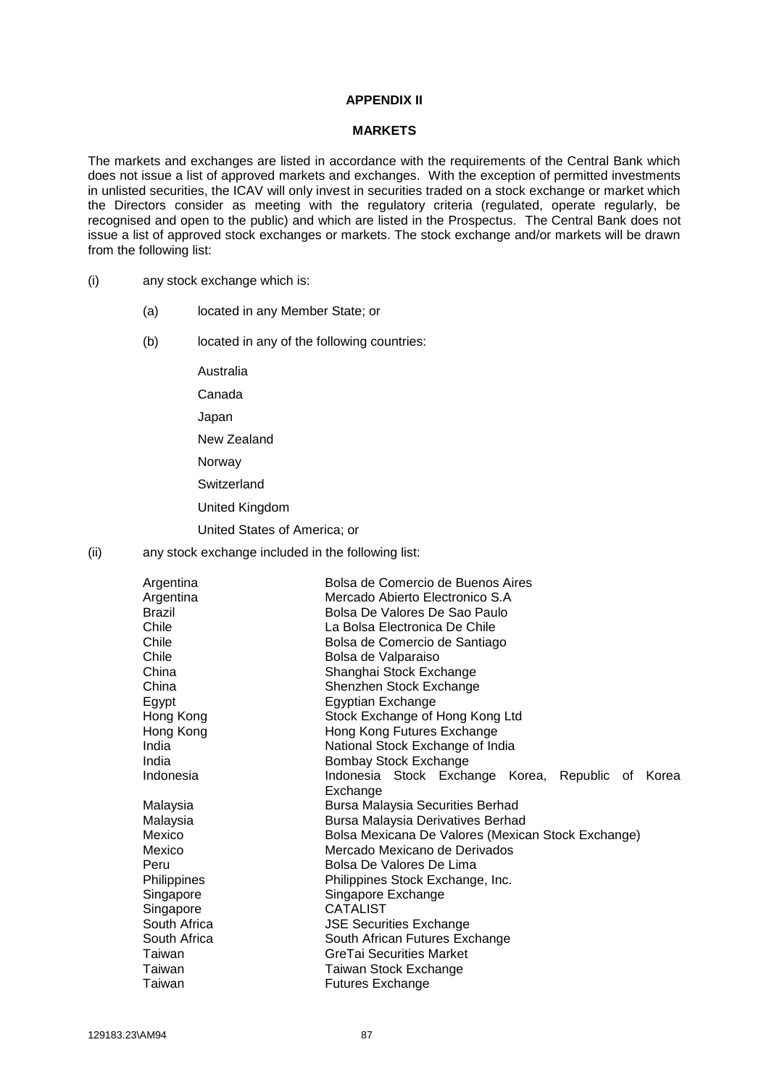### **APPENDIX II**

#### **MARKETS**

The markets and exchanges are listed in accordance with the requirements of the Central Bank which does not issue a list of approved markets and exchanges. With the exception of permitted investments in unlisted securities, the ICAV will only invest in securities traded on a stock exchange or market which the Directors consider as meeting with the regulatory criteria (regulated, operate regularly, be recognised and open to the public) and which are listed in the Prospectus. The Central Bank does not issue a list of approved stock exchanges or markets. The stock exchange and/or markets will be drawn from the following list:

- (i) any stock exchange which is:
	- (a) located in any Member State; or
	- (b) located in any of the following countries:

Australia Canada

Japan

New Zealand

Norway

**Switzerland** 

United Kingdom

United States of America; or

(ii) any stock exchange included in the following list:

| Argentina     | Bolsa de Comercio de Buenos Aires                    |  |  |  |
|---------------|------------------------------------------------------|--|--|--|
| Argentina     | Mercado Abierto Electronico S.A                      |  |  |  |
| <b>Brazil</b> | Bolsa De Valores De Sao Paulo                        |  |  |  |
| Chile         | La Bolsa Electronica De Chile                        |  |  |  |
| Chile         | Bolsa de Comercio de Santiago                        |  |  |  |
| Chile         | Bolsa de Valparaiso                                  |  |  |  |
| China         | Shanghai Stock Exchange                              |  |  |  |
| China         | Shenzhen Stock Exchange                              |  |  |  |
| Egypt         | <b>Egyptian Exchange</b>                             |  |  |  |
| Hong Kong     | Stock Exchange of Hong Kong Ltd                      |  |  |  |
| Hong Kong     | Hong Kong Futures Exchange                           |  |  |  |
| India         | National Stock Exchange of India                     |  |  |  |
| India         | <b>Bombay Stock Exchange</b>                         |  |  |  |
| Indonesia     | Indonesia Stock Exchange Korea,<br>Republic of Korea |  |  |  |
|               | Exchange                                             |  |  |  |
| Malaysia      | <b>Bursa Malaysia Securities Berhad</b>              |  |  |  |
| Malaysia      | Bursa Malaysia Derivatives Berhad                    |  |  |  |
| Mexico        | Bolsa Mexicana De Valores (Mexican Stock Exchange)   |  |  |  |
| Mexico        | Mercado Mexicano de Derivados                        |  |  |  |
| Peru          | Bolsa De Valores De Lima                             |  |  |  |
| Philippines   | Philippines Stock Exchange, Inc.                     |  |  |  |
| Singapore     | Singapore Exchange                                   |  |  |  |
| Singapore     | <b>CATALIST</b>                                      |  |  |  |
| South Africa  | <b>JSE Securities Exchange</b>                       |  |  |  |
| South Africa  | South African Futures Exchange                       |  |  |  |
| Taiwan        | <b>GreTai Securities Market</b>                      |  |  |  |
| Taiwan        | Taiwan Stock Exchange                                |  |  |  |
| Taiwan        | <b>Futures Exchange</b>                              |  |  |  |
|               |                                                      |  |  |  |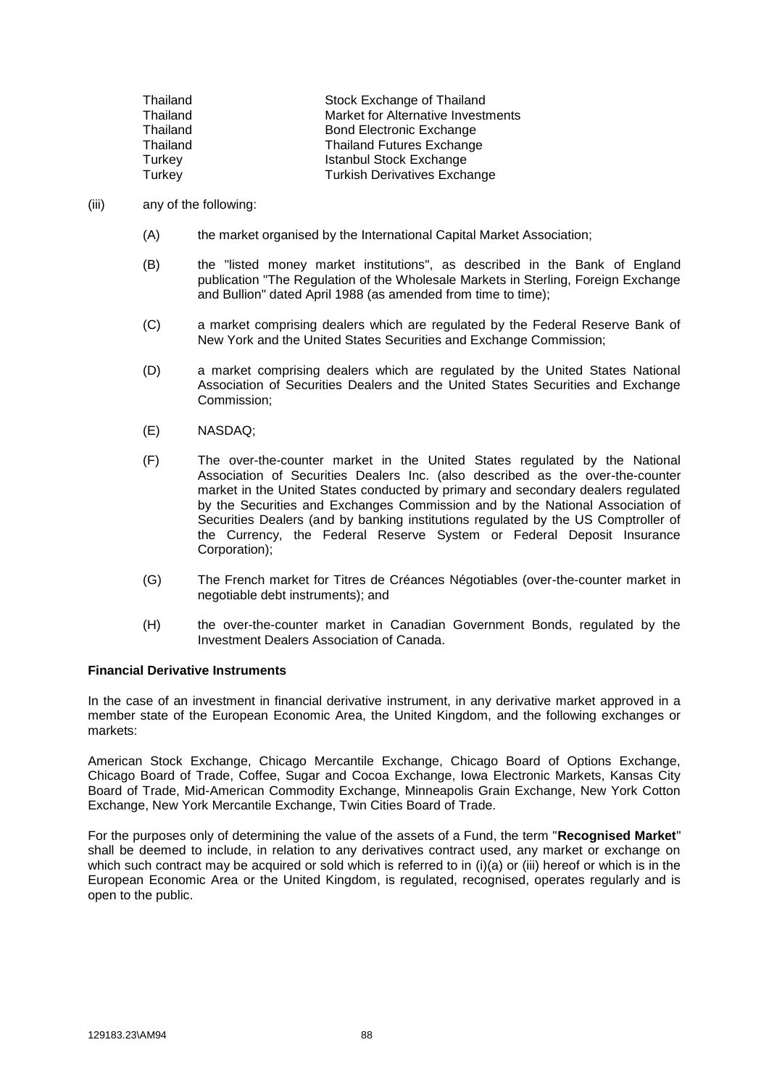| Thailand | Stock Exchange of Thailand          |
|----------|-------------------------------------|
| Thailand | Market for Alternative Investments  |
| Thailand | <b>Bond Electronic Exchange</b>     |
| Thailand | <b>Thailand Futures Exchange</b>    |
| Turkey   | <b>Istanbul Stock Exchange</b>      |
| Turkey   | <b>Turkish Derivatives Exchange</b> |

#### (iii) any of the following:

- (A) the market organised by the International Capital Market Association;
- (B) the "listed money market institutions", as described in the Bank of England publication "The Regulation of the Wholesale Markets in Sterling, Foreign Exchange and Bullion" dated April 1988 (as amended from time to time);
- (C) a market comprising dealers which are regulated by the Federal Reserve Bank of New York and the United States Securities and Exchange Commission;
- (D) a market comprising dealers which are regulated by the United States National Association of Securities Dealers and the United States Securities and Exchange Commission;
- (E) NASDAQ;
- (F) The over-the-counter market in the United States regulated by the National Association of Securities Dealers Inc. (also described as the over-the-counter market in the United States conducted by primary and secondary dealers regulated by the Securities and Exchanges Commission and by the National Association of Securities Dealers (and by banking institutions regulated by the US Comptroller of the Currency, the Federal Reserve System or Federal Deposit Insurance Corporation);
- (G) The French market for Titres de Créances Négotiables (over-the-counter market in negotiable debt instruments); and
- (H) the over-the-counter market in Canadian Government Bonds, regulated by the Investment Dealers Association of Canada.

### **Financial Derivative Instruments**

In the case of an investment in financial derivative instrument, in any derivative market approved in a member state of the European Economic Area, the United Kingdom, and the following exchanges or markets:

American Stock Exchange, Chicago Mercantile Exchange, Chicago Board of Options Exchange, Chicago Board of Trade, Coffee, Sugar and Cocoa Exchange, Iowa Electronic Markets, Kansas City Board of Trade, Mid-American Commodity Exchange, Minneapolis Grain Exchange, New York Cotton Exchange, New York Mercantile Exchange, Twin Cities Board of Trade.

For the purposes only of determining the value of the assets of a Fund, the term "**Recognised Market**" shall be deemed to include, in relation to any derivatives contract used, any market or exchange on which such contract may be acquired or sold which is referred to in (i)(a) or (iii) hereof or which is in the European Economic Area or the United Kingdom, is regulated, recognised, operates regularly and is open to the public.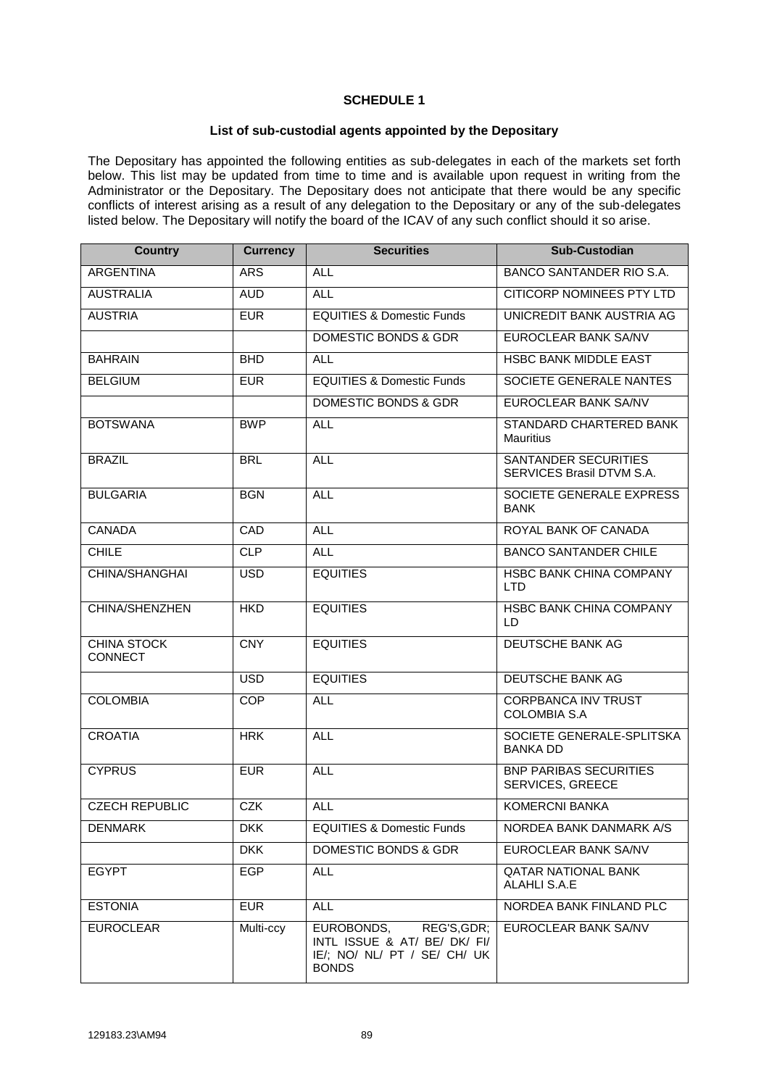# **SCHEDULE 1**

## **List of sub-custodial agents appointed by the Depositary**

The Depositary has appointed the following entities as sub-delegates in each of the markets set forth below. This list may be updated from time to time and is available upon request in writing from the Administrator or the Depositary. The Depositary does not anticipate that there would be any specific conflicts of interest arising as a result of any delegation to the Depositary or any of the sub-delegates listed below. The Depositary will notify the board of the ICAV of any such conflict should it so arise.

| <b>Country</b>                       | <b>Currency</b> | <b>Securities</b>                                                                                         | <b>Sub-Custodian</b>                              |
|--------------------------------------|-----------------|-----------------------------------------------------------------------------------------------------------|---------------------------------------------------|
| <b>ARGENTINA</b>                     | <b>ARS</b>      | <b>ALL</b>                                                                                                | BANCO SANTANDER RIO S.A.                          |
| <b>AUSTRALIA</b>                     | <b>AUD</b>      | <b>ALL</b>                                                                                                | <b>CITICORP NOMINEES PTY LTD</b>                  |
| <b>AUSTRIA</b>                       | <b>EUR</b>      | <b>EQUITIES &amp; Domestic Funds</b>                                                                      | UNICREDIT BANK AUSTRIA AG                         |
|                                      |                 | DOMESTIC BONDS & GDR                                                                                      | <b>EUROCLEAR BANK SA/NV</b>                       |
| <b>BAHRAIN</b>                       | <b>BHD</b>      | <b>ALL</b>                                                                                                | HSBC BANK MIDDLE EAST                             |
| <b>BELGIUM</b>                       | <b>EUR</b>      | <b>EQUITIES &amp; Domestic Funds</b>                                                                      | SOCIETE GENERALE NANTES                           |
|                                      |                 | <b>DOMESTIC BONDS &amp; GDR</b>                                                                           | EUROCLEAR BANK SA/NV                              |
| <b>BOTSWANA</b>                      | <b>BWP</b>      | <b>ALL</b>                                                                                                | STANDARD CHARTERED BANK<br><b>Mauritius</b>       |
| <b>BRAZIL</b>                        | <b>BRL</b>      | <b>ALL</b>                                                                                                | SANTANDER SECURITIES<br>SERVICES Brasil DTVM S.A. |
| <b>BULGARIA</b>                      | <b>BGN</b>      | <b>ALL</b>                                                                                                | SOCIETE GENERALE EXPRESS<br><b>BANK</b>           |
| <b>CANADA</b>                        | CAD             | <b>ALL</b>                                                                                                | ROYAL BANK OF CANADA                              |
| <b>CHILE</b>                         | <b>CLP</b>      | <b>ALL</b>                                                                                                | <b>BANCO SANTANDER CHILE</b>                      |
| CHINA/SHANGHAI                       | <b>USD</b>      | <b>EQUITIES</b>                                                                                           | <b>HSBC BANK CHINA COMPANY</b><br><b>LTD</b>      |
| CHINA/SHENZHEN                       | <b>HKD</b>      | <b>EQUITIES</b>                                                                                           | <b>HSBC BANK CHINA COMPANY</b><br>LD              |
| <b>CHINA STOCK</b><br><b>CONNECT</b> | <b>CNY</b>      | <b>EQUITIES</b>                                                                                           | DEUTSCHE BANK AG                                  |
|                                      | <b>USD</b>      | <b>EQUITIES</b>                                                                                           | DEUTSCHE BANK AG                                  |
| <b>COLOMBIA</b>                      | <b>COP</b>      | <b>ALL</b>                                                                                                | <b>CORPBANCA INV TRUST</b><br><b>COLOMBIA S.A</b> |
| <b>CROATIA</b>                       | <b>HRK</b>      | <b>ALL</b>                                                                                                | SOCIETE GENERALE-SPLITSKA<br><b>BANKA DD</b>      |
| <b>CYPRUS</b>                        | <b>EUR</b>      | <b>ALL</b>                                                                                                | <b>BNP PARIBAS SECURITIES</b><br>SERVICES, GREECE |
| <b>CZECH REPUBLIC</b>                | <b>CZK</b>      | <b>ALL</b>                                                                                                | <b>KOMERCNI BANKA</b>                             |
| <b>DENMARK</b>                       | <b>DKK</b>      | <b>EQUITIES &amp; Domestic Funds</b>                                                                      | NORDEA BANK DANMARK A/S                           |
|                                      | <b>DKK</b>      | DOMESTIC BONDS & GDR                                                                                      | EUROCLEAR BANK SA/NV                              |
| <b>EGYPT</b>                         | <b>EGP</b>      | <b>ALL</b>                                                                                                | <b>QATAR NATIONAL BANK</b><br>ALAHLI S.A.E        |
| <b>ESTONIA</b>                       | <b>EUR</b>      | <b>ALL</b>                                                                                                | NORDEA BANK FINLAND PLC                           |
| <b>EUROCLEAR</b>                     | Multi-ccy       | EUROBONDS,<br>REG'S, GDR;<br>INTL ISSUE & AT/ BE/ DK/ FI/<br>IE/; NO/ NL/ PT / SE/ CH/ UK<br><b>BONDS</b> | EUROCLEAR BANK SA/NV                              |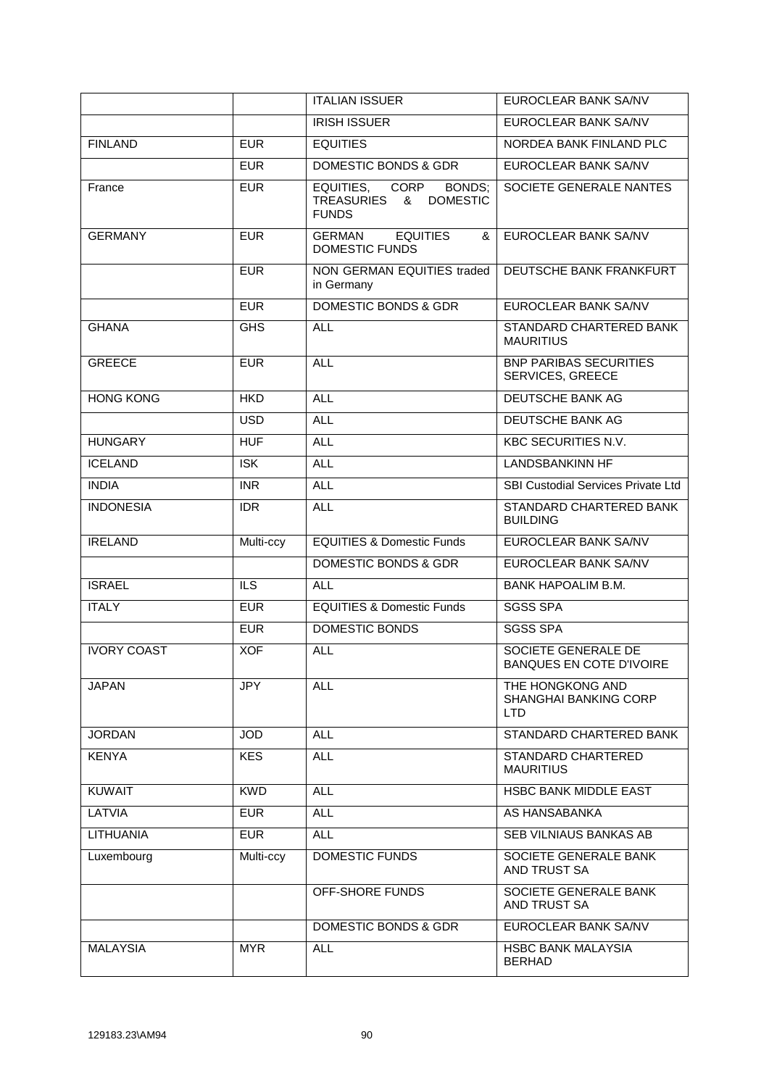|                    |            | <b>ITALIAN ISSUER</b>                                                                 | EUROCLEAR BANK SA/NV                                     |
|--------------------|------------|---------------------------------------------------------------------------------------|----------------------------------------------------------|
|                    |            | <b>IRISH ISSUER</b>                                                                   | EUROCLEAR BANK SA/NV                                     |
| <b>FINLAND</b>     | <b>EUR</b> | <b>EQUITIES</b>                                                                       | NORDEA BANK FINLAND PLC                                  |
|                    | <b>EUR</b> | <b>DOMESTIC BONDS &amp; GDR</b>                                                       | EUROCLEAR BANK SA/NV                                     |
| France             | <b>EUR</b> | <b>CORP</b><br>EQUITIES,<br>BONDS;<br><b>DOMESTIC</b><br>TREASURIES &<br><b>FUNDS</b> | SOCIETE GENERALE NANTES                                  |
| <b>GERMANY</b>     | <b>EUR</b> | <b>GERMAN</b><br><b>EQUITIES</b><br>&<br><b>DOMESTIC FUNDS</b>                        | EUROCLEAR BANK SA/NV                                     |
|                    | <b>EUR</b> | NON GERMAN EQUITIES traded<br>in Germany                                              | DEUTSCHE BANK FRANKFURT                                  |
|                    | <b>EUR</b> | <b>DOMESTIC BONDS &amp; GDR</b>                                                       | EUROCLEAR BANK SA/NV                                     |
| <b>GHANA</b>       | <b>GHS</b> | <b>ALL</b>                                                                            | STANDARD CHARTERED BANK<br><b>MAURITIUS</b>              |
| <b>GREECE</b>      | <b>EUR</b> | <b>ALL</b>                                                                            | <b>BNP PARIBAS SECURITIES</b><br>SERVICES, GREECE        |
| <b>HONG KONG</b>   | <b>HKD</b> | <b>ALL</b>                                                                            | DEUTSCHE BANK AG                                         |
|                    | <b>USD</b> | <b>ALL</b>                                                                            | <b>DEUTSCHE BANK AG</b>                                  |
| <b>HUNGARY</b>     | <b>HUF</b> | <b>ALL</b>                                                                            | <b>KBC SECURITIES N.V.</b>                               |
| <b>ICELAND</b>     | <b>ISK</b> | <b>ALL</b>                                                                            | <b>LANDSBANKINN HF</b>                                   |
| <b>INDIA</b>       | <b>INR</b> | <b>ALL</b>                                                                            | SBI Custodial Services Private Ltd                       |
| <b>INDONESIA</b>   | <b>IDR</b> | <b>ALL</b>                                                                            | STANDARD CHARTERED BANK<br><b>BUILDING</b>               |
| <b>IRELAND</b>     | Multi-ccy  | <b>EQUITIES &amp; Domestic Funds</b>                                                  | EUROCLEAR BANK SA/NV                                     |
|                    |            | <b>DOMESTIC BONDS &amp; GDR</b>                                                       | EUROCLEAR BANK SA/NV                                     |
| <b>ISRAEL</b>      | <b>ILS</b> | ALL.                                                                                  | <b>BANK HAPOALIM B.M.</b>                                |
| <b>ITALY</b>       | <b>EUR</b> | <b>EQUITIES &amp; Domestic Funds</b>                                                  | <b>SGSS SPA</b>                                          |
|                    | <b>EUR</b> | DOMESTIC BONDS                                                                        | <b>SGSS SPA</b>                                          |
| <b>IVORY COAST</b> | <b>XOF</b> | <b>ALL</b>                                                                            | SOCIETE GENERALE DE<br><b>BANQUES EN COTE D'IVOIRE</b>   |
| <b>JAPAN</b>       | JPY        | <b>ALL</b>                                                                            | THE HONGKONG AND<br><b>SHANGHAI BANKING CORP</b><br>LTD. |
| <b>JORDAN</b>      | <b>JOD</b> | <b>ALL</b>                                                                            | STANDARD CHARTERED BANK                                  |
| <b>KENYA</b>       | <b>KES</b> | <b>ALL</b>                                                                            | STANDARD CHARTERED<br><b>MAURITIUS</b>                   |
| <b>KUWAIT</b>      | <b>KWD</b> | <b>ALL</b>                                                                            | HSBC BANK MIDDLE EAST                                    |
| LATVIA             | <b>EUR</b> | <b>ALL</b>                                                                            | AS HANSABANKA                                            |
| <b>LITHUANIA</b>   | <b>EUR</b> | <b>ALL</b>                                                                            | SEB VILNIAUS BANKAS AB                                   |
| Luxembourg         | Multi-ccy  | DOMESTIC FUNDS                                                                        | SOCIETE GENERALE BANK<br>AND TRUST SA                    |
|                    |            | OFF-SHORE FUNDS                                                                       | SOCIETE GENERALE BANK                                    |
|                    |            |                                                                                       | AND TRUST SA                                             |
|                    |            | DOMESTIC BONDS & GDR                                                                  | EUROCLEAR BANK SA/NV                                     |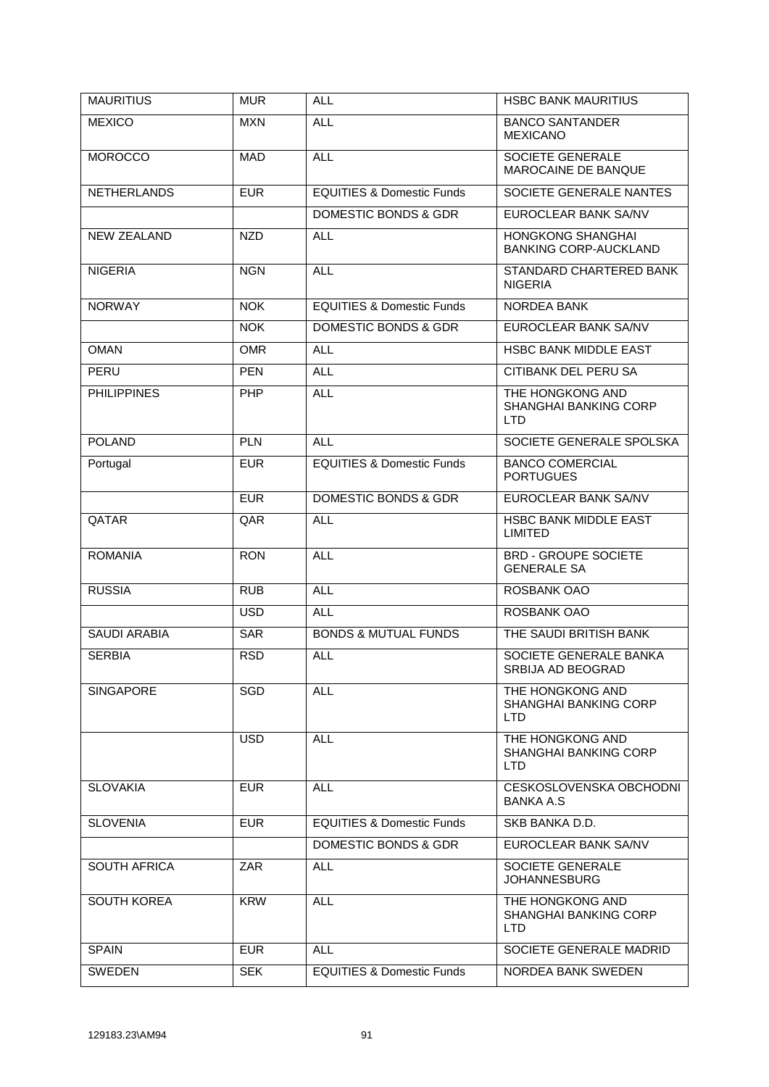| <b>MAURITIUS</b>    | <b>MUR</b> | <b>ALL</b>                           | <b>HSBC BANK MAURITIUS</b>                                     |
|---------------------|------------|--------------------------------------|----------------------------------------------------------------|
| <b>MEXICO</b>       | <b>MXN</b> | <b>ALL</b>                           | <b>BANCO SANTANDER</b><br><b>MEXICANO</b>                      |
| <b>MOROCCO</b>      | <b>MAD</b> | <b>ALL</b>                           | SOCIETE GENERALE<br>MAROCAINE DE BANQUE                        |
| <b>NETHERLANDS</b>  | <b>EUR</b> | <b>EQUITIES &amp; Domestic Funds</b> | SOCIETE GENERALE NANTES                                        |
|                     |            | DOMESTIC BONDS & GDR                 | EUROCLEAR BANK SA/NV                                           |
| <b>NEW ZEALAND</b>  | <b>NZD</b> | <b>ALL</b>                           | <b>HONGKONG SHANGHAI</b><br><b>BANKING CORP-AUCKLAND</b>       |
| <b>NIGERIA</b>      | <b>NGN</b> | <b>ALL</b>                           | STANDARD CHARTERED BANK<br><b>NIGERIA</b>                      |
| <b>NORWAY</b>       | <b>NOK</b> | <b>EQUITIES &amp; Domestic Funds</b> | NORDEA BANK                                                    |
|                     | <b>NOK</b> | DOMESTIC BONDS & GDR                 | EUROCLEAR BANK SA/NV                                           |
| <b>OMAN</b>         | <b>OMR</b> | <b>ALL</b>                           | HSBC BANK MIDDLE EAST                                          |
| PERU                | <b>PEN</b> | <b>ALL</b>                           | CITIBANK DEL PERU SA                                           |
| <b>PHILIPPINES</b>  | <b>PHP</b> | <b>ALL</b>                           | THE HONGKONG AND<br><b>SHANGHAI BANKING CORP</b><br><b>LTD</b> |
| <b>POLAND</b>       | <b>PLN</b> | <b>ALL</b>                           | SOCIETE GENERALE SPOLSKA                                       |
| Portugal            | <b>EUR</b> | <b>EQUITIES &amp; Domestic Funds</b> | <b>BANCO COMERCIAL</b><br><b>PORTUGUES</b>                     |
|                     | <b>EUR</b> | <b>DOMESTIC BONDS &amp; GDR</b>      | EUROCLEAR BANK SA/NV                                           |
| QATAR               | QAR        | <b>ALL</b>                           | HSBC BANK MIDDLE EAST<br><b>LIMITED</b>                        |
| <b>ROMANIA</b>      | <b>RON</b> | <b>ALL</b>                           | <b>BRD - GROUPE SOCIETE</b><br><b>GENERALE SA</b>              |
| <b>RUSSIA</b>       | <b>RUB</b> | <b>ALL</b>                           | ROSBANK OAO                                                    |
|                     | <b>USD</b> | <b>ALL</b>                           | ROSBANK OAO                                                    |
| <b>SAUDI ARABIA</b> | <b>SAR</b> | <b>BONDS &amp; MUTUAL FUNDS</b>      | THE SAUDI BRITISH BANK                                         |
| <b>SERBIA</b>       | <b>RSD</b> | <b>ALL</b>                           | SOCIETE GENERALE BANKA<br>SRBIJA AD BEOGRAD                    |
| <b>SINGAPORE</b>    | SGD        | <b>ALL</b>                           | THE HONGKONG AND<br>SHANGHAI BANKING CORP<br>LTD.              |
|                     | <b>USD</b> | <b>ALL</b>                           | THE HONGKONG AND<br><b>SHANGHAI BANKING CORP</b><br>LTD        |
| <b>SLOVAKIA</b>     | <b>EUR</b> | <b>ALL</b>                           | CESKOSLOVENSKA OBCHODNI<br><b>BANKA A.S</b>                    |
| <b>SLOVENIA</b>     | <b>EUR</b> | <b>EQUITIES &amp; Domestic Funds</b> | SKB BANKA D.D.                                                 |
|                     |            | DOMESTIC BONDS & GDR                 | EUROCLEAR BANK SA/NV                                           |
| <b>SOUTH AFRICA</b> | <b>ZAR</b> | <b>ALL</b>                           | <b>SOCIETE GENERALE</b><br><b>JOHANNESBURG</b>                 |
| <b>SOUTH KOREA</b>  | <b>KRW</b> | <b>ALL</b>                           | THE HONGKONG AND<br><b>SHANGHAI BANKING CORP</b><br>LTD.       |
| <b>SPAIN</b>        | <b>EUR</b> | <b>ALL</b>                           | SOCIETE GENERALE MADRID                                        |
| <b>SWEDEN</b>       | <b>SEK</b> | <b>EQUITIES &amp; Domestic Funds</b> | NORDEA BANK SWEDEN                                             |